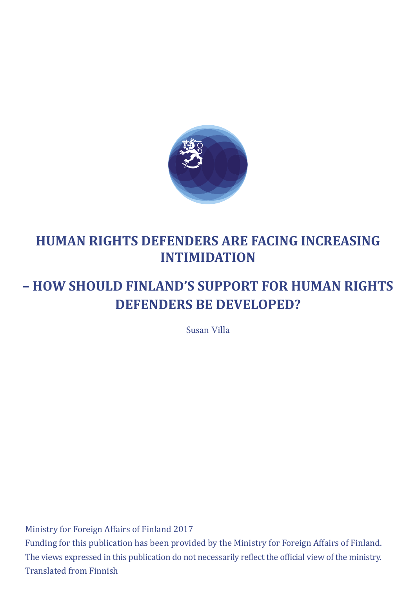<span id="page-0-0"></span>

# **HUMAN RIGHTS DEFENDERS ARE FACING INCREASING INTIMIDATION**

# **– HOW SHOULD FINLAND'S SUPPORT FOR HUMAN RIGHTS DEFENDERS BE DEVELOPED?**

Susan Villa

Ministry for Foreign Affairs of Finland 2017 Funding for this publication has been provided by the Ministry for Foreign Affairs of Finland. The views expressed in this publication do not necessarily reflect the official view of the ministry. Translated from Finnish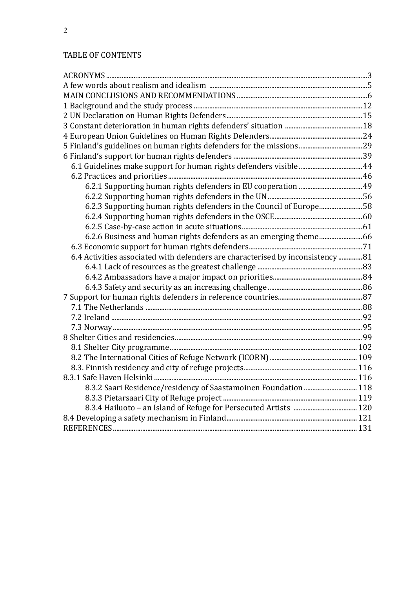# TABLE OF CONTENTS

| 6.2.3 Supporting human rights defenders in the Council of Europe58             |  |
|--------------------------------------------------------------------------------|--|
|                                                                                |  |
|                                                                                |  |
|                                                                                |  |
|                                                                                |  |
| 6.4 Activities associated with defenders are characterised by inconsistency 81 |  |
|                                                                                |  |
|                                                                                |  |
|                                                                                |  |
|                                                                                |  |
|                                                                                |  |
|                                                                                |  |
|                                                                                |  |
|                                                                                |  |
|                                                                                |  |
|                                                                                |  |
|                                                                                |  |
|                                                                                |  |
| 8.3.2 Saari Residence/residency of Saastamoinen Foundation  118                |  |
|                                                                                |  |
|                                                                                |  |
|                                                                                |  |
|                                                                                |  |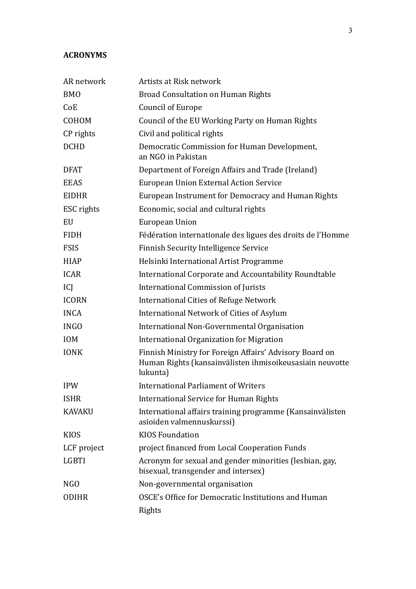#### **ACRONYMS**

| AR network       | Artists at Risk network                                                                                                         |
|------------------|---------------------------------------------------------------------------------------------------------------------------------|
| <b>BMO</b>       | <b>Broad Consultation on Human Rights</b>                                                                                       |
| CoE              | Council of Europe                                                                                                               |
| COHOM            | Council of the EU Working Party on Human Rights                                                                                 |
| CP rights        | Civil and political rights                                                                                                      |
| <b>DCHD</b>      | Democratic Commission for Human Development,<br>an NGO in Pakistan                                                              |
| <b>DFAT</b>      | Department of Foreign Affairs and Trade (Ireland)                                                                               |
| <b>EEAS</b>      | European Union External Action Service                                                                                          |
| <b>EIDHR</b>     | European Instrument for Democracy and Human Rights                                                                              |
| ESC rights       | Economic, social and cultural rights                                                                                            |
| EU               | European Union                                                                                                                  |
| <b>FIDH</b>      | Fédération internationale des ligues des droits de l'Homme                                                                      |
| <b>FSIS</b>      | <b>Finnish Security Intelligence Service</b>                                                                                    |
| <b>HIAP</b>      | Helsinki International Artist Programme                                                                                         |
| <b>ICAR</b>      | International Corporate and Accountability Roundtable                                                                           |
| ICJ              | <b>International Commission of Jurists</b>                                                                                      |
| <b>ICORN</b>     | <b>International Cities of Refuge Network</b>                                                                                   |
| <b>INCA</b>      | International Network of Cities of Asylum                                                                                       |
| <b>INGO</b>      | International Non-Governmental Organisation                                                                                     |
| <b>IOM</b>       | International Organization for Migration                                                                                        |
| <b>IONK</b>      | Finnish Ministry for Foreign Affairs' Advisory Board on<br>Human Rights (kansainvälisten ihmisoikeusasiain neuvotte<br>lukunta) |
| <b>IPW</b>       | <b>International Parliament of Writers</b>                                                                                      |
| <b>ISHR</b>      | <b>International Service for Human Rights</b>                                                                                   |
| <b>KAVAKU</b>    | International affairs training programme (Kansainvälisten<br>asioiden valmennuskurssi)                                          |
| <b>KIOS</b>      | <b>KIOS Foundation</b>                                                                                                          |
| LCF project      | project financed from Local Cooperation Funds                                                                                   |
| <b>LGBTI</b>     | Acronym for sexual and gender minorities (lesbian, gay,<br>bisexual, transgender and intersex)                                  |
| N <sub>G</sub> O | Non-governmental organisation                                                                                                   |
| <b>ODIHR</b>     | OSCE's Office for Democratic Institutions and Human                                                                             |
|                  | Rights                                                                                                                          |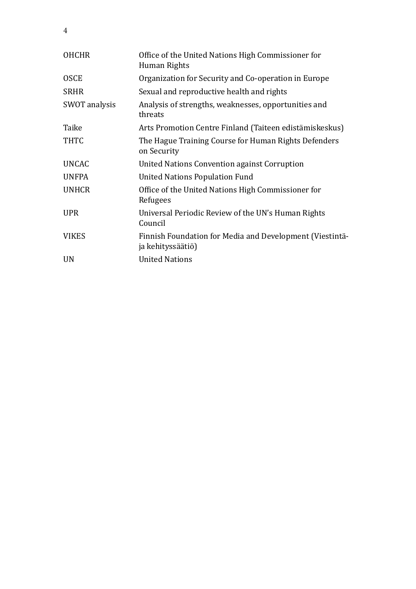| <b>OHCHR</b>  | Office of the United Nations High Commissioner for<br>Human Rights            |
|---------------|-------------------------------------------------------------------------------|
| <b>OSCE</b>   | Organization for Security and Co-operation in Europe                          |
| <b>SRHR</b>   | Sexual and reproductive health and rights                                     |
| SWOT analysis | Analysis of strengths, weaknesses, opportunities and<br>threats               |
| Taike         | Arts Promotion Centre Finland (Taiteen edistämiskeskus)                       |
| <b>THTC</b>   | The Hague Training Course for Human Rights Defenders<br>on Security           |
| <b>UNCAC</b>  | United Nations Convention against Corruption                                  |
| <b>UNFPA</b>  | <b>United Nations Population Fund</b>                                         |
| <b>UNHCR</b>  | Office of the United Nations High Commissioner for<br>Refugees                |
| <b>UPR</b>    | Universal Periodic Review of the UN's Human Rights<br>Council                 |
| <b>VIKES</b>  | Finnish Foundation for Media and Development (Viestintä-<br>ja kehityssäätiö) |
| <b>UN</b>     | <b>United Nations</b>                                                         |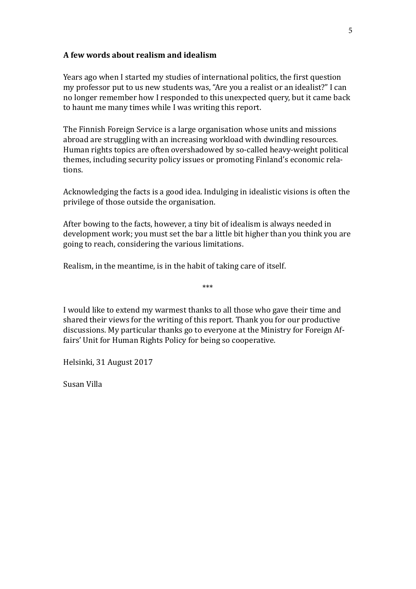#### <span id="page-4-0"></span>**A few words about realism and idealism**

Years ago when I started my studies of international politics, the first question my professor put to us new students was, "Are you a realist or an idealist?" I can no longer remember how I responded to this unexpected query, but it came back to haunt me many times while I was writing this report.

The Finnish Foreign Service is a large organisation whose units and missions abroad are struggling with an increasing workload with dwindling resources. Human rights topics are often overshadowed by so-called heavy-weight political themes, including security policy issues or promoting Finland's economic relations.

Acknowledging the facts is a good idea. Indulging in idealistic visions is often the privilege of those outside the organisation.

After bowing to the facts, however, a tiny bit of idealism is always needed in development work; you must set the bar a little bit higher than you think you are going to reach, considering the various limitations.

\*\*\*

Realism, in the meantime, is in the habit of taking care of itself.

I would like to extend my warmest thanks to all those who gave their time and shared their views for the writing of this report. Thank you for our productive discussions. My particular thanks go to everyone at the Ministry for Foreign Affairs' Unit for Human Rights Policy for being so cooperative.

Helsinki, 31 August 2017

Susan Villa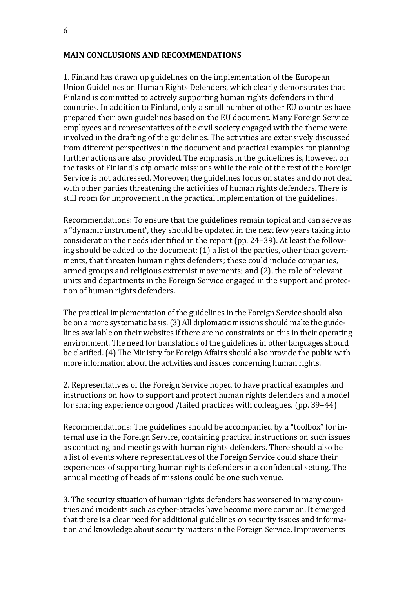#### <span id="page-5-0"></span>**MAIN CONCLUSIONS AND RECOMMENDATIONS**

1. Finland has drawn up guidelines on the implementation of the European Union Guidelines on Human Rights Defenders, which clearly demonstrates that Finland is committed to actively supporting human rights defenders in third countries. In addition to Finland, only a small number of other EU countries have prepared their own guidelines based on the EU document. Many Foreign Service employees and representatives of the civil society engaged with the theme were involved in the drafting of the guidelines. The activities are extensively discussed from different perspectives in the document and practical examples for planning further actions are also provided. The emphasis in the guidelines is, however, on the tasks of Finland's diplomatic missions while the role of the rest of the Foreign Service is not addressed. Moreover, the guidelines focus on states and do not deal with other parties threatening the activities of human rights defenders. There is still room for improvement in the practical implementation of the guidelines.

Recommendations: To ensure that the guidelines remain topical and can serve as a "dynamic instrument", they should be updated in the next few years taking into consideration the needs identified in the report (pp. 24–39). At least the following should be added to the document: (1) a list of the parties, other than governments, that threaten human rights defenders; these could include companies, armed groups and religious extremist movements; and (2), the role of relevant units and departments in the Foreign Service engaged in the support and protection of human rights defenders.

The practical implementation of the guidelines in the Foreign Service should also be on a more systematic basis. (3) All diplomatic missions should make the guidelines available on their websites if there are no constraints on this in their operating environment. The need for translations of the guidelines in other languages should be clarified. (4) The Ministry for Foreign Affairs should also provide the public with more information about the activities and issues concerning human rights.

2. Representatives of the Foreign Service hoped to have practical examples and instructions on how to support and protect human rights defenders and a model for sharing experience on good /failed practices with colleagues. (pp. 39–44)

Recommendations: The guidelines should be accompanied by a "toolbox" for internal use in the Foreign Service, containing practical instructions on such issues as contacting and meetings with human rights defenders. There should also be a list of events where representatives of the Foreign Service could share their experiences of supporting human rights defenders in a confidential setting. The annual meeting of heads of missions could be one such venue.

3. The security situation of human rights defenders has worsened in many countries and incidents such as cyber-attacks have become more common. It emerged that there is a clear need for additional guidelines on security issues and information and knowledge about security matters in the Foreign Service. Improvements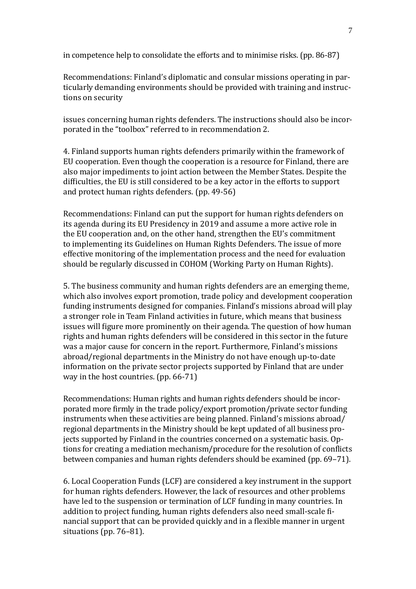in competence help to consolidate the efforts and to minimise risks. (pp. 86-87)

Recommendations: Finland's diplomatic and consular missions operating in particularly demanding environments should be provided with training and instructions on security

issues concerning human rights defenders. The instructions should also be incorporated in the "toolbox" referred to in recommendation 2.

4. Finland supports human rights defenders primarily within the framework of EU cooperation. Even though the cooperation is a resource for Finland, there are also major impediments to joint action between the Member States. Despite the difficulties, the EU is still considered to be a key actor in the efforts to support and protect human rights defenders. (pp. 49-56)

Recommendations: Finland can put the support for human rights defenders on its agenda during its EU Presidency in 2019 and assume a more active role in the EU cooperation and, on the other hand, strengthen the EU's commitment to implementing its Guidelines on Human Rights Defenders. The issue of more effective monitoring of the implementation process and the need for evaluation should be regularly discussed in COHOM (Working Party on Human Rights).

5. The business community and human rights defenders are an emerging theme, which also involves export promotion, trade policy and development cooperation funding instruments designed for companies. Finland's missions abroad will play a stronger role in Team Finland activities in future, which means that business issues will figure more prominently on their agenda. The question of how human rights and human rights defenders will be considered in this sector in the future was a major cause for concern in the report. Furthermore, Finland's missions abroad/regional departments in the Ministry do not have enough up-to-date information on the private sector projects supported by Finland that are under way in the host countries. (pp. 66-71)

Recommendations: Human rights and human rights defenders should be incorporated more firmly in the trade policy/export promotion/private sector funding instruments when these activities are being planned. Finland's missions abroad/ regional departments in the Ministry should be kept updated of all business projects supported by Finland in the countries concerned on a systematic basis. Options for creating a mediation mechanism/procedure for the resolution of conflicts between companies and human rights defenders should be examined (pp. 69–71).

6. Local Cooperation Funds (LCF) are considered a key instrument in the support for human rights defenders. However, the lack of resources and other problems have led to the suspension or termination of LCF funding in many countries. In addition to project funding, human rights defenders also need small-scale financial support that can be provided quickly and in a flexible manner in urgent situations (pp. 76–81).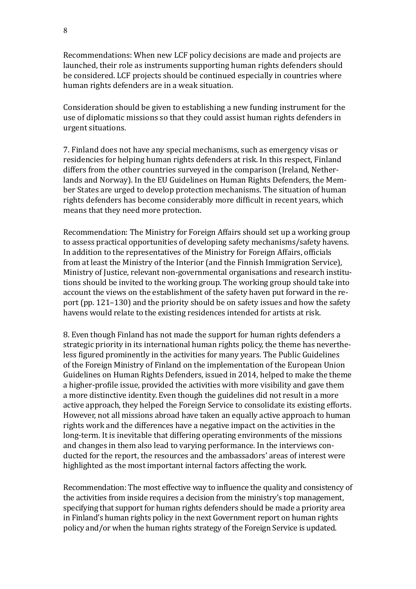Recommendations: When new LCF policy decisions are made and projects are launched, their role as instruments supporting human rights defenders should be considered. LCF projects should be continued especially in countries where human rights defenders are in a weak situation.

Consideration should be given to establishing a new funding instrument for the use of diplomatic missions so that they could assist human rights defenders in urgent situations.

7. Finland does not have any special mechanisms, such as emergency visas or residencies for helping human rights defenders at risk. In this respect, Finland differs from the other countries surveyed in the comparison (Ireland, Netherlands and Norway). In the EU Guidelines on Human Rights Defenders, the Member States are urged to develop protection mechanisms. The situation of human rights defenders has become considerably more difficult in recent years, which means that they need more protection.

Recommendation: The Ministry for Foreign Affairs should set up a working group to assess practical opportunities of developing safety mechanisms/safety havens. In addition to the representatives of the Ministry for Foreign Affairs, officials from at least the Ministry of the Interior (and the Finnish Immigration Service), Ministry of Justice, relevant non-governmental organisations and research institutions should be invited to the working group. The working group should take into account the views on the establishment of the safety haven put forward in the report (pp. 121–130) and the priority should be on safety issues and how the safety havens would relate to the existing residences intended for artists at risk.

8. Even though Finland has not made the support for human rights defenders a strategic priority in its international human rights policy, the theme has nevertheless figured prominently in the activities for many years. The Public Guidelines of the Foreign Ministry of Finland on the implementation of the European Union Guidelines on Human Rights Defenders, issued in 2014, helped to make the theme a higher-profile issue, provided the activities with more visibility and gave them a more distinctive identity. Even though the guidelines did not result in a more active approach, they helped the Foreign Service to consolidate its existing efforts. However, not all missions abroad have taken an equally active approach to human rights work and the differences have a negative impact on the activities in the long-term. It is inevitable that differing operating environments of the missions and changes in them also lead to varying performance. In the interviews conducted for the report, the resources and the ambassadors' areas of interest were highlighted as the most important internal factors affecting the work.

Recommendation: The most effective way to influence the quality and consistency of the activities from inside requires a decision from the ministry's top management, specifying that support for human rights defenders should be made a priority area in Finland's human rights policy in the next Government report on human rights policy and/or when the human rights strategy of the Foreign Service is updated.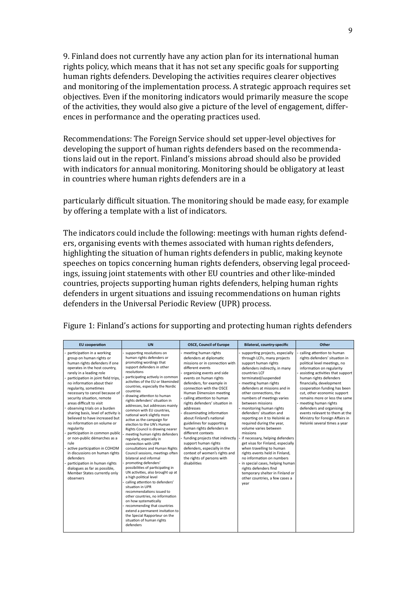9. Finland does not currently have any action plan for its international human rights policy, which means that it has not set any specific goals for supporting human rights defenders. Developing the activities requires clearer objectives and monitoring of the implementation process. A strategic approach requires set objectives. Even if the monitoring indicators would primarily measure the scope of the activities, they would also give a picture of the level of engagement, differences in performance and the operating practices used.

Recommendations: The Foreign Service should set upper-level objectives for developing the support of human rights defenders based on the recommendations laid out in the report. Finland's missions abroad should also be provided with indicators for annual monitoring. Monitoring should be obligatory at least in countries where human rights defenders are in a

particularly difficult situation. The monitoring should be made easy, for example by offering a template with a list of indicators.

The indicators could include the following: meetings with human rights defenders, organising events with themes associated with human rights defenders, highlighting the situation of human rights defenders in public, making keynote speeches on topics concerning human rights defenders, observing legal proceedings, issuing joint statements with other EU countries and other like-minded countries, projects supporting human rights defenders, helping human rights defenders in urgent situations and issuing recommendations on human rights defenders in the Universal Periodic Review (UPR) process.

| <b>EU</b> cooperation                                                                                                                                                                                                                                                                                                                                                                                                                                                                                                                                                                                                                                                                                                                                                         | <b>UN</b>                                                                                                                                                                                                                                                                                                                                                                                                                                                                                                                                                                                                                                                                                                                                                                                                                                                                                                                                                                                                                                                                                                                               | <b>OSCE, Council of Europe</b>                                                                                                                                                                                                                                                                                                                                                                                                                                                                                                                                                                                                                     | Bilateral, country-specific                                                                                                                                                                                                                                                                                                                                                                                                                                                                                                                                                                                                                                                                                                                                                     | Other                                                                                                                                                                                                                                                                                                                                                                                                                                                                          |
|-------------------------------------------------------------------------------------------------------------------------------------------------------------------------------------------------------------------------------------------------------------------------------------------------------------------------------------------------------------------------------------------------------------------------------------------------------------------------------------------------------------------------------------------------------------------------------------------------------------------------------------------------------------------------------------------------------------------------------------------------------------------------------|-----------------------------------------------------------------------------------------------------------------------------------------------------------------------------------------------------------------------------------------------------------------------------------------------------------------------------------------------------------------------------------------------------------------------------------------------------------------------------------------------------------------------------------------------------------------------------------------------------------------------------------------------------------------------------------------------------------------------------------------------------------------------------------------------------------------------------------------------------------------------------------------------------------------------------------------------------------------------------------------------------------------------------------------------------------------------------------------------------------------------------------------|----------------------------------------------------------------------------------------------------------------------------------------------------------------------------------------------------------------------------------------------------------------------------------------------------------------------------------------------------------------------------------------------------------------------------------------------------------------------------------------------------------------------------------------------------------------------------------------------------------------------------------------------------|---------------------------------------------------------------------------------------------------------------------------------------------------------------------------------------------------------------------------------------------------------------------------------------------------------------------------------------------------------------------------------------------------------------------------------------------------------------------------------------------------------------------------------------------------------------------------------------------------------------------------------------------------------------------------------------------------------------------------------------------------------------------------------|--------------------------------------------------------------------------------------------------------------------------------------------------------------------------------------------------------------------------------------------------------------------------------------------------------------------------------------------------------------------------------------------------------------------------------------------------------------------------------|
| participation in a working<br>group on human rights or<br>human rights defenders if one<br>operates in the host country,<br>rarely in a leading role<br>participation in joint field trips,<br>no information about their<br>regularity, sometimes<br>necessary to cancel because of<br>security situation, remote<br>areas difficult to visit<br>observing trials on a burden<br>sharing basis, level of activity is<br>believed to have increased but<br>no information on volume or<br>regularity<br>participation in common public<br>or non-public démarches as a<br>rule<br>active participation in COHOM<br>in discussions on human rights<br>defenders<br>participation in human rights<br>dialogues as far as possible,<br>Member States currently only<br>observers | supporting resolutions on<br>human rights defenders or<br>promoting wordings that<br>support defenders in other<br>resolutions<br>participating actively in common<br>activities of the EU or likeminded<br>countries, especially the Nordic<br>countries<br>drawing attention to human<br>rights defenders' situation in<br>addresses, but addresses mainly<br>common with EU countries.<br>national work slightly more<br>active as the campaign for<br>election to the UN's Human<br>Rights Council is drawing nearer<br>meeting human rights defenders<br>regularly, especially in<br>connection with UPR<br>consultations and Human Rights<br>Council sessions, meetings often<br>bilateral and informal<br>promoting defenders'<br>possibilities of participating in<br>UN activities, also brought up at<br>a high political level<br>calling attention to defenders'<br>situation in UPR<br>recommendations issued to<br>other countries, no information<br>on how systematically<br>recommending that countries<br>extend a permanent invitation to<br>the Special Rapporteur on the<br>situation of human rights<br>defenders | meeting human rights<br>defenders at diplomatic<br>missions or in connection with<br>different events<br>organising events and side<br>events on human rights<br>defenders, for example in<br>connection with the OSCE<br>Human Dimension meeting<br>calling attention to human<br>rights defenders' situation in<br>addresses<br>disseminating information<br>about Finland's national<br>guidelines for supporting<br>human rights defenders in<br>different contexts<br>funding projects that indirectly<br>support human rights<br>defenders, especially in the<br>context of women's rights and<br>the rights of persons with<br>disabilities | supporting projects, especially<br>through LCFs, many projects<br>support human rights<br>defenders indirectly, in many<br>countries LCF<br>terminated/suspended<br>meeting human rights<br>defenders at missions and in<br>other connections, the<br>numbers of meetings varies<br>between missions<br>- monitoring human rights<br>defenders' situation and<br>reporting on it to Helsinki as<br>required during the year,<br>volume varies between<br>missions<br>if necessary, helping defenders<br>get visas for Finland, especially<br>when travelling to human<br>rights events held in Finland,<br>no information on numbers<br>- in special cases, helping human<br>rights defenders find<br>temporary shelter in Finland or<br>other countries, a few cases a<br>year | calling attention to human<br>rights defenders' situation in<br>political level meetings, no<br>information on regularity<br>assisting activities that support<br>human rights defenders<br>financially, development<br>cooperation funding has been<br>cut, other economic support<br>remains more or less the same<br>meeting human rights<br>defenders and organising<br>events relevant to them at the<br>Ministry for Foreign Affairs in<br>Helsinki several times a year |

Figure 1: Finland's actions for supporting and protecting human rights defenders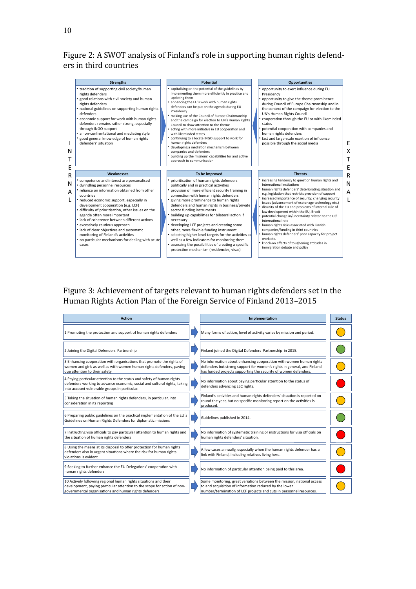## Figure 2: A SWOT analysis of Finland's role in supporting human rights defenders in third countries

|             | <b>Strengths</b>                                                                                                                                                                                                                                                                                                                                                                                                                                                                                                                                      | <b>Potential</b>                                                                                                                                                                                                                                                                                                                                                                                                                                                                                                                                                                                                                                                                                                  | <b>Opportunities</b>                                                                                                                                                                                                                                                                                                                                                                                                                                                                                                                                                                                                                                                                                                                    |                  |
|-------------|-------------------------------------------------------------------------------------------------------------------------------------------------------------------------------------------------------------------------------------------------------------------------------------------------------------------------------------------------------------------------------------------------------------------------------------------------------------------------------------------------------------------------------------------------------|-------------------------------------------------------------------------------------------------------------------------------------------------------------------------------------------------------------------------------------------------------------------------------------------------------------------------------------------------------------------------------------------------------------------------------------------------------------------------------------------------------------------------------------------------------------------------------------------------------------------------------------------------------------------------------------------------------------------|-----------------------------------------------------------------------------------------------------------------------------------------------------------------------------------------------------------------------------------------------------------------------------------------------------------------------------------------------------------------------------------------------------------------------------------------------------------------------------------------------------------------------------------------------------------------------------------------------------------------------------------------------------------------------------------------------------------------------------------------|------------------|
| N<br>T<br>E | • tradition of supporting civil society/human<br>rights defenders<br>• good relations with civil society and human<br>rights defenders<br>• national guidelines on supporting human rights<br>defenders<br>economic support for work with human rights<br>defenders remains rather strong, especially<br>through INGO support<br>a non-confrontational and mediating style<br>good general knowledge of human rights<br>defenders' situation                                                                                                          | capitalising on the potential of the guidelines by<br>implementing them more efficiently in practice and<br>updating them<br>enhancing the EU's work with human rights<br>defenders can be put on the agenda during EU<br>Presidency<br>making use of the Council of Europe Chairmanship<br>and the campaign for election to UN's Human Rights<br>Council to draw attention to the theme<br>acting with more initiative in EU cooperation and<br>with likeminded states<br>continuing to allocate INGO support to work for<br>human rights defenders<br>developing a mediation mechanism between<br>companies and defenders<br>building up the missions' capabilities for and active<br>approach to communication | * opportunity to exert influence during EU<br>Presidency<br>• opportunity to give the theme prominence<br>during Council of Europe Chairmanship and in<br>the context of the campaign for election to the<br>UN's Human Rights Council<br>* cooperation through the EU or with likeminded<br>states<br>potential cooperation with companies and<br>human rights defenders<br>• fast and large-scale exertion of influence<br>possible through the social media                                                                                                                                                                                                                                                                          | F<br>X<br>т<br>E |
| R           | Weaknesses                                                                                                                                                                                                                                                                                                                                                                                                                                                                                                                                            | To be improved                                                                                                                                                                                                                                                                                                                                                                                                                                                                                                                                                                                                                                                                                                    | <b>Threats</b>                                                                                                                                                                                                                                                                                                                                                                                                                                                                                                                                                                                                                                                                                                                          | R                |
| N<br>A<br>L | * competence and interest are personalised<br>• dwindling personnel resources<br>• reliance on information obtained from other<br>countries<br>• reduced economic support, especially in<br>development cooperation (e.g. LCF)<br>difficulty of prioritisation, other issues on the<br>agenda often more important<br>• lack of coherence between different actions<br>excessively cautious approach<br>• lack of clear objectives and systematic<br>monitoring of Finland's activities<br>• no particular mechanisms for dealing with acute<br>cases | prioritisation of human rights defenders<br>politically and in practical activities<br>• provision of more efficient security training in<br>connection with human rights defenders<br>giving more prominence to human rights<br>defenders and human rights in business/private<br>sector funding instruments<br>• building up capabilities for bilateral action if<br>necessary<br>developing LCF projects and creating some<br>other, more flexible funding instrument<br>selecting higher-level targets for the activities as<br>well as a few indicators for monitoring them<br>* assessing the possibilities of creating a specific<br>protection mechanism (residencies, visas)                             | • increasing tendency to question human rights and<br>international institutions<br>• human rights defenders' deteriorating situation and<br>e.g. legislation that restricts provision of support<br>increased importance of security, changing security<br>issues (advancement of espionage technology etc.)<br>disunity of the EU and problems of internal rule of<br>law development within the EU, Brexit<br>potential change in/uncertainty related to the US'<br>international role<br>• human rights risks associated with Finnish<br>companies/funding in third countries<br>• human rights defenders' poor capacity for project<br>work etc.<br>* knock-on effects of toughening attitudes in<br>immigration debate and policy | N<br>A<br>L      |

# Figure 3: Achievement of targets relevant to human rights defenders set in the Human Rights Action Plan of the Foreign Service of Finland 2013–2015

| <b>Action</b>                                                                                                                                                                                         |  | Implementation                                                                                                                                                                                                   | <b>Status</b> |
|-------------------------------------------------------------------------------------------------------------------------------------------------------------------------------------------------------|--|------------------------------------------------------------------------------------------------------------------------------------------------------------------------------------------------------------------|---------------|
| 1 Promoting the protection and support of human rights defenders                                                                                                                                      |  | Many forms of action, level of activity varies by mission and period.                                                                                                                                            |               |
| 2 Joining the Digital Defenders Partnership                                                                                                                                                           |  | Finland joined the Digital Defenders Partnership in 2015.                                                                                                                                                        |               |
| 3 Enhancing cooperation with organisations that promote the rights of<br>women and girls as well as with women human rights defenders, paying<br>due attention to their safety                        |  | No information about enhancing cooperation with women human rights<br>defenders but strong support for women's rights in general, and Finland<br>has funded projects supporting the security of women defenders. |               |
| 4 Paying particular attention to the status and safety of human rights<br>defenders working to advance economic, social and cultural rights, taking<br>into account vulnerable groups in particular.  |  | No information about paying particular attention to the status of<br>defenders advancing ESC rights.                                                                                                             |               |
| 5 Taking the situation of human rights defenders, in particular, into<br>consideration in its reporting                                                                                               |  | Finland's activities and human rights defenders' situation is reported on<br>round the year, but no specific monitoring report on the activities is<br>produced.                                                 |               |
| 6 Preparing public guidelines on the practical implementation of the EU's<br>Guidelines on Human Rights Defenders for diplomatic missions                                                             |  | Guidelines published in 2014.                                                                                                                                                                                    |               |
| 7 Instructing visa officials to pay particular attention to human rights and<br>the situation of human rights defenders                                                                               |  | No information of systematic training or instructions for visa officials on<br>human rights defenders' situation.                                                                                                |               |
| 8 Using the means at its disposal to offer protection for human rights<br>defenders also in urgent situations where the risk for human rights<br>violations is evident                                |  | A few cases annually, especially when the human rights defender has a<br>link with Finland, including relatives living here.                                                                                     |               |
| 9 Seeking to further enhance the EU Delegations' cooperation with<br>human rights defenders                                                                                                           |  | No information of particular attention being paid to this area.                                                                                                                                                  |               |
| 10 Actively following regional human rights situations and their<br>development, paying particular attention to the scope for action of non-<br>governmental organisations and human rights defenders |  | Some monitoring, great variations between the mission, national access<br>to and acquisition of information reduced by the lower<br>number/termination of LCF projects and cuts in personnel resources.          |               |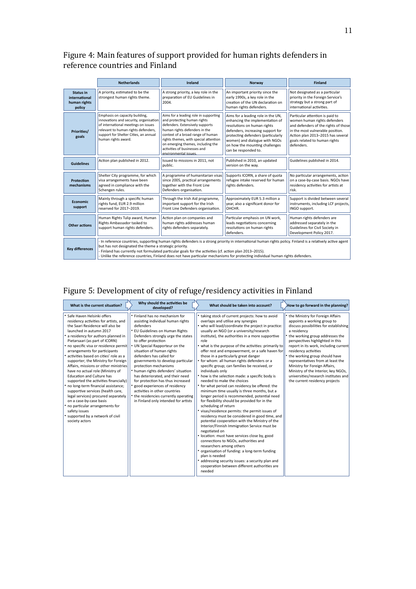## Figure 4: Main features of support provided for human rights defenders in reference countries and Finland

|                                                             | <b>Netherlands</b>                                                                                                                                                                                                                                                                                                                                                                                                                                                                                                                             | Ireland                                                                                                                            | Norway                                                                                                                                                                                                                                                                     | <b>Finland</b>                                                                                                                                                                                                                  |  |  |  |  |
|-------------------------------------------------------------|------------------------------------------------------------------------------------------------------------------------------------------------------------------------------------------------------------------------------------------------------------------------------------------------------------------------------------------------------------------------------------------------------------------------------------------------------------------------------------------------------------------------------------------------|------------------------------------------------------------------------------------------------------------------------------------|----------------------------------------------------------------------------------------------------------------------------------------------------------------------------------------------------------------------------------------------------------------------------|---------------------------------------------------------------------------------------------------------------------------------------------------------------------------------------------------------------------------------|--|--|--|--|
| <b>Status in</b><br>international<br>human rights<br>policy | A priority, estimated to be the<br>strongest human rights theme.                                                                                                                                                                                                                                                                                                                                                                                                                                                                               | A strong priority, a key role in the<br>preparation of EU Guidelines in<br>2004.                                                   | An important priority since the<br>early 1990s, a key role in the<br>creation of the UN declaration on<br>human rights defenders.                                                                                                                                          | Not designated as a particular<br>priority in the Foreign Service's<br>strategy but a strong part of<br>international activities.                                                                                               |  |  |  |  |
| Priorities/<br>goals                                        | Aims for a leading role in supporting<br>Emphasis on capacity building,<br>innovations and security, organisation<br>and protecting human rights<br>of international meetings on issues<br>defenders. Extensively supports<br>relevant to human rights defenders,<br>human rights defenders in the<br>context of a broad range of human<br>support for Shelter Cities, an annual<br>rights themes, with special attention<br>human rights award.<br>on emerging themes, including the<br>activities of businesses and<br>environmental issues. |                                                                                                                                    | Aims for a leading role in the UN,<br>enhancing the implementation of<br>resolutions on human rights<br>defenders, increasing support for<br>protecting defenders (particularly<br>women) and dialogue with NGOs<br>on how the mounting challenges<br>can be responded to. | Particular attention is paid to<br>women human rights defenders<br>and defenders of the rights of those<br>in the most vulnerable position.<br>Action plan 2013-2015 has several<br>goals related to human rights<br>defenders. |  |  |  |  |
| <b>Guidelines</b>                                           | Action plan published in 2012.                                                                                                                                                                                                                                                                                                                                                                                                                                                                                                                 | Issued to missions in 2011, not<br>public.                                                                                         | Published in 2010, an updated<br>version on the way.                                                                                                                                                                                                                       | Guidelines published in 2014.                                                                                                                                                                                                   |  |  |  |  |
| Protection<br>mechanisms                                    | Shelter City programme, for which<br>visa arrangements have been<br>agreed in compliance with the<br>Schengen rules.                                                                                                                                                                                                                                                                                                                                                                                                                           | A programme of humanitarian visas<br>since 2005, practical arrangements<br>together with the Front Line<br>Defenders organisation. | Supports ICORN, a share of quota<br>refugee intake reserved for human<br>rights defenders.                                                                                                                                                                                 | No particular arrangements, action<br>on a case-by-case basis. NGOs have<br>residency activities for artists at<br>risk.                                                                                                        |  |  |  |  |
| <b>Economic</b><br>support                                  | Mainly through a specific human<br>rights fund, EUR 2.9 million<br>reserved for 2017-2019.                                                                                                                                                                                                                                                                                                                                                                                                                                                     | Through the Irish Aid programme,<br>important support for the Irish<br>Front Line Defenders organisation.                          | Approximately EUR 5.3 million a<br>year, also a significant donor for<br>OHCHR.                                                                                                                                                                                            | Support is divided between several<br>instruments, including LCF projects,<br>INGO support.                                                                                                                                     |  |  |  |  |
| Other actions                                               | Human Rights Tulip award, Human<br>Rights Ambassador tasked to<br>support human rights defenders.                                                                                                                                                                                                                                                                                                                                                                                                                                              | Action plan on companies and<br>human rights addresses human<br>rights defenders separately.                                       | Particular emphasis on UN work,<br>leads negotiations concerning<br>resolutions on human rights<br>defenders.                                                                                                                                                              | Human rights defenders are<br>addressed separately in the<br>Guidelines for Civil Society in<br>Development Policy 2017.                                                                                                        |  |  |  |  |
| <b>Key differences</b>                                      | In reference countries, supporting human rights defenders is a strong priority in international human rights policy. Finland is a relatively active agent<br>but has not designated the theme a strategic priority.<br>- Finland has currently not formulated particular goals for the activities (cf. action plan 2013-2015).<br>- Unlike the reference countries, Finland does not have particular mechanisms for protecting individual human rights defenders.                                                                              |                                                                                                                                    |                                                                                                                                                                                                                                                                            |                                                                                                                                                                                                                                 |  |  |  |  |

# Figure 5: Development of city of refuge/residency activities in Finland

| What is the current situation?                                                                                                                                                                                                                                                                                                                                                                                                                                                                                                                                                                                                                                                                                                                                                                 | Why should the activities be<br>developed?                                                                                                                                                                                                                                                                                                                                                                                                                                                                                                                                                           | What should be taken into account?                                                                                                                                                                                                                                                                                                                                                                                                                                                                                                                                                                                                                                                                                                                                                                                                                                                                                                                                                                                                                                                                                                                                                                                                                                                                                                                                    | How to go forward in the planning?                                                                                                                                                                                                                                                                                                                                                                                                                                                         |
|------------------------------------------------------------------------------------------------------------------------------------------------------------------------------------------------------------------------------------------------------------------------------------------------------------------------------------------------------------------------------------------------------------------------------------------------------------------------------------------------------------------------------------------------------------------------------------------------------------------------------------------------------------------------------------------------------------------------------------------------------------------------------------------------|------------------------------------------------------------------------------------------------------------------------------------------------------------------------------------------------------------------------------------------------------------------------------------------------------------------------------------------------------------------------------------------------------------------------------------------------------------------------------------------------------------------------------------------------------------------------------------------------------|-----------------------------------------------------------------------------------------------------------------------------------------------------------------------------------------------------------------------------------------------------------------------------------------------------------------------------------------------------------------------------------------------------------------------------------------------------------------------------------------------------------------------------------------------------------------------------------------------------------------------------------------------------------------------------------------------------------------------------------------------------------------------------------------------------------------------------------------------------------------------------------------------------------------------------------------------------------------------------------------------------------------------------------------------------------------------------------------------------------------------------------------------------------------------------------------------------------------------------------------------------------------------------------------------------------------------------------------------------------------------|--------------------------------------------------------------------------------------------------------------------------------------------------------------------------------------------------------------------------------------------------------------------------------------------------------------------------------------------------------------------------------------------------------------------------------------------------------------------------------------------|
| * Safe Haven Helsinki offers<br>residency activities for artists, and<br>the Saari Residence will also be<br>launched in autumn 2017<br>• a residency for authors planned in<br>Pietarsaari (as part of ICORN)<br>* no specific visa or residence permit<br>arrangements for participants<br>* activities based on cities' role as a<br>supporter; the Ministry for Foreign<br>Affairs, missions or other ministries<br>have no actual role (Ministry of<br><b>Education and Culture has</b><br>supported the activities financially)<br>• no long-term financial assistance;<br>supportive services (health care,<br>legal services) procured separately<br>on a case-by-case basis<br>* no particular arrangements for<br>safety issues<br>supported by a network of civil<br>society actors | Finland has no mechanism for<br>assisting individual human rights<br>defenders<br>EU Guidelines on Human Rights<br>Defenders strongly urge the states<br>to offer protection<br>UN Special Rapporteur on the<br>situation of human rights<br>defenders has called for<br>governments to develop particular<br>protection mechanisms<br>human rights defenders' situation<br>has deteriorated, and their need<br>for protection has thus increased<br>good experiences of residency<br>activities in other countries<br>• the residencies currently operating<br>in Finland only intended for artists | taking stock of current projects: how to avoid<br>overlaps and utilise any synergies<br>• who will lead/coordinate the project in practice:<br>usually an NGO (or a university/research<br>institute), the authorities in a more supportive<br>role<br>• what is the purpose of the activities: primarily to<br>offer rest and empowerment, or a safe haven for<br>those in a particularly great danger<br>• for whom: all human rights defenders or a<br>specific group; can families be received, or<br>individuals only<br>• how is the selection made: a specific body is<br>needed to make the choices<br>• for what period can residency be offered: the<br>minimum time usually is three months, but a<br>longer period is recommended, potential need<br>for flexibility should be provided for in the<br>scheduling of return<br>• visas/residence permits: the permit issues of<br>residency must be considered in good time, and<br>potential cooperation with the Ministry of the<br>Interior/Finnish Immigration Service must be<br>negotiated on<br>· location: must have services close by, good<br>connections to NGOs, authorities and<br>researchers among others<br>organisation of funding: a long-term funding<br>plan is needed<br>• addressing security issues: a security plan and<br>cooperation between different authorities are<br>needed | the Ministry for Foreign Affairs<br>appoints a working group to<br>discuss possibilities for establishing<br>a residency<br>• the working group addresses the<br>perspectives highlighted in this<br>report in its work, including current<br>residency activities<br>the working group should have<br>representatives from at least the<br>Ministry for Foreign Affairs,<br>Ministry of the Interior, key NGOs,<br>universities/research institutes and<br>the current residency projects |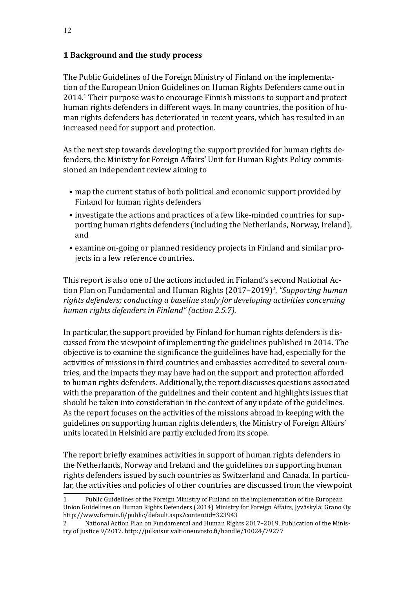#### <span id="page-11-0"></span>**1 Background and the study process**

The Public Guidelines of the Foreign Ministry of Finland on the implementation of the European Union Guidelines on Human Rights Defenders came out in 2014.1 Their purpose was to encourage Finnish missions to support and protect human rights defenders in different ways. In many countries, the position of human rights defenders has deteriorated in recent years, which has resulted in an increased need for support and protection.

As the next step towards developing the support provided for human rights defenders, the Ministry for Foreign Affairs' Unit for Human Rights Policy commissioned an independent review aiming to

- map the current status of both political and economic support provided by Finland for human rights defenders
- investigate the actions and practices of a few like-minded countries for supporting human rights defenders (including the Netherlands, Norway, Ireland), and
- examine on-going or planned residency projects in Finland and similar projects in a few reference countries.

This report is also one of the actions included in Finland's second National Action Plan on Fundamental and Human Rights (2017–2019)<sup>2</sup>, "Supporting human *rights defenders; conducting a baseline study for developing activities concerning human rights defenders in Finland" (action 2.5.7).* 

In particular, the support provided by Finland for human rights defenders is discussed from the viewpoint of implementing the guidelines published in 2014. The objective is to examine the significance the guidelines have had, especially for the activities of missions in third countries and embassies accredited to several countries, and the impacts they may have had on the support and protection afforded to human rights defenders. Additionally, the report discusses questions associated with the preparation of the guidelines and their content and highlights issues that should be taken into consideration in the context of any update of the guidelines. As the report focuses on the activities of the missions abroad in keeping with the guidelines on supporting human rights defenders, the Ministry of Foreign Affairs' units located in Helsinki are partly excluded from its scope.

The report briefly examines activities in support of human rights defenders in the Netherlands, Norway and Ireland and the guidelines on supporting human rights defenders issued by such countries as Switzerland and Canada. In particular, the activities and policies of other countries are discussed from the viewpoint

<sup>1</sup> Public Guidelines of the Foreign Ministry of Finland on the implementation of the European Union Guidelines on Human Rights Defenders (2014) Ministry for Foreign Affairs, Jyväskylä: Grano Oy. <http://www.formin.fi/public/default.aspx?contentid=323943>

<sup>2</sup> National Action Plan on Fundamental and Human Rights 2017–2019, Publication of the Ministry of Justice 9/2017. <http://julkaisut.valtioneuvosto.fi/handle/10024/79277>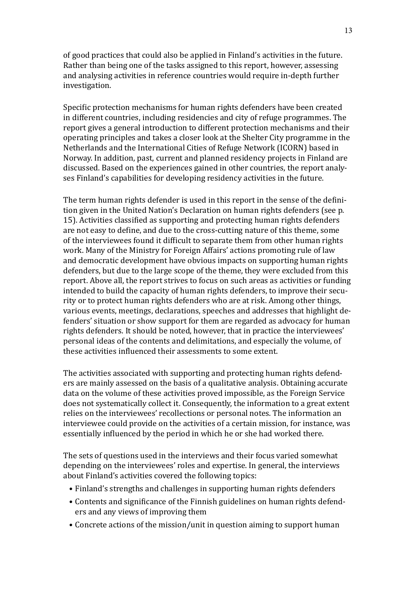of good practices that could also be applied in Finland's activities in the future. Rather than being one of the tasks assigned to this report, however, assessing and analysing activities in reference countries would require in-depth further investigation.

Specific protection mechanisms for human rights defenders have been created in different countries, including residencies and city of refuge programmes. The report gives a general introduction to different protection mechanisms and their operating principles and takes a closer look at the Shelter City programme in the Netherlands and the International Cities of Refuge Network (ICORN) based in Norway. In addition, past, current and planned residency projects in Finland are discussed. Based on the experiences gained in other countries, the report analyses Finland's capabilities for developing residency activities in the future.

The term human rights defender is used in this report in the sense of the definition given in the United Nation's Declaration on human rights defenders (see p. 15). Activities classified as supporting and protecting human rights defenders are not easy to define, and due to the cross-cutting nature of this theme, some of the interviewees found it difficult to separate them from other human rights work. Many of the Ministry for Foreign Affairs' actions promoting rule of law and democratic development have obvious impacts on supporting human rights defenders, but due to the large scope of the theme, they were excluded from this report. Above all, the report strives to focus on such areas as activities or funding intended to build the capacity of human rights defenders, to improve their security or to protect human rights defenders who are at risk. Among other things, various events, meetings, declarations, speeches and addresses that highlight defenders' situation or show support for them are regarded as advocacy for human rights defenders. It should be noted, however, that in practice the interviewees' personal ideas of the contents and delimitations, and especially the volume, of these activities influenced their assessments to some extent.

The activities associated with supporting and protecting human rights defenders are mainly assessed on the basis of a qualitative analysis. Obtaining accurate data on the volume of these activities proved impossible, as the Foreign Service does not systematically collect it. Consequently, the information to a great extent relies on the interviewees' recollections or personal notes. The information an interviewee could provide on the activities of a certain mission, for instance, was essentially influenced by the period in which he or she had worked there.

The sets of questions used in the interviews and their focus varied somewhat depending on the interviewees' roles and expertise. In general, the interviews about Finland's activities covered the following topics:

- Finland's strengths and challenges in supporting human rights defenders
- Contents and significance of the Finnish guidelines on human rights defenders and any views of improving them
- Concrete actions of the mission/unit in question aiming to support human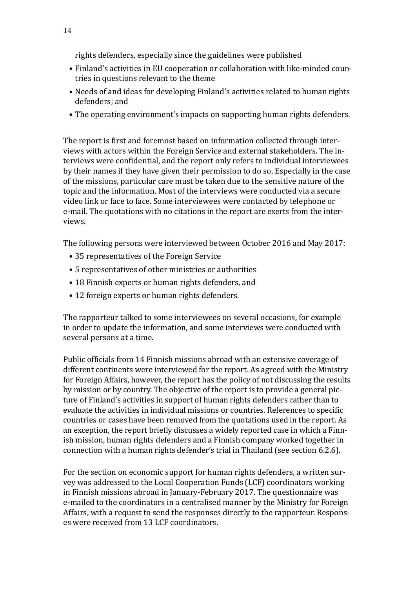rights defenders, especially since the guidelines were published

- Finland's activities in EU cooperation or collaboration with like-minded countries in questions relevant to the theme
- Needs of and ideas for developing Finland's activities related to human rights defenders; and
- The operating environment's impacts on supporting human rights defenders.

The report is first and foremost based on information collected through interviews with actors within the Foreign Service and external stakeholders. The interviews were confidential, and the report only refers to individual interviewees by their names if they have given their permission to do so. Especially in the case of the missions, particular care must be taken due to the sensitive nature of the topic and the information. Most of the interviews were conducted via a secure video link or face to face. Some interviewees were contacted by telephone or e-mail. The quotations with no citations in the report are exerts from the interviews.

The following persons were interviewed between October 2016 and May 2017:

- 35 representatives of the Foreign Service
- 5 representatives of other ministries or authorities
- 18 Finnish experts or human rights defenders, and
- 12 foreign experts or human rights defenders.

The rapporteur talked to some interviewees on several occasions, for example in order to update the information, and some interviews were conducted with several persons at a time.

Public officials from 14 Finnish missions abroad with an extensive coverage of different continents were interviewed for the report. As agreed with the Ministry for Foreign Affairs, however, the report has the policy of not discussing the results by mission or by country. The objective of the report is to provide a general picture of Finland's activities in support of human rights defenders rather than to evaluate the activities in individual missions or countries. References to specific countries or cases have been removed from the quotations used in the report. As an exception, the report briefly discusses a widely reported case in which a Finnish mission, human rights defenders and a Finnish company worked together in connection with a human rights defender's trial in Thailand (see section 6.2.6).

For the section on economic support for human rights defenders, a written survey was addressed to the Local Cooperation Funds (LCF) coordinators working in Finnish missions abroad in January-February 2017. The questionnaire was e-mailed to the coordinators in a centralised manner by the Ministry for Foreign Affairs, with a request to send the responses directly to the rapporteur. Responses were received from 13 LCF coordinators.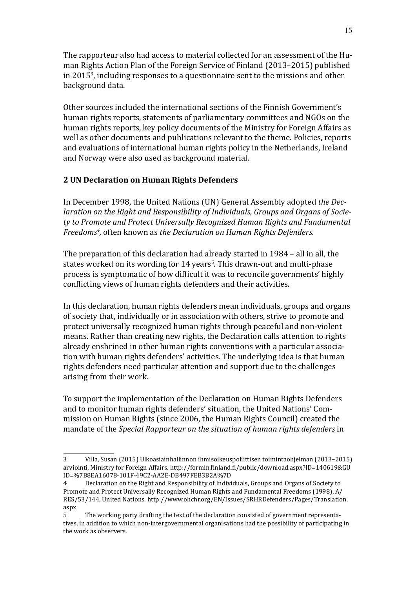<span id="page-14-0"></span>The rapporteur also had access to material collected for an assessment of the Human Rights Action Plan of the Foreign Service of Finland (2013–2015) published in 20153 , including responses to a questionnaire sent to the missions and other background data.

Other sources included the international sections of the Finnish Government's human rights reports, statements of parliamentary committees and NGOs on the human rights reports, key policy documents of the Ministry for Foreign Affairs as well as other documents and publications relevant to the theme. Policies, reports and evaluations of international human rights policy in the Netherlands, Ireland and Norway were also used as background material.

#### **2 UN Declaration on Human Rights Defenders**

In December 1998, the United Nations (UN) General Assembly adopted *the Declaration on the Right and Responsibility of Individuals, Groups and Organs of Society to Promote and Protect Universally Recognized Human Rights and Fundamental Freedoms4 ,* often known as *the Declaration on Human Rights Defenders.* 

The preparation of this declaration had already started in 1984 – all in all, the states worked on its wording for 14 years<sup>5</sup>. This drawn-out and multi-phase process is symptomatic of how difficult it was to reconcile governments' highly conflicting views of human rights defenders and their activities.

In this declaration, human rights defenders mean individuals, groups and organs of society that, individually or in association with others, strive to promote and protect universally recognized human rights through peaceful and non-violent means. Rather than creating new rights, the Declaration calls attention to rights already enshrined in other human rights conventions with a particular association with human rights defenders' activities. The underlying idea is that human rights defenders need particular attention and support due to the challenges arising from their work.

To support the implementation of the Declaration on Human Rights Defenders and to monitor human rights defenders' situation, the United Nations' Commission on Human Rights (since 2006, the Human Rights Council) created the mandate of the *Special Rapporteur on the situation of human rights defenders* in

<sup>3</sup> Villa, Susan (2015) Ulkoasiainhallinnon ihmisoikeuspoliittisen toimintaohjelman (2013–2015) arviointi, Ministry for Foreign Affairs. [http://formin.finland.fi/public/download.aspx?ID=140619&GU](http://formin.finland.fi/public/download.aspx?ID=140619&GUID=%7B8EA16078-101F-49C2-AA2E-DB497FEB3B2A%7D) [ID=%7B8EA16078-101F-49C2-AA2E-DB497FEB3B2A%7D](http://formin.finland.fi/public/download.aspx?ID=140619&GUID=%7B8EA16078-101F-49C2-AA2E-DB497FEB3B2A%7D)

<sup>4</sup> Declaration on the Right and Responsibility of Individuals, Groups and Organs of Society to Promote and Protect Universally Recognized Human Rights and Fundamental Freedoms (1998), A/ RES/53/144, United Nations. [http://www.ohchr.org/EN/Issues/SRHRDefenders/Pages/Translation.](http://www.ohchr.org/EN/Issues/SRHRDefenders/Pages/Translation.aspx) [aspx](http://www.ohchr.org/EN/Issues/SRHRDefenders/Pages/Translation.aspx)

<sup>5</sup> The working party drafting the text of the declaration consisted of government representatives, in addition to which non-intergovernmental organisations had the possibility of participating in the work as observers.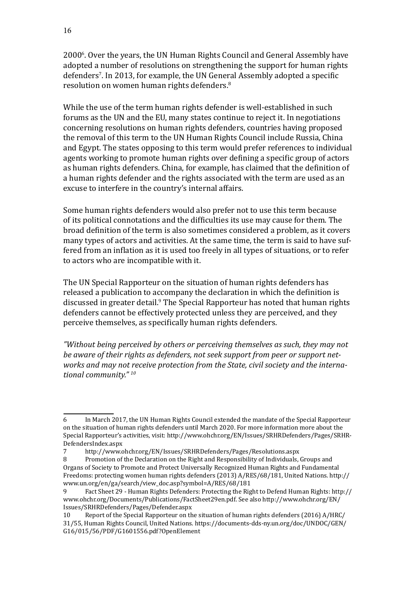20006 . Over the years, the UN Human Rights Council and General Assembly have adopted a number of resolutions on strengthening the support for human rights defenders7 . In 2013, for example, the UN General Assembly adopted a specific resolution on women human rights defenders.<sup>8</sup>

While the use of the term human rights defender is well-established in such forums as the UN and the EU, many states continue to reject it. In negotiations concerning resolutions on human rights defenders, countries having proposed the removal of this term to the UN Human Rights Council include Russia, China and Egypt. The states opposing to this term would prefer references to individual agents working to promote human rights over defining a specific group of actors as human rights defenders. China, for example, has claimed that the definition of a human rights defender and the rights associated with the term are used as an excuse to interfere in the country's internal affairs.

Some human rights defenders would also prefer not to use this term because of its political connotations and the difficulties its use may cause for them. The broad definition of the term is also sometimes considered a problem, as it covers many types of actors and activities. At the same time, the term is said to have suffered from an inflation as it is used too freely in all types of situations, or to refer to actors who are incompatible with it.

The UN Special Rapporteur on the situation of human rights defenders has released a publication to accompany the declaration in which the definition is discussed in greater detail.<sup>9</sup> The Special Rapporteur has noted that human rights defenders cannot be effectively protected unless they are perceived, and they perceive themselves, as specifically human rights defenders.

*"Without being perceived by others or perceiving themselves as such, they may not be aware of their rights as defenders, not seek support from peer or support networks and may not receive protection from the State, civil society and the international community." 10*

<sup>6</sup> In March 2017, the UN Human Rights Council extended the mandate of the Special Rapporteur on the situation of human rights defenders until March 2020. For more information more about the Special Rapporteur's activities, visit: [http://www.ohchr.org/EN/Issues/SRHRDefenders/Pages/SRHR](http://www.ohchr.org/EN/Issues/SRHRDefenders/Pages/SRHRDefendersIndex.aspx)-[DefendersIndex.aspx](http://www.ohchr.org/EN/Issues/SRHRDefenders/Pages/SRHRDefendersIndex.aspx)<br>7 http://www.o

<sup>7</sup> <http://www.ohchr.org/EN/Issues/SRHRDefenders/Pages/Resolutions.aspx><br>8 Promotion of the Declaration on the Right and Responsibility of Individuals.

<sup>8</sup> Promotion of the Declaration on the Right and Responsibility of Individuals, Groups and Organs of Society to Promote and Protect Universally Recognized Human Rights and Fundamental Freedoms: protecting women human rights defenders (2013) A/RES/68/181, United Nations. [http://](http://www.un.org/en/ga/search/view_doc.asp?symbol=A/RES/68/181) [www.un.org/en/ga/search/view\\_doc.asp?symbol=A/RES/68/181](http://www.un.org/en/ga/search/view_doc.asp?symbol=A/RES/68/181)

<sup>9</sup> Fact Sheet 29 - Human Rights Defenders: Protecting the Right to Defend Human Rights: [http://](http://www.ohchr.org/Documents/Publications/FactSheet29en.pdf) [www.ohchr.org/Documents/Publications/FactSheet29en.pdf.](http://www.ohchr.org/Documents/Publications/FactSheet29en.pdf) See also [http://www.ohchr.org/EN/](http://www.ohchr.org/EN/Issues/SRHRDefenders/Pages/Defender.aspx) [Issues/SRHRDefenders/Pages/Defender.aspx](http://www.ohchr.org/EN/Issues/SRHRDefenders/Pages/Defender.aspx)

<sup>10</sup> Report of the Special Rapporteur on the situation of human rights defenders (2016) A/HRC/ 31/55, Human Rights Council, United Nations. [https://documents-dds-ny.un.org/doc/UNDOC/GEN/](https://documents-dds-ny.un.org/doc/UNDOC/GEN/G16/015/56/PDF/G1601556.pdf?OpenElement) [G16/015/56/PDF/G1601556.pdf?OpenElement](https://documents-dds-ny.un.org/doc/UNDOC/GEN/G16/015/56/PDF/G1601556.pdf?OpenElement)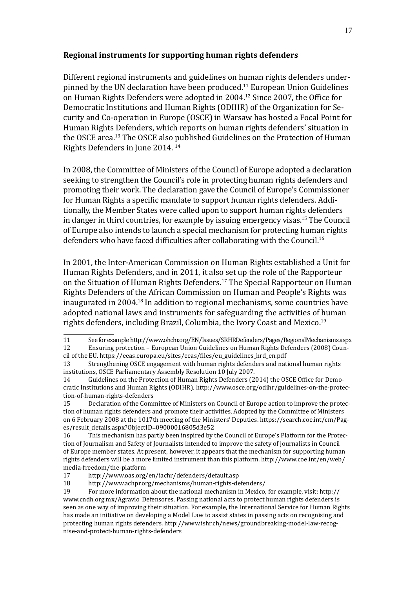#### **Regional instruments for supporting human rights defenders**

Different regional instruments and guidelines on human rights defenders underpinned by the UN declaration have been produced. $11$  European Union Guidelines on Human Rights Defenders were adopted in 2004.<sup>12</sup> Since 2007, the Office for Democratic Institutions and Human Rights (ODIHR) of the Organization for Security and Co-operation in Europe (OSCE) in Warsaw has hosted a Focal Point for Human Rights Defenders, which reports on human rights defenders' situation in the OSCE area.<sup>13</sup> The OSCE also published Guidelines on the Protection of Human Rights Defenders in June 2014. 14

In 2008, the Committee of Ministers of the Council of Europe adopted a declaration seeking to strengthen the Council's role in protecting human rights defenders and promoting their work. The declaration gave the Council of Europe's Commissioner for Human Rights a specific mandate to support human rights defenders. Additionally, the Member States were called upon to support human rights defenders in danger in third countries, for example by issuing emergency visas.15 The Council of Europe also intends to launch a special mechanism for protecting human rights defenders who have faced difficulties after collaborating with the Council.<sup>16</sup>

In 2001, the Inter-American Commission on Human Rights established a Unit for Human Rights Defenders, and in 2011, it also set up the role of the Rapporteur on the Situation of Human Rights Defenders.<sup>17</sup> The Special Rapporteur on Human Rights Defenders of the African Commission on Human and People's Rights was inaugurated in 2004.18 In addition to regional mechanisms, some countries have adopted national laws and instruments for safeguarding the activities of human rights defenders, including Brazil, Columbia, the Ivory Coast and Mexico.<sup>19</sup>

<sup>11</sup> See for example<http://www.ohchr.org/EN/Issues/SRHRDefenders/Pages/RegionalMechanisms.aspx><br>12 Ensuring protection – European Union Guidelines on Human Rights Defenders (2008) Coun-12 Ensuring protection – European Union Guidelines on Human Rights Defenders (2008) Coun-

cil of the EU. [https://eeas.europa.eu/sites/eeas/files/eu\\_guidelines\\_hrd\\_en.pdf](https://eeas.europa.eu/sites/eeas/files/eu_guidelines_hrd_en.pdf) Strengthening OSCE engagement with human rights defenders and national human rights

institutions, OSCE Parliamentary Assembly Resolution 10 July 2007. Guidelines on the Protection of Human Rights Defenders (2014) the OSCE Office for Democratic Institutions and Human Rights (ODIHR). [http://www.osce.org/odihr/guidelines-on-the-protec](http://www.osce.org/odihr/guidelines-on-the-protection-of-human-rights-defenders)[tion-of-human-rights-defenders](http://www.osce.org/odihr/guidelines-on-the-protection-of-human-rights-defenders)<br>15 Declaration of the Comu

<sup>15</sup> Declaration of the Committee of Ministers on Council of Europe action to improve the protection of human rights defenders and promote their activities, Adopted by the Committee of Ministers on 6 February 2008 at the 1017th meeting of the Ministers' [Deputies. https://search.coe.int/cm/Pag](https://search.coe.int/cm/Pages/result_details.aspx?ObjectID=09000016805d3e52)[es/result\\_details.aspx?ObjectID=09000016805d3e52](https://search.coe.int/cm/Pages/result_details.aspx?ObjectID=09000016805d3e52)

This mechanism has partly been inspired by the Council of Europe's Platform for the Protection of Journalism and Safety of Journalists intended to improve the safety of journalists in Council of Europe member states. At present, however, it appears that the mechanism for supporting human rights defenders will be a more limited instrument than this platform. [http://www.coe.int/en/web/](http://www.coe.int/en/web/media-freedom/the-platform) [media-freedom/the-platform](http://www.coe.int/en/web/media-freedom/the-platform)<br>17 http://www.oas.org/

<sup>17</sup> <http://www.oas.org/en/iachr/defenders/default.asp><br>18 http://www.achpr.org/mechanisms/human-rights-de

<sup>18</sup> <http://www.achpr.org/mechanisms/human-rights-defenders/><br>19 For more information about the national mechanism in Mexico

<sup>19</sup> For more information about the national mechanism in Mexico, for example, visit: [http://](http://www.cndh.org.mx/Agravio_Defensores.) [www.cndh.org.mx/Agravio\\_Defensores.](http://www.cndh.org.mx/Agravio_Defensores.) Passing national acts to protect human rights defenders is seen as one way of improving their situation. For example, the International Service for Human Rights has made an initiative on developing a Model Law to assist states in passing acts on recognising and protecting human rights defenders. [http://www.ishr.ch/news/groundbreaking-model-law-recog](http://www.ishr.ch/news/groundbreaking-model-law-recognise-and-protect-human-rights-defenders)[nise-and-protect-human-rights-defenders](http://www.ishr.ch/news/groundbreaking-model-law-recognise-and-protect-human-rights-defenders)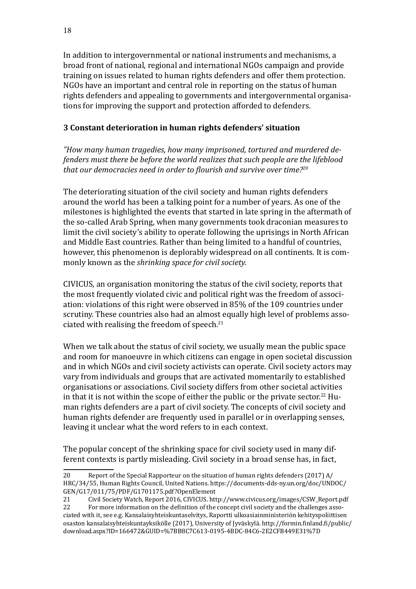<span id="page-17-0"></span>In addition to intergovernmental or national instruments and mechanisms, a broad front of national, regional and international NGOs campaign and provide training on issues related to human rights defenders and offer them protection. NGOs have an important and central role in reporting on the status of human rights defenders and appealing to governments and intergovernmental organisations for improving the support and protection afforded to defenders.

#### **3 Constant deterioration in human rights defenders' situation**

*"How many human tragedies, how many imprisoned, tortured and murdered defenders must there be before the world realizes that such people are the lifeblood that our democracies need in order to flourish and survive over time?<sup>20</sup>*

The deteriorating situation of the civil society and human rights defenders around the world has been a talking point for a number of years. As one of the milestones is highlighted the events that started in late spring in the aftermath of the so-called Arab Spring, when many governments took draconian measures to limit the civil society's ability to operate following the uprisings in North African and Middle East countries. Rather than being limited to a handful of countries, however, this phenomenon is deplorably widespread on all continents. It is commonly known as the *shrinking space for civil society.*

CIVICUS, an organisation monitoring the status of the civil society, reports that the most frequently violated civic and political right was the freedom of association: violations of this right were observed in 85% of the 109 countries under scrutiny. These countries also had an almost equally high level of problems associated with realising the freedom of speech.<sup>21</sup>

When we talk about the status of civil society, we usually mean the public space and room for manoeuvre in which citizens can engage in open societal discussion and in which NGOs and civil society activists can operate. Civil society actors may vary from individuals and groups that are activated momentarily to established organisations or associations. Civil society differs from other societal activities in that it is not within the scope of either the public or the private sector.<sup>22</sup> Human rights defenders are a part of civil society. The concepts of civil society and human rights defender are frequently used in parallel or in overlapping senses, leaving it unclear what the word refers to in each context.

The popular concept of the shrinking space for civil society used in many different contexts is partly misleading. Civil society in a broad sense has, in fact,

<sup>20</sup> Report of the Special Rapporteur on the situation of human rights defenders (2017) A/ HRC/34/55, Human Rights Council, United Nations. [https://documents-dds-ny.un.org/doc/UNDOC/](https://documents-dds-ny.un.org/doc/UNDOC/GEN/G17/011/75/PDF/G1701175.pdf?OpenElement) [GEN/G17/011/75/PDF/G1701175.pdf?OpenElement](https://documents-dds-ny.un.org/doc/UNDOC/GEN/G17/011/75/PDF/G1701175.pdf?OpenElement)<br>21 Civil Society Watch, Report 2016, CIVICUS, htt

<sup>21</sup> Civil Society Watch, Report 2016, CIVICUS. [http://www.civicus.org/images/CSW\\_Report.pdf](http://www.civicus.org/images/CSW_Report.pdf)<br>22 For more information on the definition of the concept civil society and the challenges asso-

For more information on the definition of the concept civil society and the challenges associated with it, see e.g. Kansalaisyhteiskuntaselvitys, Raportti ulkoasiainministeriön kehityspoliittisen osaston kansalaisyhteiskuntayksikölle (2017), University of Jyväskylä. [http://formin.finland.fi/public/](http://formin.finland.fi/public/download.aspx?ID=166472&GUID=%7BB8C7C613-0195-4BDC-84C6-2E2CFB449E31%7D) [download.aspx?ID=166472&GUID=%7BB8C7C613-0195-4BDC-84C6-2E2CFB449E31%7D](http://formin.finland.fi/public/download.aspx?ID=166472&GUID=%7BB8C7C613-0195-4BDC-84C6-2E2CFB449E31%7D)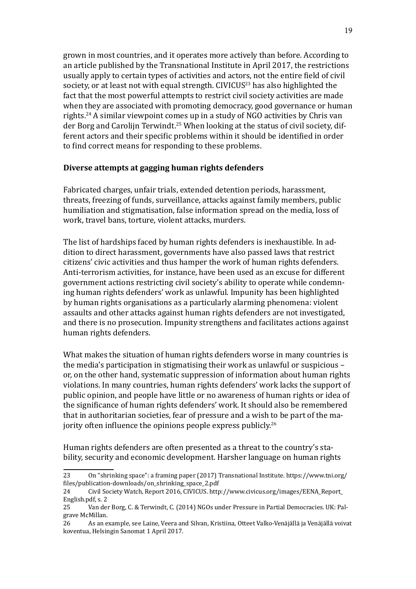grown in most countries, and it operates more actively than before. According to an article published by the Transnational Institute in April 2017, the restrictions usually apply to certain types of activities and actors, not the entire field of civil society, or at least not with equal strength. CIVICUS<sup>23</sup> has also highlighted the fact that the most powerful attempts to restrict civil society activities are made when they are associated with promoting democracy, good governance or human rights.<sup>24</sup> A similar viewpoint comes up in a study of NGO activities by Chris van der Borg and Carolijn Terwindt.<sup>25</sup> When looking at the status of civil society, different actors and their specific problems within it should be identified in order to find correct means for responding to these problems.

#### **Diverse attempts at gagging human rights defenders**

Fabricated charges, unfair trials, extended detention periods, harassment, threats, freezing of funds, surveillance, attacks against family members, public humiliation and stigmatisation, false information spread on the media, loss of work, travel bans, torture, violent attacks, murders.

The list of hardships faced by human rights defenders is inexhaustible. In addition to direct harassment, governments have also passed laws that restrict citizens' civic activities and thus hamper the work of human rights defenders. Anti-terrorism activities, for instance, have been used as an excuse for different government actions restricting civil society's ability to operate while condemning human rights defenders' work as unlawful. Impunity has been highlighted by human rights organisations as a particularly alarming phenomena: violent assaults and other attacks against human rights defenders are not investigated, and there is no prosecution. Impunity strengthens and facilitates actions against human rights defenders.

What makes the situation of human rights defenders worse in many countries is the media's participation in stigmatising their work as unlawful or suspicious – or, on the other hand, systematic suppression of information about human rights violations. In many countries, human rights defenders' work lacks the support of public opinion, and people have little or no awareness of human rights or idea of the significance of human rights defenders' work. It should also be remembered that in authoritarian societies, fear of pressure and a wish to be part of the majority often influence the opinions people express publicly.<sup>26</sup>

Human rights defenders are often presented as a threat to the country's stability, security and economic development. Harsher language on human rights

<sup>23</sup> On "shrinking space": a framing paper (2017) Transnational Institute. [https://www.tni.org/](https://www.tni.org/files/publication-downloads/on_shrinking_space_2.pdf) [files/publication-downloads/on\\_shrinking\\_space\\_2.pdf](https://www.tni.org/files/publication-downloads/on_shrinking_space_2.pdf)

<sup>24</sup> Civil Society Watch, Report 2016, CIVICUS. [http://www.civicus.org/images/EENA\\_Report\\_](http://www.civicus.org/images/EENA_Report_English.pdf) [English.pdf,](http://www.civicus.org/images/EENA_Report_English.pdf) s. 2<br>25 Van de

<sup>25</sup> Van der Borg, C. & Terwindt, C. (2014) NGOs under Pressure in Partial Democracies. UK: Palgrave McMillan.<br>26 As an e

<sup>26</sup> As an example, see Laine, Veera and Silvan, Kristiina, Otteet Valko-Venäjällä ja Venäjällä voivat koventua, Helsingin Sanomat 1 April 2017.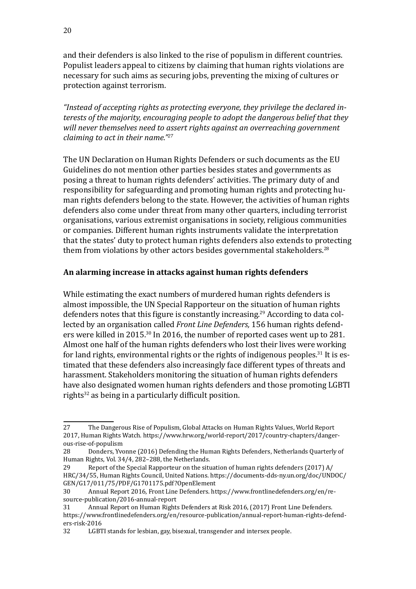and their defenders is also linked to the rise of populism in different countries. Populist leaders appeal to citizens by claiming that human rights violations are necessary for such aims as securing jobs, preventing the mixing of cultures or protection against terrorism.

*"Instead of accepting rights as protecting everyone, they privilege the declared interests of the majority, encouraging people to adopt the dangerous belief that they will never themselves need to assert rights against an overreaching government claiming to act in their name."27*

The UN Declaration on Human Rights Defenders or such documents as the EU Guidelines do not mention other parties besides states and governments as posing a threat to human rights defenders' activities. The primary duty of and responsibility for safeguarding and promoting human rights and protecting human rights defenders belong to the state. However, the activities of human rights defenders also come under threat from many other quarters, including terrorist organisations, various extremist organisations in society, religious communities or companies. Different human rights instruments validate the interpretation that the states' duty to protect human rights defenders also extends to protecting them from violations by other actors besides governmental stakeholders.<sup>28</sup>

#### **An alarming increase in attacks against human rights defenders**

While estimating the exact numbers of murdered human rights defenders is almost impossible, the UN Special Rapporteur on the situation of human rights defenders notes that this figure is constantly increasing.<sup>29</sup> According to data collected by an organisation called *Front Line Defenders,* 156 human rights defenders were killed in 2015.30 In 2016, the number of reported cases went up to 281. Almost one half of the human rights defenders who lost their lives were working for land rights, environmental rights or the rights of indigenous peoples.<sup>31</sup> It is estimated that these defenders also increasingly face different types of threats and harassment. Stakeholders monitoring the situation of human rights defenders have also designated women human rights defenders and those promoting LGBTI rights<sup>32</sup> as being in a particularly difficult position.

<sup>27</sup> The Dangerous Rise of Populism, Global Attacks on Human Rights Values, World Report 2017, Human Rights Watch. [https://www.hrw.org/world-report/2017/country-chapters/danger](https://www.hrw.org/world-report/2017/country-chapters/dangerous-rise-of-populism)[ous-rise-of-populism](https://www.hrw.org/world-report/2017/country-chapters/dangerous-rise-of-populism)<br>28 Donders, Yvo

<sup>28</sup> Donders, Yvonne (2016) Defending the Human Rights Defenders, Netherlands Quarterly of Human Rights, Vol. 34/4, 282–288, the Netherlands.

<sup>29</sup> Report of the Special Rapporteur on the situation of human rights defenders (2017) A/ HRC/34/55, Human Rights Council, United Nations. [https://documents-dds-ny.un.org/doc/UNDOC/](https://documents-dds-ny.un.org/doc/UNDOC/GEN/G17/011/75/PDF/G1701175.pdf?OpenElement) [GEN/G17/011/75/PDF/G1701175.pdf?OpenElement](https://documents-dds-ny.un.org/doc/UNDOC/GEN/G17/011/75/PDF/G1701175.pdf?OpenElement)<br>30 Annual Report 2016. Front Line Defenders. ht

<sup>30</sup> Annual Report 2016, Front Line Defenders. [https://www.frontlinedefenders.org/en/re](https://www.frontlinedefenders.org/en/resource-publication/2016-annual-report)[source-publication/2016-annual-report](https://www.frontlinedefenders.org/en/resource-publication/2016-annual-report)<br>31 Annual Report on Human Right

Annual Report on Human Rights Defenders at Risk 2016, (2017) Front Line Defenders. [https://www.frontlinedefenders.org/en/resource-publication/annual-report-human-rights-defend](https://www.frontlinedefenders.org/en/resource-publication/annual-report-human-rights-defenders-risk-2016)[ers-risk-2016](https://www.frontlinedefenders.org/en/resource-publication/annual-report-human-rights-defenders-risk-2016)<br>32 LGBT

LGBTI stands for lesbian, gay, bisexual, transgender and intersex people.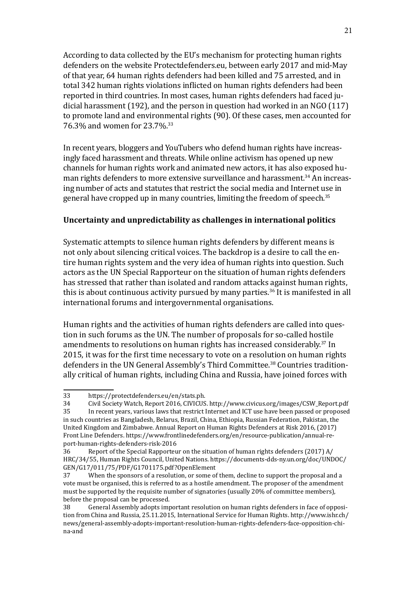According to data collected by the EU's mechanism for protecting human rights defenders on the website [Protectdefenders.eu](http://Protectdefenders.eu), between early 2017 and mid-May of that year, 64 human rights defenders had been killed and 75 arrested, and in total 342 human rights violations inflicted on human rights defenders had been reported in third countries. In most cases, human rights defenders had faced judicial harassment (192), and the person in question had worked in an NGO (117) to promote land and environmental rights (90). Of these cases, men accounted for 76.3% and women for 23.7%.<sup>33</sup>

In recent years, bloggers and YouTubers who defend human rights have increasingly faced harassment and threats. While online activism has opened up new channels for human rights work and animated new actors, it has also exposed human rights defenders to more extensive surveillance and harassment.<sup>34</sup> An increasing number of acts and statutes that restrict the social media and Internet use in general have cropped up in many countries, limiting the freedom of speech.<sup>35</sup>

#### **Uncertainty and unpredictability as challenges in international politics**

Systematic attempts to silence human rights defenders by different means is not only about silencing critical voices. The backdrop is a desire to call the entire human rights system and the very idea of human rights into question. Such actors as the UN Special Rapporteur on the situation of human rights defenders has stressed that rather than isolated and random attacks against human rights, this is about continuous activity pursued by many parties.<sup>36</sup> It is manifested in all international forums and intergovernmental organisations.

Human rights and the activities of human rights defenders are called into question in such forums as the UN. The number of proposals for so-called hostile amendments to resolutions on human rights has increased considerably.37 In 2015, it was for the first time necessary to vote on a resolution on human rights defenders in the UN General Assembly's Third Committee.<sup>38</sup> Countries traditionally critical of human rights, including China and Russia, have joined forces with

<sup>33</sup> [https://protectdefenders.eu/en/stats.ph](https://protectdefenders.eu/en/stats.html).<br>34 Civil Society Watch. Report 2016. CIVICUS

<sup>34</sup> Civil Society Watch, Report 2016, CIVICUS. [http://www.civicus.org/images/CSW\\_Report.pdf](http://www.civicus.org/images/CSW_Report.pdf)

<sup>35</sup> In recent years, various laws that restrict Internet and ICT use have been passed or proposed in such countries as Bangladesh, Belarus, Brazil, China, Ethiopia, Russian Federation, Pakistan, the United Kingdom and Zimbabwe. Annual Report on Human Rights Defenders at Risk 2016, (2017) Front Line Defenders. [https://www.frontlinedefenders.org/en/resource-publication/annual-re](https://www.frontlinedefenders.org/en/resource-publication/2016-annual-report)[port-human-rights-defenders-risk-2016](https://www.frontlinedefenders.org/en/resource-publication/2016-annual-report)<br>36 Report of the Special Rapporteu

<sup>36</sup> Report of the Special Rapporteur on the situation of human rights defenders (2017) A/ HRC/34/55, Human Rights Council, United Nations. [https://documents-dds-ny.un.org/doc/UNDOC/](https://documents-dds-ny.un.org/doc/UNDOC/GEN/G17/011/75/PDF/G1701175.pdf?OpenElement) [GEN/G17/011/75/PDF/G1701175.pdf?OpenElement](https://documents-dds-ny.un.org/doc/UNDOC/GEN/G17/011/75/PDF/G1701175.pdf?OpenElement)<br>37 When the sponsors of a resolution, or some of

When the sponsors of a resolution, or some of them, decline to support the proposal and a vote must be organised, this is referred to as a hostile amendment. The proposer of the amendment must be supported by the requisite number of signatories (usually 20% of committee members), before the proposal can be processed.<br>38 General Assembly adopts imp

General Assembly adopts important resolution on human rights defenders in face of opposition from China and Russia, 25.11.2015, International Service for Human Rights. [http://www.ishr.ch/](http://www.ishr.ch/news/general-assembly-adopts-important-resolution-human-rights-defenders-face-opposition-china-and) [news/general-assembly-adopts-important-resolution-human-rights-defenders-face-opposition-chi](http://www.ishr.ch/news/general-assembly-adopts-important-resolution-human-rights-defenders-face-opposition-china-and)[na-and](http://www.ishr.ch/news/general-assembly-adopts-important-resolution-human-rights-defenders-face-opposition-china-and)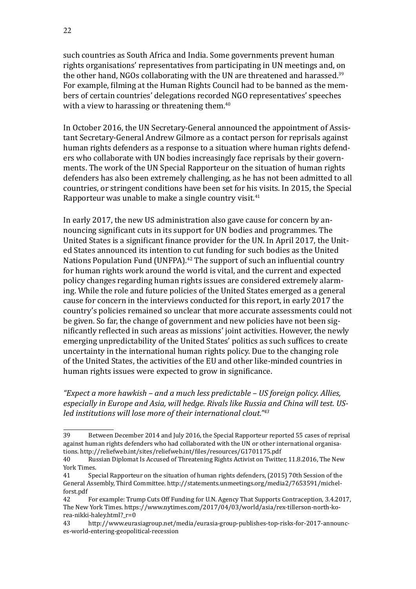such countries as South Africa and India. Some governments prevent human rights organisations' representatives from participating in UN meetings and, on the other hand, NGOs collaborating with the UN are threatened and harassed.<sup>39</sup> For example, filming at the Human Rights Council had to be banned as the members of certain countries' delegations recorded NGO representatives' speeches with a view to harassing or threatening them.<sup>40</sup>

In October 2016, the UN Secretary-General announced the appointment of Assistant Secretary-General Andrew Gilmore as a contact person for reprisals against human rights defenders as a response to a situation where human rights defenders who collaborate with UN bodies increasingly face reprisals by their governments. The work of the UN Special Rapporteur on the situation of human rights defenders has also been extremely challenging, as he has not been admitted to all countries, or stringent conditions have been set for his visits. In 2015, the Special Rapporteur was unable to make a single country visit.<sup>41</sup>

In early 2017, the new US administration also gave cause for concern by announcing significant cuts in its support for UN bodies and programmes. The United States is a significant finance provider for the UN. In April 2017, the United States announced its intention to cut funding for such bodies as the United Nations Population Fund (UNFPA).<sup>42</sup> The support of such an influential country for human rights work around the world is vital, and the current and expected policy changes regarding human rights issues are considered extremely alarming. While the role and future policies of the United States emerged as a general cause for concern in the interviews conducted for this report, in early 2017 the country's policies remained so unclear that more accurate assessments could not be given. So far, the change of government and new policies have not been significantly reflected in such areas as missions' joint activities. However, the newly emerging unpredictability of the United States' politics as such suffices to create uncertainty in the international human rights policy. Due to the changing role of the United States, the activities of the EU and other like-minded countries in human rights issues were expected to grow in significance.

*"Expect a more hawkish – and a much less predictable – US foreign policy. Allies, especially in Europe and Asia, will hedge. Rivals like Russia and China will test. USled institutions will lose more of their international clout."43*

<sup>39</sup> Between December 2014 and July 2016, the Special Rapporteur reported 55 cases of reprisal against human rights defenders who had collaborated with the UN or other international organisations.<http://reliefweb.int/sites/reliefweb.int/files/resources/G1701175.pdf><br>40 Russian Diplomat Is Accused of Threatening Rights Activist on Twitte

<sup>40</sup> Russian Diplomat Is Accused of Threatening Rights Activist on Twitter, 11.8.2016, The New York Times.<br>41 Spe

<sup>41</sup> Special Rapporteur on the situation of human rights defenders, (2015) 70th Session of the General Assembly, Third Committee. [http://statements.unmeetings.org/media2/7653591/michel](http://statements.unmeetings.org/media2/7653591/michel-forst.pdf)[forst.pdf](http://statements.unmeetings.org/media2/7653591/michel-forst.pdf)

<sup>42</sup> For example: Trump Cuts Off Funding for U.N. Agency That Supports Contraception, 3.4.2017, The New York Times. [https://www.nytimes.com/2017/04/03/world/asia/rex-tillerson-north-ko](https://www.nytimes.com/2017/04/03/world/asia/rex-tillerson-north-korea-nikki-haley.html?_r=0)[rea-nikki-haley.html?\\_r=0](https://www.nytimes.com/2017/04/03/world/asia/rex-tillerson-north-korea-nikki-haley.html?_r=0)<br>43 http://www.eura

[http://www.eurasiagroup.net/media/eurasia-group-publishes-top-risks-for-2017-announc](https://www.eurasiagroup.net/media/eurasia-group-publishes-top-risks-for-2017-announces-world-entering-geopolitical-recession)[es-world-entering-geopolitical-recession](https://www.eurasiagroup.net/media/eurasia-group-publishes-top-risks-for-2017-announces-world-entering-geopolitical-recession)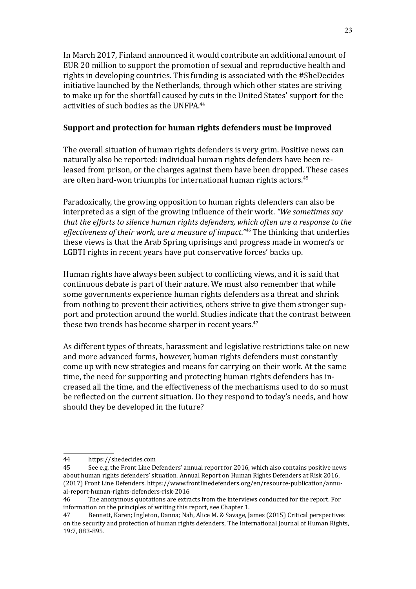In March 2017, Finland announced it would contribute an additional amount of EUR 20 million to support the promotion of sexual and reproductive health and rights in developing countries. This funding is associated with the #SheDecides initiative launched by the Netherlands, through which other states are striving to make up for the shortfall caused by cuts in the United States' support for the activities of such bodies as the UNFPA.44

#### **Support and protection for human rights defenders must be improved**

The overall situation of human rights defenders is very grim. Positive news can naturally also be reported: individual human rights defenders have been released from prison, or the charges against them have been dropped. These cases are often hard-won triumphs for international human rights actors.<sup>45</sup>

Paradoxically, the growing opposition to human rights defenders can also be interpreted as a sign of the growing influence of their work. *"We sometimes say that the efforts to silence human rights defenders, which often are a response to the effectiveness of their work, are a measure of impact."46* The thinking that underlies these views is that the Arab Spring uprisings and progress made in women's or LGBTI rights in recent years have put conservative forces' backs up.

Human rights have always been subject to conflicting views, and it is said that continuous debate is part of their nature. We must also remember that while some governments experience human rights defenders as a threat and shrink from nothing to prevent their activities, others strive to give them stronger support and protection around the world. Studies indicate that the contrast between these two trends has become sharper in recent years.<sup>47</sup>

As different types of threats, harassment and legislative restrictions take on new and more advanced forms, however, human rights defenders must constantly come up with new strategies and means for carrying on their work. At the same time, the need for supporting and protecting human rights defenders has increased all the time, and the effectiveness of the mechanisms used to do so must be reflected on the current situation. Do they respond to today's needs, and how should they be developed in the future?

<sup>44</sup> <https://shedecides.com><br>45 See e.g. the Front Line De

See e.g. the Front Line Defenders' annual report for 2016, which also contains positive news about human rights defenders' situation. Annual Report on Human Rights Defenders at Risk 2016, (2017) Front Line Defenders. [https://www.frontlinedefenders.org/en/resource-publication/annu](https://www.frontlinedefenders.org/en/resource-publication/annual-report-human-rights-defenders-risk-2016)[al-report-human-rights-defenders-risk-2016](https://www.frontlinedefenders.org/en/resource-publication/annual-report-human-rights-defenders-risk-2016)<br>46 The anonymous quotations are extra-

The anonymous quotations are extracts from the interviews conducted for the report. For information on the principles of writing this report, see Chapter 1.<br>47 Bennett, Karen: Ingleton, Danna: Nah, Alice M. & Savage, Ia

<sup>47</sup> Bennett, Karen; Ingleton, Danna; Nah, Alice M. & Savage, James (2015) Critical perspectives on the security and protection of human rights defenders, The International Journal of Human Rights, 19:7, 883-895.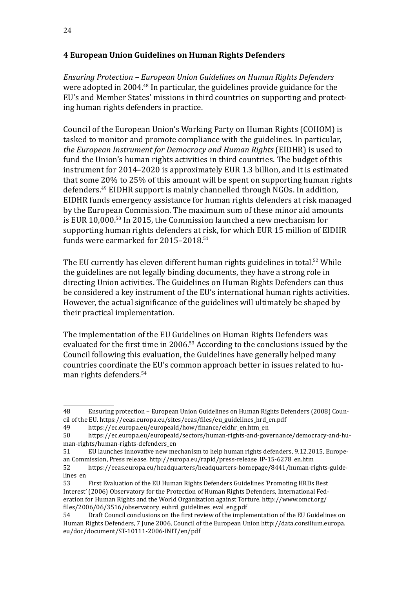#### <span id="page-23-0"></span>**4 European Union Guidelines on Human Rights Defenders**

*Ensuring Protection – European Union Guidelines on Human Rights Defenders*  were adopted in 2004.48 In particular, the guidelines provide guidance for the EU's and Member States' missions in third countries on supporting and protecting human rights defenders in practice.

Council of the European Union's Working Party on Human Rights (COHOM) is tasked to monitor and promote compliance with the guidelines. In particular, *the European Instrument for Democracy and Human Rights* (EIDHR) is used to fund the Union's human rights activities in third countries. The budget of this instrument for 2014–2020 is approximately EUR 1.3 billion, and it is estimated that some 20% to 25% of this amount will be spent on supporting human rights defenders.49 EIDHR support is mainly channelled through NGOs. In addition, EIDHR funds emergency assistance for human rights defenders at risk managed by the European Commission. The maximum sum of these minor aid amounts is EUR 10,000.<sup>50</sup> In 2015, the Commission launched a new mechanism for supporting human rights defenders at risk, for which EUR 15 million of EIDHR funds were earmarked for 2015–2018.<sup>51</sup>

The EU currently has eleven different human rights guidelines in total.<sup>52</sup> While the guidelines are not legally binding documents, they have a strong role in directing Union activities. The Guidelines on Human Rights Defenders can thus be considered a key instrument of the EU's international human rights activities. However, the actual significance of the guidelines will ultimately be shaped by their practical implementation.

The implementation of the EU Guidelines on Human Rights Defenders was evaluated for the first time in 2006.53 According to the conclusions issued by the Council following this evaluation, the Guidelines have generally helped many countries coordinate the EU's common approach better in issues related to human rights defenders.<sup>54</sup>

<sup>48</sup> Ensuring protection – European Union Guidelines on Human Rights Defenders (2008) Council of the EU. [https://eeas.europa.eu/sites/eeas/files/eu\\_guidelines\\_hrd\\_en.pdf](https://eeas.europa.eu/sites/eeas/files/eu_guidelines_hrd_en.pdf)

<sup>49</sup> [https://ec.europa.eu/europeaid/how/finance/eidhr\\_en.htm\\_en](https://ec.europa.eu/europeaid/how/finance/eidhr_en.htm_en)<br>50 https://ec.europa.eu/europeaid/sectors/human-rights-and-gov

<sup>50</sup> [https://ec.europa.eu/europeaid/sectors/human-rights-and-governance/democracy-and-hu](https://ec.europa.eu/europeaid/sectors/human-rights-and-governance/democracy-and-human-rights/human-rights-defenders_en)[man-rights/human-rights-defenders\\_en](https://ec.europa.eu/europeaid/sectors/human-rights-and-governance/democracy-and-human-rights/human-rights-defenders_en)<br>51 EU launches innovative new me

<sup>51</sup> EU launches innovative new mechanism to help human rights defenders, 9.12.2015, European Commission, Press release. [http://europa.eu/rapid/press-release\\_IP-15-6278\\_en.htm](http://europa.eu/rapid/press-release_IP-15-6278_en.htm)

<sup>52</sup> [https://eeas.europa.eu/headquarters/headquarters-homepage/8441/human-rights-guide](https://eeas.europa.eu/headquarters/headquarters-homepage/8441/human-rights-guidelines_en)[lines\\_en](https://eeas.europa.eu/headquarters/headquarters-homepage/8441/human-rights-guidelines_en)<br>53

<sup>53</sup> First Evaluation of the EU Human Rights Defenders Guidelines 'Promoting HRDs Best Interest' (2006) Observatory for the Protection of Human Rights Defenders, International Federation for Human Rights and the World Organization against Torture. [http://www.omct.org/](http://www.omct.org/files/2006/06/3516/observatory_euhrd_guidelines_eval_eng.pdf) [files/2006/06/3516/observatory\\_euhrd\\_guidelines\\_eval\\_eng.pdf](http://www.omct.org/files/2006/06/3516/observatory_euhrd_guidelines_eval_eng.pdf)<br>54 Draft Council conclusions on the first review of the imple

Draft Council conclusions on the first review of the implementation of the EU Guidelines on Human Rights Defenders, 7 June 2006, Council of the European Union [http://data.consilium.europa.](http://data.consilium.europa.eu/doc/document/ST-10111-2006-INIT/en/pdf) [eu/doc/document/ST-10111-2006-INIT/en/pdf](http://data.consilium.europa.eu/doc/document/ST-10111-2006-INIT/en/pdf)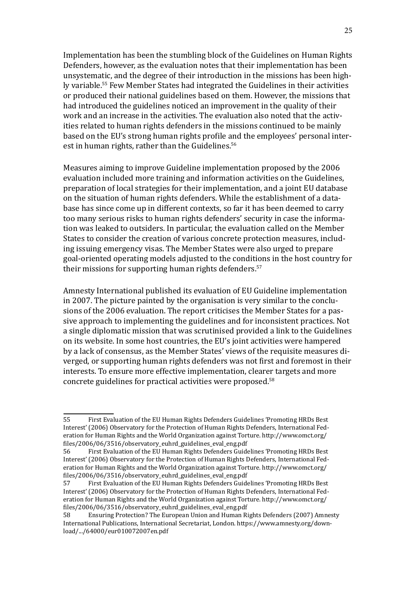Implementation has been the stumbling block of the Guidelines on Human Rights Defenders, however, as the evaluation notes that their implementation has been unsystematic, and the degree of their introduction in the missions has been highly variable.<sup>55</sup> Few Member States had integrated the Guidelines in their activities or produced their national guidelines based on them. However, the missions that had introduced the guidelines noticed an improvement in the quality of their work and an increase in the activities. The evaluation also noted that the activities related to human rights defenders in the missions continued to be mainly based on the EU's strong human rights profile and the employees' personal interest in human rights, rather than the Guidelines.<sup>56</sup>

Measures aiming to improve Guideline implementation proposed by the 2006 evaluation included more training and information activities on the Guidelines, preparation of local strategies for their implementation, and a joint EU database on the situation of human rights defenders. While the establishment of a database has since come up in different contexts, so far it has been deemed to carry too many serious risks to human rights defenders' security in case the information was leaked to outsiders. In particular, the evaluation called on the Member States to consider the creation of various concrete protection measures, including issuing emergency visas. The Member States were also urged to prepare goal-oriented operating models adjusted to the conditions in the host country for their missions for supporting human rights defenders.<sup>57</sup>

Amnesty International published its evaluation of EU Guideline implementation in 2007. The picture painted by the organisation is very similar to the conclusions of the 2006 evaluation. The report criticises the Member States for a passive approach to implementing the guidelines and for inconsistent practices. Not a single diplomatic mission that was scrutinised provided a link to the Guidelines on its website. In some host countries, the EU's joint activities were hampered by a lack of consensus, as the Member States' views of the requisite measures diverged, or supporting human rights defenders was not first and foremost in their interests. To ensure more effective implementation, clearer targets and more concrete guidelines for practical activities were proposed.58

<sup>55</sup> First Evaluation of the EU Human Rights Defenders Guidelines 'Promoting HRDs Best Interest' (2006) Observatory for the Protection of Human Rights Defenders, International Federation for Human Rights and the World Organization against Torture. [http://www.omct.org/](http://www.omct.org/files/2006/06/3516/observatory_euhrd_guidelines_eval_eng.pdf) [files/2006/06/3516/observatory\\_euhrd\\_guidelines\\_eval\\_eng.pdf](http://www.omct.org/files/2006/06/3516/observatory_euhrd_guidelines_eval_eng.pdf)

<sup>56</sup> First Evaluation of the EU Human Rights Defenders Guidelines 'Promoting HRDs Best Interest' (2006) Observatory for the Protection of Human Rights Defenders, International Federation for Human Rights and the World Organization against Torture. [http://www.omct.org/](http://www.omct.org/files/2006/06/3516/observatory_euhrd_guidelines_eval_eng.pdf) [files/2006/06/3516/observatory\\_euhrd\\_guidelines\\_eval\\_eng.pdf](http://www.omct.org/files/2006/06/3516/observatory_euhrd_guidelines_eval_eng.pdf)

<sup>57</sup> First Evaluation of the EU Human Rights Defenders Guidelines 'Promoting HRDs Best Interest' (2006) Observatory for the Protection of Human Rights Defenders, International Federation for Human Rights and the World Organization against Torture. [http://www.omct.org/](http://www.omct.org/files/2006/06/3516/observatory_euhrd_guidelines_eval_eng.pdf) [files/2006/06/3516/observatory\\_euhrd\\_guidelines\\_eval\\_eng.pdf](http://www.omct.org/files/2006/06/3516/observatory_euhrd_guidelines_eval_eng.pdf)<br>58 Ensuring Protection? The European Union and Human Ri

<sup>58</sup> Ensuring Protection? The European Union and Human Rights Defenders (2007) Amnesty International Publications, International Secretariat, London. [https://www.amnesty.org/down](https://www.amnesty.org/en/documents/eur01/007/2007/en/)[load/.../64000/eur010072007en.pdf](https://www.amnesty.org/en/documents/eur01/007/2007/en/)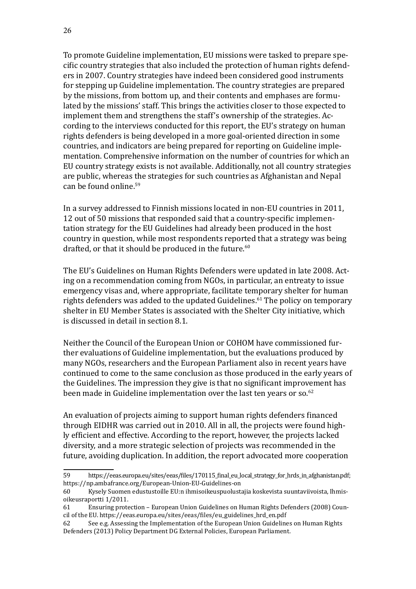To promote Guideline implementation, EU missions were tasked to prepare specific country strategies that also included the protection of human rights defenders in 2007. Country strategies have indeed been considered good instruments for stepping up Guideline implementation. The country strategies are prepared by the missions, from bottom up, and their contents and emphases are formulated by the missions' staff. This brings the activities closer to those expected to implement them and strengthens the staff's ownership of the strategies. According to the interviews conducted for this report, the EU's strategy on human rights defenders is being developed in a more goal-oriented direction in some countries, and indicators are being prepared for reporting on Guideline implementation. Comprehensive information on the number of countries for which an EU country strategy exists is not available. Additionally, not all country strategies are public, whereas the strategies for such countries as Afghanistan and Nepal can be found online.<sup>59</sup>

In a survey addressed to Finnish missions located in non-EU countries in 2011, 12 out of 50 missions that responded said that a country-specific implementation strategy for the EU Guidelines had already been produced in the host country in question, while most respondents reported that a strategy was being drafted, or that it should be produced in the future.<sup>60</sup>

The EU's Guidelines on Human Rights Defenders were updated in late 2008. Acting on a recommendation coming from NGOs, in particular, an entreaty to issue emergency visas and, where appropriate, facilitate temporary shelter for human rights defenders was added to the updated Guidelines.<sup>61</sup> The policy on temporary shelter in EU Member States is associated with the Shelter City initiative, which is discussed in detail in section 8.1.

Neither the Council of the European Union or COHOM have commissioned further evaluations of Guideline implementation, but the evaluations produced by many NGOs, researchers and the European Parliament also in recent years have continued to come to the same conclusion as those produced in the early years of the Guidelines. The impression they give is that no significant improvement has been made in Guideline implementation over the last ten years or so.<sup>62</sup>

An evaluation of projects aiming to support human rights defenders financed through EIDHR was carried out in 2010. All in all, the projects were found highly efficient and effective. According to the report, however, the projects lacked diversity, and a more strategic selection of projects was recommended in the future, avoiding duplication. In addition, the report advocated more cooperation

<sup>59</sup> [https://eeas.europa.eu/sites/eeas/files/170115\\_final\\_eu\\_local\\_strategy\\_for\\_hrds\\_in\\_afghanistan.pdf;](https://eeas.europa.eu/sites/eeas/files/170115_final_eu_local_strategy_for_hrds_in_afghanistan.pdf) <https://np.ambafrance.org/European-Union-EU-Guidelines-on><br>60 Kyselv Suomen edustustoille EU:n ihmisoikeuspuolust

<sup>60</sup> Kysely Suomen edustustoille EU:n ihmisoikeuspuolustajia koskevista suuntaviivoista, Ihmisoikeusraportti 1/2011.

<sup>61</sup> Ensuring protection – European Union Guidelines on Human Rights Defenders (2008) Council of the EU. [https://eeas.europa.eu/sites/eeas/files/eu\\_guidelines\\_hrd\\_en.pdf](https://eeas.europa.eu/sites/eeas/files/eu_guidelines_hrd_en.pdf)

See e.g. Assessing the Implementation of the European Union Guidelines on Human Rights Defenders (2013) Policy Department DG External Policies, European Parliament.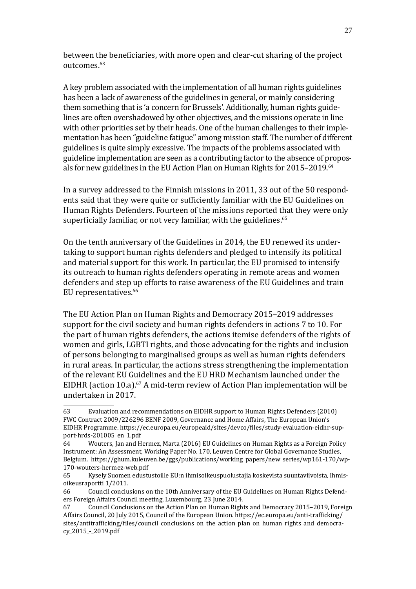between the beneficiaries, with more open and clear-cut sharing of the project outcomes.<sup>63</sup>

A key problem associated with the implementation of all human rights guidelines has been a lack of awareness of the guidelines in general, or mainly considering them something that is 'a concern for Brussels'. Additionally, human rights guidelines are often overshadowed by other objectives, and the missions operate in line with other priorities set by their heads. One of the human challenges to their implementation has been "guideline fatigue" among mission staff. The number of different guidelines is quite simply excessive. The impacts of the problems associated with guideline implementation are seen as a contributing factor to the absence of proposals for new guidelines in the EU Action Plan on Human Rights for 2015–2019.<sup>64</sup>

In a survey addressed to the Finnish missions in 2011, 33 out of the 50 respondents said that they were quite or sufficiently familiar with the EU Guidelines on Human Rights Defenders. Fourteen of the missions reported that they were only superficially familiar, or not very familiar, with the guidelines.<sup>65</sup>

On the tenth anniversary of the Guidelines in 2014, the EU renewed its undertaking to support human rights defenders and pledged to intensify its political and material support for this work. In particular, the EU promised to intensify its outreach to human rights defenders operating in remote areas and women defenders and step up efforts to raise awareness of the EU Guidelines and train EU representatives.<sup>66</sup>

The EU Action Plan on Human Rights and Democracy 2015–2019 addresses support for the civil society and human rights defenders in actions 7 to 10. For the part of human rights defenders, the actions itemise defenders of the rights of women and girls, LGBTI rights, and those advocating for the rights and inclusion of persons belonging to marginalised groups as well as human rights defenders in rural areas. In particular, the actions stress strengthening the implementation of the relevant EU Guidelines and the EU HRD Mechanism launched under the EIDHR (action 10.a).<sup>67</sup> A mid-term review of Action Plan implementation will be undertaken in 2017.

<sup>63</sup> Evaluation and recommendations on EIDHR support to Human Rights Defenders (2010) FWC Contract 2009/226296 BENF 2009, Governance and Home Affairs, The European Union's EIDHR Programme. [https://ec.europa.eu/europeaid/sites/devco/files/study-evaluation-eidhr-sup](https://ec.europa.eu/europeaid/sites/devco/files/study-evaluation-eidhr-support-hrds-201005_en_1.pdf)[port-hrds-201005\\_en\\_1.pdf](https://ec.europa.eu/europeaid/sites/devco/files/study-evaluation-eidhr-support-hrds-201005_en_1.pdf)

<sup>64</sup> Wouters, Jan and Hermez, Marta (2016) EU Guidelines on Human Rights as a Foreign Policy Instrument: An Assessment, Working Paper No. 170, Leuven Centre for Global Governance Studies, Belgium. [https://ghum.kuleuven.be/ggs/publications/working\\_papers/new\\_series/wp161-170/wp-](https://ghum.kuleuven.be/ggs/publications/working_papers/new_series/wp161-170/wp-170-wouters-hermez-web.pdf)[170-wouters-hermez-web.pdf](https://ghum.kuleuven.be/ggs/publications/working_papers/new_series/wp161-170/wp-170-wouters-hermez-web.pdf)

<sup>65</sup> Kysely Suomen edustustoille EU:n ihmisoikeuspuolustajia koskevista suuntaviivoista, Ihmisoikeusraportti 1/2011.<br>66 Council conclu

<sup>66</sup> Council conclusions on the 10th Anniversary of the EU Guidelines on Human Rights Defenders Foreign Affairs Council meeting, Luxembourg, 23 June 2014.<br>67 Council Conclusions on the Action Plan on Human Right

<sup>67</sup> Council Conclusions on the Action Plan on Human Rights and Democracy 2015–2019, Foreign Affairs Council, 20 July 2015, Council of the European Union. [https://ec.europa.eu/anti-trafficking/](https://ec.europa.eu/anti-trafficking/sites/antitrafficking/files/council_conclusions_on_the_action_plan_on_human_rights_and_democracy_2015_-_2019.pdf) [sites/antitrafficking/files/council\\_conclusions\\_on\\_the\\_action\\_plan\\_on\\_human\\_rights\\_and\\_democra](https://ec.europa.eu/anti-trafficking/sites/antitrafficking/files/council_conclusions_on_the_action_plan_on_human_rights_and_democracy_2015_-_2019.pdf)[cy\\_2015\\_-\\_2019.pdf](https://ec.europa.eu/anti-trafficking/sites/antitrafficking/files/council_conclusions_on_the_action_plan_on_human_rights_and_democracy_2015_-_2019.pdf)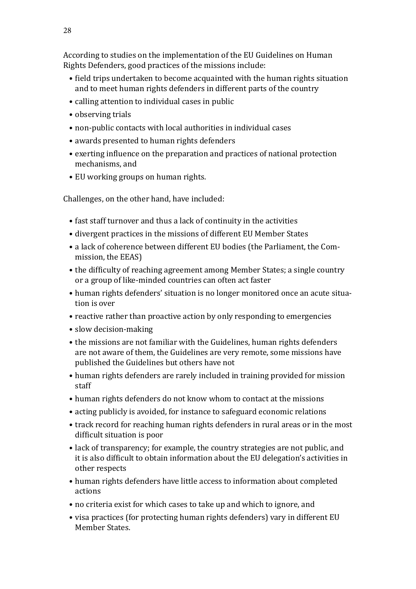According to studies on the implementation of the EU Guidelines on Human Rights Defenders, good practices of the missions include:

- field trips undertaken to become acquainted with the human rights situation and to meet human rights defenders in different parts of the country
- calling attention to individual cases in public
- observing trials
- non-public contacts with local authorities in individual cases
- awards presented to human rights defenders
- exerting influence on the preparation and practices of national protection mechanisms, and
- EU working groups on human rights.

Challenges, on the other hand, have included:

- fast staff turnover and thus a lack of continuity in the activities
- divergent practices in the missions of different EU Member States
- a lack of coherence between different EU bodies (the Parliament, the Commission, the EEAS)
- the difficulty of reaching agreement among Member States; a single country or a group of like-minded countries can often act faster
- human rights defenders' situation is no longer monitored once an acute situation is over
- reactive rather than proactive action by only responding to emergencies
- slow decision-making
- the missions are not familiar with the Guidelines, human rights defenders are not aware of them, the Guidelines are very remote, some missions have published the Guidelines but others have not
- human rights defenders are rarely included in training provided for mission staff
- human rights defenders do not know whom to contact at the missions
- acting publicly is avoided, for instance to safeguard economic relations
- track record for reaching human rights defenders in rural areas or in the most difficult situation is poor
- lack of transparency; for example, the country strategies are not public, and it is also difficult to obtain information about the EU delegation's activities in other respects
- human rights defenders have little access to information about completed actions
- no criteria exist for which cases to take up and which to ignore, and
- visa practices (for protecting human rights defenders) vary in different EU Member States.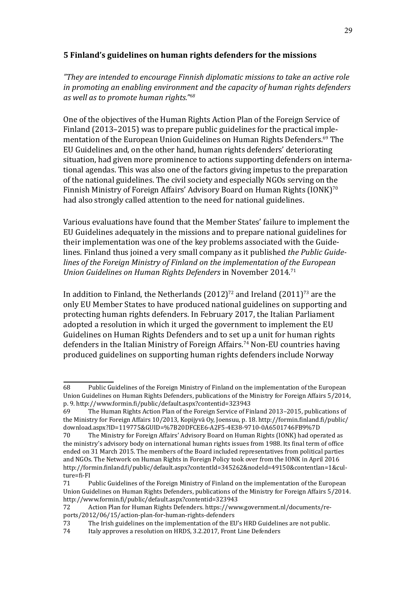#### <span id="page-28-0"></span>**5 Finland's guidelines on human rights defenders for the missions**

*"They are intended to encourage Finnish diplomatic missions to take an active role in promoting an enabling environment and the capacity of human rights defenders as well as to promote human rights."68*

One of the objectives of the Human Rights Action Plan of the Foreign Service of Finland (2013–2015) was to prepare public guidelines for the practical implementation of the European Union Guidelines on Human Rights Defenders.<sup>69</sup> The EU Guidelines and, on the other hand, human rights defenders' deteriorating situation, had given more prominence to actions supporting defenders on international agendas. This was also one of the factors giving impetus to the preparation of the national guidelines. The civil society and especially NGOs serving on the Finnish Ministry of Foreign Affairs' Advisory Board on Human Rights (IONK)<sup>70</sup> had also strongly called attention to the need for national guidelines.

Various evaluations have found that the Member States' failure to implement the EU Guidelines adequately in the missions and to prepare national guidelines for their implementation was one of the key problems associated with the Guidelines. Finland thus joined a very small company as it published *the Public Guidelines of the Foreign Ministry of Finland on the implementation of the European Union Guidelines on Human Rights Defenders* in November 2014.<sup>71</sup>

In addition to Finland, the Netherlands  $(2012)^{72}$  and Ireland  $(2011)^{73}$  are the only EU Member States to have produced national guidelines on supporting and protecting human rights defenders. In February 2017, the Italian Parliament adopted a resolution in which it urged the government to implement the EU Guidelines on Human Rights Defenders and to set up a unit for human rights defenders in the Italian Ministry of Foreign Affairs.<sup>74</sup> Non-EU countries having produced guidelines on supporting human rights defenders include Norway

<sup>68</sup> Public Guidelines of the Foreign Ministry of Finland on the implementation of the European Union Guidelines on Human Rights Defenders, publications of the Ministry for Foreign Affairs 5/2014,

p. 9.<http://www.formin.fi/public/default.aspx?contentid=323943> 69 The Human Rights Action Plan of the Foreign Service of Finland 2013–2015, publications of the Ministry for Foreign Affairs 10/2013, Kopijyvä Oy, Joensuu, p. 18. [http://formin.finland.fi/public/](http://formin.finland.fi/public/download.aspx?ID=119775&GUID=%7B20DFCEE6-A2F5-4E38-9710-0A6501746FB9%7D) [download.aspx?ID=119775&GUID=%7B20DFCEE6-A2F5-4E38-9710-0A6501746FB9%7D](http://formin.finland.fi/public/download.aspx?ID=119775&GUID=%7B20DFCEE6-A2F5-4E38-9710-0A6501746FB9%7D)

The Ministry for Foreign Affairs' Advisory Board on Human Rights (IONK) had operated as the ministry's advisory body on international human rights issues from 1988. Its final term of office ended on 31 March 2015. The members of the Board included representatives from political parties and NGOs. The Network on Human Rights in Foreign Policy took over from the IONK in April 2016 [http://formin.finland.fi/public/default.aspx?contentId=345262&nodeId=49150&contentlan=1&cul](http://formin.finland.fi/public/default.aspx?contentId=345262&nodeId=49150&contentlan=1&culture=fi-FI)[ture=fi-FI](http://formin.finland.fi/public/default.aspx?contentId=345262&nodeId=49150&contentlan=1&culture=fi-FI)<br>71 F

Public Guidelines of the Foreign Ministry of Finland on the implementation of the European Union Guidelines on Human Rights Defenders, publications of the Ministry for Foreign Affairs 5/2014. <http://www.formin.fi/public/default.aspx?contentid=323943>

Action Plan for Human Rights Defenders. [https://www.government.nl/documents/re](https://www.government.nl/documents/reports/2012/06/15/action-plan-for-human-rights-defenders)[ports/2012/06/15/action-plan-for-human-rights-defenders](https://www.government.nl/documents/reports/2012/06/15/action-plan-for-human-rights-defenders)<br>73 The Irish guidelines on the implementation of the EU

<sup>73</sup> The Irish guidelines on the implementation of the EU's HRD Guidelines are not public.<br>74 Italy approves a resolution on HRDS, 3.2.2017, Front Line Defenders

Italy approves a resolution on HRDS, 3.2.2017, Front Line Defenders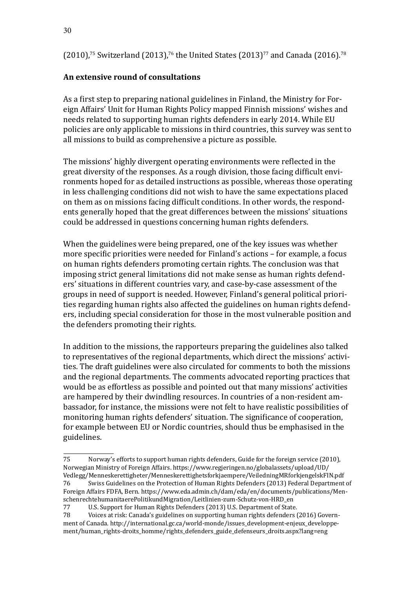$(2010)$ ,<sup>75</sup> Switzerland (2013),<sup>76</sup> the United States (2013)<sup>77</sup> and Canada (2016).<sup>78</sup>

## **An extensive round of consultations**

As a first step to preparing national guidelines in Finland, the Ministry for Foreign Affairs' Unit for Human Rights Policy mapped Finnish missions' wishes and needs related to supporting human rights defenders in early 2014. While EU policies are only applicable to missions in third countries, this survey was sent to all missions to build as comprehensive a picture as possible.

The missions' highly divergent operating environments were reflected in the great diversity of the responses. As a rough division, those facing difficult environments hoped for as detailed instructions as possible, whereas those operating in less challenging conditions did not wish to have the same expectations placed on them as on missions facing difficult conditions. In other words, the respondents generally hoped that the great differences between the missions' situations could be addressed in questions concerning human rights defenders.

When the guidelines were being prepared, one of the key issues was whether more specific priorities were needed for Finland's actions – for example, a focus on human rights defenders promoting certain rights. The conclusion was that imposing strict general limitations did not make sense as human rights defenders' situations in different countries vary, and case-by-case assessment of the groups in need of support is needed. However, Finland's general political priorities regarding human rights also affected the guidelines on human rights defenders, including special consideration for those in the most vulnerable position and the defenders promoting their rights.

In addition to the missions, the rapporteurs preparing the guidelines also talked to representatives of the regional departments, which direct the missions' activities. The draft guidelines were also circulated for comments to both the missions and the regional departments. The comments advocated reporting practices that would be as effortless as possible and pointed out that many missions' activities are hampered by their dwindling resources. In countries of a non-resident ambassador, for instance, the missions were not felt to have realistic possibilities of monitoring human rights defenders' situation. The significance of cooperation, for example between EU or Nordic countries, should thus be emphasised in the guidelines.

<sup>75</sup> Norway's efforts to support human rights defenders, Guide for the foreign service (2010), Norwegian Ministry of Foreign Affairs. [https://www.regjeringen.no/globalassets/upload/UD/](https://www.regjeringen.no/globalassets/upload/UD/Vedlegg/Menneskerettigheter/Menneskerettighetsforkjaempere/VeiledningMRforkjengelskFIN.pdf) [Vedlegg/Menneskerettigheter/Menneskerettighetsforkjaempere/VeiledningMRforkjengelskFIN.pdf](https://www.regjeringen.no/globalassets/upload/UD/Vedlegg/Menneskerettigheter/Menneskerettighetsforkjaempere/VeiledningMRforkjengelskFIN.pdf) Swiss Guidelines on the Protection of Human Rights Defenders (2013) Federal Department of Foreign Affairs FDFA, Bern. [https://www.eda.admin.ch/dam/eda/en/documents/publications/Men](https://www.eda.admin.ch/dam/eda/en/documents/publications/MenschenrechtehumanitaerePolitikundMigration/Leitlinien-zum-Schutz-von-HRD_en)-

[schenrechtehumanitaerePolitikundMigration/Leitlinien-zum-Schutz-von-HRD\\_en](https://www.eda.admin.ch/dam/eda/en/documents/publications/MenschenrechtehumanitaerePolitikundMigration/Leitlinien-zum-Schutz-von-HRD_en)<br>77 U.S. Support for Human Rights Defenders (2013) U.S. Department of State

<sup>77</sup> U.S. Support for Human Rights Defenders (2013) U.S. Department of State. Voices at risk: Canada's guidelines on supporting human rights defenders (2016) Government of Canada. [http://international.gc.ca/world-monde/issues\\_development-enjeux\\_developpe](http://international.gc.ca/world-monde/issues_development-enjeux_developpement/human_rights-droits_homme/rights_defenders_guide_defenseurs_droits.aspx?lang=eng)[ment/human\\_rights-droits\\_homme/rights\\_defenders\\_guide\\_defenseurs\\_droits.aspx?lang=eng](http://international.gc.ca/world-monde/issues_development-enjeux_developpement/human_rights-droits_homme/rights_defenders_guide_defenseurs_droits.aspx?lang=eng)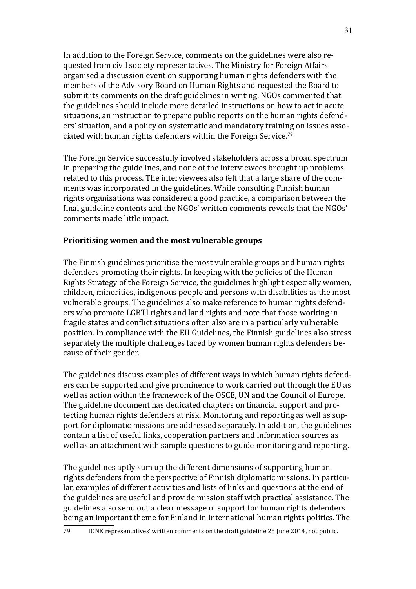In addition to the Foreign Service, comments on the guidelines were also requested from civil society representatives. The Ministry for Foreign Affairs organised a discussion event on supporting human rights defenders with the members of the Advisory Board on Human Rights and requested the Board to submit its comments on the draft guidelines in writing. NGOs commented that the guidelines should include more detailed instructions on how to act in acute situations, an instruction to prepare public reports on the human rights defenders' situation, and a policy on systematic and mandatory training on issues associated with human rights defenders within the Foreign Service.<sup>79</sup>

The Foreign Service successfully involved stakeholders across a broad spectrum in preparing the guidelines, and none of the interviewees brought up problems related to this process. The interviewees also felt that a large share of the comments was incorporated in the guidelines. While consulting Finnish human rights organisations was considered a good practice, a comparison between the final guideline contents and the NGOs' written comments reveals that the NGOs' comments made little impact.

#### **Prioritising women and the most vulnerable groups**

The Finnish guidelines prioritise the most vulnerable groups and human rights defenders promoting their rights. In keeping with the policies of the Human Rights Strategy of the Foreign Service, the guidelines highlight especially women, children, minorities, indigenous people and persons with disabilities as the most vulnerable groups. The guidelines also make reference to human rights defenders who promote LGBTI rights and land rights and note that those working in fragile states and conflict situations often also are in a particularly vulnerable position. In compliance with the EU Guidelines, the Finnish guidelines also stress separately the multiple challenges faced by women human rights defenders because of their gender.

The guidelines discuss examples of different ways in which human rights defenders can be supported and give prominence to work carried out through the EU as well as action within the framework of the OSCE, UN and the Council of Europe. The guideline document has dedicated chapters on financial support and protecting human rights defenders at risk. Monitoring and reporting as well as support for diplomatic missions are addressed separately. In addition, the guidelines contain a list of useful links, cooperation partners and information sources as well as an attachment with sample questions to guide monitoring and reporting.

The guidelines aptly sum up the different dimensions of supporting human rights defenders from the perspective of Finnish diplomatic missions. In particular, examples of different activities and lists of links and questions at the end of the guidelines are useful and provide mission staff with practical assistance. The guidelines also send out a clear message of support for human rights defenders being an important theme for Finland in international human rights politics. The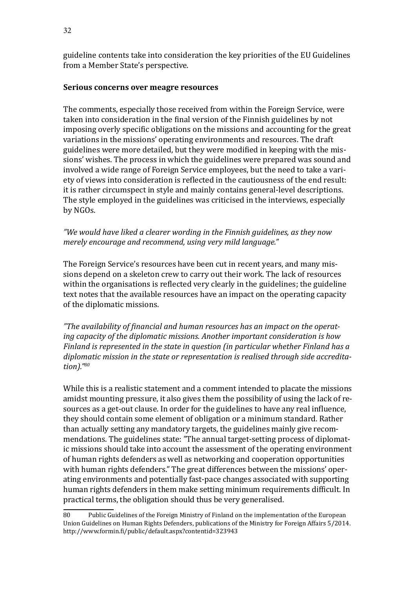guideline contents take into consideration the key priorities of the EU Guidelines from a Member State's perspective.

#### **Serious concerns over meagre resources**

The comments, especially those received from within the Foreign Service, were taken into consideration in the final version of the Finnish guidelines by not imposing overly specific obligations on the missions and accounting for the great variations in the missions' operating environments and resources. The draft guidelines were more detailed, but they were modified in keeping with the missions' wishes. The process in which the guidelines were prepared was sound and involved a wide range of Foreign Service employees, but the need to take a variety of views into consideration is reflected in the cautiousness of the end result: it is rather circumspect in style and mainly contains general-level descriptions. The style employed in the guidelines was criticised in the interviews, especially by NGOs.

#### *"We would have liked a clearer wording in the Finnish guidelines, as they now merely encourage and recommend, using very mild language."*

The Foreign Service's resources have been cut in recent years, and many missions depend on a skeleton crew to carry out their work. The lack of resources within the organisations is reflected very clearly in the guidelines; the guideline text notes that the available resources have an impact on the operating capacity of the diplomatic missions.

*"The availability of financial and human resources has an impact on the operating capacity of the diplomatic missions. Another important consideration is how Finland is represented in the state in question (in particular whether Finland has a diplomatic mission in the state or representation is realised through side accreditation)."80*

While this is a realistic statement and a comment intended to placate the missions amidst mounting pressure, it also gives them the possibility of using the lack of resources as a get-out clause. In order for the guidelines to have any real influence, they should contain some element of obligation or a minimum standard. Rather than actually setting any mandatory targets, the guidelines mainly give recommendations. The guidelines state: "The annual target-setting process of diplomatic missions should take into account the assessment of the operating environment of human rights defenders as well as networking and cooperation opportunities with human rights defenders." The great differences between the missions' operating environments and potentially fast-pace changes associated with supporting human rights defenders in them make setting minimum requirements difficult. In practical terms, the obligation should thus be very generalised.

<sup>80</sup> Public Guidelines of the Foreign Ministry of Finland on the implementation of the European Union Guidelines on Human Rights Defenders, publications of the Ministry for Foreign Affairs 5/2014. <http://www.formin.fi/public/default.aspx?contentid=323943>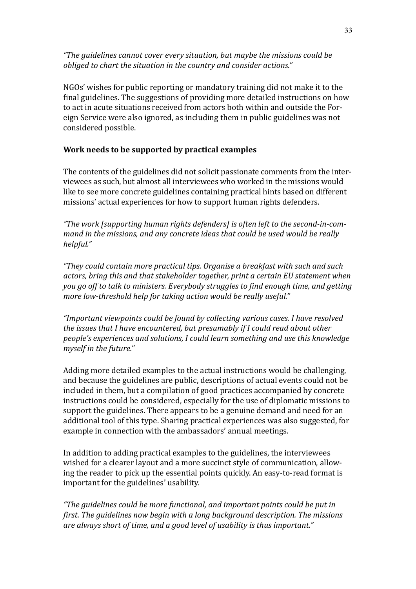*"The guidelines cannot cover every situation, but maybe the missions could be obliged to chart the situation in the country and consider actions."*

NGOs' wishes for public reporting or mandatory training did not make it to the final guidelines. The suggestions of providing more detailed instructions on how to act in acute situations received from actors both within and outside the Foreign Service were also ignored, as including them in public guidelines was not considered possible.

#### **Work needs to be supported by practical examples**

The contents of the guidelines did not solicit passionate comments from the interviewees as such, but almost all interviewees who worked in the missions would like to see more concrete guidelines containing practical hints based on different missions' actual experiences for how to support human rights defenders.

*"The work [supporting human rights defenders] is often left to the second-in-command in the missions, and any concrete ideas that could be used would be really helpful."* 

*"They could contain more practical tips. Organise a breakfast with such and such actors, bring this and that stakeholder together, print a certain EU statement when you go off to talk to ministers. Everybody struggles to find enough time, and getting more low-threshold help for taking action would be really useful."* 

*"Important viewpoints could be found by collecting various cases. I have resolved the issues that I have encountered, but presumably if I could read about other people's experiences and solutions, I could learn something and use this knowledge myself in the future."*

Adding more detailed examples to the actual instructions would be challenging, and because the guidelines are public, descriptions of actual events could not be included in them, but a compilation of good practices accompanied by concrete instructions could be considered, especially for the use of diplomatic missions to support the guidelines. There appears to be a genuine demand and need for an additional tool of this type. Sharing practical experiences was also suggested, for example in connection with the ambassadors' annual meetings.

In addition to adding practical examples to the guidelines, the interviewees wished for a clearer layout and a more succinct style of communication, allowing the reader to pick up the essential points quickly. An easy-to-read format is important for the guidelines' usability.

*"The guidelines could be more functional, and important points could be put in first. The guidelines now begin with a long background description. The missions are always short of time, and a good level of usability is thus important."*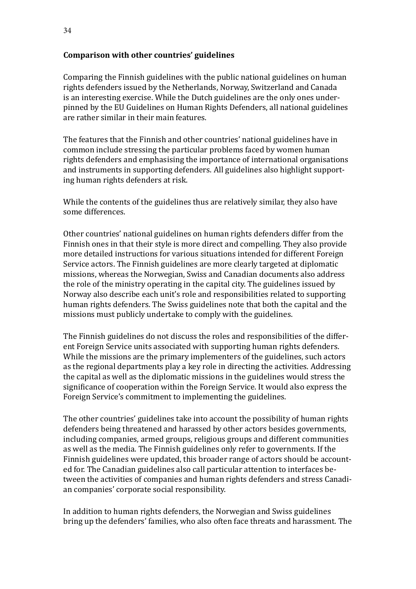#### **Comparison with other countries' guidelines**

Comparing the Finnish guidelines with the public national guidelines on human rights defenders issued by the Netherlands, Norway, Switzerland and Canada is an interesting exercise. While the Dutch guidelines are the only ones underpinned by the EU Guidelines on Human Rights Defenders, all national guidelines are rather similar in their main features.

The features that the Finnish and other countries' national guidelines have in common include stressing the particular problems faced by women human rights defenders and emphasising the importance of international organisations and instruments in supporting defenders. All guidelines also highlight supporting human rights defenders at risk.

While the contents of the guidelines thus are relatively similar, they also have some differences.

Other countries' national guidelines on human rights defenders differ from the Finnish ones in that their style is more direct and compelling. They also provide more detailed instructions for various situations intended for different Foreign Service actors. The Finnish guidelines are more clearly targeted at diplomatic missions, whereas the Norwegian, Swiss and Canadian documents also address the role of the ministry operating in the capital city. The guidelines issued by Norway also describe each unit's role and responsibilities related to supporting human rights defenders. The Swiss guidelines note that both the capital and the missions must publicly undertake to comply with the guidelines.

The Finnish guidelines do not discuss the roles and responsibilities of the different Foreign Service units associated with supporting human rights defenders. While the missions are the primary implementers of the guidelines, such actors as the regional departments play a key role in directing the activities. Addressing the capital as well as the diplomatic missions in the guidelines would stress the significance of cooperation within the Foreign Service. It would also express the Foreign Service's commitment to implementing the guidelines.

The other countries' guidelines take into account the possibility of human rights defenders being threatened and harassed by other actors besides governments, including companies, armed groups, religious groups and different communities as well as the media. The Finnish guidelines only refer to governments. If the Finnish guidelines were updated, this broader range of actors should be accounted for. The Canadian guidelines also call particular attention to interfaces between the activities of companies and human rights defenders and stress Canadian companies' corporate social responsibility.

In addition to human rights defenders, the Norwegian and Swiss guidelines bring up the defenders' families, who also often face threats and harassment. The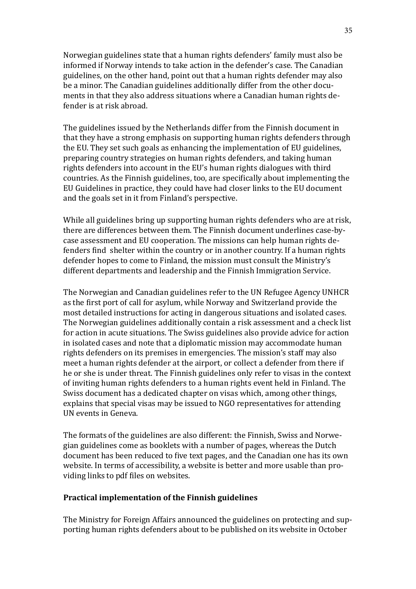Norwegian guidelines state that a human rights defenders' family must also be informed if Norway intends to take action in the defender's case. The Canadian guidelines, on the other hand, point out that a human rights defender may also be a minor. The Canadian guidelines additionally differ from the other documents in that they also address situations where a Canadian human rights defender is at risk abroad.

The guidelines issued by the Netherlands differ from the Finnish document in that they have a strong emphasis on supporting human rights defenders through the EU. They set such goals as enhancing the implementation of EU guidelines, preparing country strategies on human rights defenders, and taking human rights defenders into account in the EU's human rights dialogues with third countries. As the Finnish guidelines, too, are specifically about implementing the EU Guidelines in practice, they could have had closer links to the EU document and the goals set in it from Finland's perspective.

While all guidelines bring up supporting human rights defenders who are at risk, there are differences between them. The Finnish document underlines case-bycase assessment and EU cooperation. The missions can help human rights defenders find shelter within the country or in another country. If a human rights defender hopes to come to Finland, the mission must consult the Ministry's different departments and leadership and the Finnish Immigration Service.

The Norwegian and Canadian guidelines refer to the UN Refugee Agency UNHCR as the first port of call for asylum, while Norway and Switzerland provide the most detailed instructions for acting in dangerous situations and isolated cases. The Norwegian guidelines additionally contain a risk assessment and a check list for action in acute situations. The Swiss guidelines also provide advice for action in isolated cases and note that a diplomatic mission may accommodate human rights defenders on its premises in emergencies. The mission's staff may also meet a human rights defender at the airport, or collect a defender from there if he or she is under threat. The Finnish guidelines only refer to visas in the context of inviting human rights defenders to a human rights event held in Finland. The Swiss document has a dedicated chapter on visas which, among other things, explains that special visas may be issued to NGO representatives for attending UN events in Geneva.

The formats of the guidelines are also different: the Finnish, Swiss and Norwegian guidelines come as booklets with a number of pages, whereas the Dutch document has been reduced to five text pages, and the Canadian one has its own website. In terms of accessibility, a website is better and more usable than providing links to pdf files on websites.

#### **Practical implementation of the Finnish guidelines**

The Ministry for Foreign Affairs announced the guidelines on protecting and supporting human rights defenders about to be published on its website in October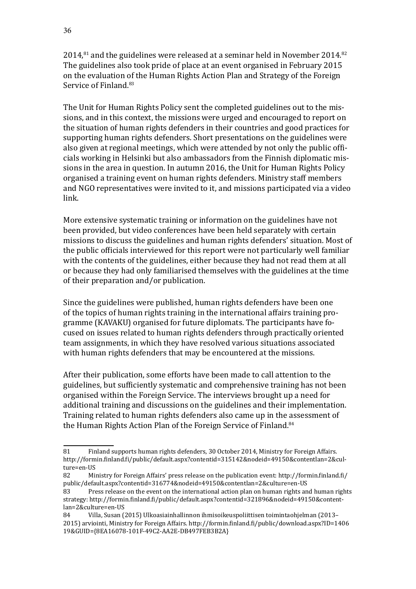$2014$ ,<sup>81</sup> and the guidelines were released at a seminar held in November 2014.<sup>82</sup> The guidelines also took pride of place at an event organised in February 2015 on the evaluation of the Human Rights Action Plan and Strategy of the Foreign Service of Finland.<sup>83</sup>

The Unit for Human Rights Policy sent the completed guidelines out to the missions, and in this context, the missions were urged and encouraged to report on the situation of human rights defenders in their countries and good practices for supporting human rights defenders. Short presentations on the guidelines were also given at regional meetings, which were attended by not only the public officials working in Helsinki but also ambassadors from the Finnish diplomatic missions in the area in question. In autumn 2016, the Unit for Human Rights Policy organised a training event on human rights defenders. Ministry staff members and NGO representatives were invited to it, and missions participated via a video link.

More extensive systematic training or information on the guidelines have not been provided, but video conferences have been held separately with certain missions to discuss the guidelines and human rights defenders' situation. Most of the public officials interviewed for this report were not particularly well familiar with the contents of the guidelines, either because they had not read them at all or because they had only familiarised themselves with the guidelines at the time of their preparation and/or publication.

Since the guidelines were published, human rights defenders have been one of the topics of human rights training in the international affairs training programme (KAVAKU) organised for future diplomats. The participants have focused on issues related to human rights defenders through practically oriented team assignments, in which they have resolved various situations associated with human rights defenders that may be encountered at the missions.

After their publication, some efforts have been made to call attention to the guidelines, but sufficiently systematic and comprehensive training has not been organised within the Foreign Service. The interviews brought up a need for additional training and discussions on the guidelines and their implementation. Training related to human rights defenders also came up in the assessment of the Human Rights Action Plan of the Foreign Service of Finland.<sup>84</sup>

<sup>81</sup> Finland supports human rights defenders, 30 October 2014, Ministry for Foreign Affairs. [http://formin.finland.fi/public/default.aspx?contentid=315142&nodeid=49150&contentlan=2&cul](http://formin.finland.fi/public/default.aspx?contentid=315142&nodeid=49150&contentlan=2&culture=en-US)[ture=en-US](http://formin.finland.fi/public/default.aspx?contentid=315142&nodeid=49150&contentlan=2&culture=en-US)<br>82 Mi

<sup>82</sup> Ministry for Foreign Affairs' press release on the publication event: [http://formin.finland.fi/](http://formin.finland.fi/public/default.aspx?contentid=316774&nodeid=49150&contentlan=2&culture=en-US) [public/default.aspx?contentid=316774&nodeid=49150&contentlan=2&culture=en-US](http://formin.finland.fi/public/default.aspx?contentid=316774&nodeid=49150&contentlan=2&culture=en-US)

<sup>83</sup> Press release on the event on the international action plan on human rights and human rights strategy: [http://formin.finland.fi/public/default.aspx?contentid=321896&nodeid=49150&content](http://formin.finland.fi/public/default.aspx?contentid=321896&nodeid=49150&contentlan=2&culture=en-US)[lan=2&culture=en-US](http://formin.finland.fi/public/default.aspx?contentid=321896&nodeid=49150&contentlan=2&culture=en-US)

<sup>84</sup> Villa, Susan (2015) Ulkoasiainhallinnon ihmisoikeuspoliittisen toimintaohjelman (2013– 2015) arviointi, Ministry for Foreign Affairs. [http://formin.finland.fi/public/download.aspx?ID=1406](http://formin.finland.fi/public/download.aspx?ID=140619&GUID=%7B8EA16078-101F-49C2-AA2E-DB497FEB3B2A%7D) [19&GUID=](http://formin.finland.fi/public/download.aspx?ID=140619&GUID=%7B8EA16078-101F-49C2-AA2E-DB497FEB3B2A%7D){8EA16078-101F-49C2-AA2E-DB497FEB3B2A}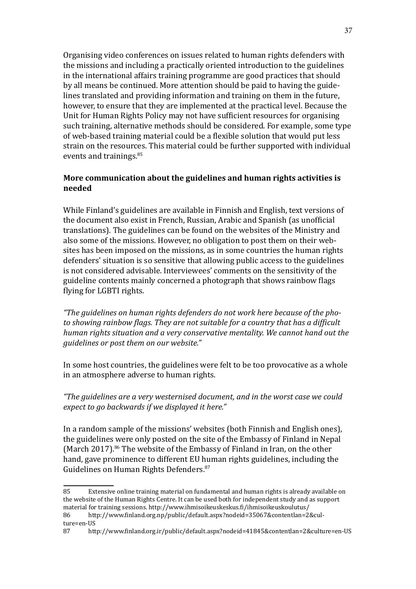Organising video conferences on issues related to human rights defenders with the missions and including a practically oriented introduction to the guidelines in the international affairs training programme are good practices that should by all means be continued. More attention should be paid to having the guidelines translated and providing information and training on them in the future, however, to ensure that they are implemented at the practical level. Because the Unit for Human Rights Policy may not have sufficient resources for organising such training, alternative methods should be considered. For example, some type of web-based training material could be a flexible solution that would put less strain on the resources. This material could be further supported with individual events and trainings.<sup>85</sup>

#### **More communication about the guidelines and human rights activities is needed**

While Finland's guidelines are available in Finnish and English, text versions of the document also exist in French, Russian, Arabic and Spanish (as unofficial translations). The guidelines can be found on the websites of the Ministry and also some of the missions. However, no obligation to post them on their websites has been imposed on the missions, as in some countries the human rights defenders' situation is so sensitive that allowing public access to the guidelines is not considered advisable. Interviewees' comments on the sensitivity of the guideline contents mainly concerned a photograph that shows rainbow flags flying for LGBTI rights.

*"The guidelines on human rights defenders do not work here because of the photo showing rainbow flags. They are not suitable for a country that has a difficult human rights situation and a very conservative mentality. We cannot hand out the guidelines or post them on our website."*

In some host countries, the guidelines were felt to be too provocative as a whole in an atmosphere adverse to human rights.

*"The guidelines are a very westernised document, and in the worst case we could expect to go backwards if we displayed it here."*

In a random sample of the missions' websites (both Finnish and English ones), the guidelines were only posted on the site of the Embassy of Finland in Nepal (March 2017).<sup>86</sup> The website of the Embassy of Finland in Iran, on the other hand, gave prominence to different EU human rights guidelines, including the Guidelines on Human Rights Defenders.<sup>87</sup>

<sup>85</sup> Extensive online training material on fundamental and human rights is already available on the website of the Human Rights Centre. It can be used both for independent study and as support material for training sessions.<http://www.ihmisoikeuskeskus.fi/ihmisoikeuskoulutus/><br>86 http://www.finland.org.np/public/default.aspx?nodeid=35067&contentlan=2

<sup>86</sup> [http://www.finland.org.np/public/default.aspx?nodeid=35067&contentlan=2&cul](http://www.finland.org.np/public/default.aspx?nodeid=35067&contentlan=2&culture=en-US)[ture=en-US](http://www.finland.org.np/public/default.aspx?nodeid=35067&contentlan=2&culture=en-US)<br>87 http

<sup>87</sup> <http://www.finland.org.ir/public/default.aspx?nodeid=41845&contentlan=2&culture=en-US>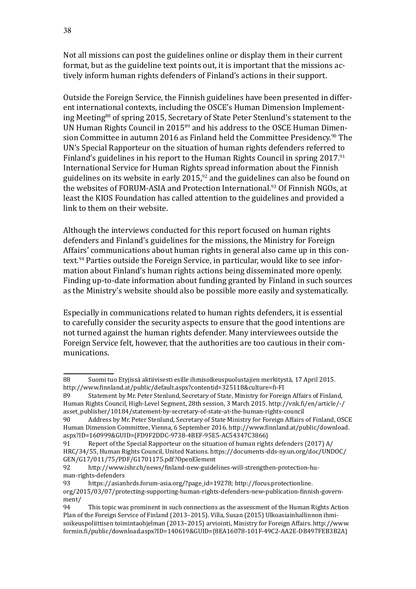Not all missions can post the guidelines online or display them in their current format, but as the guideline text points out, it is important that the missions actively inform human rights defenders of Finland's actions in their support.

Outside the Foreign Service, the Finnish guidelines have been presented in different international contexts, including the OSCE's Human Dimension Implementing Meeting<sup>88</sup> of spring 2015, Secretary of State Peter Stenlund's statement to the UN Human Rights Council in 2015<sup>89</sup> and his address to the OSCE Human Dimension Committee in autumn 2016 as Finland held the Committee Presidency.<sup>90</sup> The UN's Special Rapporteur on the situation of human rights defenders referred to Finland's guidelines in his report to the Human Rights Council in spring 2017.<sup>91</sup> International Service for Human Rights spread information about the Finnish guidelines on its website in early  $2015$ , $92$  and the guidelines can also be found on the websites of FORUM-ASIA and Protection International.<sup>93</sup> Of Finnish NGOs, at least the KIOS Foundation has called attention to the guidelines and provided a link to them on their website.

Although the interviews conducted for this report focused on human rights defenders and Finland's guidelines for the missions, the Ministry for Foreign Affairs' communications about human rights in general also came up in this context.94 Parties outside the Foreign Service, in particular, would like to see information about Finland's human rights actions being disseminated more openly. Finding up-to-date information about funding granted by Finland in such sources as the Ministry's website should also be possible more easily and systematically.

Especially in communications related to human rights defenders, it is essential to carefully consider the security aspects to ensure that the good intentions are not turned against the human rights defender. Many interviewees outside the Foreign Service felt, however, that the authorities are too cautious in their communications.

<sup>88</sup> Suomi tuo Etyjissä aktiivisesti esille ihmisoikeuspuolustajien merkitystä, 17 April 2015. <http://www.finnland.at/public/default.aspx?contentid=325118&culture=fi-FI>

Statement by Mr. Peter Stenlund, Secretary of State, Ministry for Foreign Affairs of Finland, Human Rights Council, High-Level Segment, 28th session, 3 March 2015. [http://vnk.fi/en/article/-/](http://vnk.fi/en/article/-/asset_publisher/10184/statement-by-secretary-of-state-at-the-human-rights-council) [asset\\_publisher/10184/statement-by-secretary-of-state-at-the-human-rights-council](http://vnk.fi/en/article/-/asset_publisher/10184/statement-by-secretary-of-state-at-the-human-rights-council)

Address by Mr. Peter Stenlund, Secretary of State Ministry for Foreign Affairs of Finland, OSCE Human Dimension Committee, Vienna, 6 September 2016. [http://www.finnland.at/public/download.](http://www.finnland.at/public/download.aspx?ID=160999&GUID=%7BFD9F2DDC-9738-4BEF-95E5-AC54347C3866%7D) [aspx?ID=160999&GUID=](http://www.finnland.at/public/download.aspx?ID=160999&GUID=%7BFD9F2DDC-9738-4BEF-95E5-AC54347C3866%7D){FD9F2DDC-9738-4BEF-95E5-AC54347C3866}

Report of the Special Rapporteur on the situation of human rights defenders (2017)  $A/$ HRC/34/55, Human Rights Council, United Nations. [https://documents-dds-ny.un.org/doc/UNDOC/](https://documents-dds-ny.un.org/doc/UNDOC/GEN/G17/011/75/PDF/G1701175.pdf?OpenElement) [GEN/G17/011/75/PDF/G1701175.pdf?OpenElement](https://documents-dds-ny.un.org/doc/UNDOC/GEN/G17/011/75/PDF/G1701175.pdf?OpenElement)<br>92 http://www.ishr.ch/news/finland-new-guide

<sup>92</sup> [http://www.ishr.ch/news/finland-new-guidelines-will-strengthen-protection-hu](http://www.ishr.ch/news/finland-new-guidelines-will-strengthen-protection-human-rights-defenders)[man-rights-defenders](http://www.ishr.ch/news/finland-new-guidelines-will-strengthen-protection-human-rights-defenders)<br>93 https://asian

[https://asianhrds.forum-asia.org/?page\\_id=19278;](https://asianhrds.forum-asia.org/?page_id=19278;) [http://focus.protectionline.](http://focus.protectionline.org/2015/03/07/protecting-supporting-human-rights-defenders-new-publication-finnish-government/) [org/2015/03/07/protecting-supporting-human-rights-defenders-new-publication-finnish-govern](http://focus.protectionline.org/2015/03/07/protecting-supporting-human-rights-defenders-new-publication-finnish-government/)[ment/](http://focus.protectionline.org/2015/03/07/protecting-supporting-human-rights-defenders-new-publication-finnish-government/)

This topic was prominent in such connections as the assessment of the Human Rights Action Plan of the Foreign Service of Finland (2013–2015). Villa, Susan (2015) Ulkoasiainhallinnon ihmisoikeuspoliittisen toimintaohjelman (2013–2015) arviointi, Ministry for Foreign Affairs. [http://www.](http://www.formin.fi/public/download.aspx?ID=140619&GUID=%7B8EA16078-101F-49C2-AA2E-DB497FEB3B2A%7D) [formin.fi/public/download.aspx?ID=140619&GUID=](http://www.formin.fi/public/download.aspx?ID=140619&GUID=%7B8EA16078-101F-49C2-AA2E-DB497FEB3B2A%7D){8EA16078-101F-49C2-AA2E-DB497FEB3B2A}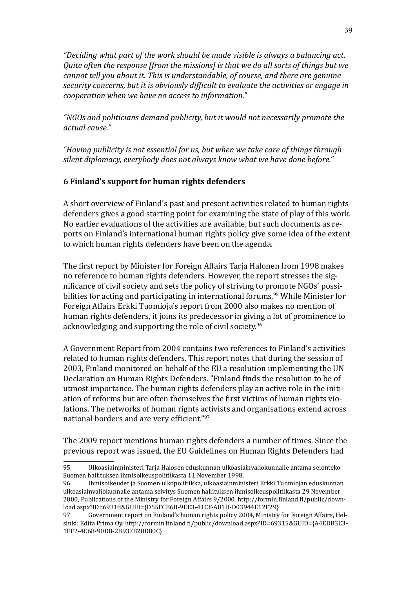*"Deciding what part of the work should be made visible is always a balancing act. Quite often the response [from the missions] is that we do all sorts of things but we cannot tell you about it. This is understandable, of course, and there are genuine security concerns, but it is obviously difficult to evaluate the activities or engage in cooperation when we have no access to information."*

*"NGOs and politicians demand publicity, but it would not necessarily promote the actual cause."*

*"Having publicity is not essential for us, but when we take care of things through silent diplomacy, everybody does not always know what we have done before."*

### **6 Finland's support for human rights defenders**

A short overview of Finland's past and present activities related to human rights defenders gives a good starting point for examining the state of play of this work. No earlier evaluations of the activities are available, but such documents as reports on Finland's international human rights policy give some idea of the extent to which human rights defenders have been on the agenda.

The first report by Minister for Foreign Affairs Tarja Halonen from 1998 makes no reference to human rights defenders. However, the report stresses the significance of civil society and sets the policy of striving to promote NGOs' possibilities for acting and participating in international forums.<sup>95</sup> While Minister for Foreign Affairs Erkki Tuomioja's report from 2000 also makes no mention of human rights defenders, it joins its predecessor in giving a lot of prominence to acknowledging and supporting the role of civil society.<sup>96</sup>

A Government Report from 2004 contains two references to Finland's activities related to human rights defenders. This report notes that during the session of 2003, Finland monitored on behalf of the EU a resolution implementing the UN Declaration on Human Rights Defenders. "Finland finds the resolution to be of utmost importance. The human rights defenders play an active role in the initiation of reforms but are often themselves the first victims of human rights violations. The networks of human rights activists and organisations extend across national borders and are very efficient."<sup>97</sup>

The 2009 report mentions human rights defenders a number of times. Since the previous report was issued, the EU Guidelines on Human Rights Defenders had

<sup>95</sup> Ulkoasiainministeri Tarja Halosen eduskunnan ulkoasiainvaliokunnalle antama selonteko Suomen hallituksen ihmisoikeuspolitiikasta 11 November 1998.

Ihmisoikeudet ja Suomen ulkopolitiikka, ulkoasiainministeri Erkki Tuomiojan eduskunnan ulkoasiainvaliokunnalle antama selvitys Suomen hallituksen ihmisoikeuspolitiikasta 29 November 2000, Publications of the Ministry for Foreign Affairs 9/2000. [http://formin.finland.fi/public/down](http://ulkoministerio.fi/public/default.aspx?contentid=324188&contentlan=1&culture=fi-FI)[load.aspx?ID=69318&GUID={](http://ulkoministerio.fi/public/default.aspx?contentid=324188&contentlan=1&culture=fi-FI)D55FCB6B-9EE3-41CF-A01D-D03944E12F29}

Government report on Finland's human rights policy 2004, Ministry for Foreign Affairs, Helsinki: Edita Prima Oy. [http://formin.finland.fi/public/download.aspx?ID=69315&GUID={A4EDB3C3-](http://formin.finland.fi/public/download.aspx?ID=69315&GUID=%7BA4EDB3C3-1FF2-4C68-90D8-2B937828D80C%7D) [1FF2-4C68-90D8-2B937828D80C}](http://formin.finland.fi/public/download.aspx?ID=69315&GUID=%7BA4EDB3C3-1FF2-4C68-90D8-2B937828D80C%7D)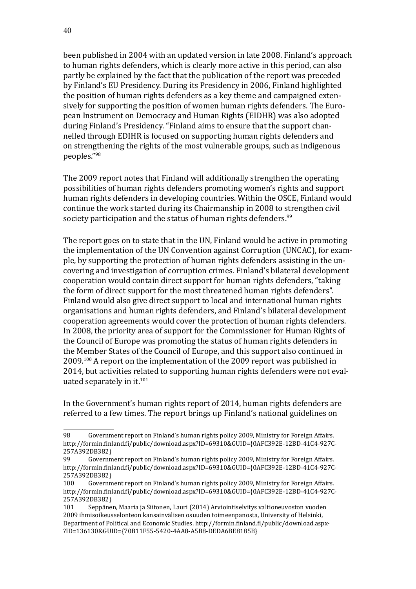been published in 2004 with an updated version in late 2008. Finland's approach to human rights defenders, which is clearly more active in this period, can also partly be explained by the fact that the publication of the report was preceded by Finland's EU Presidency. During its Presidency in 2006, Finland highlighted the position of human rights defenders as a key theme and campaigned extensively for supporting the position of women human rights defenders. The European Instrument on Democracy and Human Rights (EIDHR) was also adopted during Finland's Presidency. "Finland aims to ensure that the support channelled through EDIHR is focused on supporting human rights defenders and on strengthening the rights of the most vulnerable groups, such as indigenous peoples."<sup>98</sup>

The 2009 report notes that Finland will additionally strengthen the operating possibilities of human rights defenders promoting women's rights and support human rights defenders in developing countries. Within the OSCE, Finland would continue the work started during its Chairmanship in 2008 to strengthen civil society participation and the status of human rights defenders.<sup>99</sup>

The report goes on to state that in the UN, Finland would be active in promoting the implementation of the UN Convention against Corruption (UNCAC), for example, by supporting the protection of human rights defenders assisting in the uncovering and investigation of corruption crimes. Finland's bilateral development cooperation would contain direct support for human rights defenders, "taking the form of direct support for the most threatened human rights defenders". Finland would also give direct support to local and international human rights organisations and human rights defenders, and Finland's bilateral development cooperation agreements would cover the protection of human rights defenders. In 2008, the priority area of support for the Commissioner for Human Rights of the Council of Europe was promoting the status of human rights defenders in the Member States of the Council of Europe, and this support also continued in 2009.100 A report on the implementation of the 2009 report was published in 2014, but activities related to supporting human rights defenders were not evaluated separately in it.<sup>101</sup>

In the Government's human rights report of 2014, human rights defenders are referred to a few times. The report brings up Finland's national guidelines on

<sup>98</sup> Government report on Finland's human rights policy 2009, Ministry for Foreign Affairs. [http://formin.finland.fi/public/download.aspx?ID=69310&GUID=](http://formin.finland.fi/public/download.aspx?ID=69310&GUID=%7B0AFC392E-12BD-41C4-927C-257A392DB382%7D){0AFC392E-12BD-41C4-927C-257A392DB382}<br>99 Governn

<sup>99</sup> Government report on Finland's human rights policy 2009, Ministry for Foreign Affairs. [http://formin.finland.fi/public/download.aspx?ID=69310&GUID=](http://formin.finland.fi/public/download.aspx?ID=69310&GUID=%7B0AFC392E-12BD-41C4-927C-257A392DB382%7D){0AFC392E-12BD-41C4-927C-257A392DB382}<br>100 Governn

Government report on Finland's human rights policy 2009, Ministry for Foreign Affairs. [http://formin.finland.fi/public/download.aspx?ID=69310&GUID=](http://formin.finland.fi/public/download.aspx?ID=69310&GUID=%7B0AFC392E-12BD-41C4-927C-257A392DB382%7D){0AFC392E-12BD-41C4-927C-257A392DB382}<br>101 Seppäne

Seppänen, Maaria ja Siitonen, Lauri (2014) Arviointiselvitys valtioneuvoston vuoden 2009 ihmisoikeusselonteon kansainvälisen osuuden toimeenpanosta, University of Helsinki, Department of Political and Economic Studies. [http://formin.finland.fi/public/download.aspx](http://formin.finland.fi/public/download.aspx?ID=136130&GUID=%7B70B11F55-5420-4AA8-A5B8-DEDA6BE8185B%7D)- [?ID=136130&GUID=](http://formin.finland.fi/public/download.aspx?ID=136130&GUID=%7B70B11F55-5420-4AA8-A5B8-DEDA6BE8185B%7D){70B11F55-5420-4AA8-A5B8-DEDA6BE8185B}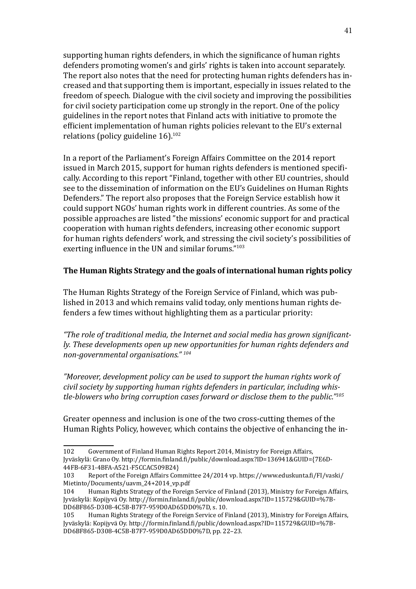supporting human rights defenders, in which the significance of human rights defenders promoting women's and girls' rights is taken into account separately. The report also notes that the need for protecting human rights defenders has increased and that supporting them is important, especially in issues related to the freedom of speech. Dialogue with the civil society and improving the possibilities for civil society participation come up strongly in the report. One of the policy guidelines in the report notes that Finland acts with initiative to promote the efficient implementation of human rights policies relevant to the EU's external relations (policy guideline  $16$ ).<sup>102</sup>

In a report of the Parliament's Foreign Affairs Committee on the 2014 report issued in March 2015, support for human rights defenders is mentioned specifically. According to this report "Finland, together with other EU countries, should see to the dissemination of information on the EU's Guidelines on Human Rights Defenders." The report also proposes that the Foreign Service establish how it could support NGOs' human rights work in different countries. As some of the possible approaches are listed "the missions' economic support for and practical cooperation with human rights defenders, increasing other economic support for human rights defenders' work, and stressing the civil society's possibilities of exerting influence in the UN and similar forums."<sup>103</sup>

#### **The Human Rights Strategy and the goals of international human rights policy**

The Human Rights Strategy of the Foreign Service of Finland, which was published in 2013 and which remains valid today, only mentions human rights defenders a few times without highlighting them as a particular priority:

*"The role of traditional media, the Internet and social media has grown significantly. These developments open up new opportunities for human rights defenders and non-governmental organisations." 104*

*"Moreover, development policy can be used to support the human rights work of civil society by supporting human rights defenders in particular, including whistle-blowers who bring corruption cases forward or disclose them to the public."105*

Greater openness and inclusion is one of the two cross-cutting themes of the Human Rights Policy, however, which contains the objective of enhancing the in-

<sup>102</sup> Government of Finland Human Rights Report 2014, Ministry for Foreign Affairs, Jyväskylä: Grano Oy. [http://formin.finland.fi/public/download.aspx?ID=136941&GUID=](http://formin.finland.fi/public/download.aspx?ID=136941&GUID=%7B7E6D44FB-6F31-4BFA-A521-F5CCAC509B24%7D){7E6D-44FB-6F31-4BFA-A521-F5CCAC509B24}

<sup>103</sup> Report of the Foreign Affairs Committee 24/2014 vp. [https://www.eduskunta.fi/FI/vaski/](https://www.eduskunta.fi/FI/vaski/Mietinto/Documents/uavm_24+2014_vp.pdf) [Mietinto/Documents/uavm\\_24+2014\\_vp.pdf](https://www.eduskunta.fi/FI/vaski/Mietinto/Documents/uavm_24+2014_vp.pdf)<br>104 Human Rights Strategy of the Foreign

<sup>.&</sup>lt;br>Human Rights Strategy of the Foreign Service of Finland (2013), Ministry for Foreign Affairs, Jyväskylä: Kopijyvä Oy. [http://formin.finland.fi/public/download.aspx?ID=115729&GUID=%7B](http://formin.finland.fi/public/download.aspx?ID=115729&GUID=%7BDD6BF865-D308-4C5B-B7F7-959D0AD65DD0%7D)-[DD6BF865-D308-4C5B-B7F7-959D0AD65DD0%7D,](http://formin.finland.fi/public/download.aspx?ID=115729&GUID=%7BDD6BF865-D308-4C5B-B7F7-959D0AD65DD0%7D) s. 10.

Human Rights Strategy of the Foreign Service of Finland (2013), Ministry for Foreign Affairs, Jyväskylä: Kopijyvä Oy. [http://formin.finland.fi/public/download.aspx?ID=115729&GUID=%7B](http://formin.finland.fi/public/download.aspx?ID=115729&GUID=%7BDD6BF865-D308-4C5B-B7F7-959D0AD65DD0%7D)-[DD6BF865-D308-4C5B-B7F7-959D0AD65DD0%7D,](http://formin.finland.fi/public/download.aspx?ID=115729&GUID=%7BDD6BF865-D308-4C5B-B7F7-959D0AD65DD0%7D) pp. 22–23.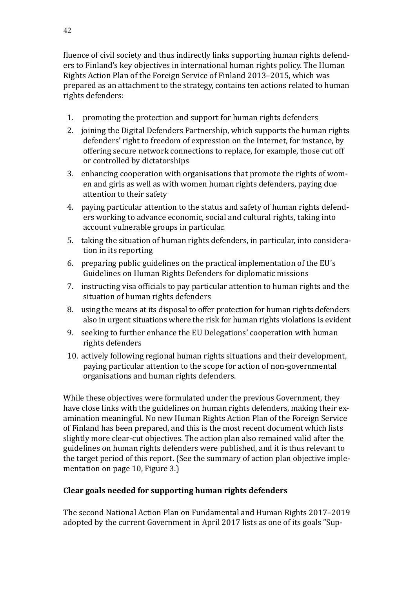fluence of civil society and thus indirectly links supporting human rights defenders to Finland's key objectives in international human rights policy. The Human Rights Action Plan of the Foreign Service of Finland 2013–2015, which was prepared as an attachment to the strategy, contains ten actions related to human rights defenders:

- 1. promoting the protection and support for human rights defenders
- 2. joining the Digital Defenders Partnership, which supports the human rights defenders' right to freedom of expression on the Internet, for instance, by offering secure network connections to replace, for example, those cut off or controlled by dictatorships
- 3. enhancing cooperation with organisations that promote the rights of women and girls as well as with women human rights defenders, paying due attention to their safety
- 4. paying particular attention to the status and safety of human rights defenders working to advance economic, social and cultural rights, taking into account vulnerable groups in particular.
- 5. taking the situation of human rights defenders, in particular, into consideration in its reporting
- 6. preparing public guidelines on the practical implementation of the EU´s Guidelines on Human Rights Defenders for diplomatic missions
- 7. instructing visa officials to pay particular attention to human rights and the situation of human rights defenders
- 8. using the means at its disposal to offer protection for human rights defenders also in urgent situations where the risk for human rights violations is evident
- 9. seeking to further enhance the EU Delegations' cooperation with human rights defenders
- 10. actively following regional human rights situations and their development, paying particular attention to the scope for action of non-governmental organisations and human rights defenders.

While these objectives were formulated under the previous Government, they have close links with the guidelines on human rights defenders, making their examination meaningful. No new Human Rights Action Plan of the Foreign Service of Finland has been prepared, and this is the most recent document which lists slightly more clear-cut objectives. The action plan also remained valid after the guidelines on human rights defenders were published, and it is thus relevant to the target period of this report. (See the summary of action plan objective implementation on page 10, Figure 3.)

# **Clear goals needed for supporting human rights defenders**

The second National Action Plan on Fundamental and Human Rights 2017–2019 adopted by the current Government in April 2017 lists as one of its goals "Sup-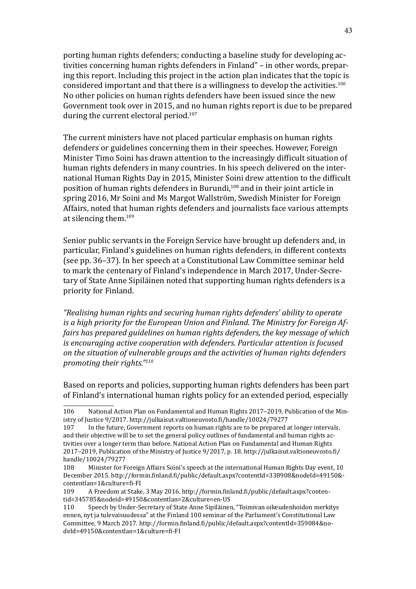porting human rights defenders; conducting a baseline study for developing activities concerning human rights defenders in Finland" – in other words, preparing this report. Including this project in the action plan indicates that the topic is considered important and that there is a willingness to develop the activities.<sup>106</sup> No other policies on human rights defenders have been issued since the new Government took over in 2015, and no human rights report is due to be prepared during the current electoral period.<sup>107</sup>

The current ministers have not placed particular emphasis on human rights defenders or guidelines concerning them in their speeches. However, Foreign Minister Timo Soini has drawn attention to the increasingly difficult situation of human rights defenders in many countries. In his speech delivered on the international Human Rights Day in 2015, Minister Soini drew attention to the difficult position of human rights defenders in Burundi,<sup>108</sup> and in their joint article in spring 2016, Mr Soini and Ms Margot Wallström, Swedish Minister for Foreign Affairs, noted that human rights defenders and journalists face various attempts at silencing them.<sup>109</sup>

Senior public servants in the Foreign Service have brought up defenders and, in particular, Finland's guidelines on human rights defenders, in different contexts (see pp. 36–37). In her speech at a Constitutional Law Committee seminar held to mark the centenary of Finland's independence in March 2017, Under-Secretary of State Anne Sipiläinen noted that supporting human rights defenders is a priority for Finland.

*"Realising human rights and securing human rights defenders' ability to operate is a high priority for the European Union and Finland. The Ministry for Foreign Affairs has prepared guidelines on human rights defenders, the key message of which is encouraging active cooperation with defenders. Particular attention is focused on the situation of vulnerable groups and the activities of human rights defenders promoting their rights."110*

Based on reports and policies, supporting human rights defenders has been part of Finland's international human rights policy for an extended period, especially

<sup>106</sup> National Action Plan on Fundamental and Human Rights 2017–2019, Publication of the Ministry of Justice 9/2017.<http://julkaisut.valtioneuvosto.fi/handle/10024/79277>

In the future, Government reports on human rights are to be prepared at longer intervals, and their objective will be to set the general policy outlines of fundamental and human rights activities over a longer term than before. National Action Plan on Fundamental and Human Rights 2017–2019, Publication of the Ministry of Justice 9/2017, p. 18. [http://julkaisut.valtioneuvosto.fi/](http://julkaisut.valtioneuvosto.fi/handle/10024/79277) [handle/10024/79277](http://julkaisut.valtioneuvosto.fi/handle/10024/79277)<br>108 Minister for F

<sup>108</sup> Minister for Foreign Affairs Soini's speech at the international Human Rights Day event, 10 December 2015. [http://formin.finland.fi/public/default.aspx?contentId=338908&nodeId=49150&](http://formin.finland.fi/public/default.aspx?contentid=345785&nodeid=49150&contentlan=2&culture=en-US) [contentlan=1&culture=fi-FI](http://formin.finland.fi/public/default.aspx?contentid=345785&nodeid=49150&contentlan=2&culture=en-US)

<sup>109</sup> A Freedom at Stake, 3 May 2016. [http://formin.finland.fi/public/default.aspx?conten](http://formin.finland.fi/public/default.aspx?contentid=345785&nodeid=49150&contentlan=2&culture=en-US)[tid=345785&nodeid=49150&contentlan=2&culture=en-US](http://formin.finland.fi/public/default.aspx?contentid=345785&nodeid=49150&contentlan=2&culture=en-US)

Speech by Under-Secretary of State Anne Sipiläinen, "Toimivan oikeudenhoidon merkitys ennen, nyt ja tulevaisuudessa" at the Finland 100 seminar of the Parliament's Constitutional Law Committee, 9 March 2017. [http://formin.finland.fi/public/default.aspx?contentId=359084&no](http://formin.finland.fi/public/default.aspx?contentId=359084&nodeId=49150&contentlan=1&culture=fi-FI)[deId=49150&contentlan=1&culture=fi-FI](http://formin.finland.fi/public/default.aspx?contentId=359084&nodeId=49150&contentlan=1&culture=fi-FI)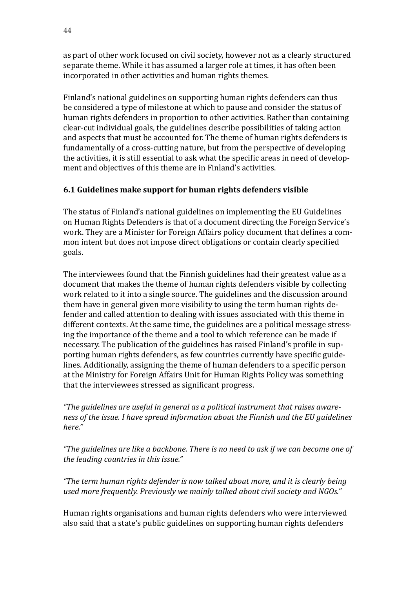as part of other work focused on civil society, however not as a clearly structured separate theme. While it has assumed a larger role at times, it has often been incorporated in other activities and human rights themes.

Finland's national guidelines on supporting human rights defenders can thus be considered a type of milestone at which to pause and consider the status of human rights defenders in proportion to other activities. Rather than containing clear-cut individual goals, the guidelines describe possibilities of taking action and aspects that must be accounted for. The theme of human rights defenders is fundamentally of a cross-cutting nature, but from the perspective of developing the activities, it is still essential to ask what the specific areas in need of development and objectives of this theme are in Finland's activities.

# **6.1 Guidelines make support for human rights defenders visible**

The status of Finland's national guidelines on implementing the EU Guidelines on Human Rights Defenders is that of a document directing the Foreign Service's work. They are a Minister for Foreign Affairs policy document that defines a common intent but does not impose direct obligations or contain clearly specified goals.

The interviewees found that the Finnish guidelines had their greatest value as a document that makes the theme of human rights defenders visible by collecting work related to it into a single source. The guidelines and the discussion around them have in general given more visibility to using the term human rights defender and called attention to dealing with issues associated with this theme in different contexts. At the same time, the guidelines are a political message stressing the importance of the theme and a tool to which reference can be made if necessary. The publication of the guidelines has raised Finland's profile in supporting human rights defenders, as few countries currently have specific guidelines. Additionally, assigning the theme of human defenders to a specific person at the Ministry for Foreign Affairs Unit for Human Rights Policy was something that the interviewees stressed as significant progress.

*"The guidelines are useful in general as a political instrument that raises awareness of the issue. I have spread information about the Finnish and the EU guidelines here."*

*"The guidelines are like a backbone. There is no need to ask if we can become one of the leading countries in this issue."*

*"The term human rights defender is now talked about more, and it is clearly being used more frequently. Previously we mainly talked about civil society and NGOs."*

Human rights organisations and human rights defenders who were interviewed also said that a state's public guidelines on supporting human rights defenders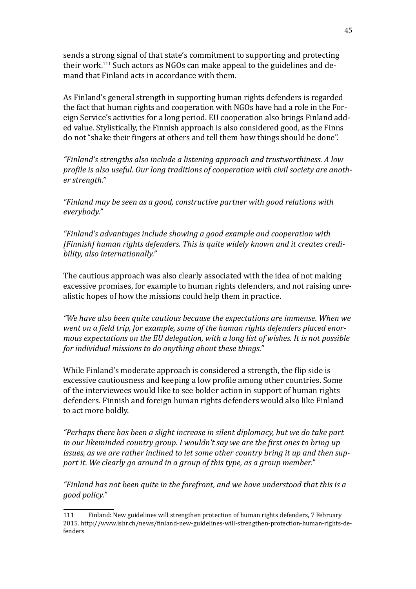sends a strong signal of that state's commitment to supporting and protecting their work.<sup>111</sup> Such actors as NGOs can make appeal to the guidelines and demand that Finland acts in accordance with them.

As Finland's general strength in supporting human rights defenders is regarded the fact that human rights and cooperation with NGOs have had a role in the Foreign Service's activities for a long period. EU cooperation also brings Finland added value. Stylistically, the Finnish approach is also considered good, as the Finns do not "shake their fingers at others and tell them how things should be done".

*"Finland's strengths also include a listening approach and trustworthiness. A low profile is also useful. Our long traditions of cooperation with civil society are another strength."*

*"Finland may be seen as a good, constructive partner with good relations with everybody."*

*"Finland's advantages include showing a good example and cooperation with [Finnish] human rights defenders. This is quite widely known and it creates credibility, also internationally."*

The cautious approach was also clearly associated with the idea of not making excessive promises, for example to human rights defenders, and not raising unrealistic hopes of how the missions could help them in practice.

*"We have also been quite cautious because the expectations are immense. When we went on a field trip, for example, some of the human rights defenders placed enormous expectations on the EU delegation, with a long list of wishes. It is not possible for individual missions to do anything about these things."*

While Finland's moderate approach is considered a strength, the flip side is excessive cautiousness and keeping a low profile among other countries. Some of the interviewees would like to see bolder action in support of human rights defenders. Finnish and foreign human rights defenders would also like Finland to act more boldly.

*"Perhaps there has been a slight increase in silent diplomacy, but we do take part in our likeminded country group. I wouldn't say we are the first ones to bring up issues, as we are rather inclined to let some other country bring it up and then support it. We clearly go around in a group of this type, as a group member."*

*"Finland has not been quite in the forefront, and we have understood that this is a good policy."*

<sup>111</sup> Finland: New guidelines will strengthen protection of human rights defenders, 7 February 2015. [http://www.ishr.ch/news/finland-new-guidelines-will-strengthen-protection-human-rights-de](http://www.ishr.ch/news/finland-new-guidelines-will-strengthen-protection-human-rights-defenders)[fenders](http://www.ishr.ch/news/finland-new-guidelines-will-strengthen-protection-human-rights-defenders)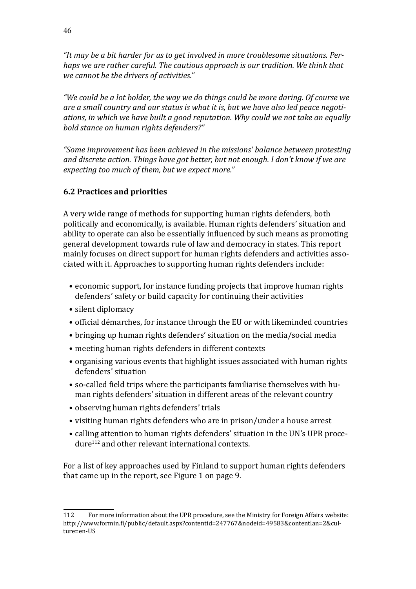*"It may be a bit harder for us to get involved in more troublesome situations. Perhaps we are rather careful. The cautious approach is our tradition. We think that we cannot be the drivers of activities."*

*"We could be a lot bolder, the way we do things could be more daring. Of course we are a small country and our status is what it is, but we have also led peace negotiations, in which we have built a good reputation. Why could we not take an equally bold stance on human rights defenders?"*

*"Some improvement has been achieved in the missions' balance between protesting and discrete action. Things have got better, but not enough. I don't know if we are expecting too much of them, but we expect more."*

### **6.2 Practices and priorities**

A very wide range of methods for supporting human rights defenders, both politically and economically, is available. Human rights defenders' situation and ability to operate can also be essentially influenced by such means as promoting general development towards rule of law and democracy in states. This report mainly focuses on direct support for human rights defenders and activities associated with it. Approaches to supporting human rights defenders include:

- economic support, for instance funding projects that improve human rights defenders' safety or build capacity for continuing their activities
- silent diplomacy
- official démarches, for instance through the EU or with likeminded countries
- bringing up human rights defenders' situation on the media/social media
- meeting human rights defenders in different contexts
- organising various events that highlight issues associated with human rights defenders' situation
- so-called field trips where the participants familiarise themselves with human rights defenders' situation in different areas of the relevant country
- observing human rights defenders' trials
- visiting human rights defenders who are in prison/under a house arrest
- calling attention to human rights defenders' situation in the UN's UPR procedure112 and other relevant international contexts.

For a list of key approaches used by Finland to support human rights defenders that came up in the report, see Figure 1 on page 9.

<sup>112</sup> For more information about the UPR procedure, see the Ministry for Foreign Affairs website: [http://www.formin.fi/public/default.aspx?contentid=247767&nodeid=49583&contentlan=2&cul](http://www.formin.fi/public/default.aspx?contentid=247767&nodeid=49583&contentlan=2&culture=en-US)[ture=en-US](http://www.formin.fi/public/default.aspx?contentid=247767&nodeid=49583&contentlan=2&culture=en-US)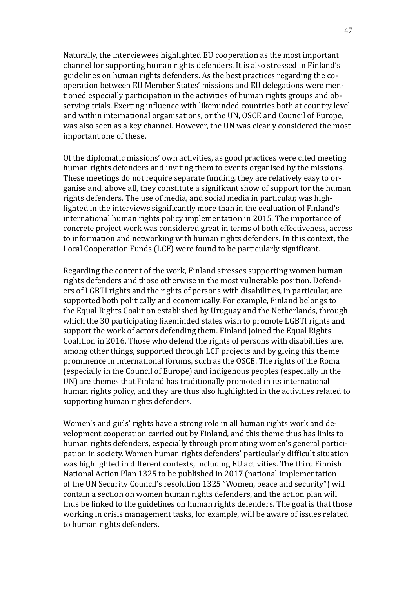Naturally, the interviewees highlighted EU cooperation as the most important channel for supporting human rights defenders. It is also stressed in Finland's guidelines on human rights defenders. As the best practices regarding the cooperation between EU Member States' missions and EU delegations were mentioned especially participation in the activities of human rights groups and observing trials. Exerting influence with likeminded countries both at country level and within international organisations, or the UN, OSCE and Council of Europe, was also seen as a key channel. However, the UN was clearly considered the most important one of these.

Of the diplomatic missions' own activities, as good practices were cited meeting human rights defenders and inviting them to events organised by the missions. These meetings do not require separate funding, they are relatively easy to organise and, above all, they constitute a significant show of support for the human rights defenders. The use of media, and social media in particular, was highlighted in the interviews significantly more than in the evaluation of Finland's international human rights policy implementation in 2015. The importance of concrete project work was considered great in terms of both effectiveness, access to information and networking with human rights defenders. In this context, the Local Cooperation Funds (LCF) were found to be particularly significant.

Regarding the content of the work, Finland stresses supporting women human rights defenders and those otherwise in the most vulnerable position. Defenders of LGBTI rights and the rights of persons with disabilities, in particular, are supported both politically and economically. For example, Finland belongs to the Equal Rights Coalition established by Uruguay and the Netherlands, through which the 30 participating likeminded states wish to promote LGBTI rights and support the work of actors defending them. Finland joined the Equal Rights Coalition in 2016. Those who defend the rights of persons with disabilities are, among other things, supported through LCF projects and by giving this theme prominence in international forums, such as the OSCE. The rights of the Roma (especially in the Council of Europe) and indigenous peoples (especially in the UN) are themes that Finland has traditionally promoted in its international human rights policy, and they are thus also highlighted in the activities related to supporting human rights defenders.

Women's and girls' rights have a strong role in all human rights work and development cooperation carried out by Finland, and this theme thus has links to human rights defenders, especially through promoting women's general participation in society. Women human rights defenders' particularly difficult situation was highlighted in different contexts, including EU activities. The third Finnish National Action Plan 1325 to be published in 2017 (national implementation of the UN Security Council's resolution 1325 "Women, peace and security") will contain a section on women human rights defenders, and the action plan will thus be linked to the guidelines on human rights defenders. The goal is that those working in crisis management tasks, for example, will be aware of issues related to human rights defenders.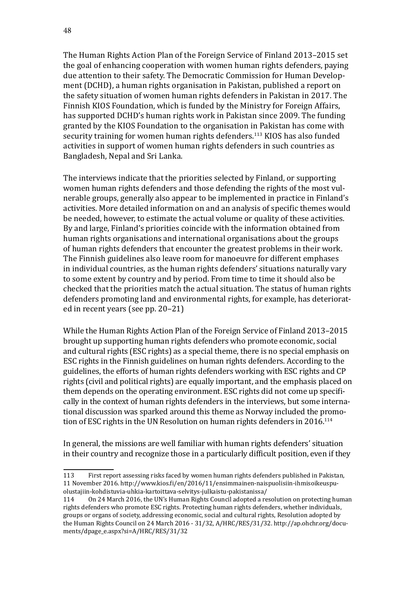The Human Rights Action Plan of the Foreign Service of Finland 2013–2015 set the goal of enhancing cooperation with women human rights defenders, paying due attention to their safety. The Democratic Commission for Human Development (DCHD), a human rights organisation in Pakistan, published a report on the safety situation of women human rights defenders in Pakistan in 2017. The Finnish KIOS Foundation, which is funded by the Ministry for Foreign Affairs, has supported DCHD's human rights work in Pakistan since 2009. The funding granted by the KIOS Foundation to the organisation in Pakistan has come with security training for women human rights defenders.<sup>113</sup> KIOS has also funded activities in support of women human rights defenders in such countries as Bangladesh, Nepal and Sri Lanka.

The interviews indicate that the priorities selected by Finland, or supporting women human rights defenders and those defending the rights of the most vulnerable groups, generally also appear to be implemented in practice in Finland's activities. More detailed information on and an analysis of specific themes would be needed, however, to estimate the actual volume or quality of these activities. By and large, Finland's priorities coincide with the information obtained from human rights organisations and international organisations about the groups of human rights defenders that encounter the greatest problems in their work. The Finnish guidelines also leave room for manoeuvre for different emphases in individual countries, as the human rights defenders' situations naturally vary to some extent by country and by period. From time to time it should also be checked that the priorities match the actual situation. The status of human rights defenders promoting land and environmental rights, for example, has deteriorated in recent years (see pp. 20–21)

While the Human Rights Action Plan of the Foreign Service of Finland 2013–2015 brought up supporting human rights defenders who promote economic, social and cultural rights (ESC rights) as a special theme, there is no special emphasis on ESC rights in the Finnish guidelines on human rights defenders. According to the guidelines, the efforts of human rights defenders working with ESC rights and CP rights (civil and political rights) are equally important, and the emphasis placed on them depends on the operating environment. ESC rights did not come up specifically in the context of human rights defenders in the interviews, but some international discussion was sparked around this theme as Norway included the promotion of ESC rights in the UN Resolution on human rights defenders in 2016.<sup>114</sup>

In general, the missions are well familiar with human rights defenders' situation in their country and recognize those in a particularly difficult position, even if they

<sup>113</sup> First report assessing risks faced by women human rights defenders published in Pakistan, 11 November 2016. [http://www.kios.fi/en/2016/11/ensimmainen-naispuolisiin-ihmisoikeuspu](http://www.kios.fi/en/2016/11/ensimmainen-naispuolisiin-ihmisoikeuspuolustajiin-kohdistuvia-uhkia-kartoittava-selvitys-julkaistu-pakistanissa/)[olustajiin-kohdistuvia-uhkia-kartoittava-selvitys-julkaistu-pakistanissa/](http://www.kios.fi/en/2016/11/ensimmainen-naispuolisiin-ihmisoikeuspuolustajiin-kohdistuvia-uhkia-kartoittava-selvitys-julkaistu-pakistanissa/)

<sup>114</sup> On 24 March 2016, the UN's Human Rights Council adopted a resolution on protecting human rights defenders who promote ESC rights. Protecting human rights defenders, whether individuals, groups or organs of society, addressing economic, social and cultural rights, Resolution adopted by the Human Rights Council on 24 March 2016 - 31/32, A/HRC/RES/31/32. [http://ap.ohchr.org/docu](http://ap.ohchr.org/documents/dpage_e.aspx?si=A/HRC/RES/31/32)[ments/dpage\\_e.aspx?si=A/HRC/RES/31/32](http://ap.ohchr.org/documents/dpage_e.aspx?si=A/HRC/RES/31/32)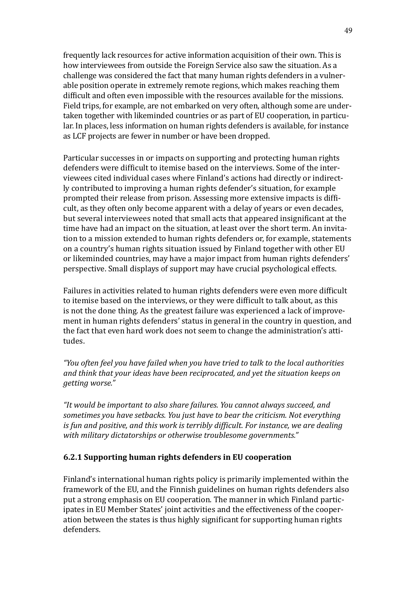frequently lack resources for active information acquisition of their own. This is how interviewees from outside the Foreign Service also saw the situation. As a challenge was considered the fact that many human rights defenders in a vulnerable position operate in extremely remote regions, which makes reaching them difficult and often even impossible with the resources available for the missions. Field trips, for example, are not embarked on very often, although some are undertaken together with likeminded countries or as part of EU cooperation, in particular. In places, less information on human rights defenders is available, for instance as LCF projects are fewer in number or have been dropped.

Particular successes in or impacts on supporting and protecting human rights defenders were difficult to itemise based on the interviews. Some of the interviewees cited individual cases where Finland's actions had directly or indirectly contributed to improving a human rights defender's situation, for example prompted their release from prison. Assessing more extensive impacts is difficult, as they often only become apparent with a delay of years or even decades, but several interviewees noted that small acts that appeared insignificant at the time have had an impact on the situation, at least over the short term. An invitation to a mission extended to human rights defenders or, for example, statements on a country's human rights situation issued by Finland together with other EU or likeminded countries, may have a major impact from human rights defenders' perspective. Small displays of support may have crucial psychological effects.

Failures in activities related to human rights defenders were even more difficult to itemise based on the interviews, or they were difficult to talk about, as this is not the done thing. As the greatest failure was experienced a lack of improvement in human rights defenders' status in general in the country in question, and the fact that even hard work does not seem to change the administration's attitudes.

*"You often feel you have failed when you have tried to talk to the local authorities and think that your ideas have been reciprocated, and yet the situation keeps on getting worse."*

*"It would be important to also share failures. You cannot always succeed, and sometimes you have setbacks. You just have to bear the criticism. Not everything is fun and positive, and this work is terribly difficult. For instance, we are dealing with military dictatorships or otherwise troublesome governments."* 

#### **6.2.1 Supporting human rights defenders in EU cooperation**

Finland's international human rights policy is primarily implemented within the framework of the EU, and the Finnish guidelines on human rights defenders also put a strong emphasis on EU cooperation. The manner in which Finland participates in EU Member States' joint activities and the effectiveness of the cooperation between the states is thus highly significant for supporting human rights defenders.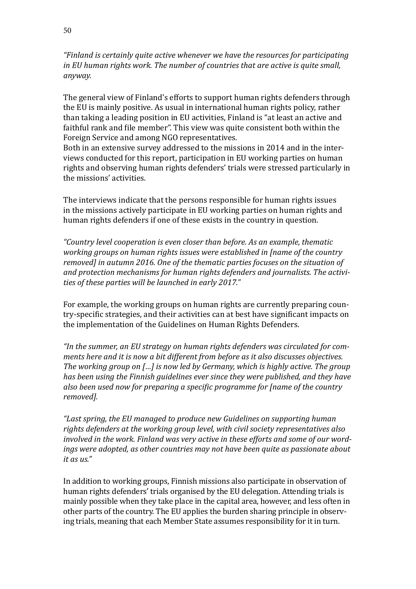*"Finland is certainly quite active whenever we have the resources for participating in EU human rights work. The number of countries that are active is quite small, anyway.*

The general view of Finland's efforts to support human rights defenders through the EU is mainly positive. As usual in international human rights policy, rather than taking a leading position in EU activities, Finland is "at least an active and faithful rank and file member". This view was quite consistent both within the Foreign Service and among NGO representatives.

Both in an extensive survey addressed to the missions in 2014 and in the interviews conducted for this report, participation in EU working parties on human rights and observing human rights defenders' trials were stressed particularly in the missions' activities.

The interviews indicate that the persons responsible for human rights issues in the missions actively participate in EU working parties on human rights and human rights defenders if one of these exists in the country in question.

*"Country level cooperation is even closer than before. As an example, thematic working groups on human rights issues were established in [name of the country removed] in autumn 2016. One of the thematic parties focuses on the situation of and protection mechanisms for human rights defenders and journalists. The activities of these parties will be launched in early 2017."* 

For example, the working groups on human rights are currently preparing country-specific strategies, and their activities can at best have significant impacts on the implementation of the Guidelines on Human Rights Defenders.

*"In the summer, an EU strategy on human rights defenders was circulated for comments here and it is now a bit different from before as it also discusses objectives. The working group on […] is now led by Germany, which is highly active. The group has been using the Finnish guidelines ever since they were published, and they have also been used now for preparing a specific programme for [name of the country removed].*

*"Last spring, the EU managed to produce new Guidelines on supporting human rights defenders at the working group level, with civil society representatives also involved in the work. Finland was very active in these efforts and some of our wordings were adopted, as other countries may not have been quite as passionate about it as us."*

In addition to working groups, Finnish missions also participate in observation of human rights defenders' trials organised by the EU delegation. Attending trials is mainly possible when they take place in the capital area, however, and less often in other parts of the country. The EU applies the burden sharing principle in observing trials, meaning that each Member State assumes responsibility for it in turn.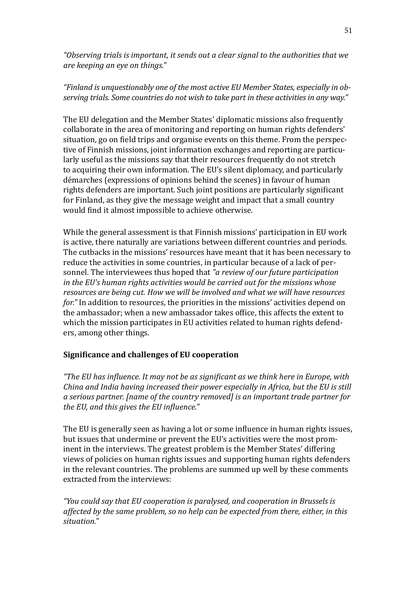*"Observing trials is important, it sends out a clear signal to the authorities that we are keeping an eye on things."*

### *"Finland is unquestionably one of the most active EU Member States, especially in observing trials. Some countries do not wish to take part in these activities in any way."*

The EU delegation and the Member States' diplomatic missions also frequently collaborate in the area of monitoring and reporting on human rights defenders' situation, go on field trips and organise events on this theme. From the perspective of Finnish missions, joint information exchanges and reporting are particularly useful as the missions say that their resources frequently do not stretch to acquiring their own information. The EU's silent diplomacy, and particularly démarches (expressions of opinions behind the scenes) in favour of human rights defenders are important. Such joint positions are particularly significant for Finland, as they give the message weight and impact that a small country would find it almost impossible to achieve otherwise.

While the general assessment is that Finnish missions' participation in EU work is active, there naturally are variations between different countries and periods. The cutbacks in the missions' resources have meant that it has been necessary to reduce the activities in some countries, in particular because of a lack of personnel. The interviewees thus hoped that *"a review of our future participation in the EU's human rights activities would be carried out for the missions whose resources are being cut. How we will be involved and what we will have resources for."* In addition to resources, the priorities in the missions' activities depend on the ambassador; when a new ambassador takes office, this affects the extent to which the mission participates in EU activities related to human rights defenders, among other things.

### **Significance and challenges of EU cooperation**

*"The EU has influence. It may not be as significant as we think here in Europe, with China and India having increased their power especially in Africa, but the EU is still a serious partner. [name of the country removed] is an important trade partner for the EU, and this gives the EU influence."*

The EU is generally seen as having a lot or some influence in human rights issues, but issues that undermine or prevent the EU's activities were the most prominent in the interviews. The greatest problem is the Member States' differing views of policies on human rights issues and supporting human rights defenders in the relevant countries. The problems are summed up well by these comments extracted from the interviews:

*"You could say that EU cooperation is paralysed, and cooperation in Brussels is affected by the same problem, so no help can be expected from there, either, in this situation."*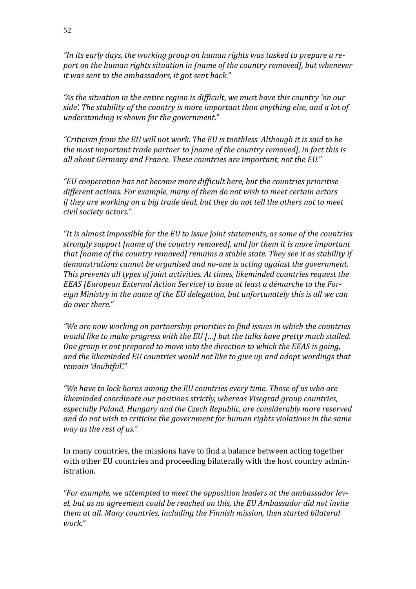*"In its early days, the working group on human rights was tasked to prepare a report on the human rights situation in [name of the country removed], but whenever it was sent to the ambassadors, it got sent back."*

*"As the situation in the entire region is difficult, we must have this country 'on our side'. The stability of the country is more important than anything else, and a lot of understanding is shown for the government."*

*"Criticism from the EU will not work. The EU is toothless. Although it is said to be the most important trade partner to [name of the country removed], in fact this is all about Germany and France. These countries are important, not the EU."*

*"EU cooperation has not become more difficult here, but the countries prioritise different actions. For example, many of them do not wish to meet certain actors if they are working on a big trade deal, but they do not tell the others not to meet civil society actors."*

*"It is almost impossible for the EU to issue joint statements, as some of the countries strongly support [name of the country removed], and for them it is more important that [name of the country removed] remains a stable state. They see it as stability if demonstrations cannot be organised and no-one is acting against the government. This prevents all types of joint activities. At times, likeminded countries request the EEAS [European External Action Service] to issue at least a démarche to the Foreign Ministry in the name of the EU delegation, but unfortunately this is all we can do over there."*

*"We are now working on partnership priorities to find issues in which the countries would like to make progress with the EU […] but the talks have pretty much stalled. One group is not prepared to move into the direction to which the EEAS is going, and the likeminded EU countries would not like to give up and adopt wordings that remain 'doubtful'."*

*"We have to lock horns among the EU countries every time. Those of us who are likeminded coordinate our positions strictly, whereas Visegrad group countries, especially Poland, Hungary and the Czech Republic, are considerably more reserved and do not wish to criticise the government for human rights violations in the same way as the rest of us."* 

In many countries, the missions have to find a balance between acting together with other EU countries and proceeding bilaterally with the host country administration.

*"For example, we attempted to meet the opposition leaders at the ambassador level, but as no agreement could be reached on this, the EU Ambassador did not invite them at all. Many countries, including the Finnish mission, then started bilateral work."*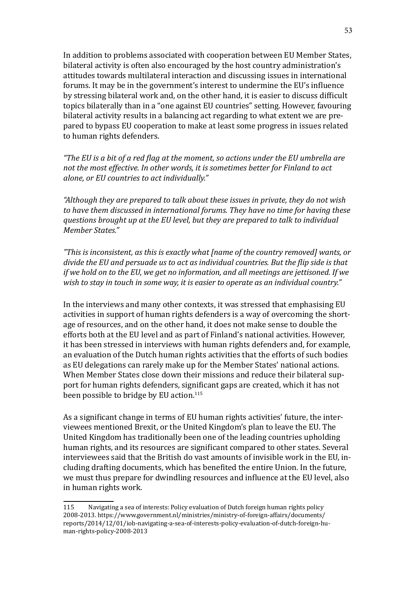In addition to problems associated with cooperation between EU Member States, bilateral activity is often also encouraged by the host country administration's attitudes towards multilateral interaction and discussing issues in international forums. It may be in the government's interest to undermine the EU's influence by stressing bilateral work and, on the other hand, it is easier to discuss difficult topics bilaterally than in a "one against EU countries" setting. However, favouring bilateral activity results in a balancing act regarding to what extent we are prepared to bypass EU cooperation to make at least some progress in issues related to human rights defenders.

*"The EU is a bit of a red flag at the moment, so actions under the EU umbrella are not the most effective. In other words, it is sometimes better for Finland to act alone, or EU countries to act individually."*

*"Although they are prepared to talk about these issues in private, they do not wish to have them discussed in international forums. They have no time for having these questions brought up at the EU level, but they are prepared to talk to individual Member States."*

*"This is inconsistent, as this is exactly what [name of the country removed] wants, or divide the EU and persuade us to act as individual countries. But the flip side is that if we hold on to the EU, we get no information, and all meetings are jettisoned. If we wish to stay in touch in some way, it is easier to operate as an individual country."*

In the interviews and many other contexts, it was stressed that emphasising EU activities in support of human rights defenders is a way of overcoming the shortage of resources, and on the other hand, it does not make sense to double the efforts both at the EU level and as part of Finland's national activities. However, it has been stressed in interviews with human rights defenders and, for example, an evaluation of the Dutch human rights activities that the efforts of such bodies as EU delegations can rarely make up for the Member States' national actions. When Member States close down their missions and reduce their bilateral support for human rights defenders, significant gaps are created, which it has not been possible to bridge by EU action.<sup>115</sup>

As a significant change in terms of EU human rights activities' future, the interviewees mentioned Brexit, or the United Kingdom's plan to leave the EU. The United Kingdom has traditionally been one of the leading countries upholding human rights, and its resources are significant compared to other states. Several interviewees said that the British do vast amounts of invisible work in the EU, including drafting documents, which has benefited the entire Union. In the future, we must thus prepare for dwindling resources and influence at the EU level, also in human rights work.

<sup>115</sup> Navigating a sea of interests: Policy evaluation of Dutch foreign human rights policy 2008-2013. [https://www.government.nl/ministries/ministry-of-foreign-affairs/documents/](https://www.government.nl/ministries/ministry-of-foreign-affairs/documents/reports/2014/12/01/iob-navigating-a-sea-of-interests-policy-evaluation-of-dutch-foreign-human-rights-policy-2008-2013) [reports/2014/12/01/iob-navigating-a-sea-of-interests-policy-evaluation-of-dutch-foreign-hu](https://www.government.nl/ministries/ministry-of-foreign-affairs/documents/reports/2014/12/01/iob-navigating-a-sea-of-interests-policy-evaluation-of-dutch-foreign-human-rights-policy-2008-2013)[man-rights-policy-2008-2013](https://www.government.nl/ministries/ministry-of-foreign-affairs/documents/reports/2014/12/01/iob-navigating-a-sea-of-interests-policy-evaluation-of-dutch-foreign-human-rights-policy-2008-2013)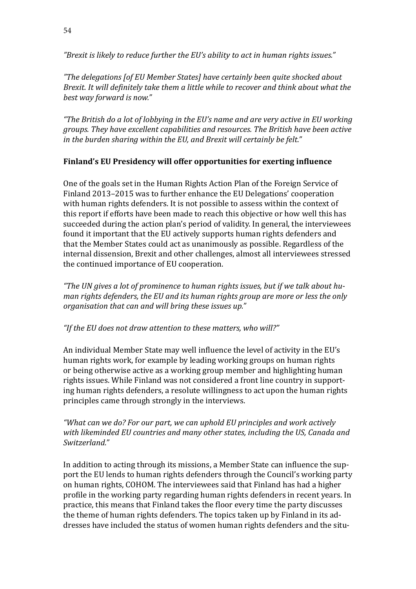*"Brexit is likely to reduce further the EU's ability to act in human rights issues."*

*"The delegations [of EU Member States] have certainly been quite shocked about Brexit. It will definitely take them a little while to recover and think about what the best way forward is now."*

*"The British do a lot of lobbying in the EU's name and are very active in EU working groups. They have excellent capabilities and resources. The British have been active in the burden sharing within the EU, and Brexit will certainly be felt."*

### **Finland's EU Presidency will offer opportunities for exerting influence**

One of the goals set in the Human Rights Action Plan of the Foreign Service of Finland 2013–2015 was to further enhance the EU Delegations' cooperation with human rights defenders. It is not possible to assess within the context of this report if efforts have been made to reach this objective or how well this has succeeded during the action plan's period of validity. In general, the interviewees found it important that the EU actively supports human rights defenders and that the Member States could act as unanimously as possible. Regardless of the internal dissension, Brexit and other challenges, almost all interviewees stressed the continued importance of EU cooperation.

*"The UN gives a lot of prominence to human rights issues, but if we talk about human rights defenders, the EU and its human rights group are more or less the only organisation that can and will bring these issues up."* 

### *"If the EU does not draw attention to these matters, who will?"*

An individual Member State may well influence the level of activity in the EU's human rights work, for example by leading working groups on human rights or being otherwise active as a working group member and highlighting human rights issues. While Finland was not considered a front line country in supporting human rights defenders, a resolute willingness to act upon the human rights principles came through strongly in the interviews.

*"What can we do? For our part, we can uphold EU principles and work actively with likeminded EU countries and many other states, including the US, Canada and Switzerland."*

In addition to acting through its missions, a Member State can influence the support the EU lends to human rights defenders through the Council's working party on human rights, COHOM. The interviewees said that Finland has had a higher profile in the working party regarding human rights defenders in recent years. In practice, this means that Finland takes the floor every time the party discusses the theme of human rights defenders. The topics taken up by Finland in its addresses have included the status of women human rights defenders and the situ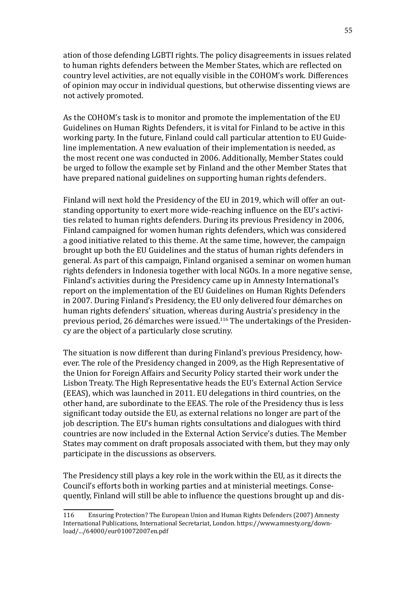ation of those defending LGBTI rights. The policy disagreements in issues related to human rights defenders between the Member States, which are reflected on country level activities, are not equally visible in the COHOM's work. Differences of opinion may occur in individual questions, but otherwise dissenting views are not actively promoted.

As the COHOM's task is to monitor and promote the implementation of the EU Guidelines on Human Rights Defenders, it is vital for Finland to be active in this working party. In the future, Finland could call particular attention to EU Guideline implementation. A new evaluation of their implementation is needed, as the most recent one was conducted in 2006. Additionally, Member States could be urged to follow the example set by Finland and the other Member States that have prepared national guidelines on supporting human rights defenders.

Finland will next hold the Presidency of the EU in 2019, which will offer an outstanding opportunity to exert more wide-reaching influence on the EU's activities related to human rights defenders. During its previous Presidency in 2006, Finland campaigned for women human rights defenders, which was considered a good initiative related to this theme. At the same time, however, the campaign brought up both the EU Guidelines and the status of human rights defenders in general. As part of this campaign, Finland organised a seminar on women human rights defenders in Indonesia together with local NGOs. In a more negative sense, Finland's activities during the Presidency came up in Amnesty International's report on the implementation of the EU Guidelines on Human Rights Defenders in 2007. During Finland's Presidency, the EU only delivered four démarches on human rights defenders' situation, whereas during Austria's presidency in the previous period, 26 démarches were issued.116 The undertakings of the Presidency are the object of a particularly close scrutiny.

The situation is now different than during Finland's previous Presidency, however. The role of the Presidency changed in 2009, as the High Representative of the Union for Foreign Affairs and Security Policy started their work under the Lisbon Treaty. The High Representative heads the EU's External Action Service (EEAS), which was launched in 2011. EU delegations in third countries, on the other hand, are subordinate to the EEAS. The role of the Presidency thus is less significant today outside the EU, as external relations no longer are part of the job description. The EU's human rights consultations and dialogues with third countries are now included in the External Action Service's duties. The Member States may comment on draft proposals associated with them, but they may only participate in the discussions as observers.

The Presidency still plays a key role in the work within the EU, as it directs the Council's efforts both in working parties and at ministerial meetings. Consequently, Finland will still be able to influence the questions brought up and dis-

<sup>116</sup> Ensuring Protection? The European Union and Human Rights Defenders (2007) Amnesty International Publications, International Secretariat, London. [https://www.amnesty.org/down](https://www.amnesty.org/en/documents/eur01/007/2007/en/)[load/.../64000/eur010072007en.pdf](https://www.amnesty.org/en/documents/eur01/007/2007/en/)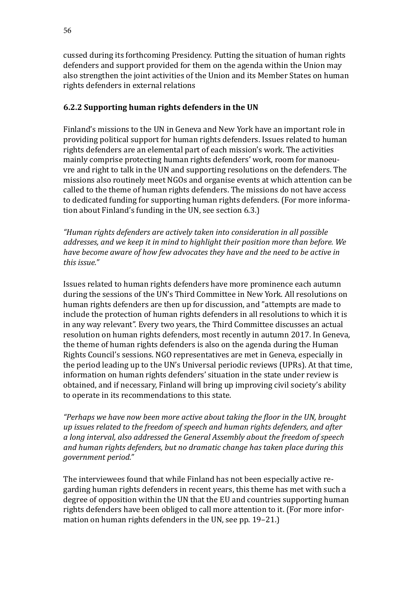cussed during its forthcoming Presidency. Putting the situation of human rights defenders and support provided for them on the agenda within the Union may also strengthen the joint activities of the Union and its Member States on human rights defenders in external relations

# **6.2.2 Supporting human rights defenders in the UN**

Finland's missions to the UN in Geneva and New York have an important role in providing political support for human rights defenders. Issues related to human rights defenders are an elemental part of each mission's work. The activities mainly comprise protecting human rights defenders' work, room for manoeuvre and right to talk in the UN and supporting resolutions on the defenders. The missions also routinely meet NGOs and organise events at which attention can be called to the theme of human rights defenders. The missions do not have access to dedicated funding for supporting human rights defenders. (For more information about Finland's funding in the UN, see section 6.3.)

*"Human rights defenders are actively taken into consideration in all possible addresses, and we keep it in mind to highlight their position more than before. We have become aware of how few advocates they have and the need to be active in this issue."*

Issues related to human rights defenders have more prominence each autumn during the sessions of the UN's Third Committee in New York. All resolutions on human rights defenders are then up for discussion, and "attempts are made to include the protection of human rights defenders in all resolutions to which it is in any way relevant". Every two years, the Third Committee discusses an actual resolution on human rights defenders, most recently in autumn 2017. In Geneva, the theme of human rights defenders is also on the agenda during the Human Rights Council's sessions. NGO representatives are met in Geneva, especially in the period leading up to the UN's Universal periodic reviews (UPRs). At that time, information on human rights defenders' situation in the state under review is obtained, and if necessary, Finland will bring up improving civil society's ability to operate in its recommendations to this state.

*"Perhaps we have now been more active about taking the floor in the UN, brought up issues related to the freedom of speech and human rights defenders, and after a long interval, also addressed the General Assembly about the freedom of speech and human rights defenders, but no dramatic change has taken place during this government period."*

The interviewees found that while Finland has not been especially active regarding human rights defenders in recent years, this theme has met with such a degree of opposition within the UN that the EU and countries supporting human rights defenders have been obliged to call more attention to it. (For more information on human rights defenders in the UN, see pp. 19–21.)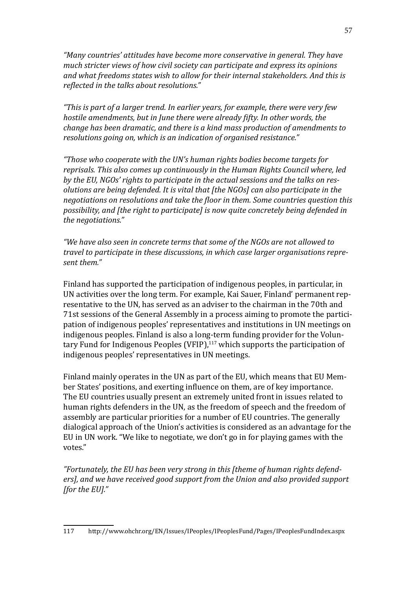*"Many countries' attitudes have become more conservative in general. They have much stricter views of how civil society can participate and express its opinions and what freedoms states wish to allow for their internal stakeholders. And this is reflected in the talks about resolutions."*

*"This is part of a larger trend. In earlier years, for example, there were very few hostile amendments, but in June there were already fifty. In other words, the change has been dramatic, and there is a kind mass production of amendments to resolutions going on, which is an indication of organised resistance."*

*"Those who cooperate with the UN's human rights bodies become targets for reprisals. This also comes up continuously in the Human Rights Council where, led by the EU, NGOs' rights to participate in the actual sessions and the talks on resolutions are being defended. It is vital that [the NGOs] can also participate in the negotiations on resolutions and take the floor in them. Some countries question this possibility, and [the right to participate] is now quite concretely being defended in the negotiations."* 

*"We have also seen in concrete terms that some of the NGOs are not allowed to travel to participate in these discussions, in which case larger organisations represent them."*

Finland has supported the participation of indigenous peoples, in particular, in UN activities over the long term. For example, Kai Sauer, Finland' permanent representative to the UN, has served as an adviser to the chairman in the 70th and 71st sessions of the General Assembly in a process aiming to promote the participation of indigenous peoples' representatives and institutions in UN meetings on indigenous peoples. Finland is also a long-term funding provider for the Voluntary Fund for Indigenous Peoples (VFIP), $117$  which supports the participation of indigenous peoples' representatives in UN meetings.

Finland mainly operates in the UN as part of the EU, which means that EU Member States' positions, and exerting influence on them, are of key importance. The EU countries usually present an extremely united front in issues related to human rights defenders in the UN, as the freedom of speech and the freedom of assembly are particular priorities for a number of EU countries. The generally dialogical approach of the Union's activities is considered as an advantage for the EU in UN work. "We like to negotiate, we don't go in for playing games with the votes."

*"Fortunately, the EU has been very strong in this [theme of human rights defenders], and we have received good support from the Union and also provided support [for the EU]."*

<sup>117</sup> <http://www.ohchr.org/EN/Issues/IPeoples/IPeoplesFund/Pages/IPeoplesFundIndex.aspx>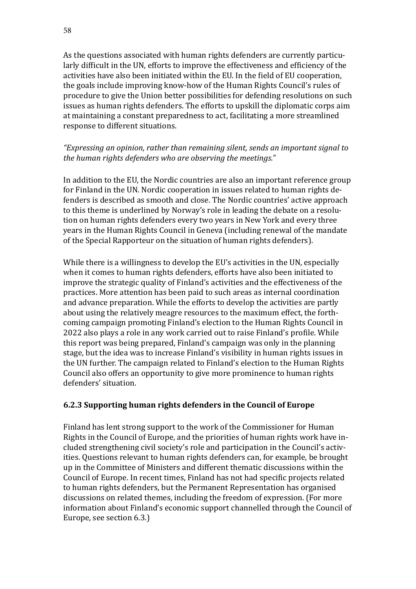As the questions associated with human rights defenders are currently particularly difficult in the UN, efforts to improve the effectiveness and efficiency of the activities have also been initiated within the EU. In the field of EU cooperation, the goals include improving know-how of the Human Rights Council's rules of procedure to give the Union better possibilities for defending resolutions on such issues as human rights defenders. The efforts to upskill the diplomatic corps aim at maintaining a constant preparedness to act, facilitating a more streamlined response to different situations.

### *"Expressing an opinion, rather than remaining silent, sends an important signal to the human rights defenders who are observing the meetings."*

In addition to the EU, the Nordic countries are also an important reference group for Finland in the UN. Nordic cooperation in issues related to human rights defenders is described as smooth and close. The Nordic countries' active approach to this theme is underlined by Norway's role in leading the debate on a resolution on human rights defenders every two years in New York and every three years in the Human Rights Council in Geneva (including renewal of the mandate of the Special Rapporteur on the situation of human rights defenders).

While there is a willingness to develop the EU's activities in the UN, especially when it comes to human rights defenders, efforts have also been initiated to improve the strategic quality of Finland's activities and the effectiveness of the practices. More attention has been paid to such areas as internal coordination and advance preparation. While the efforts to develop the activities are partly about using the relatively meagre resources to the maximum effect, the forthcoming campaign promoting Finland's election to the Human Rights Council in 2022 also plays a role in any work carried out to raise Finland's profile. While this report was being prepared, Finland's campaign was only in the planning stage, but the idea was to increase Finland's visibility in human rights issues in the UN further. The campaign related to Finland's election to the Human Rights Council also offers an opportunity to give more prominence to human rights defenders' situation.

### **6.2.3 Supporting human rights defenders in the Council of Europe**

Finland has lent strong support to the work of the Commissioner for Human Rights in the Council of Europe, and the priorities of human rights work have included strengthening civil society's role and participation in the Council's activities. Questions relevant to human rights defenders can, for example, be brought up in the Committee of Ministers and different thematic discussions within the Council of Europe. In recent times, Finland has not had specific projects related to human rights defenders, but the Permanent Representation has organised discussions on related themes, including the freedom of expression. (For more information about Finland's economic support channelled through the Council of Europe, see section 6.3.)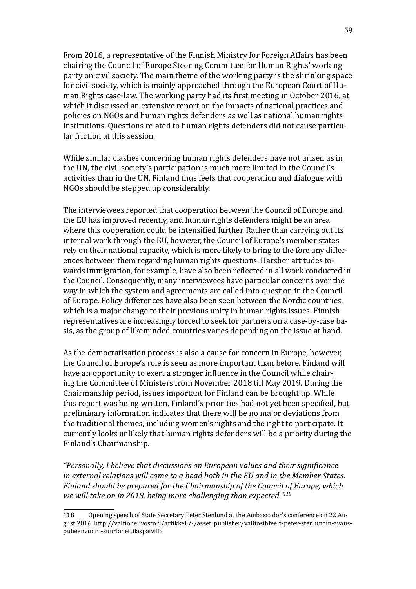From 2016, a representative of the Finnish Ministry for Foreign Affairs has been chairing the Council of Europe Steering Committee for Human Rights' working party on civil society. The main theme of the working party is the shrinking space for civil society, which is mainly approached through the European Court of Human Rights case-law. The working party had its first meeting in October 2016, at which it discussed an extensive report on the impacts of national practices and policies on NGOs and human rights defenders as well as national human rights institutions. Questions related to human rights defenders did not cause particular friction at this session.

While similar clashes concerning human rights defenders have not arisen as in the UN, the civil society's participation is much more limited in the Council's activities than in the UN. Finland thus feels that cooperation and dialogue with NGOs should be stepped up considerably.

The interviewees reported that cooperation between the Council of Europe and the EU has improved recently, and human rights defenders might be an area where this cooperation could be intensified further. Rather than carrying out its internal work through the EU, however, the Council of Europe's member states rely on their national capacity, which is more likely to bring to the fore any differences between them regarding human rights questions. Harsher attitudes towards immigration, for example, have also been reflected in all work conducted in the Council. Consequently, many interviewees have particular concerns over the way in which the system and agreements are called into question in the Council of Europe. Policy differences have also been seen between the Nordic countries, which is a major change to their previous unity in human rights issues. Finnish representatives are increasingly forced to seek for partners on a case-by-case basis, as the group of likeminded countries varies depending on the issue at hand.

As the democratisation process is also a cause for concern in Europe, however, the Council of Europe's role is seen as more important than before. Finland will have an opportunity to exert a stronger influence in the Council while chairing the Committee of Ministers from November 2018 till May 2019. During the Chairmanship period, issues important for Finland can be brought up. While this report was being written, Finland's priorities had not yet been specified, but preliminary information indicates that there will be no major deviations from the traditional themes, including women's rights and the right to participate. It currently looks unlikely that human rights defenders will be a priority during the Finland's Chairmanship.

*"Personally, I believe that discussions on European values and their significance in external relations will come to a head both in the EU and in the Member States. Finland should be prepared for the Chairmanship of the Council of Europe, which we will take on in 2018, being more challenging than expected."118*

<sup>118</sup> Opening speech of State Secretary Peter Stenlund at the Ambassador's conference on 22 August 2016. [http://valtioneuvosto.fi/artikkeli/-/asset\\_publisher/valtiosihteeri-peter-stenlundin-avaus](http://valtioneuvosto.fi/artikkeli/-/asset_publisher/valtiosihteeri-peter-stenlundin-avauspuheenvuoro-suurlahettilaspaivilla)[puheenvuoro-suurlahettilaspaivilla](http://valtioneuvosto.fi/artikkeli/-/asset_publisher/valtiosihteeri-peter-stenlundin-avauspuheenvuoro-suurlahettilaspaivilla)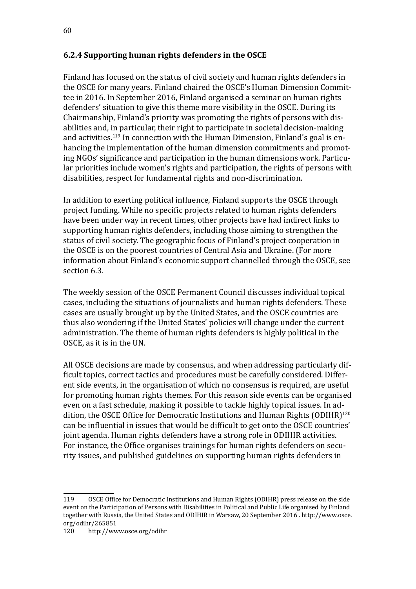### **6.2.4 Supporting human rights defenders in the OSCE**

Finland has focused on the status of civil society and human rights defenders in the OSCE for many years. Finland chaired the OSCE's Human Dimension Committee in 2016. In September 2016, Finland organised a seminar on human rights defenders' situation to give this theme more visibility in the OSCE. During its Chairmanship, Finland's priority was promoting the rights of persons with disabilities and, in particular, their right to participate in societal decision-making and activities.<sup>119</sup> In connection with the Human Dimension, Finland's goal is enhancing the implementation of the human dimension commitments and promoting NGOs' significance and participation in the human dimensions work. Particular priorities include women's rights and participation, the rights of persons with disabilities, respect for fundamental rights and non-discrimination.

In addition to exerting political influence, Finland supports the OSCE through project funding. While no specific projects related to human rights defenders have been under way in recent times, other projects have had indirect links to supporting human rights defenders, including those aiming to strengthen the status of civil society. The geographic focus of Finland's project cooperation in the OSCE is on the poorest countries of Central Asia and Ukraine. (For more information about Finland's economic support channelled through the OSCE, see section 6.3.

The weekly session of the OSCE Permanent Council discusses individual topical cases, including the situations of journalists and human rights defenders. These cases are usually brought up by the United States, and the OSCE countries are thus also wondering if the United States' policies will change under the current administration. The theme of human rights defenders is highly political in the OSCE, as it is in the UN.

All OSCE decisions are made by consensus, and when addressing particularly difficult topics, correct tactics and procedures must be carefully considered. Different side events, in the organisation of which no consensus is required, are useful for promoting human rights themes. For this reason side events can be organised even on a fast schedule, making it possible to tackle highly topical issues. In addition, the OSCE Office for Democratic Institutions and Human Rights (ODIHR)<sup>120</sup> can be influential in issues that would be difficult to get onto the OSCE countries' joint agenda. Human rights defenders have a strong role in ODIHIR activities. For instance, the Office organises trainings for human rights defenders on security issues, and published guidelines on supporting human rights defenders in

<sup>119</sup> OSCE Office for Democratic Institutions and Human Rights (ODIHR) press release on the side event on the Participation of Persons with Disabilities in Political and Public Life organised by Finland together with Russia, the United States and ODIHIR in Warsaw, 20 September 2016 . [http://www.osce.](http://www.osce.org/odihr/265851) [org/odihr/265851](http://www.osce.org/odihr/265851)<br>120 http://ww

<http://www.osce.org/odihr>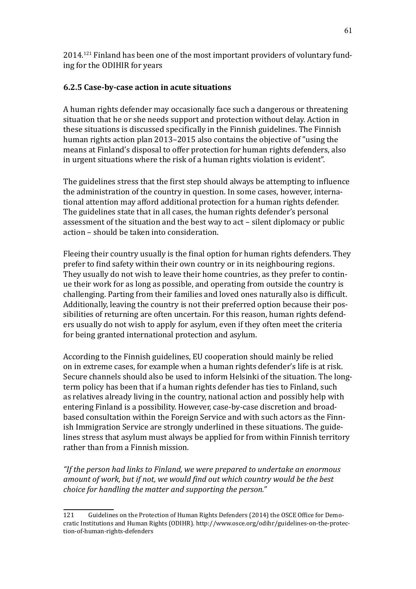2014.121 Finland has been one of the most important providers of voluntary funding for the ODIHIR for years

### **6.2.5 Case-by-case action in acute situations**

A human rights defender may occasionally face such a dangerous or threatening situation that he or she needs support and protection without delay. Action in these situations is discussed specifically in the Finnish guidelines. The Finnish human rights action plan 2013–2015 also contains the objective of "using the means at Finland's disposal to offer protection for human rights defenders, also in urgent situations where the risk of a human rights violation is evident".

The guidelines stress that the first step should always be attempting to influence the administration of the country in question. In some cases, however, international attention may afford additional protection for a human rights defender. The guidelines state that in all cases, the human rights defender's personal assessment of the situation and the best way to act – silent diplomacy or public action – should be taken into consideration.

Fleeing their country usually is the final option for human rights defenders. They prefer to find safety within their own country or in its neighbouring regions. They usually do not wish to leave their home countries, as they prefer to continue their work for as long as possible, and operating from outside the country is challenging. Parting from their families and loved ones naturally also is difficult. Additionally, leaving the country is not their preferred option because their possibilities of returning are often uncertain. For this reason, human rights defenders usually do not wish to apply for asylum, even if they often meet the criteria for being granted international protection and asylum.

According to the Finnish guidelines, EU cooperation should mainly be relied on in extreme cases, for example when a human rights defender's life is at risk. Secure channels should also be used to inform Helsinki of the situation. The longterm policy has been that if a human rights defender has ties to Finland, such as relatives already living in the country, national action and possibly help with entering Finland is a possibility. However, case-by-case discretion and broadbased consultation within the Foreign Service and with such actors as the Finnish Immigration Service are strongly underlined in these situations. The guidelines stress that asylum must always be applied for from within Finnish territory rather than from a Finnish mission.

*"If the person had links to Finland, we were prepared to undertake an enormous amount of work, but if not, we would find out which country would be the best choice for handling the matter and supporting the person."*

<sup>121</sup> Guidelines on the Protection of Human Rights Defenders (2014) the OSCE Office for Democratic Institutions and Human Rights (ODIHR). [http://www.osce.org/odihr/guidelines-on-the-protec](https://www.osce.org/odihr/guidelines-on-the-protection-of-human-rights-defenders)[tion-of-human-rights-defenders](https://www.osce.org/odihr/guidelines-on-the-protection-of-human-rights-defenders)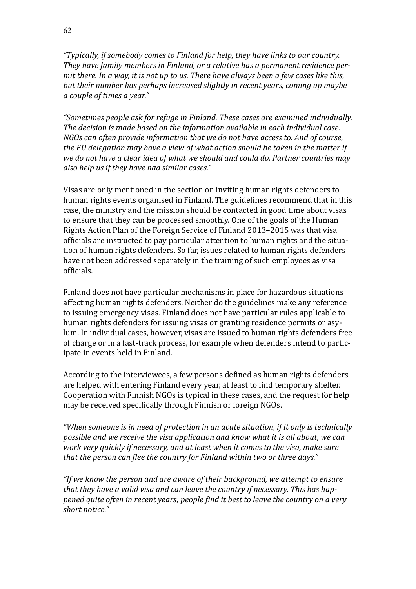*"Typically, if somebody comes to Finland for help, they have links to our country. They have family members in Finland, or a relative has a permanent residence permit there. In a way, it is not up to us. There have always been a few cases like this, but their number has perhaps increased slightly in recent years, coming up maybe a couple of times a year."* 

*"Sometimes people ask for refuge in Finland. These cases are examined individually. The decision is made based on the information available in each individual case. NGOs can often provide information that we do not have access to. And of course, the EU delegation may have a view of what action should be taken in the matter if we do not have a clear idea of what we should and could do. Partner countries may also help us if they have had similar cases."*

Visas are only mentioned in the section on inviting human rights defenders to human rights events organised in Finland. The guidelines recommend that in this case, the ministry and the mission should be contacted in good time about visas to ensure that they can be processed smoothly. One of the goals of the Human Rights Action Plan of the Foreign Service of Finland 2013–2015 was that visa officials are instructed to pay particular attention to human rights and the situation of human rights defenders. So far, issues related to human rights defenders have not been addressed separately in the training of such employees as visa officials.

Finland does not have particular mechanisms in place for hazardous situations affecting human rights defenders. Neither do the guidelines make any reference to issuing emergency visas. Finland does not have particular rules applicable to human rights defenders for issuing visas or granting residence permits or asylum. In individual cases, however, visas are issued to human rights defenders free of charge or in a fast-track process, for example when defenders intend to participate in events held in Finland.

According to the interviewees, a few persons defined as human rights defenders are helped with entering Finland every year, at least to find temporary shelter. Cooperation with Finnish NGOs is typical in these cases, and the request for help may be received specifically through Finnish or foreign NGOs.

*"When someone is in need of protection in an acute situation, if it only is technically possible and we receive the visa application and know what it is all about, we can work very quickly if necessary, and at least when it comes to the visa, make sure that the person can flee the country for Finland within two or three days."*

*"If we know the person and are aware of their background, we attempt to ensure that they have a valid visa and can leave the country if necessary. This has happened quite often in recent years; people find it best to leave the country on a very short notice."*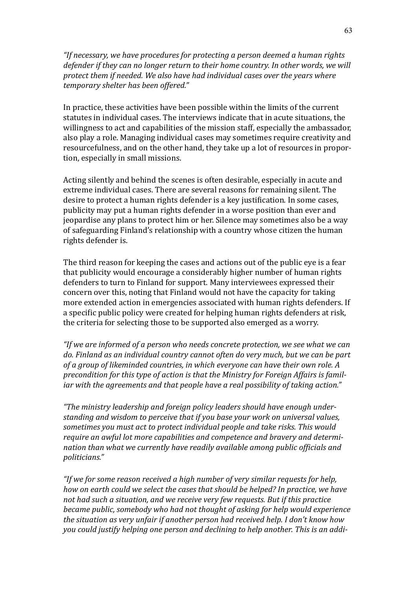*"If necessary, we have procedures for protecting a person deemed a human rights defender if they can no longer return to their home country. In other words, we will protect them if needed. We also have had individual cases over the years where temporary shelter has been offered."* 

In practice, these activities have been possible within the limits of the current statutes in individual cases. The interviews indicate that in acute situations, the willingness to act and capabilities of the mission staff, especially the ambassador, also play a role. Managing individual cases may sometimes require creativity and resourcefulness, and on the other hand, they take up a lot of resources in proportion, especially in small missions.

Acting silently and behind the scenes is often desirable, especially in acute and extreme individual cases. There are several reasons for remaining silent. The desire to protect a human rights defender is a key justification. In some cases, publicity may put a human rights defender in a worse position than ever and jeopardise any plans to protect him or her. Silence may sometimes also be a way of safeguarding Finland's relationship with a country whose citizen the human rights defender is.

The third reason for keeping the cases and actions out of the public eye is a fear that publicity would encourage a considerably higher number of human rights defenders to turn to Finland for support. Many interviewees expressed their concern over this, noting that Finland would not have the capacity for taking more extended action in emergencies associated with human rights defenders. If a specific public policy were created for helping human rights defenders at risk, the criteria for selecting those to be supported also emerged as a worry.

*"If we are informed of a person who needs concrete protection, we see what we can do. Finland as an individual country cannot often do very much, but we can be part of a group of likeminded countries, in which everyone can have their own role. A precondition for this type of action is that the Ministry for Foreign Affairs is familiar with the agreements and that people have a real possibility of taking action."* 

*"The ministry leadership and foreign policy leaders should have enough understanding and wisdom to perceive that if you base your work on universal values, sometimes you must act to protect individual people and take risks. This would require an awful lot more capabilities and competence and bravery and determination than what we currently have readily available among public officials and politicians."*

*"If we for some reason received a high number of very similar requests for help, how on earth could we select the cases that should be helped? In practice, we have not had such a situation, and we receive very few requests. But if this practice became public, somebody who had not thought of asking for help would experience the situation as very unfair if another person had received help. I don't know how you could justify helping one person and declining to help another. This is an addi-*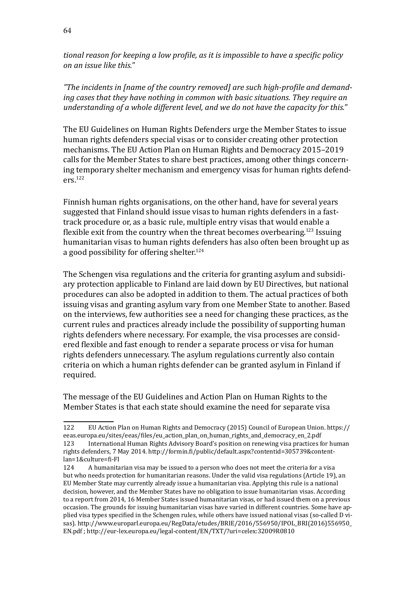*tional reason for keeping a low profile, as it is impossible to have a specific policy on an issue like this."*

*"The incidents in [name of the country removed] are such high-profile and demanding cases that they have nothing in common with basic situations. They require an understanding of a whole different level, and we do not have the capacity for this."*

The EU Guidelines on Human Rights Defenders urge the Member States to issue human rights defenders special visas or to consider creating other protection mechanisms. The EU Action Plan on Human Rights and Democracy 2015–2019 calls for the Member States to share best practices, among other things concerning temporary shelter mechanism and emergency visas for human rights defenders.122

Finnish human rights organisations, on the other hand, have for several years suggested that Finland should issue visas to human rights defenders in a fasttrack procedure or, as a basic rule, multiple entry visas that would enable a flexible exit from the country when the threat becomes overbearing.123 Issuing humanitarian visas to human rights defenders has also often been brought up as a good possibility for offering shelter.<sup>124</sup>

The Schengen visa regulations and the criteria for granting asylum and subsidiary protection applicable to Finland are laid down by EU Directives, but national procedures can also be adopted in addition to them. The actual practices of both issuing visas and granting asylum vary from one Member State to another. Based on the interviews, few authorities see a need for changing these practices, as the current rules and practices already include the possibility of supporting human rights defenders where necessary. For example, the visa processes are considered flexible and fast enough to render a separate process or visa for human rights defenders unnecessary. The asylum regulations currently also contain criteria on which a human rights defender can be granted asylum in Finland if required.

The message of the EU Guidelines and Action Plan on Human Rights to the Member States is that each state should examine the need for separate visa

<sup>122</sup> EU Action Plan on Human Rights and Democracy (2015) Council of European Union. [https://](https://eeas.europa.eu/sites/eeas/files/eu_action_plan_on_human_rights_and_democracy_en_2.pdf) [eeas.europa.eu/sites/eeas/files/eu\\_action\\_plan\\_on\\_human\\_rights\\_and\\_democracy\\_en\\_2.pdf](https://eeas.europa.eu/sites/eeas/files/eu_action_plan_on_human_rights_and_democracy_en_2.pdf) International Human Rights Advisory Board's position on renewing visa practices for human rights defenders, 7 May 2014. [http://formin.fi/public/default.aspx?contentid=305739&content](http://formin.fi/public/default.aspx?contentid=305739&contentlan=1&culture=fi-FI)[lan=1&culture=fi-FI](http://formin.fi/public/default.aspx?contentid=305739&contentlan=1&culture=fi-FI)<br>124 A humanita

<sup>124</sup> A humanitarian visa may be issued to a person who does not meet the criteria for a visa but who needs protection for humanitarian reasons. Under the valid visa regulations (Article 19), an EU Member State may currently already issue a humanitarian visa. Applying this rule is a national decision, however, and the Member States have no obligation to issue humanitarian visas. According to a report from 2014, 16 Member States issued humanitarian visas, or had issued them on a previous occasion. The grounds for issuing humanitarian visas have varied in different countries. Some have applied visa types specified in the Schengen rules, while others have issued national visas (so-called D visas). [http://www.europarl.europa.eu/RegData/etudes/BRIE/2016/556950/IPOL\\_BRI\(2016\)556950\\_](http://www.europarl.europa.eu/RegData/etudes/BRIE/2016/556950/IPOL_BRI(2016)556950_EN.pdf) [EN.pdf](http://www.europarl.europa.eu/RegData/etudes/BRIE/2016/556950/IPOL_BRI(2016)556950_EN.pdf) ; <http://eur-lex.europa.eu/legal-content/EN/TXT/?uri=celex>:32009R0810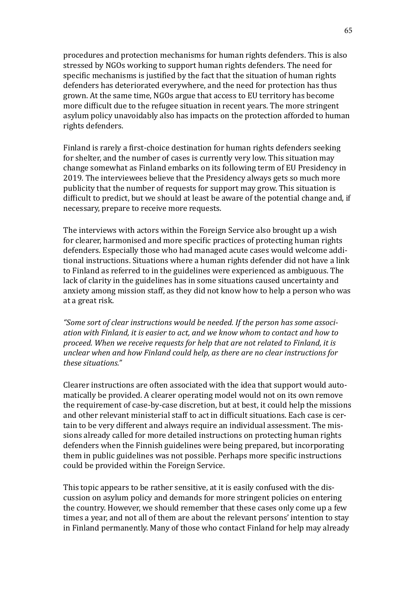procedures and protection mechanisms for human rights defenders. This is also stressed by NGOs working to support human rights defenders. The need for specific mechanisms is justified by the fact that the situation of human rights defenders has deteriorated everywhere, and the need for protection has thus grown. At the same time, NGOs argue that access to EU territory has become more difficult due to the refugee situation in recent years. The more stringent asylum policy unavoidably also has impacts on the protection afforded to human rights defenders.

Finland is rarely a first-choice destination for human rights defenders seeking for shelter, and the number of cases is currently very low. This situation may change somewhat as Finland embarks on its following term of EU Presidency in 2019. The interviewees believe that the Presidency always gets so much more publicity that the number of requests for support may grow. This situation is difficult to predict, but we should at least be aware of the potential change and, if necessary, prepare to receive more requests.

The interviews with actors within the Foreign Service also brought up a wish for clearer, harmonised and more specific practices of protecting human rights defenders. Especially those who had managed acute cases would welcome additional instructions. Situations where a human rights defender did not have a link to Finland as referred to in the guidelines were experienced as ambiguous. The lack of clarity in the guidelines has in some situations caused uncertainty and anxiety among mission staff, as they did not know how to help a person who was at a great risk.

*"Some sort of clear instructions would be needed. If the person has some association with Finland, it is easier to act, and we know whom to contact and how to proceed. When we receive requests for help that are not related to Finland, it is unclear when and how Finland could help, as there are no clear instructions for these situations."*

Clearer instructions are often associated with the idea that support would automatically be provided. A clearer operating model would not on its own remove the requirement of case-by-case discretion, but at best, it could help the missions and other relevant ministerial staff to act in difficult situations. Each case is certain to be very different and always require an individual assessment. The missions already called for more detailed instructions on protecting human rights defenders when the Finnish guidelines were being prepared, but incorporating them in public guidelines was not possible. Perhaps more specific instructions could be provided within the Foreign Service.

This topic appears to be rather sensitive, at it is easily confused with the discussion on asylum policy and demands for more stringent policies on entering the country. However, we should remember that these cases only come up a few times a year, and not all of them are about the relevant persons' intention to stay in Finland permanently. Many of those who contact Finland for help may already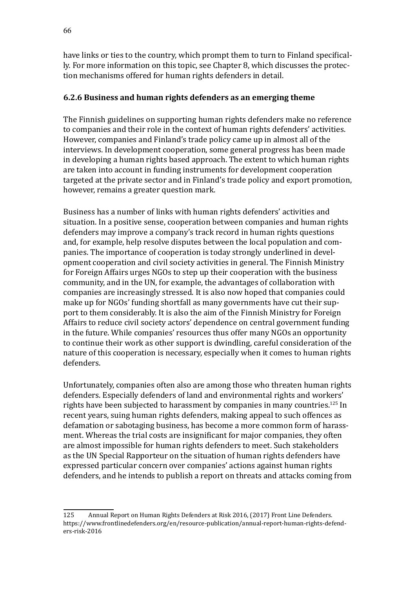have links or ties to the country, which prompt them to turn to Finland specifically. For more information on this topic, see Chapter 8, which discusses the protection mechanisms offered for human rights defenders in detail.

### **6.2.6 Business and human rights defenders as an emerging theme**

The Finnish guidelines on supporting human rights defenders make no reference to companies and their role in the context of human rights defenders' activities. However, companies and Finland's trade policy came up in almost all of the interviews. In development cooperation, some general progress has been made in developing a human rights based approach. The extent to which human rights are taken into account in funding instruments for development cooperation targeted at the private sector and in Finland's trade policy and export promotion, however, remains a greater question mark.

Business has a number of links with human rights defenders' activities and situation. In a positive sense, cooperation between companies and human rights defenders may improve a company's track record in human rights questions and, for example, help resolve disputes between the local population and companies. The importance of cooperation is today strongly underlined in development cooperation and civil society activities in general. The Finnish Ministry for Foreign Affairs urges NGOs to step up their cooperation with the business community, and in the UN, for example, the advantages of collaboration with companies are increasingly stressed. It is also now hoped that companies could make up for NGOs' funding shortfall as many governments have cut their support to them considerably. It is also the aim of the Finnish Ministry for Foreign Affairs to reduce civil society actors' dependence on central government funding in the future. While companies' resources thus offer many NGOs an opportunity to continue their work as other support is dwindling, careful consideration of the nature of this cooperation is necessary, especially when it comes to human rights defenders.

Unfortunately, companies often also are among those who threaten human rights defenders. Especially defenders of land and environmental rights and workers' rights have been subjected to harassment by companies in many countries.<sup>125</sup> In recent years, suing human rights defenders, making appeal to such offences as defamation or sabotaging business, has become a more common form of harassment. Whereas the trial costs are insignificant for major companies, they often are almost impossible for human rights defenders to meet. Such stakeholders as the UN Special Rapporteur on the situation of human rights defenders have expressed particular concern over companies' actions against human rights defenders, and he intends to publish a report on threats and attacks coming from

<sup>125</sup> Annual Report on Human Rights Defenders at Risk 2016, (2017) Front Line Defenders. [https://www.frontlinedefenders.org/en/resource-publication/annual-report-human-rights-defend](https://www.frontlinedefenders.org/en/resource-publication/annual-report-human-rights-defenders-risk-2016)[ers-risk-2016](https://www.frontlinedefenders.org/en/resource-publication/annual-report-human-rights-defenders-risk-2016)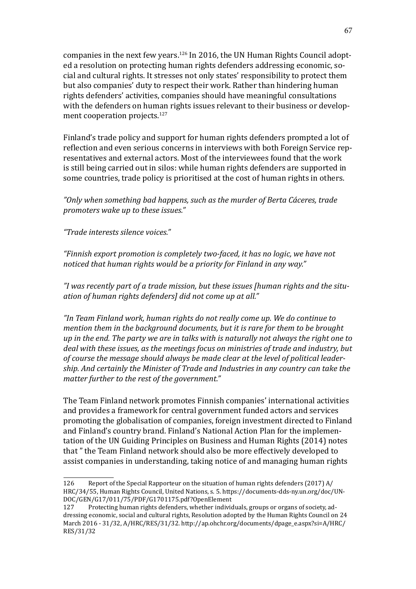companies in the next few years.<sup>126</sup> In 2016, the UN Human Rights Council adopted a resolution on protecting human rights defenders addressing economic, social and cultural rights. It stresses not only states' responsibility to protect them but also companies' duty to respect their work. Rather than hindering human rights defenders' activities, companies should have meaningful consultations with the defenders on human rights issues relevant to their business or development cooperation projects.<sup>127</sup>

Finland's trade policy and support for human rights defenders prompted a lot of reflection and even serious concerns in interviews with both Foreign Service representatives and external actors. Most of the interviewees found that the work is still being carried out in silos: while human rights defenders are supported in some countries, trade policy is prioritised at the cost of human rights in others.

*"Only when something bad happens, such as the murder of Berta Cáceres, trade promoters wake up to these issues."*

*"Trade interests silence voices."*

*"Finnish export promotion is completely two-faced, it has no logic, we have not noticed that human rights would be a priority for Finland in any way."*

*"I was recently part of a trade mission, but these issues [human rights and the situation of human rights defenders] did not come up at all."*

*"In Team Finland work, human rights do not really come up. We do continue to mention them in the background documents, but it is rare for them to be brought up in the end. The party we are in talks with is naturally not always the right one to deal with these issues, as the meetings focus on ministries of trade and industry, but of course the message should always be made clear at the level of political leadership. And certainly the Minister of Trade and Industries in any country can take the matter further to the rest of the government."*

The Team Finland network promotes Finnish companies' international activities and provides a framework for central government funded actors and services promoting the globalisation of companies, foreign investment directed to Finland and Finland's country brand. Finland's National Action Plan for the implementation of the UN Guiding Principles on Business and Human Rights (2014) notes that " the Team Finland network should also be more effectively developed to assist companies in understanding, taking notice of and managing human rights

<sup>126</sup> Report of the Special Rapporteur on the situation of human rights defenders (2017) A/ HRC/34/55, Human Rights Council, United Nations, s. 5. [https://documents-dds-ny.un.org/doc/UN](https://documents-dds-ny.un.org/doc/UNDOC/GEN/G17/011/75/PDF/G1701175.pdf?OpenElement)-[DOC/GEN/G17/011/75/PDF/G1701175.pdf?OpenElement](https://documents-dds-ny.un.org/doc/UNDOC/GEN/G17/011/75/PDF/G1701175.pdf?OpenElement)<br>127 Protecting human rights defenders, whether individ

Protecting human rights defenders, whether individuals, groups or organs of society, addressing economic, social and cultural rights, Resolution adopted by the Human Rights Council on 24 March 2016 - 31/32, A/HRC/RES/31/32. [http://ap.ohchr.org/documents/dpage\\_e.aspx?si=A/HRC/](http://ap.ohchr.org/documents/dpage_e.aspx?si=A/HRC/RES/31/32) [RES/31/32](http://ap.ohchr.org/documents/dpage_e.aspx?si=A/HRC/RES/31/32)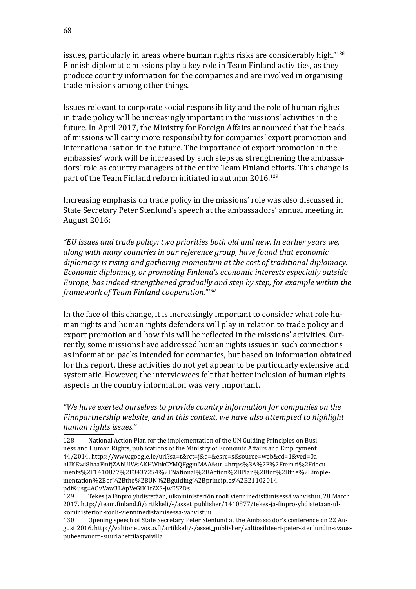issues, particularly in areas where human rights risks are considerably high."<sup>128</sup> Finnish diplomatic missions play a key role in Team Finland activities, as they produce country information for the companies and are involved in organising trade missions among other things.

Issues relevant to corporate social responsibility and the role of human rights in trade policy will be increasingly important in the missions' activities in the future. In April 2017, the Ministry for Foreign Affairs announced that the heads of missions will carry more responsibility for companies' export promotion and internationalisation in the future. The importance of export promotion in the embassies' work will be increased by such steps as strengthening the ambassadors' role as country managers of the entire Team Finland efforts. This change is part of the Team Finland reform initiated in autumn 2016.<sup>129</sup>

Increasing emphasis on trade policy in the missions' role was also discussed in State Secretary Peter Stenlund's speech at the ambassadors' annual meeting in August 2016:

*"EU issues and trade policy: two priorities both old and new. In earlier years we, along with many countries in our reference group, have found that economic diplomacy is rising and gathering momentum at the cost of traditional diplomacy. Economic diplomacy, or promoting Finland's economic interests especially outside Europe, has indeed strengthened gradually and step by step, for example within the framework of Team Finland cooperation."130*

In the face of this change, it is increasingly important to consider what role human rights and human rights defenders will play in relation to trade policy and export promotion and how this will be reflected in the missions' activities. Currently, some missions have addressed human rights issues in such connections as information packs intended for companies, but based on information obtained for this report, these activities do not yet appear to be particularly extensive and systematic. However, the interviewees felt that better inclusion of human rights aspects in the country information was very important.

*"We have exerted ourselves to provide country information for companies on the Finnpartnership website, and in this context, we have also attempted to highlight human rights issues."* 

<sup>128</sup> National Action Plan for the implementation of the UN Guiding Principles on Business and Human Rights, publications of the Ministry of Economic Affairs and Employment 44/2014. [https://www.google.ie/url?sa=t&rct=j&q=&esrc=s&source=web&cd=1&ved=0a](https://www.google.ie/url?sa=t&rct=j&q=&esrc=s&source=web&cd=1&ved=0ahUKEwi8haaFmfjZAhUIWsAKHWbkCYMQFggmMAA&url=https%3A%2F%2Ftem.fi%2Fdocuments%2F1410877%2F3437254%2FNational%2BAction%2BPlan%2Bfor%2Bthe%2Bimplementation%2Bof%2Bthe%2BUN%2Bguiding%2Bprinciples%2B21102014.pdf&usg=AOvVaw3LApVeGiK1tZXS-jwES2Ds)[hUKEwi8haaFmfjZAhUIWsAKHWbkCYMQFggmMAA&url=https%3A%2F%2Ftem.fi%2Fdocu](https://www.google.ie/url?sa=t&rct=j&q=&esrc=s&source=web&cd=1&ved=0ahUKEwi8haaFmfjZAhUIWsAKHWbkCYMQFggmMAA&url=https%3A%2F%2Ftem.fi%2Fdocuments%2F1410877%2F3437254%2FNational%2BAction%2BPlan%2Bfor%2Bthe%2Bimplementation%2Bof%2Bthe%2BUN%2Bguiding%2Bprinciples%2B21102014.pdf&usg=AOvVaw3LApVeGiK1tZXS-jwES2Ds)[ments%2F1410877%2F3437254%2FNational%2BAction%2BPlan%2Bfor%2Bthe%2Bimple](https://www.google.ie/url?sa=t&rct=j&q=&esrc=s&source=web&cd=1&ved=0ahUKEwi8haaFmfjZAhUIWsAKHWbkCYMQFggmMAA&url=https%3A%2F%2Ftem.fi%2Fdocuments%2F1410877%2F3437254%2FNational%2BAction%2BPlan%2Bfor%2Bthe%2Bimplementation%2Bof%2Bthe%2BUN%2Bguiding%2Bprinciples%2B21102014.pdf&usg=AOvVaw3LApVeGiK1tZXS-jwES2Ds)[mentation%2Bof%2Bthe%2BUN%2Bguiding%2Bprinciples%2B21102014.](https://www.google.ie/url?sa=t&rct=j&q=&esrc=s&source=web&cd=1&ved=0ahUKEwi8haaFmfjZAhUIWsAKHWbkCYMQFggmMAA&url=https%3A%2F%2Ftem.fi%2Fdocuments%2F1410877%2F3437254%2FNational%2BAction%2BPlan%2Bfor%2Bthe%2Bimplementation%2Bof%2Bthe%2BUN%2Bguiding%2Bprinciples%2B21102014.pdf&usg=AOvVaw3LApVeGiK1tZXS-jwES2Ds) [pdf&usg=AOvVaw3LApVeGiK1tZXS-jwES2Ds](https://www.google.ie/url?sa=t&rct=j&q=&esrc=s&source=web&cd=1&ved=0ahUKEwi8haaFmfjZAhUIWsAKHWbkCYMQFggmMAA&url=https%3A%2F%2Ftem.fi%2Fdocuments%2F1410877%2F3437254%2FNational%2BAction%2BPlan%2Bfor%2Bthe%2Bimplementation%2Bof%2Bthe%2BUN%2Bguiding%2Bprinciples%2B21102014.pdf&usg=AOvVaw3LApVeGiK1tZXS-jwES2Ds)<br>129 Tekes ja Finpro yhdistetään, ulkomir

<sup>129</sup> Tekes ja Finpro yhdistetään, ulkoministeriön rooli vienninedistämisessä vahvistuu, 28 March 2017. [http://team.finland.fi/artikkeli/-/asset\\_publisher/1410877/tekes-ja-finpro-yhdistetaan-ul](http://team.finland.fi/artikkeli/-/asset_publisher/1410877/tekes-ja-finpro-yhdistetaan-ulkoministerion-rooli-vienninedistamisessa-vahvistuu)[koministerion-rooli-vienninedistamisessa-vahvistuu](http://team.finland.fi/artikkeli/-/asset_publisher/1410877/tekes-ja-finpro-yhdistetaan-ulkoministerion-rooli-vienninedistamisessa-vahvistuu)

<sup>130</sup> Opening speech of State Secretary Peter Stenlund at the Ambassador's conference on 22 August 2016. [http://valtioneuvosto.fi/artikkeli/-/asset\\_publisher/valtiosihteeri-peter-stenlundin-avaus](http://valtioneuvosto.fi/artikkeli/-/asset_publisher/valtiosihteeri-peter-stenlundin-avauspuheenvuoro-suurlahettilaspaivilla)[puheenvuoro-suurlahettilaspaivilla](http://valtioneuvosto.fi/artikkeli/-/asset_publisher/valtiosihteeri-peter-stenlundin-avauspuheenvuoro-suurlahettilaspaivilla)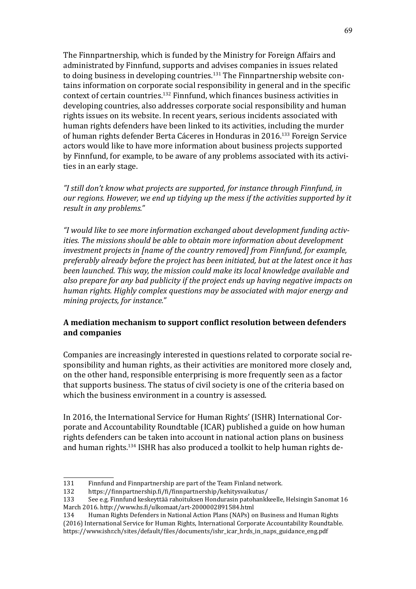The Finnpartnership, which is funded by the Ministry for Foreign Affairs and administrated by Finnfund, supports and advises companies in issues related to doing business in developing countries.131 The Finnpartnership website contains information on corporate social responsibility in general and in the specific context of certain countries.132 Finnfund, which finances business activities in developing countries, also addresses corporate social responsibility and human rights issues on its website. In recent years, serious incidents associated with human rights defenders have been linked to its activities, including the murder of human rights defender Berta Cáceres in Honduras in 2016.133 Foreign Service actors would like to have more information about business projects supported by Finnfund, for example, to be aware of any problems associated with its activities in an early stage.

*"I still don't know what projects are supported, for instance through Finnfund, in our regions. However, we end up tidying up the mess if the activities supported by it result in any problems."*

*"I would like to see more information exchanged about development funding activities. The missions should be able to obtain more information about development investment projects in [name of the country removed] from Finnfund, for example, preferably already before the project has been initiated, but at the latest once it has been launched. This way, the mission could make its local knowledge available and also prepare for any bad publicity if the project ends up having negative impacts on human rights. Highly complex questions may be associated with major energy and mining projects, for instance."* 

### **A mediation mechanism to support conflict resolution between defenders and companies**

Companies are increasingly interested in questions related to corporate social responsibility and human rights, as their activities are monitored more closely and, on the other hand, responsible enterprising is more frequently seen as a factor that supports business. The status of civil society is one of the criteria based on which the business environment in a country is assessed.

In 2016, the International Service for Human Rights' (ISHR) International Corporate and Accountability Roundtable (ICAR) published a guide on how human rights defenders can be taken into account in national action plans on business and human rights.<sup>134</sup> ISHR has also produced a toolkit to help human rights de-

<sup>131</sup> Finnfund and Finnpartnership are part of the Team Finland network.<br>132 https://finnpartnership.fi/fi/finnpartnership/kehitysyaikutus/

<sup>132</sup> <https://finnpartnership.fi/fi/finnpartnership/kehitysvaikutus/><br>133 See e.g. Finnfund keskeyttää rahoituksen Hondurasin patohankk

<sup>133</sup> See e.g. Finnfund keskeyttää rahoituksen Hondurasin patohankkeelle, Helsingin Sanomat 16 March 2016.<http://www.hs.fi/ulkomaat/art-2000002891584.html>

Human Rights Defenders in National Action Plans (NAPs) on Business and Human Rights (2016) International Service for Human Rights, International Corporate Accountability Roundtable. [https://www.ishr.ch/sites/default/files/documents/ishr\\_icar\\_hrds\\_in\\_naps\\_guidance\\_eng.pdf](https://www.ishr.ch/sites/default/files/documents/ishr_icar_hrds_in_naps_guidance_eng.pdf)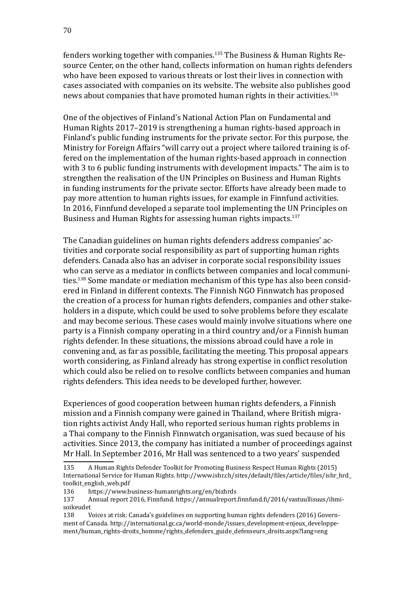fenders working together with companies.<sup>135</sup> The Business & Human Rights Resource Center, on the other hand, collects information on human rights defenders who have been exposed to various threats or lost their lives in connection with cases associated with companies on its website. The website also publishes good news about companies that have promoted human rights in their activities.<sup>136</sup>

One of the objectives of Finland's National Action Plan on Fundamental and Human Rights 2017–2019 is strengthening a human rights-based approach in Finland's public funding instruments for the private sector. For this purpose, the Ministry for Foreign Affairs "will carry out a project where tailored training is offered on the implementation of the human rights-based approach in connection with 3 to 6 public funding instruments with development impacts." The aim is to strengthen the realisation of the UN Principles on Business and Human Rights in funding instruments for the private sector. Efforts have already been made to pay more attention to human rights issues, for example in Finnfund activities. In 2016, Finnfund developed a separate tool implementing the UN Principles on Business and Human Rights for assessing human rights impacts.<sup>137</sup>

The Canadian guidelines on human rights defenders address companies' activities and corporate social responsibility as part of supporting human rights defenders. Canada also has an adviser in corporate social responsibility issues who can serve as a mediator in conflicts between companies and local communities.<sup>138</sup> Some mandate or mediation mechanism of this type has also been considered in Finland in different contexts. The Finnish NGO Finnwatch has proposed the creation of a process for human rights defenders, companies and other stakeholders in a dispute, which could be used to solve problems before they escalate and may become serious. These cases would mainly involve situations where one party is a Finnish company operating in a third country and/or a Finnish human rights defender. In these situations, the missions abroad could have a role in convening and, as far as possible, facilitating the meeting. This proposal appears worth considering, as Finland already has strong expertise in conflict resolution which could also be relied on to resolve conflicts between companies and human rights defenders. This idea needs to be developed further, however.

Experiences of good cooperation between human rights defenders, a Finnish mission and a Finnish company were gained in Thailand, where British migration rights activist Andy Hall, who reported serious human rights problems in a Thai company to the Finnish Finnwatch organisation, was sued because of his activities. Since 2013, the company has initiated a number of proceedings against Mr Hall. In September 2016, Mr Hall was sentenced to a two years' suspended

<sup>135</sup> A Human Rights Defender Toolkit for Promoting Business Respect Human Rights (2015) International Service for Human Rights. [http://www.ishr.ch/sites/default/files/article/files/ishr\\_hrd\\_](http://www.ishr.ch/sites/default/files/article/files/ishr_hrd_toolkit_english_web.pdf) [toolkit\\_english\\_web.pdf](http://www.ishr.ch/sites/default/files/article/files/ishr_hrd_toolkit_english_web.pdf)<br>136 https://www.b

<sup>136</sup> <https://www.business-humanrights.org/en/bizhrds><br>137 Annual report 2016. Finnfund. https://annualreport.

<sup>137</sup> Annual report 2016, Finnfund. [https://annualreport.finnfund.fi/2016/vastuullisuus/ihmi](https://annualreport.finnfund.fi/2016/vastuullisuus/ihmisoikeudet)[soikeudet](https://annualreport.finnfund.fi/2016/vastuullisuus/ihmisoikeudet)<br>138 V

Voices at risk: Canada's guidelines on supporting human rights defenders (2016) Government of Canada. [http://international.gc.ca/world-monde/issues\\_development-enjeux\\_developpe](http://international.gc.ca/world-monde/issues_development-enjeux_developpement/human_rights-droits_homme/rights_defenders_guide_defenseurs_droits.aspx?lang=eng)[ment/human\\_rights-droits\\_homme/rights\\_defenders\\_guide\\_defenseurs\\_droits.aspx?lang=eng](http://international.gc.ca/world-monde/issues_development-enjeux_developpement/human_rights-droits_homme/rights_defenders_guide_defenseurs_droits.aspx?lang=eng)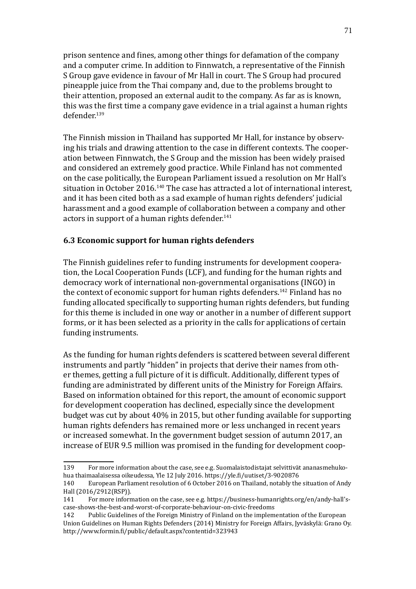prison sentence and fines, among other things for defamation of the company and a computer crime. In addition to Finnwatch, a representative of the Finnish S Group gave evidence in favour of Mr Hall in court. The S Group had procured pineapple juice from the Thai company and, due to the problems brought to their attention, proposed an external audit to the company. As far as is known, this was the first time a company gave evidence in a trial against a human rights defender.139

The Finnish mission in Thailand has supported Mr Hall, for instance by observing his trials and drawing attention to the case in different contexts. The cooperation between Finnwatch, the S Group and the mission has been widely praised and considered an extremely good practice. While Finland has not commented on the case politically, the European Parliament issued a resolution on Mr Hall's situation in October 2016.<sup>140</sup> The case has attracted a lot of international interest, and it has been cited both as a sad example of human rights defenders' judicial harassment and a good example of collaboration between a company and other actors in support of a human rights defender. $141$ 

#### **6.3 Economic support for human rights defenders**

The Finnish guidelines refer to funding instruments for development cooperation, the Local Cooperation Funds (LCF), and funding for the human rights and democracy work of international non-governmental organisations (INGO) in the context of economic support for human rights defenders.<sup>142</sup> Finland has no funding allocated specifically to supporting human rights defenders, but funding for this theme is included in one way or another in a number of different support forms, or it has been selected as a priority in the calls for applications of certain funding instruments.

As the funding for human rights defenders is scattered between several different instruments and partly "hidden" in projects that derive their names from other themes, getting a full picture of it is difficult. Additionally, different types of funding are administrated by different units of the Ministry for Foreign Affairs. Based on information obtained for this report, the amount of economic support for development cooperation has declined, especially since the development budget was cut by about 40% in 2015, but other funding available for supporting human rights defenders has remained more or less unchanged in recent years or increased somewhat. In the government budget session of autumn 2017, an increase of EUR 9.5 million was promised in the funding for development coop-

<sup>139</sup> For more information about the case, see e.g. Suomalaistodistajat selvittivät ananasmehukohua thaimaalaisessa oikeudessa, Yle 12 July 2016.<https://yle.fi/uutiset/3-9020876>

<sup>140</sup> European Parliament resolution of 6 October 2016 on Thailand, notably the situation of Andy Hall (2016/2912(RSP)).<br>141 For more inform

<sup>141</sup> For more information on the case, see e.g[. https://business-humanrights.org/en/andy-hall's](https://www.business-humanrights.org/en/andy-hall%E2%80%99s-case-shows-the-best-and-worst-of-corporate-behaviour-on-civic-freedoms)[case-shows-the-best-and-worst-of-corporate-behaviour-on-civic-freedoms](https://www.business-humanrights.org/en/andy-hall%E2%80%99s-case-shows-the-best-and-worst-of-corporate-behaviour-on-civic-freedoms)

Public Guidelines of the Foreign Ministry of Finland on the implementation of the European Union Guidelines on Human Rights Defenders (2014) Ministry for Foreign Affairs, Jyväskylä: Grano Oy. <http://www.formin.fi/public/default.aspx?contentid=323943>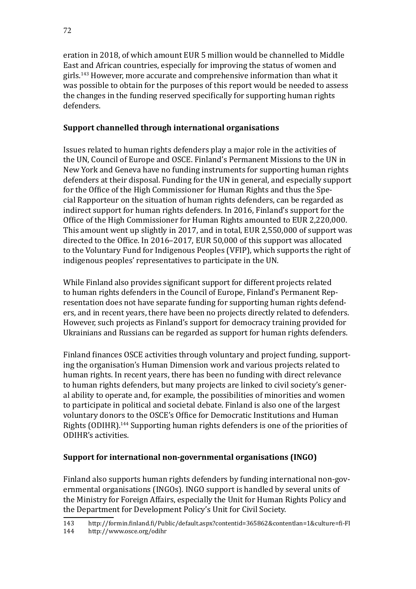eration in 2018, of which amount EUR 5 million would be channelled to Middle East and African countries, especially for improving the status of women and girls.<sup>143</sup> However, more accurate and comprehensive information than what it was possible to obtain for the purposes of this report would be needed to assess the changes in the funding reserved specifically for supporting human rights defenders.

### **Support channelled through international organisations**

Issues related to human rights defenders play a major role in the activities of the UN, Council of Europe and OSCE. Finland's Permanent Missions to the UN in New York and Geneva have no funding instruments for supporting human rights defenders at their disposal. Funding for the UN in general, and especially support for the Office of the High Commissioner for Human Rights and thus the Special Rapporteur on the situation of human rights defenders, can be regarded as indirect support for human rights defenders. In 2016, Finland's support for the Office of the High Commissioner for Human Rights amounted to EUR 2,220,000. This amount went up slightly in 2017, and in total, EUR 2,550,000 of support was directed to the Office. In 2016–2017, EUR 50,000 of this support was allocated to the Voluntary Fund for Indigenous Peoples (VFIP), which supports the right of indigenous peoples' representatives to participate in the UN.

While Finland also provides significant support for different projects related to human rights defenders in the Council of Europe, Finland's Permanent Representation does not have separate funding for supporting human rights defenders, and in recent years, there have been no projects directly related to defenders. However, such projects as Finland's support for democracy training provided for Ukrainians and Russians can be regarded as support for human rights defenders.

Finland finances OSCE activities through voluntary and project funding, supporting the organisation's Human Dimension work and various projects related to human rights. In recent years, there has been no funding with direct relevance to human rights defenders, but many projects are linked to civil society's general ability to operate and, for example, the possibilities of minorities and women to participate in political and societal debate. Finland is also one of the largest voluntary donors to the OSCE's Office for Democratic Institutions and Human Rights (ODIHR).144 Supporting human rights defenders is one of the priorities of ODIHR's activities.

# **Support for international non-governmental organisations (INGO)**

Finland also supports human rights defenders by funding international non-governmental organisations (INGOs). INGO support is handled by several units of the Ministry for Foreign Affairs, especially the Unit for Human Rights Policy and the Department for Development Policy's Unit for Civil Society.

<sup>143</sup> <http://formin.finland.fi/Public/default.aspx?contentid=365862&contentlan=1&culture=fi-FI>

<http://www.osce.org/odihr>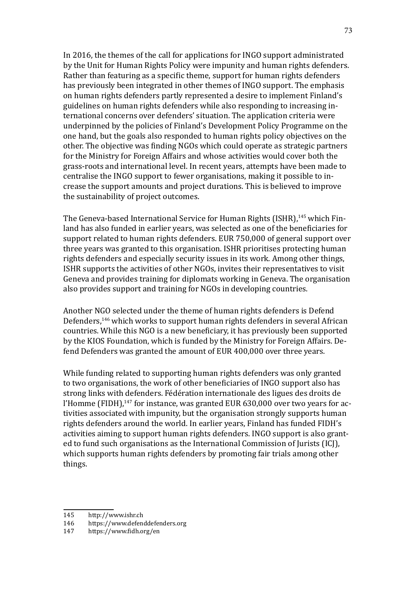In 2016, the themes of the call for applications for INGO support administrated by the Unit for Human Rights Policy were impunity and human rights defenders. Rather than featuring as a specific theme, support for human rights defenders has previously been integrated in other themes of INGO support. The emphasis on human rights defenders partly represented a desire to implement Finland's guidelines on human rights defenders while also responding to increasing international concerns over defenders' situation. The application criteria were underpinned by the policies of Finland's Development Policy Programme on the one hand, but the goals also responded to human rights policy objectives on the other. The objective was finding NGOs which could operate as strategic partners for the Ministry for Foreign Affairs and whose activities would cover both the grass-roots and international level. In recent years, attempts have been made to centralise the INGO support to fewer organisations, making it possible to increase the support amounts and project durations. This is believed to improve the sustainability of project outcomes.

The Geneva-based International Service for Human Rights (ISHR),<sup>145</sup> which Finland has also funded in earlier years, was selected as one of the beneficiaries for support related to human rights defenders. EUR 750,000 of general support over three years was granted to this organisation. ISHR prioritises protecting human rights defenders and especially security issues in its work. Among other things, ISHR supports the activities of other NGOs, invites their representatives to visit Geneva and provides training for diplomats working in Geneva. The organisation also provides support and training for NGOs in developing countries.

Another NGO selected under the theme of human rights defenders is Defend Defenders,<sup>146</sup> which works to support human rights defenders in several African countries. While this NGO is a new beneficiary, it has previously been supported by the KIOS Foundation, which is funded by the Ministry for Foreign Affairs. Defend Defenders was granted the amount of EUR 400,000 over three years.

While funding related to supporting human rights defenders was only granted to two organisations, the work of other beneficiaries of INGO support also has strong links with defenders. Fédération internationale des ligues des droits de l'Homme (FIDH),<sup>147</sup> for instance, was granted EUR 630,000 over two years for activities associated with impunity, but the organisation strongly supports human rights defenders around the world. In earlier years, Finland has funded FIDH's activities aiming to support human rights defenders. INGO support is also granted to fund such organisations as the International Commission of Jurists (ICJ), which supports human rights defenders by promoting fair trials among other things.

<sup>145</sup> <http://www.ishr.ch><br>146 https://www.defen

<sup>146</sup> <https://www.defenddefenders.org><br>147 https://www.fidh.org/en

<https://www.fidh.org/en>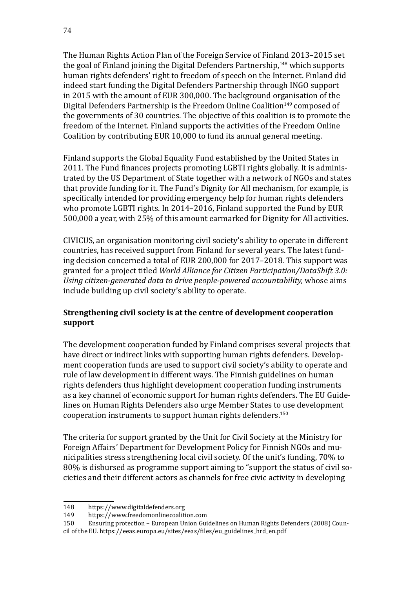The Human Rights Action Plan of the Foreign Service of Finland 2013–2015 set the goal of Finland joining the Digital Defenders Partnership,<sup>148</sup> which supports human rights defenders' right to freedom of speech on the Internet. Finland did indeed start funding the Digital Defenders Partnership through INGO support in 2015 with the amount of EUR 300,000. The background organisation of the Digital Defenders Partnership is the Freedom Online Coalition<sup>149</sup> composed of the governments of 30 countries. The objective of this coalition is to promote the freedom of the Internet. Finland supports the activities of the Freedom Online Coalition by contributing EUR 10,000 to fund its annual general meeting.

Finland supports the Global Equality Fund established by the United States in 2011. The Fund finances projects promoting LGBTI rights globally. It is administrated by the US Department of State together with a network of NGOs and states that provide funding for it. The Fund's Dignity for All mechanism, for example, is specifically intended for providing emergency help for human rights defenders who promote LGBTI rights. In 2014–2016, Finland supported the Fund by EUR 500,000 a year, with 25% of this amount earmarked for Dignity for All activities.

CIVICUS, an organisation monitoring civil society's ability to operate in different countries, has received support from Finland for several years. The latest funding decision concerned a total of EUR 200,000 for 2017–2018. This support was granted for a project titled *World Alliance for Citizen Participation/DataShift 3.0: Using citizen-generated data to drive people-powered accountability,* whose aims include building up civil society's ability to operate.

# **Strengthening civil society is at the centre of development cooperation support**

The development cooperation funded by Finland comprises several projects that have direct or indirect links with supporting human rights defenders. Development cooperation funds are used to support civil society's ability to operate and rule of law development in different ways. The Finnish guidelines on human rights defenders thus highlight development cooperation funding instruments as a key channel of economic support for human rights defenders. The EU Guidelines on Human Rights Defenders also urge Member States to use development cooperation instruments to support human rights defenders.<sup>150</sup>

The criteria for support granted by the Unit for Civil Society at the Ministry for Foreign Affairs' Department for Development Policy for Finnish NGOs and municipalities stress strengthening local civil society. Of the unit's funding, 70% to 80% is disbursed as programme support aiming to "support the status of civil societies and their different actors as channels for free civic activity in developing

<sup>148</sup> <https://www.digitaldefenders.org><br>149 https://www.freedomonlinecoaliti

<sup>149</sup> <https://www.freedomonlinecoalition.com><br>150 Ensuring protection – European Union Gui

<sup>150</sup> Ensuring protection – European Union Guidelines on Human Rights Defenders (2008) Council of the EU. [https://eeas.europa.eu/sites/eeas/files/eu\\_guidelines\\_hrd\\_en.pdf](https://eeas.europa.eu/sites/eeas/files/eu_guidelines_hrd_en.pdf)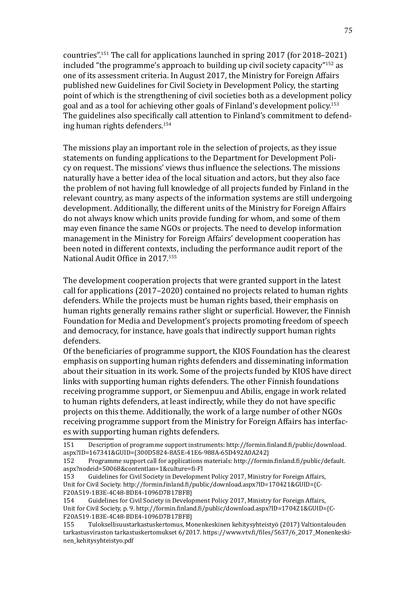countries".151 The call for applications launched in spring 2017 (for 2018–2021) included "the programme's approach to building up civil society capacity"152 as one of its assessment criteria. In August 2017, the Ministry for Foreign Affairs published new Guidelines for Civil Society in Development Policy, the starting point of which is the strengthening of civil societies both as a development policy goal and as a tool for achieving other goals of Finland's development policy.<sup>153</sup> The guidelines also specifically call attention to Finland's commitment to defending human rights defenders.<sup>154</sup>

The missions play an important role in the selection of projects, as they issue statements on funding applications to the Department for Development Policy on request. The missions' views thus influence the selections. The missions naturally have a better idea of the local situation and actors, but they also face the problem of not having full knowledge of all projects funded by Finland in the relevant country, as many aspects of the information systems are still undergoing development. Additionally, the different units of the Ministry for Foreign Affairs do not always know which units provide funding for whom, and some of them may even finance the same NGOs or projects. The need to develop information management in the Ministry for Foreign Affairs' development cooperation has been noted in different contexts, including the performance audit report of the National Audit Office in 2017.<sup>155</sup>

The development cooperation projects that were granted support in the latest call for applications (2017–2020) contained no projects related to human rights defenders. While the projects must be human rights based, their emphasis on human rights generally remains rather slight or superficial. However, the Finnish Foundation for Media and Development's projects promoting freedom of speech and democracy, for instance, have goals that indirectly support human rights defenders.

Of the beneficiaries of programme support, the KIOS Foundation has the clearest emphasis on supporting human rights defenders and disseminating information about their situation in its work. Some of the projects funded by KIOS have direct links with supporting human rights defenders. The other Finnish foundations receiving programme support, or Siemenpuu and Abilis, engage in work related to human rights defenders, at least indirectly, while they do not have specific projects on this theme. Additionally, the work of a large number of other NGOs receiving programme support from the Ministry for Foreign Affairs has interfaces with supporting human rights defenders.

<sup>151</sup> Description of programme support instruments: [http://formin.finland.fi/public/download.](http://formin.finland.fi/public/download.aspx?ID=167341&GUID=%7B300D5824-8A5E-41E6-988A-65D492A0A242%7D) [aspx?ID=167341&GUID=](http://formin.finland.fi/public/download.aspx?ID=167341&GUID=%7B300D5824-8A5E-41E6-988A-65D492A0A242%7D){300D5824-8A5E-41E6-988A-65D492A0A242}<br>152 Programme support call for applications materials: http://formi

<sup>152</sup> Programme support call for applications materials: [http://formin.finland.fi/public/default.](http://formin.finland.fi/public/default.aspx?nodeid=50068&contentlan=1&culture=fi-FI) [aspx?nodeid=50068&contentlan=1&culture=fi-FI](http://formin.finland.fi/public/default.aspx?nodeid=50068&contentlan=1&culture=fi-FI)

Guidelines for Civil Society in Development Policy 2017, Ministry for Foreign Affairs, Unit for Civil Society. [http://formin.finland.fi/public/download.aspx?ID=170421&GUID=](http://formin.finland.fi/public/download.aspx?ID=170421&GUID=%7BCF20A519-1B3E-4C48-BDE4-1096D7B17BFB%7D){C-F20A519-1B3E-4C48-BDE4-1096D7B17BFB}<br>154 Guidelines for Civil Society in Develor

Guidelines for Civil Society in Development Policy 2017, Ministry for Foreign Affairs, Unit for Civil Society, p. 9. [http://formin.finland.fi/public/download.aspx?ID=170421&GUID={](http://formin.finland.fi/public/download.aspx?ID=170421&GUID=%7BCF20A519-1B3E-4C48-BDE4-1096D7B17BFB%7D)C-F20A519-1B3E-4C48-BDE4-1096D7B17BFB}<br>155 Tuloksellisuustarkastuskertomus. Mo

<sup>155</sup> Tuloksellisuustarkastuskertomus, Monenkeskinen kehitysyhteistyö (2017) Valtiontalouden tarkastusviraston tarkastuskertomukset 6/2017. [https://www.vtv.fi/files/5637/6\\_2017\\_Monenkeski](https://www.vtv.fi/files/5637/6_2017_Monenkeskinen_kehitysyhteistyo.pdf)[nen\\_kehitysyhteistyo.pdf](https://www.vtv.fi/files/5637/6_2017_Monenkeskinen_kehitysyhteistyo.pdf)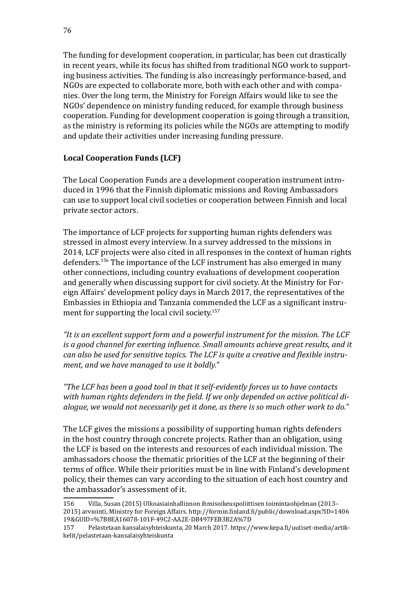The funding for development cooperation, in particular, has been cut drastically in recent years, while its focus has shifted from traditional NGO work to supporting business activities. The funding is also increasingly performance-based, and NGOs are expected to collaborate more, both with each other and with companies. Over the long term, the Ministry for Foreign Affairs would like to see the NGOs' dependence on ministry funding reduced, for example through business cooperation. Funding for development cooperation is going through a transition, as the ministry is reforming its policies while the NGOs are attempting to modify and update their activities under increasing funding pressure.

## **Local Cooperation Funds (LCF)**

The Local Cooperation Funds are a development cooperation instrument introduced in 1996 that the Finnish diplomatic missions and Roving Ambassadors can use to support local civil societies or cooperation between Finnish and local private sector actors.

The importance of LCF projects for supporting human rights defenders was stressed in almost every interview. In a survey addressed to the missions in 2014, LCF projects were also cited in all responses in the context of human rights defenders.156 The importance of the LCF instrument has also emerged in many other connections, including country evaluations of development cooperation and generally when discussing support for civil society. At the Ministry for Foreign Affairs' development policy days in March 2017, the representatives of the Embassies in Ethiopia and Tanzania commended the LCF as a significant instrument for supporting the local civil society.<sup>157</sup>

*"It is an excellent support form and a powerful instrument for the mission. The LCF is a good channel for exerting influence. Small amounts achieve great results, and it can also be used for sensitive topics. The LCF is quite a creative and flexible instrument, and we have managed to use it boldly."*

*"The LCF has been a good tool in that it self-evidently forces us to have contacts with human rights defenders in the field. If we only depended on active political dialogue, we would not necessarily get it done, as there is so much other work to do."*

The LCF gives the missions a possibility of supporting human rights defenders in the host country through concrete projects. Rather than an obligation, using the LCF is based on the interests and resources of each individual mission. The ambassadors choose the thematic priorities of the LCF at the beginning of their terms of office. While their priorities must be in line with Finland's development policy, their themes can vary according to the situation of each host country and the ambassador's assessment of it.

<sup>156</sup> Villa, Susan (2015) Ulkoasiainhallinnon ihmisoikeuspoliittisen toimintaohjelman (2013– 2015) arviointi, Ministry for Foreign Affairs. [http://formin.finland.fi/public/download.aspx?ID=1406](http://formin.finland.fi/public/download.aspx?ID=140619&GUID=%7B8EA16078-101F-49C2-AA2E-DB497FEB3B2A%7D) [19&GUID=%7B8EA16078-101F-49C2-AA2E-DB497FEB3B2A%7D](http://formin.finland.fi/public/download.aspx?ID=140619&GUID=%7B8EA16078-101F-49C2-AA2E-DB497FEB3B2A%7D)

<sup>157</sup> Pelastetaan kansalaisyhteiskunta, 20 March 2017. [https://www.kepa.fi/uutiset-media/artik](https://www.kepa.fi/uutiset-media/artikkelit/pelastetaan-kansalaisyhteiskunta)[kelit/pelastetaan-kansalaisyhteiskunta](https://www.kepa.fi/uutiset-media/artikkelit/pelastetaan-kansalaisyhteiskunta)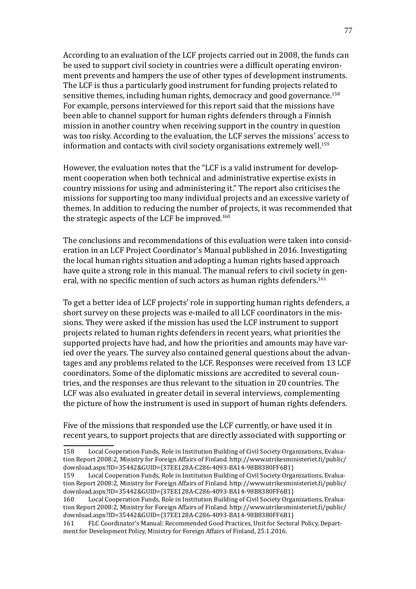According to an evaluation of the LCF projects carried out in 2008, the funds can be used to support civil society in countries were a difficult operating environment prevents and hampers the use of other types of development instruments. The LCF is thus a particularly good instrument for funding projects related to sensitive themes, including human rights, democracy and good governance.<sup>158</sup> For example, persons interviewed for this report said that the missions have been able to channel support for human rights defenders through a Finnish mission in another country when receiving support in the country in question was too risky. According to the evaluation, the LCF serves the missions' access to information and contacts with civil society organisations extremely well.<sup>159</sup>

However, the evaluation notes that the "LCF is a valid instrument for development cooperation when both technical and administrative expertise exists in country missions for using and administering it." The report also criticises the missions for supporting too many individual projects and an excessive variety of themes. In addition to reducing the number of projects, it was recommended that the strategic aspects of the LCF be improved.<sup>160</sup>

The conclusions and recommendations of this evaluation were taken into consideration in an LCF Project Coordinator's Manual published in 2016. Investigating the local human rights situation and adopting a human rights based approach have quite a strong role in this manual. The manual refers to civil society in general, with no specific mention of such actors as human rights defenders.<sup>161</sup>

To get a better idea of LCF projects' role in supporting human rights defenders, a short survey on these projects was e-mailed to all LCF coordinators in the missions. They were asked if the mission has used the LCF instrument to support projects related to human rights defenders in recent years, what priorities the supported projects have had, and how the priorities and amounts may have varied over the years. The survey also contained general questions about the advantages and any problems related to the LCF. Responses were received from 13 LCF coordinators. Some of the diplomatic missions are accredited to several countries, and the responses are thus relevant to the situation in 20 countries. The LCF was also evaluated in greater detail in several interviews, complementing the picture of how the instrument is used in support of human rights defenders.

Five of the missions that responded use the LCF currently, or have used it in recent years, to support projects that are directly associated with supporting or

Local Cooperation Funds, Role in Institution Building of Civil Society Organizations, Evaluation Report 2008:2, Ministry for Foreign Affairs of Finland. [http://www.utrikesministeriet.fi/public/](http://www.utrikesministeriet.fi/public/download.aspx?ID=35442&GUID=%7B37EE128A-C286-4093-BA14-98B8380FF6B1%7D) [download.aspx?ID=35442&GUID={](http://www.utrikesministeriet.fi/public/download.aspx?ID=35442&GUID=%7B37EE128A-C286-4093-BA14-98B8380FF6B1%7D)37EE128A-C286-4093-BA14-98B8380FF6B1}<br>161 FLC Coordinator's Manual: Recommended Good Practices, Unit for Sector

<sup>158</sup> Local Cooperation Funds, Role in Institution Building of Civil Society Organizations, Evaluation Report 2008:2, Ministry for Foreign Affairs of Finland. [http://www.utrikesministeriet.fi/public/](http://www.utrikesministeriet.fi/public/download.aspx?ID=35442&GUID=%7B37EE128A-C286-4093-BA14-98B8380FF6B1%7D) [download.aspx?ID=35442&GUID={](http://www.utrikesministeriet.fi/public/download.aspx?ID=35442&GUID=%7B37EE128A-C286-4093-BA14-98B8380FF6B1%7D)37EE128A-C286-4093-BA14-98B8380FF6B1}<br>159 Local Cooperation Funds. Role in Institution Building of Civil Society Orga

Local Cooperation Funds, Role in Institution Building of Civil Society Organizations, Evaluation Report 2008:2, Ministry for Foreign Affairs of Finland. [http://www.utrikesministeriet.fi/public/](http://www.utrikesministeriet.fi/public/download.aspx?ID=35442&GUID=%7B37EE128A-C286-4093-BA14-98B8380FF6B1%7D) [download.aspx?ID=35442&GUID={](http://www.utrikesministeriet.fi/public/download.aspx?ID=35442&GUID=%7B37EE128A-C286-4093-BA14-98B8380FF6B1%7D)37EE128A-C286-4093-BA14-98B8380FF6B1}<br>160 Local Cooperation Funds, Role in Institution Building of Civil Society Orga

FLC Coordinator's Manual: Recommended Good Practices, Unit for Sectoral Policy, Department for Development Policy, Ministry for Foreign Affairs of Finland, 25.1.2016.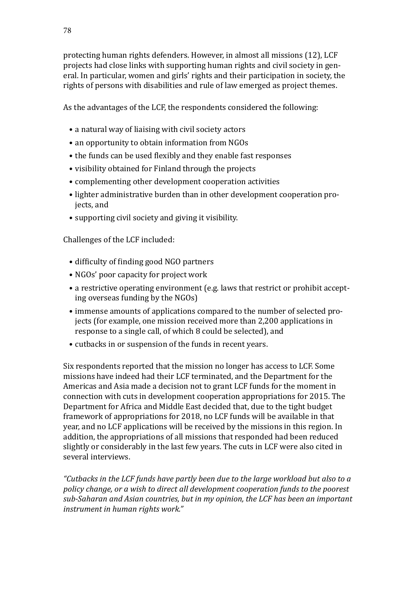protecting human rights defenders. However, in almost all missions (12), LCF projects had close links with supporting human rights and civil society in general. In particular, women and girls' rights and their participation in society, the rights of persons with disabilities and rule of law emerged as project themes.

As the advantages of the LCF, the respondents considered the following:

- a natural way of liaising with civil society actors
- an opportunity to obtain information from NGOs
- the funds can be used flexibly and they enable fast responses
- visibility obtained for Finland through the projects
- complementing other development cooperation activities
- lighter administrative burden than in other development cooperation projects, and
- supporting civil society and giving it visibility.

Challenges of the LCF included:

- difficulty of finding good NGO partners
- NGOs' poor capacity for project work
- a restrictive operating environment (e.g. laws that restrict or prohibit accepting overseas funding by the NGOs)
- immense amounts of applications compared to the number of selected projects (for example, one mission received more than 2,200 applications in response to a single call, of which 8 could be selected), and
- cutbacks in or suspension of the funds in recent years.

Six respondents reported that the mission no longer has access to LCF. Some missions have indeed had their LCF terminated, and the Department for the Americas and Asia made a decision not to grant LCF funds for the moment in connection with cuts in development cooperation appropriations for 2015. The Department for Africa and Middle East decided that, due to the tight budget framework of appropriations for 2018, no LCF funds will be available in that year, and no LCF applications will be received by the missions in this region. In addition, the appropriations of all missions that responded had been reduced slightly or considerably in the last few years. The cuts in LCF were also cited in several interviews.

*"Cutbacks in the LCF funds have partly been due to the large workload but also to a policy change, or a wish to direct all development cooperation funds to the poorest sub-Saharan and Asian countries, but in my opinion, the LCF has been an important instrument in human rights work."*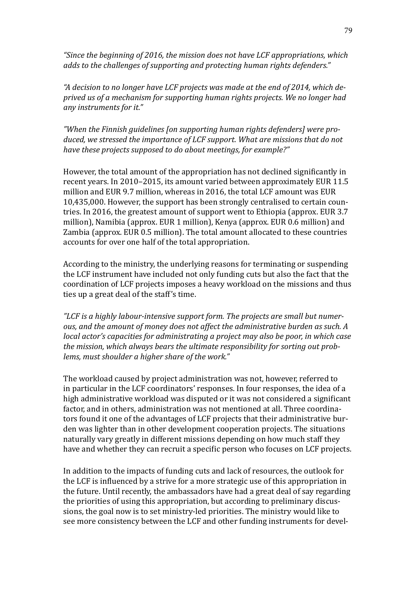*"Since the beginning of 2016, the mission does not have LCF appropriations, which adds to the challenges of supporting and protecting human rights defenders."* 

*"A decision to no longer have LCF projects was made at the end of 2014, which deprived us of a mechanism for supporting human rights projects. We no longer had any instruments for it."*

*"When the Finnish guidelines [on supporting human rights defenders] were produced, we stressed the importance of LCF support. What are missions that do not have these projects supposed to do about meetings, for example?"*

However, the total amount of the appropriation has not declined significantly in recent years. In 2010–2015, its amount varied between approximately EUR 11.5 million and EUR 9.7 million, whereas in 2016, the total LCF amount was EUR 10,435,000. However, the support has been strongly centralised to certain countries. In 2016, the greatest amount of support went to Ethiopia (approx. EUR 3.7 million), Namibia (approx. EUR 1 million), Kenya (approx. EUR 0.6 million) and Zambia (approx. EUR 0.5 million). The total amount allocated to these countries accounts for over one half of the total appropriation.

According to the ministry, the underlying reasons for terminating or suspending the LCF instrument have included not only funding cuts but also the fact that the coordination of LCF projects imposes a heavy workload on the missions and thus ties up a great deal of the staff's time.

*"LCF is a highly labour-intensive support form. The projects are small but numerous, and the amount of money does not affect the administrative burden as such. A local actor's capacities for administrating a project may also be poor, in which case the mission, which always bears the ultimate responsibility for sorting out problems, must shoulder a higher share of the work."*

The workload caused by project administration was not, however, referred to in particular in the LCF coordinators' responses. In four responses, the idea of a high administrative workload was disputed or it was not considered a significant factor, and in others, administration was not mentioned at all. Three coordinators found it one of the advantages of LCF projects that their administrative burden was lighter than in other development cooperation projects. The situations naturally vary greatly in different missions depending on how much staff they have and whether they can recruit a specific person who focuses on LCF projects.

In addition to the impacts of funding cuts and lack of resources, the outlook for the LCF is influenced by a strive for a more strategic use of this appropriation in the future. Until recently, the ambassadors have had a great deal of say regarding the priorities of using this appropriation, but according to preliminary discussions, the goal now is to set ministry-led priorities. The ministry would like to see more consistency between the LCF and other funding instruments for devel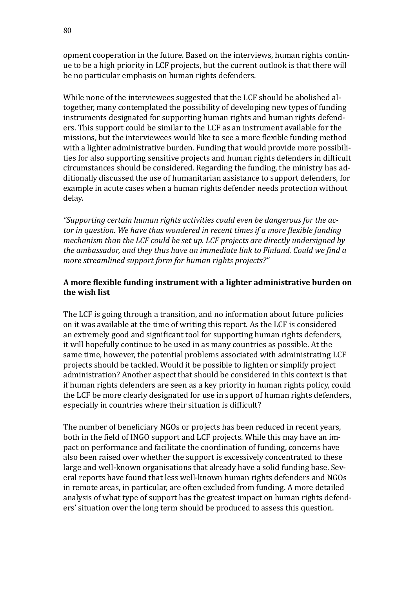opment cooperation in the future. Based on the interviews, human rights continue to be a high priority in LCF projects, but the current outlook is that there will be no particular emphasis on human rights defenders.

While none of the interviewees suggested that the LCF should be abolished altogether, many contemplated the possibility of developing new types of funding instruments designated for supporting human rights and human rights defenders. This support could be similar to the LCF as an instrument available for the missions, but the interviewees would like to see a more flexible funding method with a lighter administrative burden. Funding that would provide more possibilities for also supporting sensitive projects and human rights defenders in difficult circumstances should be considered. Regarding the funding, the ministry has additionally discussed the use of humanitarian assistance to support defenders, for example in acute cases when a human rights defender needs protection without delay.

*"Supporting certain human rights activities could even be dangerous for the actor in question. We have thus wondered in recent times if a more flexible funding mechanism than the LCF could be set up. LCF projects are directly undersigned by the ambassador, and they thus have an immediate link to Finland. Could we find a more streamlined support form for human rights projects?"*

## **A more flexible funding instrument with a lighter administrative burden on the wish list**

The LCF is going through a transition, and no information about future policies on it was available at the time of writing this report. As the LCF is considered an extremely good and significant tool for supporting human rights defenders, it will hopefully continue to be used in as many countries as possible. At the same time, however, the potential problems associated with administrating LCF projects should be tackled. Would it be possible to lighten or simplify project administration? Another aspect that should be considered in this context is that if human rights defenders are seen as a key priority in human rights policy, could the LCF be more clearly designated for use in support of human rights defenders, especially in countries where their situation is difficult?

The number of beneficiary NGOs or projects has been reduced in recent years, both in the field of INGO support and LCF projects. While this may have an impact on performance and facilitate the coordination of funding, concerns have also been raised over whether the support is excessively concentrated to these large and well-known organisations that already have a solid funding base. Several reports have found that less well-known human rights defenders and NGOs in remote areas, in particular, are often excluded from funding. A more detailed analysis of what type of support has the greatest impact on human rights defenders' situation over the long term should be produced to assess this question.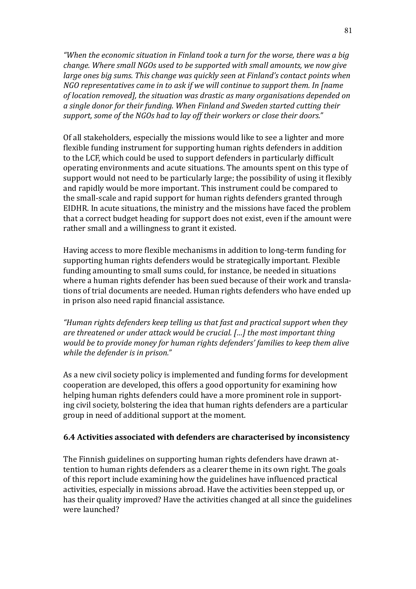*"When the economic situation in Finland took a turn for the worse, there was a big change. Where small NGOs used to be supported with small amounts, we now give large ones big sums. This change was quickly seen at Finland's contact points when NGO representatives came in to ask if we will continue to support them. In [name of location removed], the situation was drastic as many organisations depended on a single donor for their funding. When Finland and Sweden started cutting their support, some of the NGOs had to lay off their workers or close their doors."*

Of all stakeholders, especially the missions would like to see a lighter and more flexible funding instrument for supporting human rights defenders in addition to the LCF, which could be used to support defenders in particularly difficult operating environments and acute situations. The amounts spent on this type of support would not need to be particularly large; the possibility of using it flexibly and rapidly would be more important. This instrument could be compared to the small-scale and rapid support for human rights defenders granted through EIDHR. In acute situations, the ministry and the missions have faced the problem that a correct budget heading for support does not exist, even if the amount were rather small and a willingness to grant it existed.

Having access to more flexible mechanisms in addition to long-term funding for supporting human rights defenders would be strategically important. Flexible funding amounting to small sums could, for instance, be needed in situations where a human rights defender has been sued because of their work and translations of trial documents are needed. Human rights defenders who have ended up in prison also need rapid financial assistance.

*"Human rights defenders keep telling us that fast and practical support when they are threatened or under attack would be crucial. […] the most important thing would be to provide money for human rights defenders' families to keep them alive while the defender is in prison."* 

As a new civil society policy is implemented and funding forms for development cooperation are developed, this offers a good opportunity for examining how helping human rights defenders could have a more prominent role in supporting civil society, bolstering the idea that human rights defenders are a particular group in need of additional support at the moment.

### **6.4 Activities associated with defenders are characterised by inconsistency**

The Finnish guidelines on supporting human rights defenders have drawn attention to human rights defenders as a clearer theme in its own right. The goals of this report include examining how the guidelines have influenced practical activities, especially in missions abroad. Have the activities been stepped up, or has their quality improved? Have the activities changed at all since the guidelines were launched?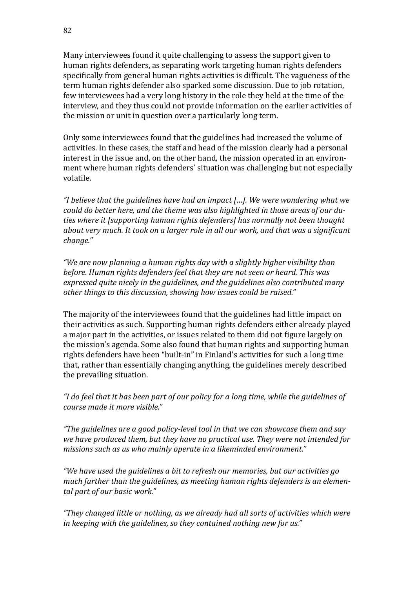Many interviewees found it quite challenging to assess the support given to human rights defenders, as separating work targeting human rights defenders specifically from general human rights activities is difficult. The vagueness of the term human rights defender also sparked some discussion. Due to job rotation, few interviewees had a very long history in the role they held at the time of the interview, and they thus could not provide information on the earlier activities of the mission or unit in question over a particularly long term.

Only some interviewees found that the guidelines had increased the volume of activities. In these cases, the staff and head of the mission clearly had a personal interest in the issue and, on the other hand, the mission operated in an environment where human rights defenders' situation was challenging but not especially volatile.

*"I believe that the guidelines have had an impact […]. We were wondering what we could do better here, and the theme was also highlighted in those areas of our duties where it [supporting human rights defenders] has normally not been thought about very much. It took on a larger role in all our work, and that was a significant change."* 

*"We are now planning a human rights day with a slightly higher visibility than before. Human rights defenders feel that they are not seen or heard. This was expressed quite nicely in the guidelines, and the guidelines also contributed many other things to this discussion, showing how issues could be raised."*

The majority of the interviewees found that the guidelines had little impact on their activities as such. Supporting human rights defenders either already played a major part in the activities, or issues related to them did not figure largely on the mission's agenda. Some also found that human rights and supporting human rights defenders have been "built-in" in Finland's activities for such a long time that, rather than essentially changing anything, the guidelines merely described the prevailing situation.

*"I do feel that it has been part of our policy for a long time, while the guidelines of course made it more visible."*

*"The guidelines are a good policy-level tool in that we can showcase them and say we have produced them, but they have no practical use. They were not intended for missions such as us who mainly operate in a likeminded environment."*

*"We have used the guidelines a bit to refresh our memories, but our activities go much further than the guidelines, as meeting human rights defenders is an elemental part of our basic work."* 

*"They changed little or nothing, as we already had all sorts of activities which were in keeping with the guidelines, so they contained nothing new for us."*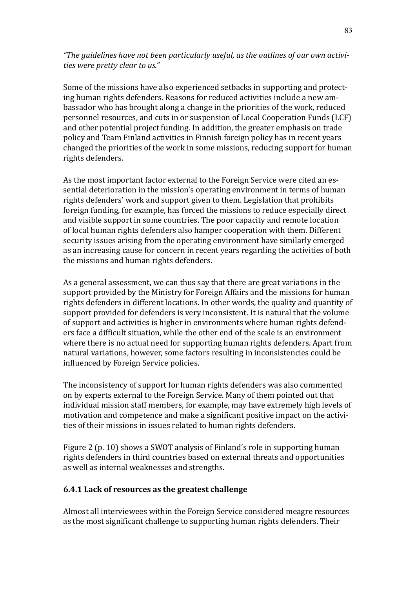*"The guidelines have not been particularly useful, as the outlines of our own activities were pretty clear to us."*

Some of the missions have also experienced setbacks in supporting and protecting human rights defenders. Reasons for reduced activities include a new ambassador who has brought along a change in the priorities of the work, reduced personnel resources, and cuts in or suspension of Local Cooperation Funds (LCF) and other potential project funding. In addition, the greater emphasis on trade policy and Team Finland activities in Finnish foreign policy has in recent years changed the priorities of the work in some missions, reducing support for human rights defenders.

As the most important factor external to the Foreign Service were cited an essential deterioration in the mission's operating environment in terms of human rights defenders' work and support given to them. Legislation that prohibits foreign funding, for example, has forced the missions to reduce especially direct and visible support in some countries. The poor capacity and remote location of local human rights defenders also hamper cooperation with them. Different security issues arising from the operating environment have similarly emerged as an increasing cause for concern in recent years regarding the activities of both the missions and human rights defenders.

As a general assessment, we can thus say that there are great variations in the support provided by the Ministry for Foreign Affairs and the missions for human rights defenders in different locations. In other words, the quality and quantity of support provided for defenders is very inconsistent. It is natural that the volume of support and activities is higher in environments where human rights defenders face a difficult situation, while the other end of the scale is an environment where there is no actual need for supporting human rights defenders. Apart from natural variations, however, some factors resulting in inconsistencies could be influenced by Foreign Service policies.

The inconsistency of support for human rights defenders was also commented on by experts external to the Foreign Service. Many of them pointed out that individual mission staff members, for example, may have extremely high levels of motivation and competence and make a significant positive impact on the activities of their missions in issues related to human rights defenders.

Figure 2 (p. 10) shows a SWOT analysis of Finland's role in supporting human rights defenders in third countries based on external threats and opportunities as well as internal weaknesses and strengths.

## **6.4.1 Lack of resources as the greatest challenge**

Almost all interviewees within the Foreign Service considered meagre resources as the most significant challenge to supporting human rights defenders. Their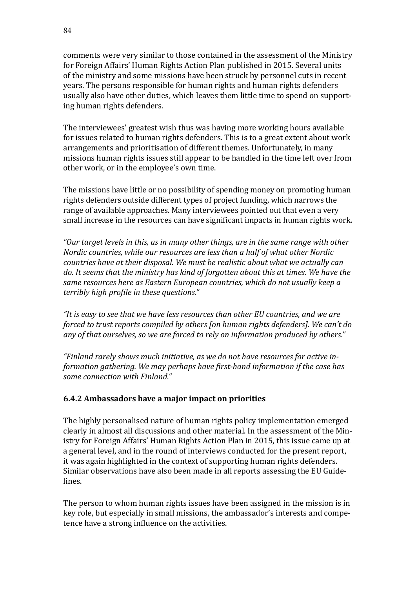comments were very similar to those contained in the assessment of the Ministry for Foreign Affairs' Human Rights Action Plan published in 2015. Several units of the ministry and some missions have been struck by personnel cuts in recent years. The persons responsible for human rights and human rights defenders usually also have other duties, which leaves them little time to spend on supporting human rights defenders.

The interviewees' greatest wish thus was having more working hours available for issues related to human rights defenders. This is to a great extent about work arrangements and prioritisation of different themes. Unfortunately, in many missions human rights issues still appear to be handled in the time left over from other work, or in the employee's own time.

The missions have little or no possibility of spending money on promoting human rights defenders outside different types of project funding, which narrows the range of available approaches. Many interviewees pointed out that even a very small increase in the resources can have significant impacts in human rights work.

*"Our target levels in this, as in many other things, are in the same range with other Nordic countries, while our resources are less than a half of what other Nordic countries have at their disposal. We must be realistic about what we actually can do. It seems that the ministry has kind of forgotten about this at times. We have the same resources here as Eastern European countries, which do not usually keep a terribly high profile in these questions."*

*"It is easy to see that we have less resources than other EU countries, and we are forced to trust reports compiled by others [on human rights defenders]. We can't do any of that ourselves, so we are forced to rely on information produced by others."*

*"Finland rarely shows much initiative, as we do not have resources for active information gathering. We may perhaps have first-hand information if the case has some connection with Finland."*

### **6.4.2 Ambassadors have a major impact on priorities**

The highly personalised nature of human rights policy implementation emerged clearly in almost all discussions and other material. In the assessment of the Ministry for Foreign Affairs' Human Rights Action Plan in 2015, this issue came up at a general level, and in the round of interviews conducted for the present report, it was again highlighted in the context of supporting human rights defenders. Similar observations have also been made in all reports assessing the EU Guidelines.

The person to whom human rights issues have been assigned in the mission is in key role, but especially in small missions, the ambassador's interests and competence have a strong influence on the activities.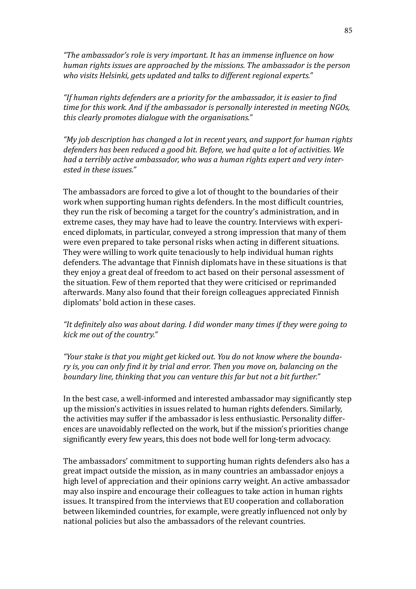*"The ambassador's role is very important. It has an immense influence on how human rights issues are approached by the missions. The ambassador is the person who visits Helsinki, gets updated and talks to different regional experts."*

*"If human rights defenders are a priority for the ambassador, it is easier to find time for this work. And if the ambassador is personally interested in meeting NGOs, this clearly promotes dialogue with the organisations."*

*"My job description has changed a lot in recent years, and support for human rights defenders has been reduced a good bit. Before, we had quite a lot of activities. We had a terribly active ambassador, who was a human rights expert and very interested in these issues."*

The ambassadors are forced to give a lot of thought to the boundaries of their work when supporting human rights defenders. In the most difficult countries, they run the risk of becoming a target for the country's administration, and in extreme cases, they may have had to leave the country. Interviews with experienced diplomats, in particular, conveyed a strong impression that many of them were even prepared to take personal risks when acting in different situations. They were willing to work quite tenaciously to help individual human rights defenders. The advantage that Finnish diplomats have in these situations is that they enjoy a great deal of freedom to act based on their personal assessment of the situation. Few of them reported that they were criticised or reprimanded afterwards. Many also found that their foreign colleagues appreciated Finnish diplomats' bold action in these cases.

## *"It definitely also was about daring. I did wonder many times if they were going to kick me out of the country."*

*"Your stake is that you might get kicked out. You do not know where the boundary is, you can only find it by trial and error. Then you move on, balancing on the boundary line, thinking that you can venture this far but not a bit further."*

In the best case, a well-informed and interested ambassador may significantly step up the mission's activities in issues related to human rights defenders. Similarly, the activities may suffer if the ambassador is less enthusiastic. Personality differences are unavoidably reflected on the work, but if the mission's priorities change significantly every few years, this does not bode well for long-term advocacy.

The ambassadors' commitment to supporting human rights defenders also has a great impact outside the mission, as in many countries an ambassador enjoys a high level of appreciation and their opinions carry weight. An active ambassador may also inspire and encourage their colleagues to take action in human rights issues. It transpired from the interviews that EU cooperation and collaboration between likeminded countries, for example, were greatly influenced not only by national policies but also the ambassadors of the relevant countries.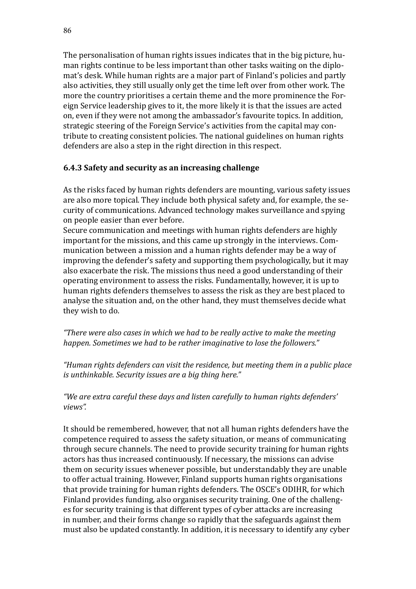The personalisation of human rights issues indicates that in the big picture, human rights continue to be less important than other tasks waiting on the diplomat's desk. While human rights are a major part of Finland's policies and partly also activities, they still usually only get the time left over from other work. The more the country prioritises a certain theme and the more prominence the Foreign Service leadership gives to it, the more likely it is that the issues are acted on, even if they were not among the ambassador's favourite topics. In addition, strategic steering of the Foreign Service's activities from the capital may contribute to creating consistent policies. The national guidelines on human rights defenders are also a step in the right direction in this respect.

# **6.4.3 Safety and security as an increasing challenge**

As the risks faced by human rights defenders are mounting, various safety issues are also more topical. They include both physical safety and, for example, the security of communications. Advanced technology makes surveillance and spying on people easier than ever before.

Secure communication and meetings with human rights defenders are highly important for the missions, and this came up strongly in the interviews. Communication between a mission and a human rights defender may be a way of improving the defender's safety and supporting them psychologically, but it may also exacerbate the risk. The missions thus need a good understanding of their operating environment to assess the risks. Fundamentally, however, it is up to human rights defenders themselves to assess the risk as they are best placed to analyse the situation and, on the other hand, they must themselves decide what they wish to do.

*"There were also cases in which we had to be really active to make the meeting happen. Sometimes we had to be rather imaginative to lose the followers."* 

*"Human rights defenders can visit the residence, but meeting them in a public place is unthinkable. Security issues are a big thing here."*

*"We are extra careful these days and listen carefully to human rights defenders' views".*

It should be remembered, however, that not all human rights defenders have the competence required to assess the safety situation, or means of communicating through secure channels. The need to provide security training for human rights actors has thus increased continuously. If necessary, the missions can advise them on security issues whenever possible, but understandably they are unable to offer actual training. However, Finland supports human rights organisations that provide training for human rights defenders. The OSCE's ODIHR, for which Finland provides funding, also organises security training. One of the challenges for security training is that different types of cyber attacks are increasing in number, and their forms change so rapidly that the safeguards against them must also be updated constantly. In addition, it is necessary to identify any cyber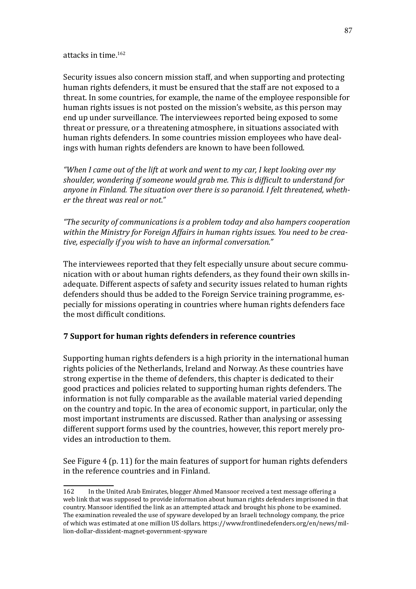attacks in time.<sup>162</sup>

Security issues also concern mission staff, and when supporting and protecting human rights defenders, it must be ensured that the staff are not exposed to a threat. In some countries, for example, the name of the employee responsible for human rights issues is not posted on the mission's website, as this person may end up under surveillance. The interviewees reported being exposed to some threat or pressure, or a threatening atmosphere, in situations associated with human rights defenders. In some countries mission employees who have dealings with human rights defenders are known to have been followed.

*"When I came out of the lift at work and went to my car, I kept looking over my shoulder, wondering if someone would grab me. This is difficult to understand for anyone in Finland. The situation over there is so paranoid. I felt threatened, whether the threat was real or not."*

*"The security of communications is a problem today and also hampers cooperation within the Ministry for Foreign Affairs in human rights issues. You need to be creative, especially if you wish to have an informal conversation."*

The interviewees reported that they felt especially unsure about secure communication with or about human rights defenders, as they found their own skills inadequate. Different aspects of safety and security issues related to human rights defenders should thus be added to the Foreign Service training programme, especially for missions operating in countries where human rights defenders face the most difficult conditions.

## **7 Support for human rights defenders in reference countries**

Supporting human rights defenders is a high priority in the international human rights policies of the Netherlands, Ireland and Norway. As these countries have strong expertise in the theme of defenders, this chapter is dedicated to their good practices and policies related to supporting human rights defenders. The information is not fully comparable as the available material varied depending on the country and topic. In the area of economic support, in particular, only the most important instruments are discussed. Rather than analysing or assessing different support forms used by the countries, however, this report merely provides an introduction to them.

See Figure 4 (p. 11) for the main features of support for human rights defenders in the reference countries and in Finland.

<sup>162</sup> In the United Arab Emirates, blogger Ahmed Mansoor received a text message offering a web link that was supposed to provide information about human rights defenders imprisoned in that country. Mansoor identified the link as an attempted attack and brought his phone to be examined. The examination revealed the use of spyware developed by an Israeli technology company, the price of which was estimated at one million US dollars. [https://www.frontlinedefenders.org/en/news/mil](https://www.frontlinedefenders.org/en/news/million-dollar-dissident-magnet-government-spyware)[lion-dollar-dissident-magnet-government-spyware](https://www.frontlinedefenders.org/en/news/million-dollar-dissident-magnet-government-spyware)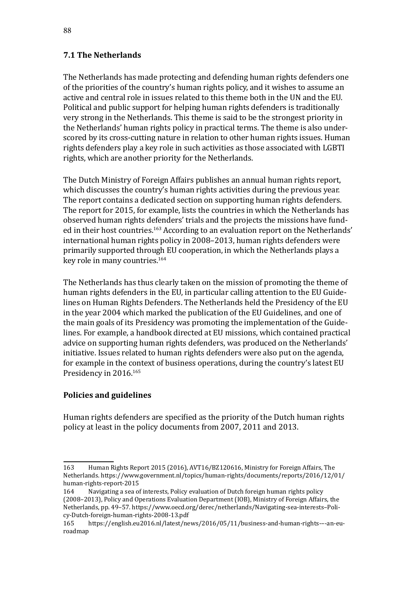# **7.1 The Netherlands**

The Netherlands has made protecting and defending human rights defenders one of the priorities of the country's human rights policy, and it wishes to assume an active and central role in issues related to this theme both in the UN and the EU. Political and public support for helping human rights defenders is traditionally very strong in the Netherlands. This theme is said to be the strongest priority in the Netherlands' human rights policy in practical terms. The theme is also underscored by its cross-cutting nature in relation to other human rights issues. Human rights defenders play a key role in such activities as those associated with LGBTI rights, which are another priority for the Netherlands.

The Dutch Ministry of Foreign Affairs publishes an annual human rights report, which discusses the country's human rights activities during the previous year. The report contains a dedicated section on supporting human rights defenders. The report for 2015, for example, lists the countries in which the Netherlands has observed human rights defenders' trials and the projects the missions have funded in their host countries.<sup>163</sup> According to an evaluation report on the Netherlands' international human rights policy in 2008–2013, human rights defenders were primarily supported through EU cooperation, in which the Netherlands plays a key role in many countries.<sup>164</sup>

The Netherlands has thus clearly taken on the mission of promoting the theme of human rights defenders in the EU, in particular calling attention to the EU Guidelines on Human Rights Defenders. The Netherlands held the Presidency of the EU in the year 2004 which marked the publication of the EU Guidelines, and one of the main goals of its Presidency was promoting the implementation of the Guidelines. For example, a handbook directed at EU missions, which contained practical advice on supporting human rights defenders, was produced on the Netherlands' initiative. Issues related to human rights defenders were also put on the agenda, for example in the context of business operations, during the country's latest EU Presidency in 2016.165

## **Policies and guidelines**

Human rights defenders are specified as the priority of the Dutch human rights policy at least in the policy documents from 2007, 2011 and 2013.

<sup>163</sup> Human Rights Report 2015 (2016), AVT16/BZ120616, Ministry for Foreign Affairs, The Netherlands. [https://www.government.nl/topics/human-rights/documents/reports/2016/12/01/](https://www.government.nl/topics/human-rights/documents/reports/2016/12/01/human-rights-report-2015) [human-rights-report-2015](https://www.government.nl/topics/human-rights/documents/reports/2016/12/01/human-rights-report-2015)<br>164 Navigating a sea o

Navigating a sea of interests, Policy evaluation of Dutch foreign human rights policy (2008–2013), Policy and Operations Evaluation Department (IOB), Ministry of Foreign Affairs, the Netherlands, pp. 49–57. [https://www.oecd.org/derec/netherlands/Navigating-sea-interests–](https://www.oecd.org/derec/netherlands/Navigating-sea-interests%96Policy-Dutch-foreign-human-rights-2008-13.pdf)Policy-Dutch-foreign-human-rights-2008-13.pdf

<sup>165</sup> <https://english.eu2016.nl/latest/news/2016/05/11/business-and-human-rights->–-an-euroadmap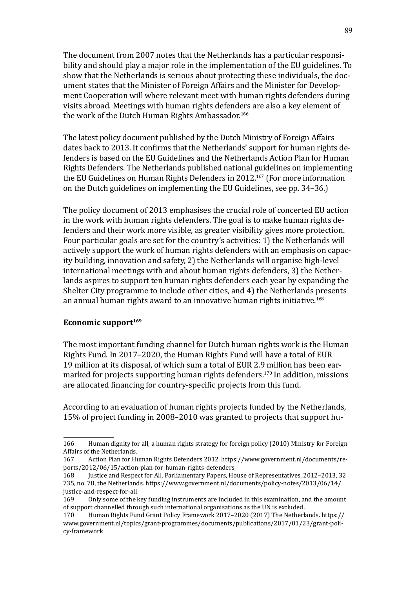The document from 2007 notes that the Netherlands has a particular responsibility and should play a major role in the implementation of the EU guidelines. To show that the Netherlands is serious about protecting these individuals, the document states that the Minister of Foreign Affairs and the Minister for Development Cooperation will where relevant meet with human rights defenders during visits abroad. Meetings with human rights defenders are also a key element of the work of the Dutch Human Rights Ambassador.<sup>166</sup>

The latest policy document published by the Dutch Ministry of Foreign Affairs dates back to 2013. It confirms that the Netherlands' support for human rights defenders is based on the EU Guidelines and the Netherlands Action Plan for Human Rights Defenders. The Netherlands published national guidelines on implementing the EU Guidelines on Human Rights Defenders in 2012.<sup>167</sup> (For more information on the Dutch guidelines on implementing the EU Guidelines, see pp. 34–36.)

The policy document of 2013 emphasises the crucial role of concerted EU action in the work with human rights defenders. The goal is to make human rights defenders and their work more visible, as greater visibility gives more protection. Four particular goals are set for the country's activities: 1) the Netherlands will actively support the work of human rights defenders with an emphasis on capacity building, innovation and safety, 2) the Netherlands will organise high-level international meetings with and about human rights defenders, 3) the Netherlands aspires to support ten human rights defenders each year by expanding the Shelter City programme to include other cities, and 4) the Netherlands presents an annual human rights award to an innovative human rights initiative.<sup>168</sup>

### Economic support<sup>169</sup>

The most important funding channel for Dutch human rights work is the Human Rights Fund. In 2017–2020, the Human Rights Fund will have a total of EUR 19 million at its disposal, of which sum a total of EUR 2.9 million has been earmarked for projects supporting human rights defenders.<sup>170</sup> In addition, missions are allocated financing for country-specific projects from this fund.

According to an evaluation of human rights projects funded by the Netherlands, 15% of project funding in 2008–2010 was granted to projects that support hu-

<sup>166</sup> Human dignity for all, a human rights strategy for foreign policy (2010) Ministry for Foreign Affairs of the Netherlands.<br>167 Action Plan for Hu

<sup>167</sup> Action Plan for Human Rights Defenders 2012. [https://www.government.nl/documents/re](https://www.government.nl/documents/reports/2012/06/15/action-plan-for-human-rights-defenders)[ports/2012/06/15/action-plan-for-human-rights-defenders](https://www.government.nl/documents/reports/2012/06/15/action-plan-for-human-rights-defenders)

Justice and Respect for All, Parliamentary Papers, House of Representatives, 2012–2013, 32 735, no. 78, the Netherlands. [https://www.government.nl/documents/policy-notes/2013/06/14/](https://www.government.nl/documents/policy-notes/2013/06/14/justice-and-respect-for-all) [justice-and-respect-for-all](https://www.government.nl/documents/policy-notes/2013/06/14/justice-and-respect-for-all)<br>169 Only some of the

<sup>169</sup> Only some of the key funding instruments are included in this examination, and the amount of support channelled through such international organisations as the UN is excluded.<br>170 Human Rights Fund Grant Policy Framework 2017–2020 (2017) The Netherl

<sup>170</sup> Human Rights Fund Grant Policy Framework 2017–2020 (2017) The Netherlands. [https://](https://www.government.nl/topics/grant-programmes/documents/publications/2017/01/23/grant-policy-framework) [www.government.nl/topics/grant-programmes/documents/publications/2017/01/23/grant-poli](https://www.government.nl/topics/grant-programmes/documents/publications/2017/01/23/grant-policy-framework)[cy-framework](https://www.government.nl/topics/grant-programmes/documents/publications/2017/01/23/grant-policy-framework)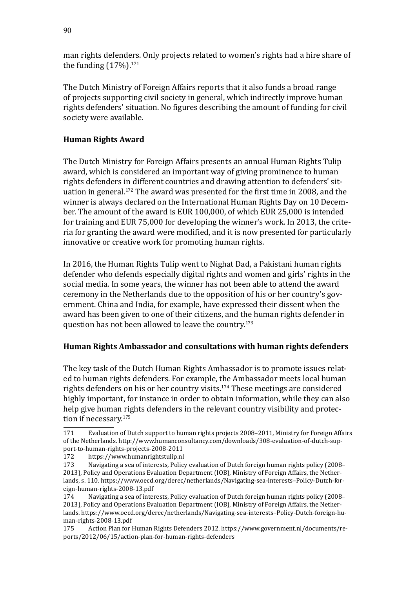man rights defenders. Only projects related to women's rights had a hire share of the funding  $(17%)$ .<sup>171</sup>

The Dutch Ministry of Foreign Affairs reports that it also funds a broad range of projects supporting civil society in general, which indirectly improve human rights defenders' situation. No figures describing the amount of funding for civil society were available.

# **Human Rights Award**

The Dutch Ministry for Foreign Affairs presents an annual Human Rights Tulip award, which is considered an important way of giving prominence to human rights defenders in different countries and drawing attention to defenders' situation in general.<sup>172</sup> The award was presented for the first time in 2008, and the winner is always declared on the International Human Rights Day on 10 December. The amount of the award is EUR 100,000, of which EUR 25,000 is intended for training and EUR 75,000 for developing the winner's work. In 2013, the criteria for granting the award were modified, and it is now presented for particularly innovative or creative work for promoting human rights.

In 2016, the Human Rights Tulip went to Nighat Dad, a Pakistani human rights defender who defends especially digital rights and women and girls' rights in the social media. In some years, the winner has not been able to attend the award ceremony in the Netherlands due to the opposition of his or her country's government. China and India, for example, have expressed their dissent when the award has been given to one of their citizens, and the human rights defender in question has not been allowed to leave the country.<sup>173</sup>

## **Human Rights Ambassador and consultations with human rights defenders**

The key task of the Dutch Human Rights Ambassador is to promote issues related to human rights defenders. For example, the Ambassador meets local human rights defenders on his or her country visits.174 These meetings are considered highly important, for instance in order to obtain information, while they can also help give human rights defenders in the relevant country visibility and protection if necessary.<sup>175</sup>

<sup>171</sup> Evaluation of Dutch support to human rights projects 2008–2011, Ministry for Foreign Affairs of the Netherlands. [http://www.humanconsultancy.com/downloads/308-evaluation-of-dutch-sup](http://www.humanconsultancy.com/downloads/308-evaluation-of-dutch-support-to-human-rights-projects-2008-2011)-

[port-to-human-rights-projects-2008-2011](http://www.humanconsultancy.com/downloads/308-evaluation-of-dutch-support-to-human-rights-projects-2008-2011) 172 <https://www.humanrightstulip.nl><br>173 Navigating a sea of interests. Polic

Navigating a sea of interests, Policy evaluation of Dutch foreign human rights policy (2008– 2013), Policy and Operations Evaluation Department (IOB), Ministry of Foreign Affairs, the Netherlands, s. 110. <https://www.oecd.org/derec/netherlands/Navigating-sea-interests>–Policy-Dutch-foreign-human-rights-2008-13.pdf

Navigating a sea of interests, Policy evaluation of Dutch foreign human rights policy (2008– 2013), Policy and Operations Evaluation Department (IOB), Ministry of Foreign Affairs, the Netherlands. [https://www.oecd.org/derec/netherlands/Navigating-sea-interests](https://www.oecd.org/derec/netherlands/Navigating-sea-interests%96Policy-Dutch-foreign-human-rights-2008-13.pdf)–Policy-Dutch-foreign-human-rights-2008-13.pdf<br>175 Action Plan for

<sup>175</sup> Action Plan for Human Rights Defenders 2012. [https://www.government.nl/documents/re](https://www.government.nl/documents/reports/2012/06/15/action-plan-for-human-rights-defenders)[ports/2012/06/15/action-plan-for-human-rights-defenders](https://www.government.nl/documents/reports/2012/06/15/action-plan-for-human-rights-defenders)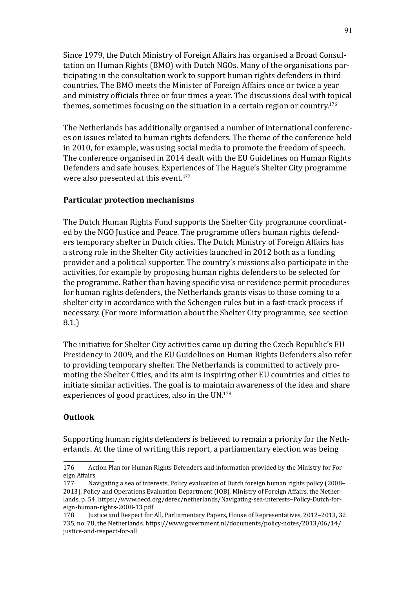Since 1979, the Dutch Ministry of Foreign Affairs has organised a Broad Consultation on Human Rights (BMO) with Dutch NGOs. Many of the organisations participating in the consultation work to support human rights defenders in third countries. The BMO meets the Minister of Foreign Affairs once or twice a year and ministry officials three or four times a year. The discussions deal with topical themes, sometimes focusing on the situation in a certain region or country.<sup>176</sup>

The Netherlands has additionally organised a number of international conferences on issues related to human rights defenders. The theme of the conference held in 2010, for example, was using social media to promote the freedom of speech. The conference organised in 2014 dealt with the EU Guidelines on Human Rights Defenders and safe houses. Experiences of The Hague's Shelter City programme were also presented at this event.<sup>177</sup>

### **Particular protection mechanisms**

The Dutch Human Rights Fund supports the Shelter City programme coordinated by the NGO Justice and Peace. The programme offers human rights defenders temporary shelter in Dutch cities. The Dutch Ministry of Foreign Affairs has a strong role in the Shelter City activities launched in 2012 both as a funding provider and a political supporter. The country's missions also participate in the activities, for example by proposing human rights defenders to be selected for the programme. Rather than having specific visa or residence permit procedures for human rights defenders, the Netherlands grants visas to those coming to a shelter city in accordance with the Schengen rules but in a fast-track process if necessary. (For more information about the Shelter City programme, see section 8.1.)

The initiative for Shelter City activities came up during the Czech Republic's EU Presidency in 2009, and the EU Guidelines on Human Rights Defenders also refer to providing temporary shelter. The Netherlands is committed to actively promoting the Shelter Cities, and its aim is inspiring other EU countries and cities to initiate similar activities. The goal is to maintain awareness of the idea and share experiences of good practices, also in the UN.<sup>178</sup>

## **Outlook**

Supporting human rights defenders is believed to remain a priority for the Netherlands. At the time of writing this report, a parliamentary election was being

<sup>176</sup> Action Plan for Human Rights Defenders and information provided by the Ministry for Foreign Affairs.<br>177 Nav

Navigating a sea of interests, Policy evaluation of Dutch foreign human rights policy (2008– 2013), Policy and Operations Evaluation Department (IOB), Ministry of Foreign Affairs, the Netherlands, p. 54. [https://www.oecd.org/derec/netherlands/Navigating-sea-interests](https://www.oecd.org/derec/netherlands/Navigating-sea-interests%96Policy-Dutch-foreign-human-rights-2008-13.pdf)–Policy-Dutch-foreign-human-rights-2008-13.pdf<br>178 Justice and Respect for

<sup>178</sup> Justice and Respect for All, Parliamentary Papers, House of Representatives, 2012–2013, 32 735, no. 78, the Netherlands. [https://www.government.nl/documents/policy-notes/2013/06/14/](https://www.government.nl/documents/policy-notes/2013/06/14/justice-and-respect-for-all) [justice-and-respect-for-all](https://www.government.nl/documents/policy-notes/2013/06/14/justice-and-respect-for-all)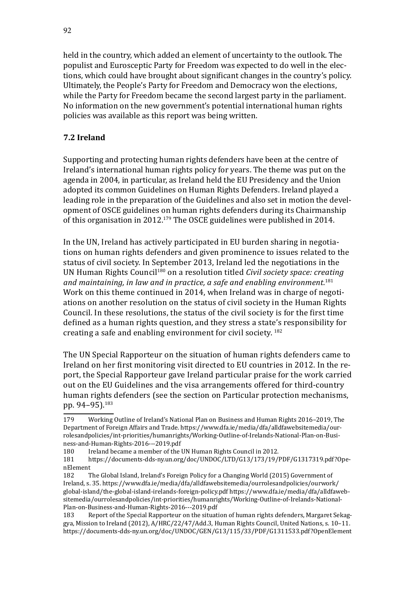held in the country, which added an element of uncertainty to the outlook. The populist and Eurosceptic Party for Freedom was expected to do well in the elections, which could have brought about significant changes in the country's policy. Ultimately, the People's Party for Freedom and Democracy won the elections, while the Party for Freedom became the second largest party in the parliament. No information on the new government's potential international human rights policies was available as this report was being written.

## **7.2 Ireland**

Supporting and protecting human rights defenders have been at the centre of Ireland's international human rights policy for years. The theme was put on the agenda in 2004, in particular, as Ireland held the EU Presidency and the Union adopted its common Guidelines on Human Rights Defenders. Ireland played a leading role in the preparation of the Guidelines and also set in motion the development of OSCE guidelines on human rights defenders during its Chairmanship of this organisation in 2012.179 The OSCE guidelines were published in 2014.

In the UN, Ireland has actively participated in EU burden sharing in negotiations on human rights defenders and given prominence to issues related to the status of civil society. In September 2013, Ireland led the negotiations in the UN Human Rights Council180 on a resolution titled *Civil society space: creating and maintaining, in law and in practice, a safe and enabling environment.*<sup>181</sup> Work on this theme continued in 2014, when Ireland was in charge of negotiations on another resolution on the status of civil society in the Human Rights Council. In these resolutions, the status of the civil society is for the first time defined as a human rights question, and they stress a state's responsibility for creating a safe and enabling environment for civil society. <sup>182</sup>

The UN Special Rapporteur on the situation of human rights defenders came to Ireland on her first monitoring visit directed to EU countries in 2012. In the report, the Special Rapporteur gave Ireland particular praise for the work carried out on the EU Guidelines and the visa arrangements offered for third-country human rights defenders (see the section on Particular protection mechanisms, pp. 94–95).<sup>183</sup>

<sup>179</sup> Working Outline of Ireland's National Plan on Business and Human Rights 2016–2019, The Department of Foreign Affairs and Trade. [https://www.dfa.ie/media/dfa/alldfawebsitemedia/our](https://www.dfa.ie/media/dfa/alldfawebsitemedia/ourrolesandpolicies/int-priorities/humanrights/Working-Outline-of-Irelands-National-Plan-on-Business-and-Human-Rights-2016---2019.pdf)[rolesandpolicies/int-priorities/humanrights/Working-Outline-of-Irelands-National-Plan-on-Busi](https://www.dfa.ie/media/dfa/alldfawebsitemedia/ourrolesandpolicies/int-priorities/humanrights/Working-Outline-of-Irelands-National-Plan-on-Business-and-Human-Rights-2016---2019.pdf)[ness-and-Human-Rights-2016---2019.pdf](https://www.dfa.ie/media/dfa/alldfawebsitemedia/ourrolesandpolicies/int-priorities/humanrights/Working-Outline-of-Irelands-National-Plan-on-Business-and-Human-Rights-2016---2019.pdf)<br>180 Ireland became a member of the

<sup>180</sup> Ireland became a member of the UN Human Rights Council in 2012.<br>181 https://documents-dds-ny.un.org/doc/UNDOC/LTD/G13/173/19/

<sup>181</sup> [https://documents-dds-ny.un.org/doc/UNDOC/LTD/G13/173/19/PDF/G1317319.pdf?Ope](https://documents-dds-ny.un.org/doc/UNDOC/LTD/G13/173/19/PDF/G1317319.pdf?OpenElement)[nElement](https://documents-dds-ny.un.org/doc/UNDOC/LTD/G13/173/19/PDF/G1317319.pdf?OpenElement)<br>182 T

The Global Island, Ireland's Foreign Policy for a Changing World (2015) Government of Ireland, s. 35. [https://www.dfa.ie/media/dfa/alldfawebsitemedia/ourrolesandpolicies/ourwork/](https://www.dfa.ie/media/dfa/alldfawebsitemedia/ourrolesandpolicies/ourwork/global-island/the-global-island-irelands-foreign-policy.pdf) [global-island/the-global-island-irelands-foreign-policy.pdf](https://www.dfa.ie/media/dfa/alldfawebsitemedia/ourrolesandpolicies/ourwork/global-island/the-global-island-irelands-foreign-policy.pdf) [https://www.dfa.ie/media/dfa/alldfaweb](https://www.dfa.ie/media/dfa/alldfawebsitemedia/ourrolesandpolicies/int-priorities/humanrights/Working-Outline-of-Irelands-National-Plan-on-Business-and-Human-Rights-2016---2019.pdf)[sitemedia/ourrolesandpolicies/int-priorities/humanrights/Working-Outline-of-Irelands-National-](https://www.dfa.ie/media/dfa/alldfawebsitemedia/ourrolesandpolicies/int-priorities/humanrights/Working-Outline-of-Irelands-National-Plan-on-Business-and-Human-Rights-2016---2019.pdf)[Plan-on-Business-and-Human-Rights-2016---2019.pdf](https://www.dfa.ie/media/dfa/alldfawebsitemedia/ourrolesandpolicies/int-priorities/humanrights/Working-Outline-of-Irelands-National-Plan-on-Business-and-Human-Rights-2016---2019.pdf)

Report of the Special Rapporteur on the situation of human rights defenders, Margaret Sekaggya, Mission to Ireland (2012), A/HRC/22/47/Add.3, Human Rights Council, United Nations, s. 10–11. <https://documents-dds-ny.un.org/doc/UNDOC/GEN/G13/115/33/PDF/G1311533.pdf?OpenElement>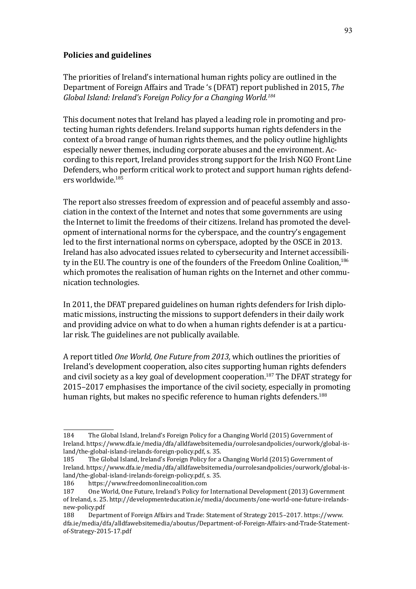## **Policies and guidelines**

The priorities of Ireland's international human rights policy are outlined in the Department of Foreign Affairs and Trade 's (DFAT) report published in 2015, *The Global Island: Ireland's Foreign Policy for a Changing World.184*

This document notes that Ireland has played a leading role in promoting and protecting human rights defenders. Ireland supports human rights defenders in the context of a broad range of human rights themes, and the policy outline highlights especially newer themes, including corporate abuses and the environment. According to this report, Ireland provides strong support for the Irish NGO Front Line Defenders, who perform critical work to protect and support human rights defenders worldwide.185

The report also stresses freedom of expression and of peaceful assembly and association in the context of the Internet and notes that some governments are using the Internet to limit the freedoms of their citizens. Ireland has promoted the development of international norms for the cyberspace, and the country's engagement led to the first international norms on cyberspace, adopted by the OSCE in 2013. Ireland has also advocated issues related to cybersecurity and Internet accessibility in the EU. The country is one of the founders of the Freedom Online Coalition,<sup>186</sup> which promotes the realisation of human rights on the Internet and other communication technologies.

In 2011, the DFAT prepared guidelines on human rights defenders for Irish diplomatic missions, instructing the missions to support defenders in their daily work and providing advice on what to do when a human rights defender is at a particular risk. The guidelines are not publically available.

A report titled *One World, One Future from 2013,* which outlines the priorities of Ireland's development cooperation, also cites supporting human rights defenders and civil society as a key goal of development cooperation.<sup>187</sup> The DFAT strategy for 2015–2017 emphasises the importance of the civil society, especially in promoting human rights, but makes no specific reference to human rights defenders.<sup>188</sup>

<sup>184</sup> The Global Island, Ireland's Foreign Policy for a Changing World (2015) Government of Ireland. [https://www.dfa.ie/media/dfa/alldfawebsitemedia/ourrolesandpolicies/ourwork/global-is](https://www.dfa.ie/media/dfa/alldfawebsitemedia/ourrolesandpolicies/ourwork/global-island/the-global-island-irelands-foreign-policy.pdf)[land/the-global-island-irelands-foreign-policy.pdf,](https://www.dfa.ie/media/dfa/alldfawebsitemedia/ourrolesandpolicies/ourwork/global-island/the-global-island-irelands-foreign-policy.pdf) s. 35.

<sup>185</sup> The Global Island, Ireland's Foreign Policy for a Changing World (2015) Government of Ireland. [https://www.dfa.ie/media/dfa/alldfawebsitemedia/ourrolesandpolicies/ourwork/global-is](https://www.dfa.ie/media/dfa/alldfawebsitemedia/ourrolesandpolicies/ourwork/global-island/the-global-island-irelands-foreign-policy.pdf)[land/the-global-island-irelands-foreign-policy.pdf,](https://www.dfa.ie/media/dfa/alldfawebsitemedia/ourrolesandpolicies/ourwork/global-island/the-global-island-irelands-foreign-policy.pdf) s. 35.

<sup>186</sup> <https://www.freedomonlinecoalition.com><br>187 One World. One Future. Ireland's Policy for

<sup>187</sup> One World, One Future, Ireland's Policy for International Development (2013) Government of Ireland, s. 25. [http://developmenteducation.ie/media/documents/one-world-one-future-irelands](http://developmenteducation.ie/media/documents/one-world-one-future-irelands-new-policy.pdf)[new-policy.pdf](http://developmenteducation.ie/media/documents/one-world-one-future-irelands-new-policy.pdf)<br>188 Depar

<sup>188</sup> Department of Foreign Affairs and Trade: Statement of Strategy 2015–2017. [https://www.](https://www.dfa.ie/media/dfa/alldfawebsitemedia/aboutus/Department-of-Foreign-Affairs-and-Trade-Statement-of-Strategy-2015-17.pdf) [dfa.ie/media/dfa/alldfawebsitemedia/aboutus/Department-of-Foreign-Affairs-and-Trade-Statement](https://www.dfa.ie/media/dfa/alldfawebsitemedia/aboutus/Department-of-Foreign-Affairs-and-Trade-Statement-of-Strategy-2015-17.pdf)[of-Strategy-2015-17.pdf](https://www.dfa.ie/media/dfa/alldfawebsitemedia/aboutus/Department-of-Foreign-Affairs-and-Trade-Statement-of-Strategy-2015-17.pdf)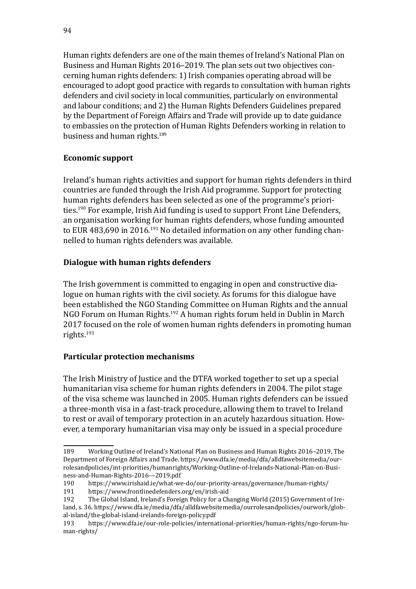Human rights defenders are one of the main themes of Ireland's National Plan on Business and Human Rights 2016–2019. The plan sets out two objectives concerning human rights defenders: 1) Irish companies operating abroad will be encouraged to adopt good practice with regards to consultation with human rights defenders and civil society in local communities, particularly on environmental and labour conditions; and 2) the Human Rights Defenders Guidelines prepared by the Department of Foreign Affairs and Trade will provide up to date guidance to embassies on the protection of Human Rights Defenders working in relation to business and human rights.<sup>189</sup>

# **Economic support**

Ireland's human rights activities and support for human rights defenders in third countries are funded through the Irish Aid programme. Support for protecting human rights defenders has been selected as one of the programme's priorities.190 For example, Irish Aid funding is used to support Front Line Defenders, an organisation working for human rights defenders, whose funding amounted to EUR 483,690 in 2016.<sup>191</sup> No detailed information on any other funding channelled to human rights defenders was available.

# **Dialogue with human rights defenders**

The Irish government is committed to engaging in open and constructive dialogue on human rights with the civil society. As forums for this dialogue have been established the NGO Standing Committee on Human Rights and the annual NGO Forum on Human Rights.<sup>192</sup> A human rights forum held in Dublin in March 2017 focused on the role of women human rights defenders in promoting human rights.193

# **Particular protection mechanisms**

The Irish Ministry of Justice and the DTFA worked together to set up a special humanitarian visa scheme for human rights defenders in 2004. The pilot stage of the visa scheme was launched in 2005. Human rights defenders can be issued a three-month visa in a fast-track procedure, allowing them to travel to Ireland to rest or avail of temporary protection in an acutely hazardous situation. However, a temporary humanitarian visa may only be issued in a special procedure

<sup>189</sup> Working Outline of Ireland's National Plan on Business and Human Rights 2016–2019, The Department of Foreign Affairs and Trade. [https://www.dfa.ie/media/dfa/alldfawebsitemedia/our](https://www.dfa.ie/media/dfa/alldfawebsitemedia/ourrolesandpolicies/int-priorities/humanrights/Working-Outline-of-Irelands-National-Plan-on-Business-and-Human-Rights-2016---2019.pdf)[rolesandpolicies/int-priorities/humanrights/Working-Outline-of-Irelands-National-Plan-on-Busi](https://www.dfa.ie/media/dfa/alldfawebsitemedia/ourrolesandpolicies/int-priorities/humanrights/Working-Outline-of-Irelands-National-Plan-on-Business-and-Human-Rights-2016---2019.pdf)-

[ness-and-Human-Rights-2016---2019.pdf](https://www.dfa.ie/media/dfa/alldfawebsitemedia/ourrolesandpolicies/int-priorities/humanrights/Working-Outline-of-Irelands-National-Plan-on-Business-and-Human-Rights-2016---2019.pdf)<br>190 https://www.irishaid.ie/what-we 190 <https://www.irishaid.ie/what-we-do/our-priority-areas/governance/human-rights/>

<sup>191</sup> <https://www.frontlinedefenders.org/en/irish-aid><br>192 The Global Island, Ireland's Foreign Policy for a Ch

The Global Island, Ireland's Foreign Policy for a Changing World (2015) Government of Ire-

land, s. 36. [https://www.dfa.ie/media/dfa/alldfawebsitemedia/ourrolesandpolicies/ourwork/glob](https://www.dfa.ie/media/dfa/alldfawebsitemedia/ourrolesandpolicies/ourwork/global-island/the-global-island-irelands-foreign-policy.pdf)[al-island/the-global-island-irelands-foreign-policy.pdf](https://www.dfa.ie/media/dfa/alldfawebsitemedia/ourrolesandpolicies/ourwork/global-island/the-global-island-irelands-foreign-policy.pdf)

<sup>193</sup> [https://www.dfa.ie/our-role-policies/international-priorities/human-rights/ngo-forum-hu](https://www.dfa.ie/our-role-policies/international-priorities/human-rights/ngo-forum-human-rights/)[man-rights/](https://www.dfa.ie/our-role-policies/international-priorities/human-rights/ngo-forum-human-rights/)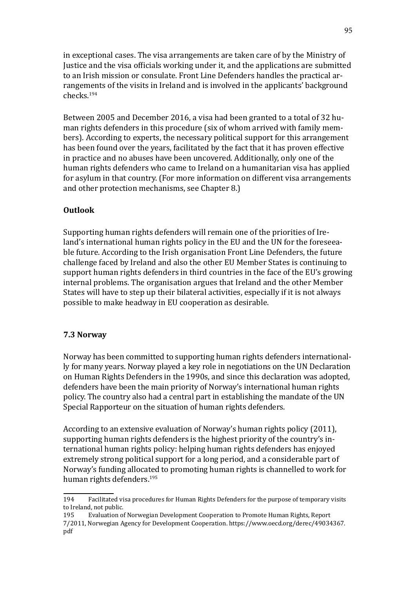in exceptional cases. The visa arrangements are taken care of by the Ministry of Justice and the visa officials working under it, and the applications are submitted to an Irish mission or consulate. Front Line Defenders handles the practical arrangements of the visits in Ireland and is involved in the applicants' background checks.194

Between 2005 and December 2016, a visa had been granted to a total of 32 human rights defenders in this procedure (six of whom arrived with family members). According to experts, the necessary political support for this arrangement has been found over the years, facilitated by the fact that it has proven effective in practice and no abuses have been uncovered. Additionally, only one of the human rights defenders who came to Ireland on a humanitarian visa has applied for asylum in that country. (For more information on different visa arrangements and other protection mechanisms, see Chapter 8.)

### **Outlook**

Supporting human rights defenders will remain one of the priorities of Ireland's international human rights policy in the EU and the UN for the foreseeable future. According to the Irish organisation Front Line Defenders, the future challenge faced by Ireland and also the other EU Member States is continuing to support human rights defenders in third countries in the face of the EU's growing internal problems. The organisation argues that Ireland and the other Member States will have to step up their bilateral activities, especially if it is not always possible to make headway in EU cooperation as desirable.

#### **7.3 Norway**

Norway has been committed to supporting human rights defenders internationally for many years. Norway played a key role in negotiations on the UN Declaration on Human Rights Defenders in the 1990s, and since this declaration was adopted, defenders have been the main priority of Norway's international human rights policy. The country also had a central part in establishing the mandate of the UN Special Rapporteur on the situation of human rights defenders.

According to an extensive evaluation of Norway's human rights policy (2011), supporting human rights defenders is the highest priority of the country's international human rights policy: helping human rights defenders has enjoyed extremely strong political support for a long period, and a considerable part of Norway's funding allocated to promoting human rights is channelled to work for human rights defenders.<sup>195</sup>

195 Evaluation of Norwegian Development Cooperation to Promote Human Rights, Report 7/2011, Norwegian Agency for Development Cooperation. [https://www.oecd.org/derec/49034367.](https://www.oecd.org/derec/49034367.pdf) [pdf](https://www.oecd.org/derec/49034367.pdf)

<sup>194</sup> Facilitated visa procedures for Human Rights Defenders for the purpose of temporary visits to Ireland, not public.<br>195 Evaluation of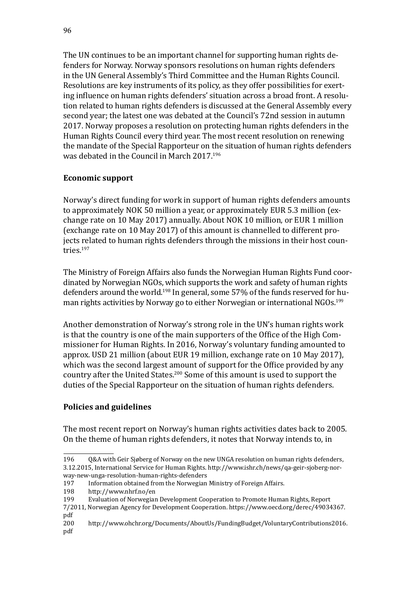The UN continues to be an important channel for supporting human rights defenders for Norway. Norway sponsors resolutions on human rights defenders in the UN General Assembly's Third Committee and the Human Rights Council. Resolutions are key instruments of its policy, as they offer possibilities for exerting influence on human rights defenders' situation across a broad front. A resolution related to human rights defenders is discussed at the General Assembly every second year; the latest one was debated at the Council's 72nd session in autumn 2017. Norway proposes a resolution on protecting human rights defenders in the Human Rights Council every third year. The most recent resolution on renewing the mandate of the Special Rapporteur on the situation of human rights defenders was debated in the Council in March 2017.196

# **Economic support**

Norway's direct funding for work in support of human rights defenders amounts to approximately NOK 50 million a year, or approximately EUR 5.3 million (exchange rate on 10 May 2017) annually. About NOK 10 million, or EUR 1 million (exchange rate on 10 May 2017) of this amount is channelled to different projects related to human rights defenders through the missions in their host countries.197

The Ministry of Foreign Affairs also funds the Norwegian Human Rights Fund coordinated by Norwegian NGOs, which supports the work and safety of human rights defenders around the world.<sup>198</sup> In general, some 57% of the funds reserved for human rights activities by Norway go to either Norwegian or international NGOs.<sup>199</sup>

Another demonstration of Norway's strong role in the UN's human rights work is that the country is one of the main supporters of the Office of the High Commissioner for Human Rights. In 2016, Norway's voluntary funding amounted to approx. USD 21 million (about EUR 19 million, exchange rate on 10 May 2017), which was the second largest amount of support for the Office provided by any country after the United States.200 Some of this amount is used to support the duties of the Special Rapporteur on the situation of human rights defenders.

## **Policies and guidelines**

The most recent report on Norway's human rights activities dates back to 2005. On the theme of human rights defenders, it notes that Norway intends to, in

<sup>196</sup> Q&A with Geir Sjøberg of Norway on the new UNGA resolution on human rights defenders, 3.12.2015, International Service for Human Rights. [http://www.ishr.ch/news/qa-geir-sjoberg-nor](http://www.ishr.ch/news/qa-geir-sjoberg-norway-new-unga-resolution-human-rights-defenders)-

[way-new-unga-resolution-human-rights-defenders](http://www.ishr.ch/news/qa-geir-sjoberg-norway-new-unga-resolution-human-rights-defenders)<br>197 Information obtained from the Norwegian 197 Information obtained from the Norwegian Ministry of Foreign Affairs.<br>198 http://www.nhrf.no/en

<sup>198</sup> <http://www.nhrf.no/en><br>199 Evaluation of Norwegian

Evaluation of Norwegian Development Cooperation to Promote Human Rights, Report

<sup>7/2011,</sup> Norwegian Agency for Development Cooperation. [https://www.oecd.org/derec/49034367.](https://www.oecd.org/derec/49034367.pdf) [pdf](https://www.oecd.org/derec/49034367.pdf)<br>200

<sup>200</sup> [http://www.ohchr.org/Documents/AboutUs/FundingBudget/VoluntaryContributions2016.](http://www.ohchr.org/Documents/AboutUs/FundingBudget/VoluntaryContributions2016.pdf) [pdf](http://www.ohchr.org/Documents/AboutUs/FundingBudget/VoluntaryContributions2016.pdf)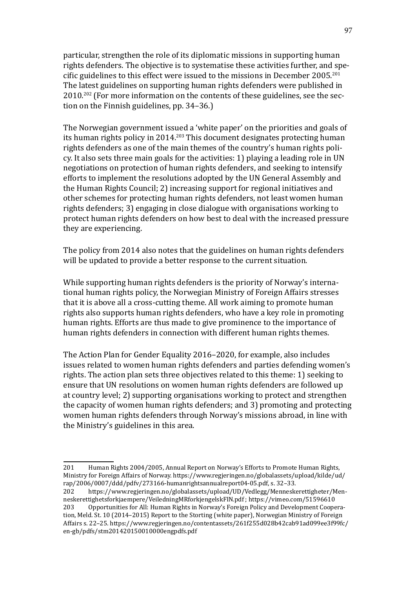particular, strengthen the role of its diplomatic missions in supporting human rights defenders. The objective is to systematise these activities further, and specific guidelines to this effect were issued to the missions in December 2005.<sup>201</sup> The latest guidelines on supporting human rights defenders were published in 2010.<sup>202</sup> (For more information on the contents of these guidelines, see the section on the Finnish guidelines, pp. 34–36.)

The Norwegian government issued a 'white paper' on the priorities and goals of its human rights policy in 2014.<sup>203</sup> This document designates protecting human rights defenders as one of the main themes of the country's human rights policy. It also sets three main goals for the activities: 1) playing a leading role in UN negotiations on protection of human rights defenders, and seeking to intensify efforts to implement the resolutions adopted by the UN General Assembly and the Human Rights Council; 2) increasing support for regional initiatives and other schemes for protecting human rights defenders, not least women human rights defenders; 3) engaging in close dialogue with organisations working to protect human rights defenders on how best to deal with the increased pressure they are experiencing.

The policy from 2014 also notes that the guidelines on human rights defenders will be updated to provide a better response to the current situation.

While supporting human rights defenders is the priority of Norway's international human rights policy, the Norwegian Ministry of Foreign Affairs stresses that it is above all a cross-cutting theme. All work aiming to promote human rights also supports human rights defenders, who have a key role in promoting human rights. Efforts are thus made to give prominence to the importance of human rights defenders in connection with different human rights themes.

The Action Plan for Gender Equality 2016–2020, for example, also includes issues related to women human rights defenders and parties defending women's rights. The action plan sets three objectives related to this theme: 1) seeking to ensure that UN resolutions on women human rights defenders are followed up at country level; 2) supporting organisations working to protect and strengthen the capacity of women human rights defenders; and 3) promoting and protecting women human rights defenders through Norway's missions abroad, in line with the Ministry's guidelines in this area.

<sup>201</sup> Human Rights 2004/2005, Annual Report on Norway's Efforts to Promote Human Rights, Ministry for Foreign Affairs of Norway. [https://www.regjeringen.no/globalassets/upload/kilde/ud/](https://www.regjeringen.no/globalassets/upload/kilde/ud/rap/2006/0007/ddd/pdfv/273166-humanrightsannualreport04-05.pdf,) [rap/2006/0007/ddd/pdfv/273166-humanrightsannualreport04-05.pdf,](https://www.regjeringen.no/globalassets/upload/kilde/ud/rap/2006/0007/ddd/pdfv/273166-humanrightsannualreport04-05.pdf,) s. 32–33.

[https://www.regjeringen.no/globalassets/upload/UD/Vedlegg/Menneskerettigheter/Men](https://www.regjeringen.no/globalassets/upload/UD/Vedlegg/Menneskerettigheter/Menneskerettighetsforkjaempere/VeiledningMRforkjengelskFIN.pdf)[neskerettighetsforkjaempere/VeiledningMRforkjengelskFIN.pdf](https://www.regjeringen.no/globalassets/upload/UD/Vedlegg/Menneskerettigheter/Menneskerettighetsforkjaempere/VeiledningMRforkjengelskFIN.pdf); <https://vimeo.com/51596610><br>203 Opportunities for All: Human Rights in Norway's Foreign Policy and Development Coope

<sup>203</sup> Opportunities for All: Human Rights in Norway's Foreign Policy and Development Cooperation, Meld. St. 10 (2014–2015) Report to the Storting (white paper), Norwegian Ministry of Foreign Affairs s. 22–25. [https://www.regjeringen.no/contentassets/261f255d028b42cab91ad099ee3f99fc/](https://www.regjeringen.no/contentassets/261f255d028b42cab91ad099ee3f99fc/en-gb/pdfs/stm201420150010000engpdfs.pdf) [en-gb/pdfs/stm201420150010000engpdfs.pdf](https://www.regjeringen.no/contentassets/261f255d028b42cab91ad099ee3f99fc/en-gb/pdfs/stm201420150010000engpdfs.pdf)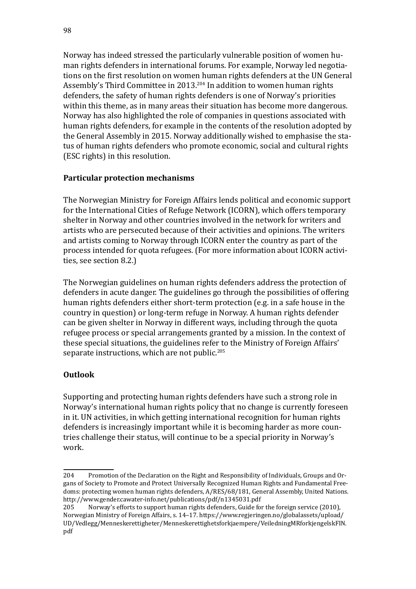Norway has indeed stressed the particularly vulnerable position of women human rights defenders in international forums. For example, Norway led negotiations on the first resolution on women human rights defenders at the UN General Assembly's Third Committee in 2013.<sup>204</sup> In addition to women human rights defenders, the safety of human rights defenders is one of Norway's priorities within this theme, as in many areas their situation has become more dangerous. Norway has also highlighted the role of companies in questions associated with human rights defenders, for example in the contents of the resolution adopted by the General Assembly in 2015. Norway additionally wished to emphasise the status of human rights defenders who promote economic, social and cultural rights (ESC rights) in this resolution.

## **Particular protection mechanisms**

The Norwegian Ministry for Foreign Affairs lends political and economic support for the International Cities of Refuge Network (ICORN), which offers temporary shelter in Norway and other countries involved in the network for writers and artists who are persecuted because of their activities and opinions. The writers and artists coming to Norway through ICORN enter the country as part of the process intended for quota refugees. (For more information about ICORN activities, see section 8.2.)

The Norwegian guidelines on human rights defenders address the protection of defenders in acute danger. The guidelines go through the possibilities of offering human rights defenders either short-term protection (e.g. in a safe house in the country in question) or long-term refuge in Norway. A human rights defender can be given shelter in Norway in different ways, including through the quota refugee process or special arrangements granted by a mission. In the context of these special situations, the guidelines refer to the Ministry of Foreign Affairs' separate instructions, which are not public.<sup>205</sup>

# **Outlook**

Supporting and protecting human rights defenders have such a strong role in Norway's international human rights policy that no change is currently foreseen in it. UN activities, in which getting international recognition for human rights defenders is increasingly important while it is becoming harder as more countries challenge their status, will continue to be a special priority in Norway's work.

<sup>204</sup> Promotion of the Declaration on the Right and Responsibility of Individuals, Groups and Organs of Society to Promote and Protect Universally Recognized Human Rights and Fundamental Freedoms: protecting women human rights defenders, A/RES/68/181, General Assembly, United Nations. <http://www.gender.cawater-info.net/publications/pdf/n1345031.pdf><br>205 Norway's efforts to support human rights defenders, Guide fo

Norway's efforts to support human rights defenders, Guide for the foreign service (2010), Norwegian Ministry of Foreign Affairs, s. 14–17. [https://www.regjeringen.no/globalassets/upload/](https://www.regjeringen.no/globalassets/upload/UD/Vedlegg/Menneskerettigheter/Menneskerettighetsforkjaempere/VeiledningMRforkjengelskFIN.pdf) [UD/Vedlegg/Menneskerettigheter/Menneskerettighetsforkjaempere/VeiledningMRforkjengelskFIN.](https://www.regjeringen.no/globalassets/upload/UD/Vedlegg/Menneskerettigheter/Menneskerettighetsforkjaempere/VeiledningMRforkjengelskFIN.pdf) [pdf](https://www.regjeringen.no/globalassets/upload/UD/Vedlegg/Menneskerettigheter/Menneskerettighetsforkjaempere/VeiledningMRforkjengelskFIN.pdf)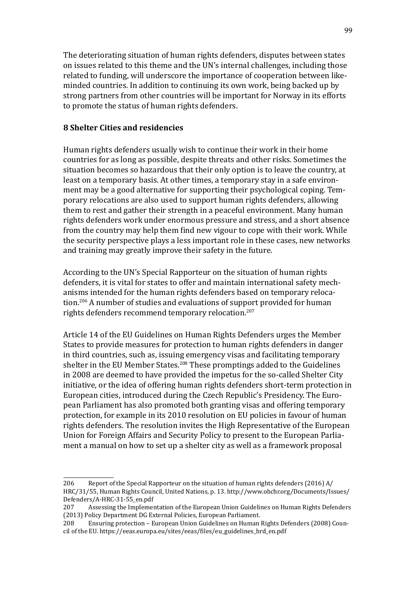The deteriorating situation of human rights defenders, disputes between states on issues related to this theme and the UN's internal challenges, including those related to funding, will underscore the importance of cooperation between likeminded countries. In addition to continuing its own work, being backed up by strong partners from other countries will be important for Norway in its efforts to promote the status of human rights defenders.

### **8 Shelter Cities and residencies**

Human rights defenders usually wish to continue their work in their home countries for as long as possible, despite threats and other risks. Sometimes the situation becomes so hazardous that their only option is to leave the country, at least on a temporary basis. At other times, a temporary stay in a safe environment may be a good alternative for supporting their psychological coping. Temporary relocations are also used to support human rights defenders, allowing them to rest and gather their strength in a peaceful environment. Many human rights defenders work under enormous pressure and stress, and a short absence from the country may help them find new vigour to cope with their work. While the security perspective plays a less important role in these cases, new networks and training may greatly improve their safety in the future.

According to the UN's Special Rapporteur on the situation of human rights defenders, it is vital for states to offer and maintain international safety mechanisms intended for the human rights defenders based on temporary relocation.206 A number of studies and evaluations of support provided for human rights defenders recommend temporary relocation.<sup>207</sup>

Article 14 of the EU Guidelines on Human Rights Defenders urges the Member States to provide measures for protection to human rights defenders in danger in third countries, such as, issuing emergency visas and facilitating temporary shelter in the EU Member States.<sup>208</sup> These promptings added to the Guidelines in 2008 are deemed to have provided the impetus for the so-called Shelter City initiative, or the idea of offering human rights defenders short-term protection in European cities, introduced during the Czech Republic's Presidency. The European Parliament has also promoted both granting visas and offering temporary protection, for example in its 2010 resolution on EU policies in favour of human rights defenders. The resolution invites the High Representative of the European Union for Foreign Affairs and Security Policy to present to the European Parliament a manual on how to set up a shelter city as well as a framework proposal

<sup>206</sup> Report of the Special Rapporteur on the situation of human rights defenders (2016) A/ HRC/31/55, Human Rights Council, United Nations, p. 13. [http://www.ohchr.org/Documents/Issues/](http://www.ohchr.org/Documents/Issues/Defenders/A-HRC-31-55_en.pdf) [Defenders/A-HRC-31-55\\_en.pdf](http://www.ohchr.org/Documents/Issues/Defenders/A-HRC-31-55_en.pdf)

Assessing the Implementation of the European Union Guidelines on Human Rights Defenders (2013) Policy Department DG External Policies, European Parliament.<br>208 Ensuring protection – European Union Guidelines on Human

<sup>208</sup> Ensuring protection – European Union Guidelines on Human Rights Defenders (2008) Council of the EU. [https://eeas.europa.eu/sites/eeas/files/eu\\_guidelines\\_hrd\\_en.pdf](https://eeas.europa.eu/sites/eeas/files/eu_guidelines_hrd_en.pdf)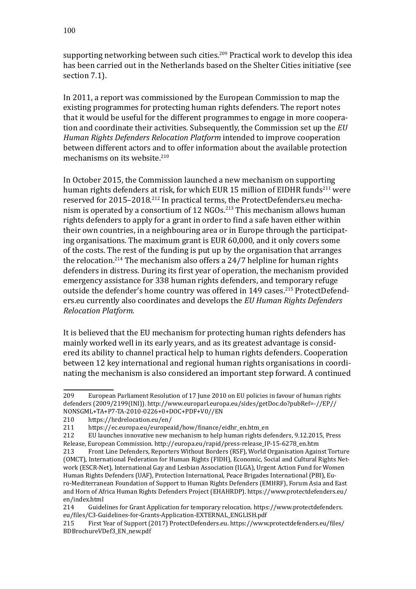supporting networking between such cities.<sup>209</sup> Practical work to develop this idea has been carried out in the Netherlands based on the Shelter Cities initiative (see section 7.1).

In 2011, a report was commissioned by the European Commission to map the existing programmes for protecting human rights defenders. The report notes that it would be useful for the different programmes to engage in more cooperation and coordinate their activities. Subsequently, the Commission set up the *EU Human Rights Defenders Relocation Platform* intended to improve cooperation between different actors and to offer information about the available protection mechanisms on its website.<sup>210</sup>

In October 2015, the Commission launched a new mechanism on supporting human rights defenders at risk, for which EUR 15 million of EIDHR funds<sup>211</sup> were reserved for 2015–2018.212 In practical terms, the [ProtectDefenders.eu](http://ProtectDefenders.eu) mechanism is operated by a consortium of 12 NGOs.<sup>213</sup> This mechanism allows human rights defenders to apply for a grant in order to find a safe haven either within their own countries, in a neighbouring area or in Europe through the participating organisations. The maximum grant is EUR 60,000, and it only covers some of the costs. The rest of the funding is put up by the organisation that arranges the relocation.<sup>214</sup> The mechanism also offers a  $24/7$  helpline for human rights defenders in distress. During its first year of operation, the mechanism provided emergency assistance for 338 human rights defenders, and temporary refuge outside the defender's home country was offered in 149 cases.<sup>215</sup> [ProtectDefend](http://ProtectDefenders.eu)[ers.eu](http://ProtectDefenders.eu) currently also coordinates and develops the *EU Human Rights Defenders Relocation Platform.* 

It is believed that the EU mechanism for protecting human rights defenders has mainly worked well in its early years, and as its greatest advantage is considered its ability to channel practical help to human rights defenders. Cooperation between 12 key international and regional human rights organisations in coordinating the mechanism is also considered an important step forward. A continued

<sup>209</sup> European Parliament Resolution of 17 June 2010 on EU policies in favour of human rights defenders (2009/2199(INI)). [http://www.europarl.europa.eu/sides/getDoc.do?pubRef=-//EP//](http://www.europarl.europa.eu/sides/getDoc.do?pubRef=-//EP//NONSGML+TA+P7-TA-2010-0226+0+DOC+PDF+V0//EN) [NONSGML+TA+P7-TA-2010-0226+0+DOC+PDF+V0//EN](http://www.europarl.europa.eu/sides/getDoc.do?pubRef=-//EP//NONSGML+TA+P7-TA-2010-0226+0+DOC+PDF+V0//EN)<br>210 https://hrdrelocation.eu/en/

<sup>210</sup> <https://hrdrelocation.eu/en/><br>211 https://ec.europa.eu/europea

<sup>211</sup> [https://ec.europa.eu/europeaid/how/finance/eidhr\\_en.htm\\_en](https://ec.europa.eu/europeaid/how/finance/eidhr_en.htm_en)<br>212 EU launches innovative new mechanism to help human rights de

<sup>212</sup> EU launches innovative new mechanism to help human rights defenders, 9.12.2015, Press Release, European Commission. [http://europa.eu/rapid/press-release\\_IP-15-6278\\_en.htm](http://europa.eu/rapid/press-release_IP-15-6278_en.htm)

<sup>213</sup> Front Line Defenders, Reporters Without Borders (RSF), World Organisation Against Torture (OMCT), International Federation for Human Rights (FIDH), Economic, Social and Cultural Rights Network (ESCR-Net), International Gay and Lesbian Association (ILGA), Urgent Action Fund for Women Human Rights Defenders (UAF), Protection International, Peace Brigades International (PBI), Euro-Mediterranean Foundation of Support to Human Rights Defenders (EMHRF), Forum Asia and East and Horn of Africa Human Rights Defenders Project (EHAHRDP). [https://www.protectdefenders.eu/](https://www.protectdefenders.eu/en/index.html) [en/index.html](https://www.protectdefenders.eu/en/index.html)

Guidelines for Grant Application for temporary relocation. [https://www.protectdefenders.](https://www.protectdefenders.eu/files/C3-Guidelines-for-Grants-Application-EXTERNAL_ENGLISH.pdf) [eu/files/C3-Guidelines-for-Grants-Application-EXTERNAL\\_ENGLISH.pdf](https://www.protectdefenders.eu/files/C3-Guidelines-for-Grants-Application-EXTERNAL_ENGLISH.pdf)

First Year of Support (2017) [ProtectDefenders.eu.](http://ProtectDefenders.eu) [https://www.protectdefenders.eu/files/](https://www.protectdefenders.eu/files/BDBrochureVDef3_EN_new.pdf) [BDBrochureVDef3\\_EN\\_new.pdf](https://www.protectdefenders.eu/files/BDBrochureVDef3_EN_new.pdf)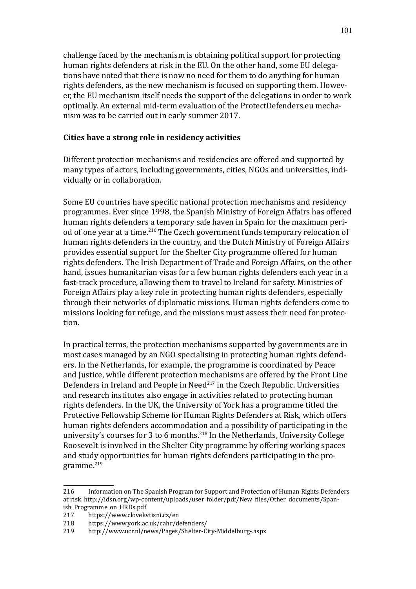challenge faced by the mechanism is obtaining political support for protecting human rights defenders at risk in the EU. On the other hand, some EU delegations have noted that there is now no need for them to do anything for human rights defenders, as the new mechanism is focused on supporting them. However, the EU mechanism itself needs the support of the delegations in order to work optimally. An external mid-term evaluation of the [ProtectDefenders.eu](http://ProtectDefenders.eu) mechanism was to be carried out in early summer 2017.

#### **Cities have a strong role in residency activities**

Different protection mechanisms and residencies are offered and supported by many types of actors, including governments, cities, NGOs and universities, individually or in collaboration.

Some EU countries have specific national protection mechanisms and residency programmes. Ever since 1998, the Spanish Ministry of Foreign Affairs has offered human rights defenders a temporary safe haven in Spain for the maximum period of one year at a time.<sup>216</sup> The Czech government funds temporary relocation of human rights defenders in the country, and the Dutch Ministry of Foreign Affairs provides essential support for the Shelter City programme offered for human rights defenders. The Irish Department of Trade and Foreign Affairs, on the other hand, issues humanitarian visas for a few human rights defenders each year in a fast-track procedure, allowing them to travel to Ireland for safety. Ministries of Foreign Affairs play a key role in protecting human rights defenders, especially through their networks of diplomatic missions. Human rights defenders come to missions looking for refuge, and the missions must assess their need for protection.

In practical terms, the protection mechanisms supported by governments are in most cases managed by an NGO specialising in protecting human rights defenders. In the Netherlands, for example, the programme is coordinated by Peace and Justice, while different protection mechanisms are offered by the Front Line Defenders in Ireland and People in Need $^{217}$  in the Czech Republic. Universities and research institutes also engage in activities related to protecting human rights defenders. In the UK, the University of York has a programme titled the Protective Fellowship Scheme for Human Rights Defenders at Risk, which offers human rights defenders accommodation and a possibility of participating in the university's courses for 3 to 6 months.<sup>218</sup> In the Netherlands, University College Roosevelt is involved in the Shelter City programme by offering working spaces and study opportunities for human rights defenders participating in the programme.<sup>219</sup>

<sup>216</sup> Information on The Spanish Program for Support and Protection of Human Rights Defenders at risk. [http://idsn.org/wp-content/uploads/user\\_folder/pdf/New\\_files/Other\\_documents/Span](http://idsn.org/wp-content/uploads/user_folder/pdf/New_files/Other_documents/Spanish_Programme_on_HRDs.pdf)-

[ish\\_Programme\\_on\\_HRDs.pdf](http://idsn.org/wp-content/uploads/user_folder/pdf/New_files/Other_documents/Spanish_Programme_on_HRDs.pdf)<br>217 https://www.cloveky 217 <https://www.clovekvtisni.cz/en><br>218 https://www.york.ac.uk/cahr/d

<sup>218</sup> <https://www.york.ac.uk/cahr/defenders/><br>219 http://www.ucr.nl/news/Pages/Shelter-C

<sup>219</sup> <http://www.ucr.nl/news/Pages/Shelter-City-Middelburg-.aspx>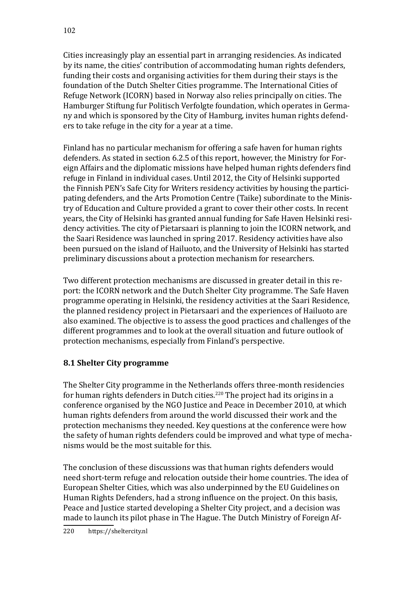Cities increasingly play an essential part in arranging residencies. As indicated by its name, the cities' contribution of accommodating human rights defenders, funding their costs and organising activities for them during their stays is the foundation of the Dutch Shelter Cities programme. The International Cities of Refuge Network (ICORN) based in Norway also relies principally on cities. The Hamburger Stiftung fur Politisch Verfolgte foundation, which operates in Germany and which is sponsored by the City of Hamburg, invites human rights defenders to take refuge in the city for a year at a time.

Finland has no particular mechanism for offering a safe haven for human rights defenders. As stated in section 6.2.5 of this report, however, the Ministry for Foreign Affairs and the diplomatic missions have helped human rights defenders find refuge in Finland in individual cases. Until 2012, the City of Helsinki supported the Finnish PEN's Safe City for Writers residency activities by housing the participating defenders, and the Arts Promotion Centre (Taike) subordinate to the Ministry of Education and Culture provided a grant to cover their other costs. In recent years, the City of Helsinki has granted annual funding for Safe Haven Helsinki residency activities. The city of Pietarsaari is planning to join the ICORN network, and the Saari Residence was launched in spring 2017. Residency activities have also been pursued on the island of Hailuoto, and the University of Helsinki has started preliminary discussions about a protection mechanism for researchers.

Two different protection mechanisms are discussed in greater detail in this report: the ICORN network and the Dutch Shelter City programme. The Safe Haven programme operating in Helsinki, the residency activities at the Saari Residence, the planned residency project in Pietarsaari and the experiences of Hailuoto are also examined. The objective is to assess the good practices and challenges of the different programmes and to look at the overall situation and future outlook of protection mechanisms, especially from Finland's perspective.

# **8.1 Shelter City programme**

The Shelter City programme in the Netherlands offers three-month residencies for human rights defenders in Dutch cities.<sup>220</sup> The project had its origins in a conference organised by the NGO Justice and Peace in December 2010, at which human rights defenders from around the world discussed their work and the protection mechanisms they needed. Key questions at the conference were how the safety of human rights defenders could be improved and what type of mechanisms would be the most suitable for this.

The conclusion of these discussions was that human rights defenders would need short-term refuge and relocation outside their home countries. The idea of European Shelter Cities, which was also underpinned by the EU Guidelines on Human Rights Defenders, had a strong influence on the project. On this basis, Peace and Justice started developing a Shelter City project, and a decision was made to launch its pilot phase in The Hague. The Dutch Ministry of Foreign Af-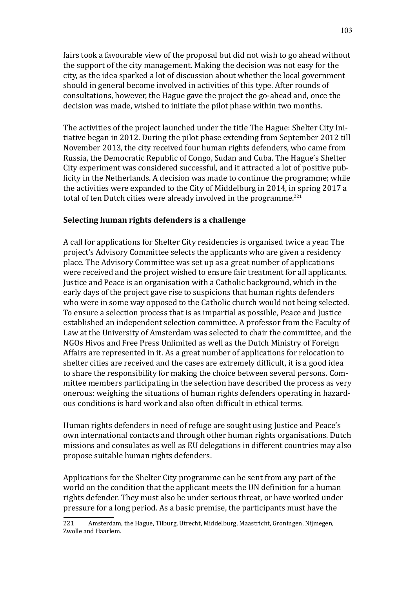fairs took a favourable view of the proposal but did not wish to go ahead without the support of the city management. Making the decision was not easy for the city, as the idea sparked a lot of discussion about whether the local government should in general become involved in activities of this type. After rounds of consultations, however, the Hague gave the project the go-ahead and, once the decision was made, wished to initiate the pilot phase within two months.

The activities of the project launched under the title The Hague: Shelter City Initiative began in 2012. During the pilot phase extending from September 2012 till November 2013, the city received four human rights defenders, who came from Russia, the Democratic Republic of Congo, Sudan and Cuba. The Hague's Shelter City experiment was considered successful, and it attracted a lot of positive publicity in the Netherlands. A decision was made to continue the programme; while the activities were expanded to the City of Middelburg in 2014, in spring 2017 a total of ten Dutch cities were already involved in the programme.<sup>221</sup>

### **Selecting human rights defenders is a challenge**

A call for applications for Shelter City residencies is organised twice a year. The project's Advisory Committee selects the applicants who are given a residency place. The Advisory Committee was set up as a great number of applications were received and the project wished to ensure fair treatment for all applicants. Justice and Peace is an organisation with a Catholic background, which in the early days of the project gave rise to suspicions that human rights defenders who were in some way opposed to the Catholic church would not being selected. To ensure a selection process that is as impartial as possible, Peace and Justice established an independent selection committee. A professor from the Faculty of Law at the University of Amsterdam was selected to chair the committee, and the NGOs Hivos and Free Press Unlimited as well as the Dutch Ministry of Foreign Affairs are represented in it. As a great number of applications for relocation to shelter cities are received and the cases are extremely difficult, it is a good idea to share the responsibility for making the choice between several persons. Committee members participating in the selection have described the process as very onerous: weighing the situations of human rights defenders operating in hazardous conditions is hard work and also often difficult in ethical terms.

Human rights defenders in need of refuge are sought using Justice and Peace's own international contacts and through other human rights organisations. Dutch missions and consulates as well as EU delegations in different countries may also propose suitable human rights defenders.

Applications for the Shelter City programme can be sent from any part of the world on the condition that the applicant meets the UN definition for a human rights defender. They must also be under serious threat, or have worked under pressure for a long period. As a basic premise, the participants must have the

<sup>221</sup> Amsterdam, the Hague, Tilburg, Utrecht, Middelburg, Maastricht, Groningen, Nijmegen, Zwolle and Haarlem.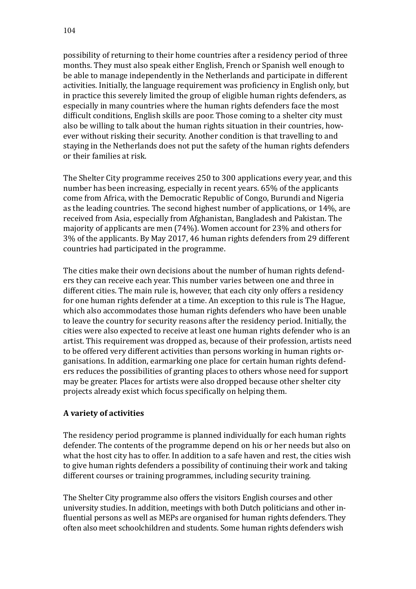possibility of returning to their home countries after a residency period of three months. They must also speak either English, French or Spanish well enough to be able to manage independently in the Netherlands and participate in different activities. Initially, the language requirement was proficiency in English only, but in practice this severely limited the group of eligible human rights defenders, as especially in many countries where the human rights defenders face the most difficult conditions, English skills are poor. Those coming to a shelter city must also be willing to talk about the human rights situation in their countries, however without risking their security. Another condition is that travelling to and staying in the Netherlands does not put the safety of the human rights defenders or their families at risk.

The Shelter City programme receives 250 to 300 applications every year, and this number has been increasing, especially in recent years. 65% of the applicants come from Africa, with the Democratic Republic of Congo, Burundi and Nigeria as the leading countries. The second highest number of applications, or 14%, are received from Asia, especially from Afghanistan, Bangladesh and Pakistan. The majority of applicants are men (74%). Women account for 23% and others for 3% of the applicants. By May 2017, 46 human rights defenders from 29 different countries had participated in the programme.

The cities make their own decisions about the number of human rights defenders they can receive each year. This number varies between one and three in different cities. The main rule is, however, that each city only offers a residency for one human rights defender at a time. An exception to this rule is The Hague, which also accommodates those human rights defenders who have been unable to leave the country for security reasons after the residency period. Initially, the cities were also expected to receive at least one human rights defender who is an artist. This requirement was dropped as, because of their profession, artists need to be offered very different activities than persons working in human rights organisations. In addition, earmarking one place for certain human rights defenders reduces the possibilities of granting places to others whose need for support may be greater. Places for artists were also dropped because other shelter city projects already exist which focus specifically on helping them.

### **A variety of activities**

The residency period programme is planned individually for each human rights defender. The contents of the programme depend on his or her needs but also on what the host city has to offer. In addition to a safe haven and rest, the cities wish to give human rights defenders a possibility of continuing their work and taking different courses or training programmes, including security training.

The Shelter City programme also offers the visitors English courses and other university studies. In addition, meetings with both Dutch politicians and other influential persons as well as MEPs are organised for human rights defenders. They often also meet schoolchildren and students. Some human rights defenders wish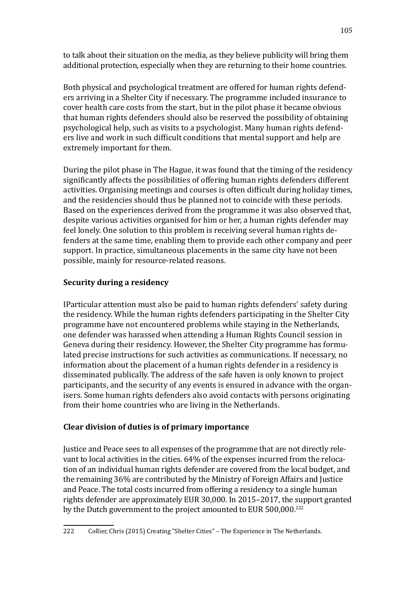to talk about their situation on the media, as they believe publicity will bring them additional protection, especially when they are returning to their home countries.

Both physical and psychological treatment are offered for human rights defenders arriving in a Shelter City if necessary. The programme included insurance to cover health care costs from the start, but in the pilot phase it became obvious that human rights defenders should also be reserved the possibility of obtaining psychological help, such as visits to a psychologist. Many human rights defenders live and work in such difficult conditions that mental support and help are extremely important for them.

During the pilot phase in The Hague, it was found that the timing of the residency significantly affects the possibilities of offering human rights defenders different activities. Organising meetings and courses is often difficult during holiday times, and the residencies should thus be planned not to coincide with these periods. Based on the experiences derived from the programme it was also observed that, despite various activities organised for him or her, a human rights defender may feel lonely. One solution to this problem is receiving several human rights defenders at the same time, enabling them to provide each other company and peer support. In practice, simultaneous placements in the same city have not been possible, mainly for resource-related reasons.

# **Security during a residency**

IParticular attention must also be paid to human rights defenders' safety during the residency. While the human rights defenders participating in the Shelter City programme have not encountered problems while staying in the Netherlands, one defender was harassed when attending a Human Rights Council session in Geneva during their residency. However, the Shelter City programme has formulated precise instructions for such activities as communications. If necessary, no information about the placement of a human rights defender in a residency is disseminated publically. The address of the safe haven is only known to project participants, and the security of any events is ensured in advance with the organisers. Some human rights defenders also avoid contacts with persons originating from their home countries who are living in the Netherlands.

# **Clear division of duties is of primary importance**

Justice and Peace sees to all expenses of the programme that are not directly relevant to local activities in the cities. 64% of the expenses incurred from the relocation of an individual human rights defender are covered from the local budget, and the remaining 36% are contributed by the Ministry of Foreign Affairs and Justice and Peace. The total costs incurred from offering a residency to a single human rights defender are approximately EUR 30,000. In 2015–2017, the support granted by the Dutch government to the project amounted to EUR 500,000.<sup>222</sup>

<sup>222</sup> Collier, Chris (2015) Creating "Shelter Cities" – The Experience in The Netherlands.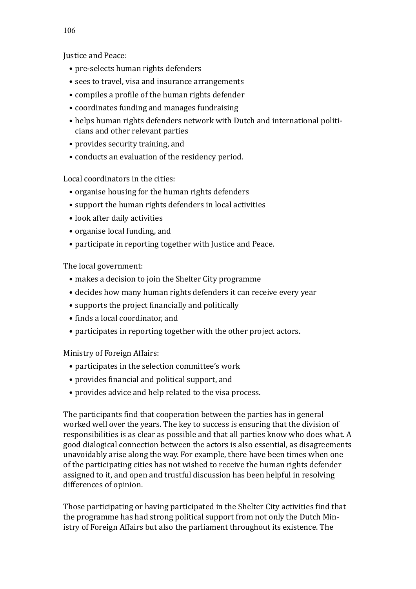Justice and Peace:

- pre-selects human rights defenders
- sees to travel, visa and insurance arrangements
- compiles a profile of the human rights defender
- coordinates funding and manages fundraising
- helps human rights defenders network with Dutch and international politicians and other relevant parties
- provides security training, and
- conducts an evaluation of the residency period.

Local coordinators in the cities:

- organise housing for the human rights defenders
- support the human rights defenders in local activities
- look after daily activities
- organise local funding, and
- participate in reporting together with Justice and Peace.

The local government:

- makes a decision to join the Shelter City programme
- decides how many human rights defenders it can receive every year
- supports the project financially and politically
- finds a local coordinator, and
- participates in reporting together with the other project actors.

Ministry of Foreign Affairs:

- participates in the selection committee's work
- provides financial and political support, and
- provides advice and help related to the visa process.

The participants find that cooperation between the parties has in general worked well over the years. The key to success is ensuring that the division of responsibilities is as clear as possible and that all parties know who does what. A good dialogical connection between the actors is also essential, as disagreements unavoidably arise along the way. For example, there have been times when one of the participating cities has not wished to receive the human rights defender assigned to it, and open and trustful discussion has been helpful in resolving differences of opinion.

Those participating or having participated in the Shelter City activities find that the programme has had strong political support from not only the Dutch Ministry of Foreign Affairs but also the parliament throughout its existence. The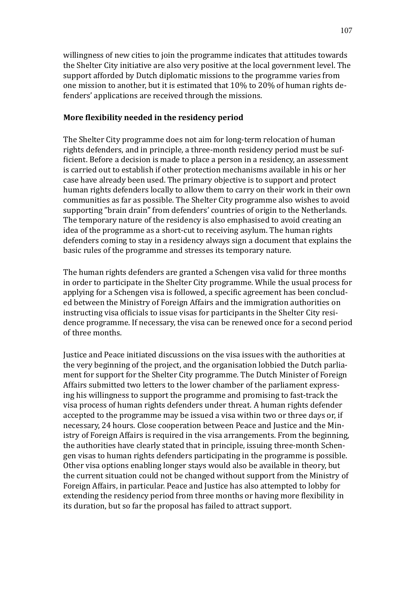willingness of new cities to join the programme indicates that attitudes towards the Shelter City initiative are also very positive at the local government level. The support afforded by Dutch diplomatic missions to the programme varies from one mission to another, but it is estimated that 10% to 20% of human rights defenders' applications are received through the missions.

#### **More flexibility needed in the residency period**

The Shelter City programme does not aim for long-term relocation of human rights defenders, and in principle, a three-month residency period must be sufficient. Before a decision is made to place a person in a residency, an assessment is carried out to establish if other protection mechanisms available in his or her case have already been used. The primary objective is to support and protect human rights defenders locally to allow them to carry on their work in their own communities as far as possible. The Shelter City programme also wishes to avoid supporting "brain drain" from defenders' countries of origin to the Netherlands. The temporary nature of the residency is also emphasised to avoid creating an idea of the programme as a short-cut to receiving asylum. The human rights defenders coming to stay in a residency always sign a document that explains the basic rules of the programme and stresses its temporary nature.

The human rights defenders are granted a Schengen visa valid for three months in order to participate in the Shelter City programme. While the usual process for applying for a Schengen visa is followed, a specific agreement has been concluded between the Ministry of Foreign Affairs and the immigration authorities on instructing visa officials to issue visas for participants in the Shelter City residence programme. If necessary, the visa can be renewed once for a second period of three months.

Justice and Peace initiated discussions on the visa issues with the authorities at the very beginning of the project, and the organisation lobbied the Dutch parliament for support for the Shelter City programme. The Dutch Minister of Foreign Affairs submitted two letters to the lower chamber of the parliament expressing his willingness to support the programme and promising to fast-track the visa process of human rights defenders under threat. A human rights defender accepted to the programme may be issued a visa within two or three days or, if necessary, 24 hours. Close cooperation between Peace and Justice and the Ministry of Foreign Affairs is required in the visa arrangements. From the beginning, the authorities have clearly stated that in principle, issuing three-month Schengen visas to human rights defenders participating in the programme is possible. Other visa options enabling longer stays would also be available in theory, but the current situation could not be changed without support from the Ministry of Foreign Affairs, in particular. Peace and Justice has also attempted to lobby for extending the residency period from three months or having more flexibility in its duration, but so far the proposal has failed to attract support.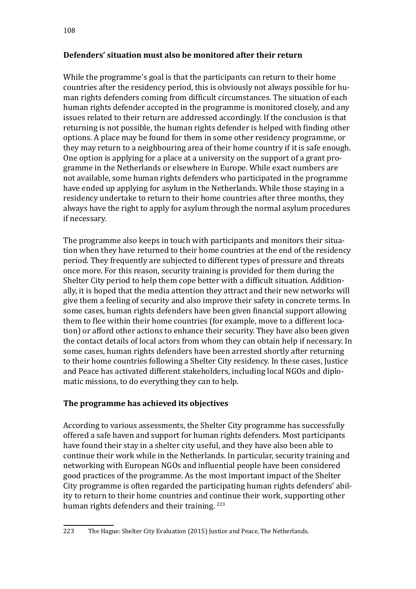# **Defenders' situation must also be monitored after their return**

While the programme's goal is that the participants can return to their home countries after the residency period, this is obviously not always possible for human rights defenders coming from difficult circumstances. The situation of each human rights defender accepted in the programme is monitored closely, and any issues related to their return are addressed accordingly. If the conclusion is that returning is not possible, the human rights defender is helped with finding other options. A place may be found for them in some other residency programme, or they may return to a neighbouring area of their home country if it is safe enough. One option is applying for a place at a university on the support of a grant programme in the Netherlands or elsewhere in Europe. While exact numbers are not available, some human rights defenders who participated in the programme have ended up applying for asylum in the Netherlands. While those staying in a residency undertake to return to their home countries after three months, they always have the right to apply for asylum through the normal asylum procedures if necessary.

The programme also keeps in touch with participants and monitors their situation when they have returned to their home countries at the end of the residency period. They frequently are subjected to different types of pressure and threats once more. For this reason, security training is provided for them during the Shelter City period to help them cope better with a difficult situation. Additionally, it is hoped that the media attention they attract and their new networks will give them a feeling of security and also improve their safety in concrete terms. In some cases, human rights defenders have been given financial support allowing them to flee within their home countries (for example, move to a different location) or afford other actions to enhance their security. They have also been given the contact details of local actors from whom they can obtain help if necessary. In some cases, human rights defenders have been arrested shortly after returning to their home countries following a Shelter City residency. In these cases, Justice and Peace has activated different stakeholders, including local NGOs and diplomatic missions, to do everything they can to help.

# **The programme has achieved its objectives**

According to various assessments, the Shelter City programme has successfully offered a safe haven and support for human rights defenders. Most participants have found their stay in a shelter city useful, and they have also been able to continue their work while in the Netherlands. In particular, security training and networking with European NGOs and influential people have been considered good practices of the programme. As the most important impact of the Shelter City programme is often regarded the participating human rights defenders' ability to return to their home countries and continue their work, supporting other human rights defenders and their training.<sup>223</sup>

<sup>223</sup> The Hague: Shelter City Evaluation (2015) Justice and Peace, The Netherlands.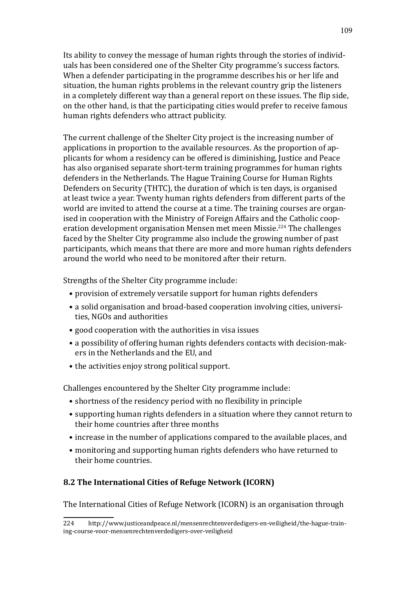Its ability to convey the message of human rights through the stories of individuals has been considered one of the Shelter City programme's success factors. When a defender participating in the programme describes his or her life and situation, the human rights problems in the relevant country grip the listeners in a completely different way than a general report on these issues. The flip side, on the other hand, is that the participating cities would prefer to receive famous human rights defenders who attract publicity.

The current challenge of the Shelter City project is the increasing number of applications in proportion to the available resources. As the proportion of applicants for whom a residency can be offered is diminishing, Justice and Peace has also organised separate short-term training programmes for human rights defenders in the Netherlands. The Hague Training Course for Human Rights Defenders on Security (THTC), the duration of which is ten days, is organised at least twice a year. Twenty human rights defenders from different parts of the world are invited to attend the course at a time. The training courses are organised in cooperation with the Ministry of Foreign Affairs and the Catholic cooperation development organisation Mensen met meen Missie.224 The challenges faced by the Shelter City programme also include the growing number of past participants, which means that there are more and more human rights defenders around the world who need to be monitored after their return.

Strengths of the Shelter City programme include:

- provision of extremely versatile support for human rights defenders
- a solid organisation and broad-based cooperation involving cities, universities, NGOs and authorities
- good cooperation with the authorities in visa issues
- a possibility of offering human rights defenders contacts with decision-makers in the Netherlands and the EU, and
- the activities enjoy strong political support.

Challenges encountered by the Shelter City programme include:

- shortness of the residency period with no flexibility in principle
- supporting human rights defenders in a situation where they cannot return to their home countries after three months
- increase in the number of applications compared to the available places, and
- monitoring and supporting human rights defenders who have returned to their home countries.

### **8.2 The International Cities of Refuge Network (ICORN)**

The International Cities of Refuge Network (ICORN) is an organisation through

<sup>224</sup> [http://www.justiceandpeace.nl/mensenrechtenverdedigers-en-veiligheid/the-hague-train](http://www.justiceandpeace.nl/mensenrechtenverdedigers-en-veiligheid/the-hague-training-course-voor-mensenrechtenverdedigers-over-veiligheid)[ing-course-voor-mensenrechtenverdedigers-over-veiligheid](http://www.justiceandpeace.nl/mensenrechtenverdedigers-en-veiligheid/the-hague-training-course-voor-mensenrechtenverdedigers-over-veiligheid)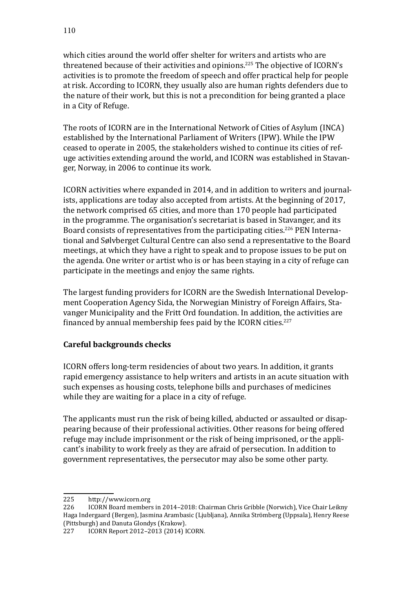which cities around the world offer shelter for writers and artists who are threatened because of their activities and opinions.225 The objective of ICORN's activities is to promote the freedom of speech and offer practical help for people at risk. According to ICORN, they usually also are human rights defenders due to the nature of their work, but this is not a precondition for being granted a place in a City of Refuge.

The roots of ICORN are in the International Network of Cities of Asylum (INCA) established by the International Parliament of Writers (IPW). While the IPW ceased to operate in 2005, the stakeholders wished to continue its cities of refuge activities extending around the world, and ICORN was established in Stavanger, Norway, in 2006 to continue its work.

ICORN activities where expanded in 2014, and in addition to writers and journalists, applications are today also accepted from artists. At the beginning of 2017, the network comprised 65 cities, and more than 170 people had participated in the programme. The organisation's secretariat is based in Stavanger, and its Board consists of representatives from the participating cities.<sup>226</sup> PEN International and Sølvberget Cultural Centre can also send a representative to the Board meetings, at which they have a right to speak and to propose issues to be put on the agenda. One writer or artist who is or has been staying in a city of refuge can participate in the meetings and enjoy the same rights.

The largest funding providers for ICORN are the Swedish International Development Cooperation Agency Sida, the Norwegian Ministry of Foreign Affairs, Stavanger Municipality and the Fritt Ord foundation. In addition, the activities are financed by annual membership fees paid by the ICORN cities.<sup>227</sup>

# **Careful backgrounds checks**

ICORN offers long-term residencies of about two years. In addition, it grants rapid emergency assistance to help writers and artists in an acute situation with such expenses as housing costs, telephone bills and purchases of medicines while they are waiting for a place in a city of refuge.

The applicants must run the risk of being killed, abducted or assaulted or disappearing because of their professional activities. Other reasons for being offered refuge may include imprisonment or the risk of being imprisoned, or the applicant's inability to work freely as they are afraid of persecution. In addition to government representatives, the persecutor may also be some other party.

<sup>225</sup> <http://www.icorn.org><br>226 ICORN Board member

<sup>226</sup> ICORN Board members in 2014–2018: Chairman Chris Gribble (Norwich), Vice Chair Leikny Haga Indergaard (Bergen), Jasmina Arambasic (Ljubljana), Annika Strömberg (Uppsala), Henry Reese (Pittsburgh) and Danuta Glondys (Krakow).<br>227 [CORN Report 2012-2013 (2014) I

ICORN Report 2012-2013 (2014) ICORN.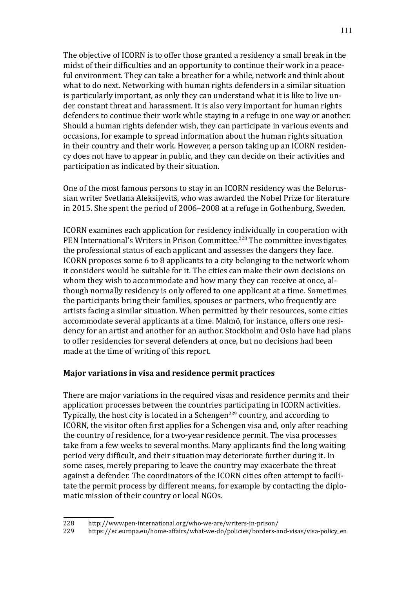The objective of ICORN is to offer those granted a residency a small break in the midst of their difficulties and an opportunity to continue their work in a peaceful environment. They can take a breather for a while, network and think about what to do next. Networking with human rights defenders in a similar situation is particularly important, as only they can understand what it is like to live under constant threat and harassment. It is also very important for human rights defenders to continue their work while staying in a refuge in one way or another. Should a human rights defender wish, they can participate in various events and occasions, for example to spread information about the human rights situation in their country and their work. However, a person taking up an ICORN residency does not have to appear in public, and they can decide on their activities and participation as indicated by their situation.

One of the most famous persons to stay in an ICORN residency was the Belorussian writer Svetlana Aleksijevitš, who was awarded the Nobel Prize for literature in 2015. She spent the period of 2006–2008 at a refuge in Gothenburg, Sweden.

ICORN examines each application for residency individually in cooperation with PEN International's Writers in Prison Committee.<sup>228</sup> The committee investigates the professional status of each applicant and assesses the dangers they face. ICORN proposes some 6 to 8 applicants to a city belonging to the network whom it considers would be suitable for it. The cities can make their own decisions on whom they wish to accommodate and how many they can receive at once, although normally residency is only offered to one applicant at a time. Sometimes the participants bring their families, spouses or partners, who frequently are artists facing a similar situation. When permitted by their resources, some cities accommodate several applicants at a time. Malmö, for instance, offers one residency for an artist and another for an author. Stockholm and Oslo have had plans to offer residencies for several defenders at once, but no decisions had been made at the time of writing of this report.

### **Major variations in visa and residence permit practices**

There are major variations in the required visas and residence permits and their application processes between the countries participating in ICORN activities. Typically, the host city is located in a Schengen<sup>229</sup> country, and according to ICORN, the visitor often first applies for a Schengen visa and, only after reaching the country of residence, for a two-year residence permit. The visa processes take from a few weeks to several months. Many applicants find the long waiting period very difficult, and their situation may deteriorate further during it. In some cases, merely preparing to leave the country may exacerbate the threat against a defender. The coordinators of the ICORN cities often attempt to facilitate the permit process by different means, for example by contacting the diplomatic mission of their country or local NGOs.

<sup>228</sup> <http://www.pen-international.org/who-we-are/writers-in-prison/><br>229 https://ec.europa.eu/home-affairs/what-we-do/policies/borders-a

<sup>229</sup> [https://ec.europa.eu/home-affairs/what-we-do/policies/borders-and-visas/visa-policy\\_en](https://ec.europa.eu/home-affairs/what-we-do/policies/borders-and-visas/visa-policy_en)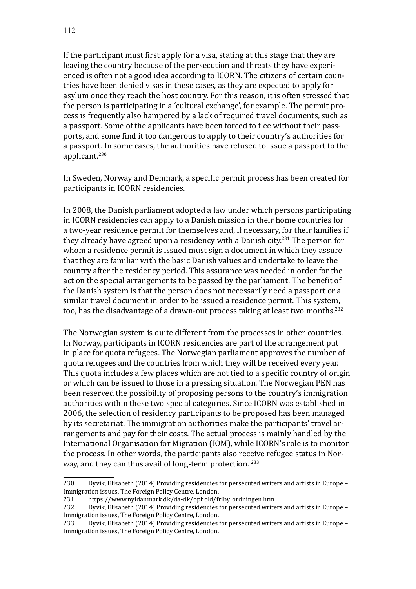If the participant must first apply for a visa, stating at this stage that they are leaving the country because of the persecution and threats they have experienced is often not a good idea according to ICORN. The citizens of certain countries have been denied visas in these cases, as they are expected to apply for asylum once they reach the host country. For this reason, it is often stressed that the person is participating in a 'cultural exchange', for example. The permit process is frequently also hampered by a lack of required travel documents, such as a passport. Some of the applicants have been forced to flee without their passports, and some find it too dangerous to apply to their country's authorities for a passport. In some cases, the authorities have refused to issue a passport to the applicant.<sup>230</sup>

In Sweden, Norway and Denmark, a specific permit process has been created for participants in ICORN residencies.

In 2008, the Danish parliament adopted a law under which persons participating in ICORN residencies can apply to a Danish mission in their home countries for a two-year residence permit for themselves and, if necessary, for their families if they already have agreed upon a residency with a Danish city.<sup>231</sup> The person for whom a residence permit is issued must sign a document in which they assure that they are familiar with the basic Danish values and undertake to leave the country after the residency period. This assurance was needed in order for the act on the special arrangements to be passed by the parliament. The benefit of the Danish system is that the person does not necessarily need a passport or a similar travel document in order to be issued a residence permit. This system, too, has the disadvantage of a drawn-out process taking at least two months.<sup>232</sup>

The Norwegian system is quite different from the processes in other countries. In Norway, participants in ICORN residencies are part of the arrangement put in place for quota refugees. The Norwegian parliament approves the number of quota refugees and the countries from which they will be received every year. This quota includes a few places which are not tied to a specific country of origin or which can be issued to those in a pressing situation. The Norwegian PEN has been reserved the possibility of proposing persons to the country's immigration authorities within these two special categories. Since ICORN was established in 2006, the selection of residency participants to be proposed has been managed by its secretariat. The immigration authorities make the participants' travel arrangements and pay for their costs. The actual process is mainly handled by the International Organisation for Migration (IOM), while ICORN's role is to monitor the process. In other words, the participants also receive refugee status in Norway, and they can thus avail of long-term protection. <sup>233</sup>

<sup>230</sup> Dyvik, Elisabeth (2014) Providing residencies for persecuted writers and artists in Europe – Immigration issues, The Foreign Policy Centre, London.<br>231 https://www.nvidanmark.dk/da-dk/ophold/fi

<sup>231</sup> [https://www.nyidanmark.dk/da-dk/ophold/friby\\_ordningen.htm](https://www.nyidanmark.dk/da-dk/ophold/friby_ordningen.htm)<br>232 Dyvik, Elisabeth (2014) Providing residencies for persecuted write

Dyvik, Elisabeth (2014) Providing residencies for persecuted writers and artists in Europe – Immigration issues, The Foreign Policy Centre, London.<br>233 Dyvik, Elisabeth (2014) Providing residencies

Dyvik, Elisabeth (2014) Providing residencies for persecuted writers and artists in Europe – Immigration issues, The Foreign Policy Centre, London.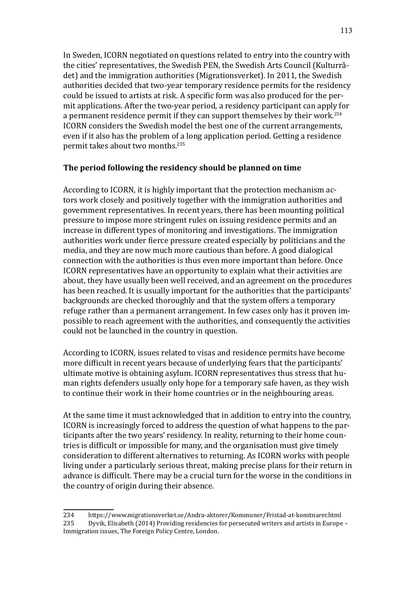In Sweden, ICORN negotiated on questions related to entry into the country with the cities' representatives, the Swedish PEN, the Swedish Arts Council (Kulturrådet) and the immigration authorities (Migrationsverket). In 2011, the Swedish authorities decided that two-year temporary residence permits for the residency could be issued to artists at risk. A specific form was also produced for the permit applications. After the two-year period, a residency participant can apply for a permanent residence permit if they can support themselves by their work.<sup>234</sup> ICORN considers the Swedish model the best one of the current arrangements, even if it also has the problem of a long application period. Getting a residence permit takes about two months.<sup>235</sup>

### **The period following the residency should be planned on time**

According to ICORN, it is highly important that the protection mechanism actors work closely and positively together with the immigration authorities and government representatives. In recent years, there has been mounting political pressure to impose more stringent rules on issuing residence permits and an increase in different types of monitoring and investigations. The immigration authorities work under fierce pressure created especially by politicians and the media, and they are now much more cautious than before. A good dialogical connection with the authorities is thus even more important than before. Once ICORN representatives have an opportunity to explain what their activities are about, they have usually been well received, and an agreement on the procedures has been reached. It is usually important for the authorities that the participants' backgrounds are checked thoroughly and that the system offers a temporary refuge rather than a permanent arrangement. In few cases only has it proven impossible to reach agreement with the authorities, and consequently the activities could not be launched in the country in question.

According to ICORN, issues related to visas and residence permits have become more difficult in recent years because of underlying fears that the participants' ultimate motive is obtaining asylum. ICORN representatives thus stress that human rights defenders usually only hope for a temporary safe haven, as they wish to continue their work in their home countries or in the neighbouring areas.

At the same time it must acknowledged that in addition to entry into the country, ICORN is increasingly forced to address the question of what happens to the participants after the two years' residency. In reality, returning to their home countries is difficult or impossible for many, and the organisation must give timely consideration to different alternatives to returning. As ICORN works with people living under a particularly serious threat, making precise plans for their return in advance is difficult. There may be a crucial turn for the worse in the conditions in the country of origin during their absence.

<sup>234</sup> <https://www.migrationsverket.se/Andra-aktorer/Kommuner/Fristad-at-konstnarer.html> Dyvik, Elisabeth (2014) Providing residencies for persecuted writers and artists in Europe – Immigration issues, The Foreign Policy Centre, London.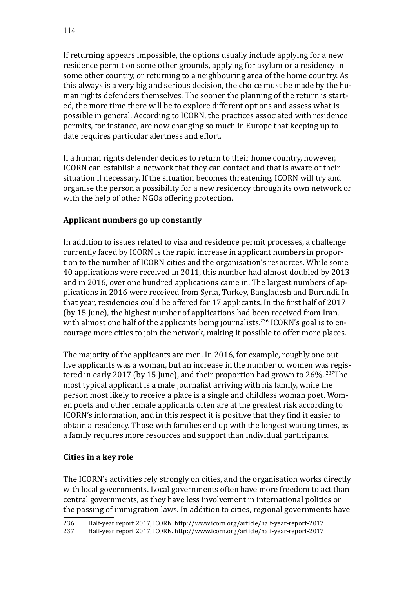If returning appears impossible, the options usually include applying for a new residence permit on some other grounds, applying for asylum or a residency in some other country, or returning to a neighbouring area of the home country. As this always is a very big and serious decision, the choice must be made by the human rights defenders themselves. The sooner the planning of the return is started, the more time there will be to explore different options and assess what is possible in general. According to ICORN, the practices associated with residence permits, for instance, are now changing so much in Europe that keeping up to date requires particular alertness and effort.

If a human rights defender decides to return to their home country, however, ICORN can establish a network that they can contact and that is aware of their situation if necessary. If the situation becomes threatening, ICORN will try and organise the person a possibility for a new residency through its own network or with the help of other NGOs offering protection.

# **Applicant numbers go up constantly**

In addition to issues related to visa and residence permit processes, a challenge currently faced by ICORN is the rapid increase in applicant numbers in proportion to the number of ICORN cities and the organisation's resources. While some 40 applications were received in 2011, this number had almost doubled by 2013 and in 2016, over one hundred applications came in. The largest numbers of applications in 2016 were received from Syria, Turkey, Bangladesh and Burundi. In that year, residencies could be offered for 17 applicants. In the first half of 2017 (by 15 June), the highest number of applications had been received from Iran, with almost one half of the applicants being journalists.<sup>236</sup> ICORN's goal is to encourage more cities to join the network, making it possible to offer more places.

The majority of the applicants are men. In 2016, for example, roughly one out five applicants was a woman, but an increase in the number of women was registered in early 2017 (by 15 June), and their proportion had grown to 26%. 237The most typical applicant is a male journalist arriving with his family, while the person most likely to receive a place is a single and childless woman poet. Women poets and other female applicants often are at the greatest risk according to ICORN's information, and in this respect it is positive that they find it easier to obtain a residency. Those with families end up with the longest waiting times, as a family requires more resources and support than individual participants.

### **Cities in a key role**

The ICORN's activities rely strongly on cities, and the organisation works directly with local governments. Local governments often have more freedom to act than central governments, as they have less involvement in international politics or the passing of immigration laws. In addition to cities, regional governments have

<sup>236</sup> Half-year report 2017, ICORN. [http://www.icorn.org/article/half-year-report-2017](https://www.icorn.org/article/icorn-half-year-report-2017)

<sup>237</sup> Half-year report 2017, ICORN. [http://www.icorn.org/article/half-year-report-2017](https://www.icorn.org/article/icorn-half-year-report-2017)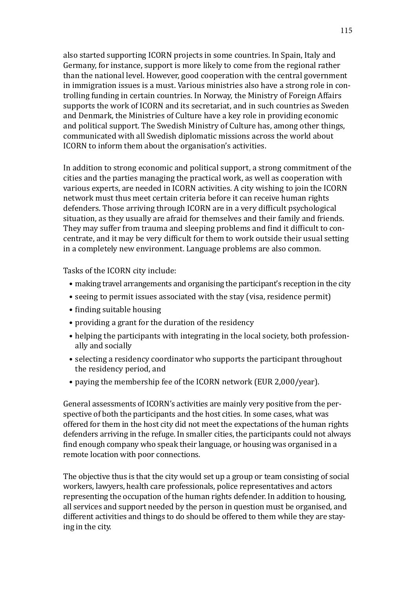also started supporting ICORN projects in some countries. In Spain, Italy and Germany, for instance, support is more likely to come from the regional rather than the national level. However, good cooperation with the central government in immigration issues is a must. Various ministries also have a strong role in controlling funding in certain countries. In Norway, the Ministry of Foreign Affairs supports the work of ICORN and its secretariat, and in such countries as Sweden and Denmark, the Ministries of Culture have a key role in providing economic and political support. The Swedish Ministry of Culture has, among other things, communicated with all Swedish diplomatic missions across the world about ICORN to inform them about the organisation's activities.

In addition to strong economic and political support, a strong commitment of the cities and the parties managing the practical work, as well as cooperation with various experts, are needed in ICORN activities. A city wishing to join the ICORN network must thus meet certain criteria before it can receive human rights defenders. Those arriving through ICORN are in a very difficult psychological situation, as they usually are afraid for themselves and their family and friends. They may suffer from trauma and sleeping problems and find it difficult to concentrate, and it may be very difficult for them to work outside their usual setting in a completely new environment. Language problems are also common.

Tasks of the ICORN city include:

- making travel arrangements and organising the participant's reception in the city
- seeing to permit issues associated with the stay (visa, residence permit)
- finding suitable housing
- providing a grant for the duration of the residency
- helping the participants with integrating in the local society, both professionally and socially
- selecting a residency coordinator who supports the participant throughout the residency period, and
- paying the membership fee of the ICORN network (EUR 2,000/year).

General assessments of ICORN's activities are mainly very positive from the perspective of both the participants and the host cities. In some cases, what was offered for them in the host city did not meet the expectations of the human rights defenders arriving in the refuge. In smaller cities, the participants could not always find enough company who speak their language, or housing was organised in a remote location with poor connections.

The objective thus is that the city would set up a group or team consisting of social workers, lawyers, health care professionals, police representatives and actors representing the occupation of the human rights defender. In addition to housing, all services and support needed by the person in question must be organised, and different activities and things to do should be offered to them while they are staying in the city.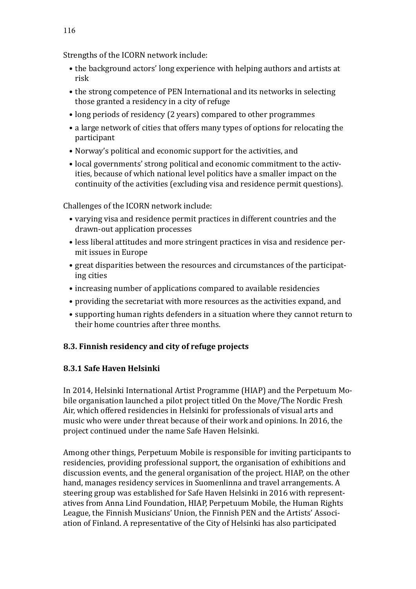Strengths of the ICORN network include:

- the background actors' long experience with helping authors and artists at risk
- the strong competence of PEN International and its networks in selecting those granted a residency in a city of refuge
- long periods of residency (2 years) compared to other programmes
- a large network of cities that offers many types of options for relocating the participant
- Norway's political and economic support for the activities, and
- local governments' strong political and economic commitment to the activities, because of which national level politics have a smaller impact on the continuity of the activities (excluding visa and residence permit questions).

Challenges of the ICORN network include:

- varying visa and residence permit practices in different countries and the drawn-out application processes
- less liberal attitudes and more stringent practices in visa and residence permit issues in Europe
- great disparities between the resources and circumstances of the participating cities
- increasing number of applications compared to available residencies
- providing the secretariat with more resources as the activities expand, and
- supporting human rights defenders in a situation where they cannot return to their home countries after three months.

# **8.3. Finnish residency and city of refuge projects**

# **8.3.1 Safe Haven Helsinki**

In 2014, Helsinki International Artist Programme (HIAP) and the Perpetuum Mobile organisation launched a pilot project titled On the Move/The Nordic Fresh Air, which offered residencies in Helsinki for professionals of visual arts and music who were under threat because of their work and opinions. In 2016, the project continued under the name Safe Haven Helsinki.

Among other things, Perpetuum Mobile is responsible for inviting participants to residencies, providing professional support, the organisation of exhibitions and discussion events, and the general organisation of the project. HIAP, on the other hand, manages residency services in Suomenlinna and travel arrangements. A steering group was established for Safe Haven Helsinki in 2016 with representatives from Anna Lind Foundation, HIAP, Perpetuum Mobile, the Human Rights League, the Finnish Musicians' Union, the Finnish PEN and the Artists' Association of Finland. A representative of the City of Helsinki has also participated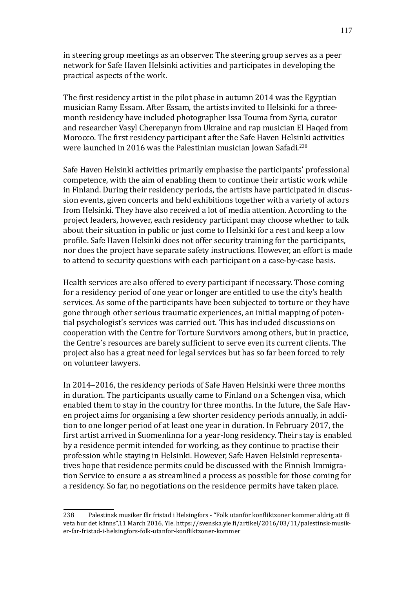in steering group meetings as an observer. The steering group serves as a peer network for Safe Haven Helsinki activities and participates in developing the practical aspects of the work.

The first residency artist in the pilot phase in autumn 2014 was the Egyptian musician Ramy Essam. After Essam, the artists invited to Helsinki for a threemonth residency have included photographer Issa Touma from Syria, curator and researcher Vasyl Cherepanyn from Ukraine and rap musician El Haqed from Morocco. The first residency participant after the Safe Haven Helsinki activities were launched in 2016 was the Palestinian musician Jowan Safadi.<sup>238</sup>

Safe Haven Helsinki activities primarily emphasise the participants' professional competence, with the aim of enabling them to continue their artistic work while in Finland. During their residency periods, the artists have participated in discussion events, given concerts and held exhibitions together with a variety of actors from Helsinki. They have also received a lot of media attention. According to the project leaders, however, each residency participant may choose whether to talk about their situation in public or just come to Helsinki for a rest and keep a low profile. Safe Haven Helsinki does not offer security training for the participants, nor does the project have separate safety instructions. However, an effort is made to attend to security questions with each participant on a case-by-case basis.

Health services are also offered to every participant if necessary. Those coming for a residency period of one year or longer are entitled to use the city's health services. As some of the participants have been subjected to torture or they have gone through other serious traumatic experiences, an initial mapping of potential psychologist's services was carried out. This has included discussions on cooperation with the Centre for Torture Survivors among others, but in practice, the Centre's resources are barely sufficient to serve even its current clients. The project also has a great need for legal services but has so far been forced to rely on volunteer lawyers.

In 2014–2016, the residency periods of Safe Haven Helsinki were three months in duration. The participants usually came to Finland on a Schengen visa, which enabled them to stay in the country for three months. In the future, the Safe Haven project aims for organising a few shorter residency periods annually, in addition to one longer period of at least one year in duration. In February 2017, the first artist arrived in Suomenlinna for a year-long residency. Their stay is enabled by a residence permit intended for working, as they continue to practise their profession while staying in Helsinki. However, Safe Haven Helsinki representatives hope that residence permits could be discussed with the Finnish Immigration Service to ensure a as streamlined a process as possible for those coming for a residency. So far, no negotiations on the residence permits have taken place.

<sup>238</sup> Palestinsk musiker får fristad i Helsingfors - "Folk utanför konfliktzoner kommer aldrig att få veta hur det känns",11 March 2016, Yle. [https://svenska.yle.fi/artikel/2016/03/11/palestinsk-musik](https://svenska.yle.fi/artikel/2016/03/11/palestinsk-musiker-far-fristad-i-helsingfors-folk-utanfor-konfliktzoner-kommer)[er-far-fristad-i-helsingfors-folk-utanfor-konfliktzoner-kommer](https://svenska.yle.fi/artikel/2016/03/11/palestinsk-musiker-far-fristad-i-helsingfors-folk-utanfor-konfliktzoner-kommer)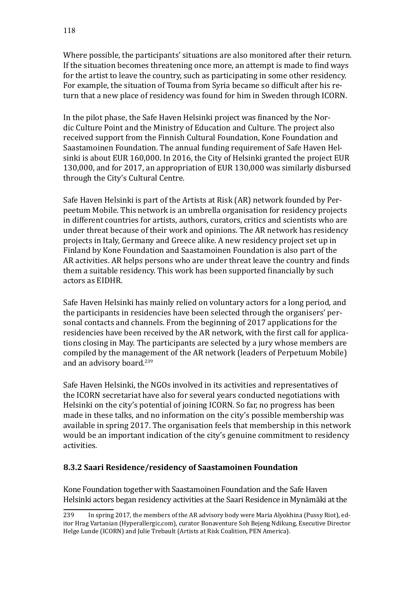Where possible, the participants' situations are also monitored after their return. If the situation becomes threatening once more, an attempt is made to find ways for the artist to leave the country, such as participating in some other residency. For example, the situation of Touma from Syria became so difficult after his return that a new place of residency was found for him in Sweden through ICORN.

In the pilot phase, the Safe Haven Helsinki project was financed by the Nordic Culture Point and the Ministry of Education and Culture. The project also received support from the Finnish Cultural Foundation, Kone Foundation and Saastamoinen Foundation. The annual funding requirement of Safe Haven Helsinki is about EUR 160,000. In 2016, the City of Helsinki granted the project EUR 130,000, and for 2017, an appropriation of EUR 130,000 was similarly disbursed through the City's Cultural Centre.

Safe Haven Helsinki is part of the Artists at Risk (AR) network founded by Perpeetum Mobile. This network is an umbrella organisation for residency projects in different countries for artists, authors, curators, critics and scientists who are under threat because of their work and opinions. The AR network has residency projects in Italy, Germany and Greece alike. A new residency project set up in Finland by Kone Foundation and Saastamoinen Foundation is also part of the AR activities. AR helps persons who are under threat leave the country and finds them a suitable residency. This work has been supported financially by such actors as EIDHR.

Safe Haven Helsinki has mainly relied on voluntary actors for a long period, and the participants in residencies have been selected through the organisers' personal contacts and channels. From the beginning of 2017 applications for the residencies have been received by the AR network, with the first call for applications closing in May. The participants are selected by a jury whose members are compiled by the management of the AR network (leaders of Perpetuum Mobile) and an advisory board.<sup>239</sup>

Safe Haven Helsinki, the NGOs involved in its activities and representatives of the ICORN secretariat have also for several years conducted negotiations with Helsinki on the city's potential of joining ICORN. So far, no progress has been made in these talks, and no information on the city's possible membership was available in spring 2017. The organisation feels that membership in this network would be an important indication of the city's genuine commitment to residency activities.

### **8.3.2 Saari Residence/residency of Saastamoinen Foundation**

Kone Foundation together with Saastamoinen Foundation and the Safe Haven Helsinki actors began residency activities at the Saari Residence in Mynämäki at the

<sup>239</sup> In spring 2017, the members of the AR advisory body were Maria Alyokhina (Pussy Riot), editor Hrag Vartanian [\(Hyperallergic.com](http://Hyperallergic.com)), curator Bonaventure Soh Bejeng Ndikung, Executive Director Helge Lunde (ICORN) and Julie Trebault (Artists at Risk Coalition, PEN America).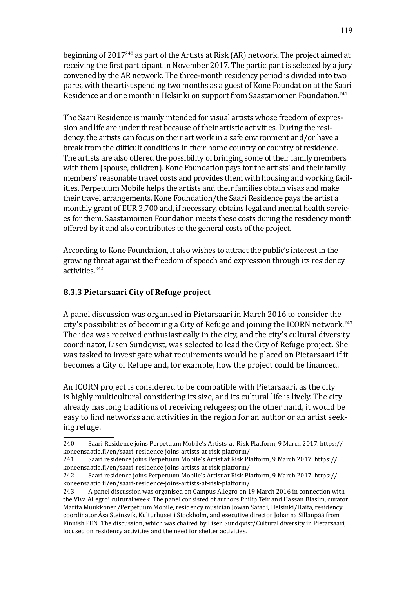beginning of 2017240 as part of the Artists at Risk (AR) network. The project aimed at receiving the first participant in November 2017. The participant is selected by a jury convened by the AR network. The three-month residency period is divided into two parts, with the artist spending two months as a guest of Kone Foundation at the Saari Residence and one month in Helsinki on support from Saastamoinen Foundation.<sup>241</sup>

The Saari Residence is mainly intended for visual artists whose freedom of expression and life are under threat because of their artistic activities. During the residency, the artists can focus on their art work in a safe environment and/or have a break from the difficult conditions in their home country or country of residence. The artists are also offered the possibility of bringing some of their family members with them (spouse, children). Kone Foundation pays for the artists' and their family members' reasonable travel costs and provides them with housing and working facilities. Perpetuum Mobile helps the artists and their families obtain visas and make their travel arrangements. Kone Foundation/the Saari Residence pays the artist a monthly grant of EUR 2,700 and, if necessary, obtains legal and mental health services for them. Saastamoinen Foundation meets these costs during the residency month offered by it and also contributes to the general costs of the project.

According to Kone Foundation, it also wishes to attract the public's interest in the growing threat against the freedom of speech and expression through its residency activities.242

### **8.3.3 Pietarsaari City of Refuge project**

A panel discussion was organised in Pietarsaari in March 2016 to consider the city's possibilities of becoming a City of Refuge and joining the ICORN network.<sup>243</sup> The idea was received enthusiastically in the city, and the city's cultural diversity coordinator, Lisen Sundqvist, was selected to lead the City of Refuge project. She was tasked to investigate what requirements would be placed on Pietarsaari if it becomes a City of Refuge and, for example, how the project could be financed.

An ICORN project is considered to be compatible with Pietarsaari, as the city is highly multicultural considering its size, and its cultural life is lively. The city already has long traditions of receiving refugees; on the other hand, it would be easy to find networks and activities in the region for an author or an artist seeking refuge.

<sup>240</sup> Saari Residence joins Perpetuum Mobile's Artists-at-Risk Platform, 9 March 2017. [https://](https://koneensaatio.fi/en/saari-residence-joins-artists-at-risk-platform/) [koneensaatio.fi/en/saari-residence-joins-artists-at-risk-platform/](https://koneensaatio.fi/en/saari-residence-joins-artists-at-risk-platform/)

<sup>241</sup> Saari residence joins Perpetuum Mobile's Artist at Risk Platform, 9 March 2017. [https://](https://koneensaatio.fi/en/saari-residence-joins-artists-at-risk-platform/) [koneensaatio.fi/en/saari-residence-joins-artists-at-risk-platform/](https://koneensaatio.fi/en/saari-residence-joins-artists-at-risk-platform/)

<sup>242</sup> Saari residence joins Perpetuum Mobile's Artist at Risk Platform, 9 March 2017. [https://](https://koneensaatio.fi/en/saari-residence-joins-artists-at-risk-platform/) [koneensaatio.fi/en/saari-residence-joins-artists-at-risk-platform/](https://koneensaatio.fi/en/saari-residence-joins-artists-at-risk-platform/)

A panel discussion was organised on Campus Allegro on 19 March 2016 in connection with the Viva Allegro! cultural week. The panel consisted of authors Philip Teir and Hassan Blasim, curator Marita Muukkonen/Perpetuum Mobile, residency musician Jowan Safadi, Helsinki/Haifa, residency coordinator Åsa Steinsvik, Kulturhuset i Stockholm, and executive director Johanna Sillanpää from Finnish PEN. The discussion, which was chaired by Lisen Sundqvist/Cultural diversity in Pietarsaari, focused on residency activities and the need for shelter activities.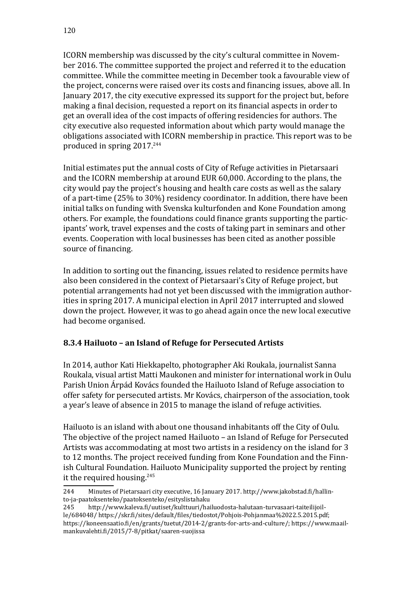ICORN membership was discussed by the city's cultural committee in November 2016. The committee supported the project and referred it to the education committee. While the committee meeting in December took a favourable view of the project, concerns were raised over its costs and financing issues, above all. In January 2017, the city executive expressed its support for the project but, before making a final decision, requested a report on its financial aspects in order to get an overall idea of the cost impacts of offering residencies for authors. The city executive also requested information about which party would manage the obligations associated with ICORN membership in practice. This report was to be produced in spring 2017.244

Initial estimates put the annual costs of City of Refuge activities in Pietarsaari and the ICORN membership at around EUR 60,000. According to the plans, the city would pay the project's housing and health care costs as well as the salary of a part-time (25% to 30%) residency coordinator. In addition, there have been initial talks on funding with Svenska kulturfonden and Kone Foundation among others. For example, the foundations could finance grants supporting the participants' work, travel expenses and the costs of taking part in seminars and other events. Cooperation with local businesses has been cited as another possible source of financing.

In addition to sorting out the financing, issues related to residence permits have also been considered in the context of Pietarsaari's City of Refuge project, but potential arrangements had not yet been discussed with the immigration authorities in spring 2017. A municipal election in April 2017 interrupted and slowed down the project. However, it was to go ahead again once the new local executive had become organised.

# **8.3.4 Hailuoto – an Island of Refuge for Persecuted Artists**

In 2014, author Kati Hiekkapelto, photographer Aki Roukala, journalist Sanna Roukala, visual artist Matti Maukonen and minister for international work in Oulu Parish Union Árpád Kovács founded the Hailuoto Island of Refuge association to offer safety for persecuted artists. Mr Kovács, chairperson of the association, took a year's leave of absence in 2015 to manage the island of refuge activities.

Hailuoto is an island with about one thousand inhabitants off the City of Oulu. The objective of the project named Hailuoto – an Island of Refuge for Persecuted Artists was accommodating at most two artists in a residency on the island for 3 to 12 months. The project received funding from Kone Foundation and the Finnish Cultural Foundation. Hailuoto Municipality supported the project by renting it the required housing.<sup>245</sup>

<sup>244</sup> Minutes of Pietarsaari city executive, 16 January 2017. [http://www.jakobstad.fi/hallin](https://www.jakobstad.fi/hallinto-ja-paatoksenteko/paatoksenteko/esityslistahaku)[to-ja-paatoksenteko/paatoksenteko/esityslistahaku](https://www.jakobstad.fi/hallinto-ja-paatoksenteko/paatoksenteko/esityslistahaku)<br>245 http://www.kaleva.fi/uutiset/kulttuuri/hai

<sup>245</sup> [http://www.kaleva.fi/uutiset/kulttuuri/hailuodosta-halutaan-turvasaari-taiteilijoil](http://www.kaleva.fi/uutiset/kulttuuri/hailuodosta-halutaan-turvasaari-taiteilijoille/684048/)[le/684048/](http://www.kaleva.fi/uutiset/kulttuuri/hailuodosta-halutaan-turvasaari-taiteilijoille/684048/) [https://skr.fi/sites/default/files/tiedostot/Pohjois-Pohjanmaa%2022.5.2015.pdf;](https://skr.fi/sites/default/files/tiedostot/Pohjois-Pohjanmaa%2022.5.2015.pdf) [https://koneensaatio.fi/en/grants/tuetut/2014-2/grants-for-arts-and-culture/;](https://koneensaatio.fi/en/grants/tuetut/2014-2/grants-for-arts-and-culture/) [https://www.maail](https://www.maailmankuvalehti.fi/2015/7-8/pitkat/saaren-suojissa)[mankuvalehti.fi/2015/7-8/pitkat/saaren-suojissa](https://www.maailmankuvalehti.fi/2015/7-8/pitkat/saaren-suojissa)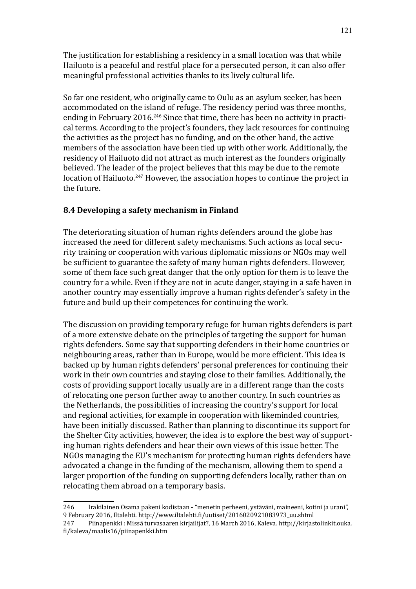The justification for establishing a residency in a small location was that while Hailuoto is a peaceful and restful place for a persecuted person, it can also offer meaningful professional activities thanks to its lively cultural life.

So far one resident, who originally came to Oulu as an asylum seeker, has been accommodated on the island of refuge. The residency period was three months, ending in February 2016.<sup>246</sup> Since that time, there has been no activity in practical terms. According to the project's founders, they lack resources for continuing the activities as the project has no funding, and on the other hand, the active members of the association have been tied up with other work. Additionally, the residency of Hailuoto did not attract as much interest as the founders originally believed. The leader of the project believes that this may be due to the remote location of Hailuoto.<sup>247</sup> However, the association hopes to continue the project in the future.

# **8.4 Developing a safety mechanism in Finland**

The deteriorating situation of human rights defenders around the globe has increased the need for different safety mechanisms. Such actions as local security training or cooperation with various diplomatic missions or NGOs may well be sufficient to guarantee the safety of many human rights defenders. However, some of them face such great danger that the only option for them is to leave the country for a while. Even if they are not in acute danger, staying in a safe haven in another country may essentially improve a human rights defender's safety in the future and build up their competences for continuing the work.

The discussion on providing temporary refuge for human rights defenders is part of a more extensive debate on the principles of targeting the support for human rights defenders. Some say that supporting defenders in their home countries or neighbouring areas, rather than in Europe, would be more efficient. This idea is backed up by human rights defenders' personal preferences for continuing their work in their own countries and staying close to their families. Additionally, the costs of providing support locally usually are in a different range than the costs of relocating one person further away to another country. In such countries as the Netherlands, the possibilities of increasing the country's support for local and regional activities, for example in cooperation with likeminded countries, have been initially discussed. Rather than planning to discontinue its support for the Shelter City activities, however, the idea is to explore the best way of supporting human rights defenders and hear their own views of this issue better. The NGOs managing the EU's mechanism for protecting human rights defenders have advocated a change in the funding of the mechanism, allowing them to spend a larger proportion of the funding on supporting defenders locally, rather than on relocating them abroad on a temporary basis.

<sup>246</sup> Irakilainen Osama pakeni kodistaan - "menetin perheeni, ystäväni, maineeni, kotini ja urani", 9 February 2016, Iltalehti. [http://www.iltalehti.fi/uutiset/2016020921083973\\_uu.shtml](http://www.iltalehti.fi/uutiset/2016020921083973_uu.shtml)

<sup>247</sup> Piinapenkki : Missä turvasaaren kirjailijat?, 16 March 2016, Kaleva. [http://kirjastolinkit.ouka.](http://kirjastolinkit.ouka.fi/kaleva/maalis16/piinapenkki.htm) [fi/kaleva/maalis16/piinapenkki.htm](http://kirjastolinkit.ouka.fi/kaleva/maalis16/piinapenkki.htm)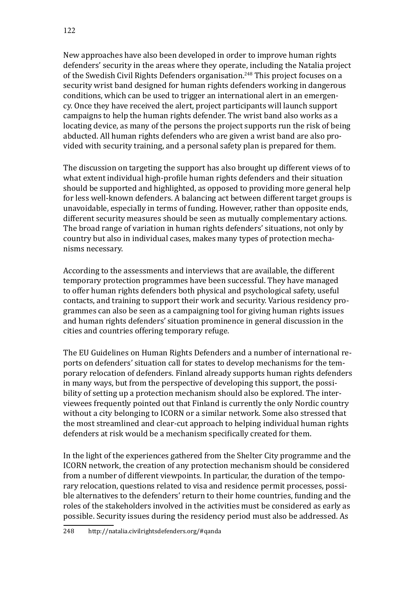New approaches have also been developed in order to improve human rights defenders' security in the areas where they operate, including the Natalia project of the Swedish Civil Rights Defenders organisation.<sup>248</sup> This project focuses on a security wrist band designed for human rights defenders working in dangerous conditions, which can be used to trigger an international alert in an emergency. Once they have received the alert, project participants will launch support campaigns to help the human rights defender. The wrist band also works as a locating device, as many of the persons the project supports run the risk of being abducted. All human rights defenders who are given a wrist band are also provided with security training, and a personal safety plan is prepared for them.

The discussion on targeting the support has also brought up different views of to what extent individual high-profile human rights defenders and their situation should be supported and highlighted, as opposed to providing more general help for less well-known defenders. A balancing act between different target groups is unavoidable, especially in terms of funding. However, rather than opposite ends, different security measures should be seen as mutually complementary actions. The broad range of variation in human rights defenders' situations, not only by country but also in individual cases, makes many types of protection mechanisms necessary.

According to the assessments and interviews that are available, the different temporary protection programmes have been successful. They have managed to offer human rights defenders both physical and psychological safety, useful contacts, and training to support their work and security. Various residency programmes can also be seen as a campaigning tool for giving human rights issues and human rights defenders' situation prominence in general discussion in the cities and countries offering temporary refuge.

The EU Guidelines on Human Rights Defenders and a number of international reports on defenders' situation call for states to develop mechanisms for the temporary relocation of defenders. Finland already supports human rights defenders in many ways, but from the perspective of developing this support, the possibility of setting up a protection mechanism should also be explored. The interviewees frequently pointed out that Finland is currently the only Nordic country without a city belonging to ICORN or a similar network. Some also stressed that the most streamlined and clear-cut approach to helping individual human rights defenders at risk would be a mechanism specifically created for them.

In the light of the experiences gathered from the Shelter City programme and the ICORN network, the creation of any protection mechanism should be considered from a number of different viewpoints. In particular, the duration of the temporary relocation, questions related to visa and residence permit processes, possible alternatives to the defenders' return to their home countries, funding and the roles of the stakeholders involved in the activities must be considered as early as possible. Security issues during the residency period must also be addressed. As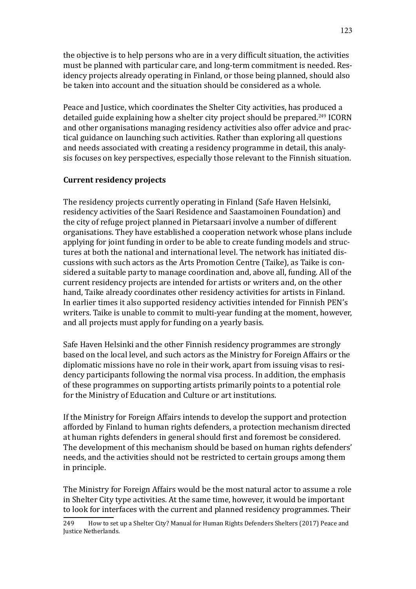the objective is to help persons who are in a very difficult situation, the activities must be planned with particular care, and long-term commitment is needed. Residency projects already operating in Finland, or those being planned, should also be taken into account and the situation should be considered as a whole.

Peace and Justice, which coordinates the Shelter City activities, has produced a detailed guide explaining how a shelter city project should be prepared.<sup>249</sup> ICORN and other organisations managing residency activities also offer advice and practical guidance on launching such activities. Rather than exploring all questions and needs associated with creating a residency programme in detail, this analysis focuses on key perspectives, especially those relevant to the Finnish situation.

### **Current residency projects**

The residency projects currently operating in Finland (Safe Haven Helsinki, residency activities of the Saari Residence and Saastamoinen Foundation) and the city of refuge project planned in Pietarsaari involve a number of different organisations. They have established a cooperation network whose plans include applying for joint funding in order to be able to create funding models and structures at both the national and international level. The network has initiated discussions with such actors as the Arts Promotion Centre (Taike), as Taike is considered a suitable party to manage coordination and, above all, funding. All of the current residency projects are intended for artists or writers and, on the other hand, Taike already coordinates other residency activities for artists in Finland. In earlier times it also supported residency activities intended for Finnish PEN's writers. Taike is unable to commit to multi-year funding at the moment, however, and all projects must apply for funding on a yearly basis.

Safe Haven Helsinki and the other Finnish residency programmes are strongly based on the local level, and such actors as the Ministry for Foreign Affairs or the diplomatic missions have no role in their work, apart from issuing visas to residency participants following the normal visa process. In addition, the emphasis of these programmes on supporting artists primarily points to a potential role for the Ministry of Education and Culture or art institutions.

If the Ministry for Foreign Affairs intends to develop the support and protection afforded by Finland to human rights defenders, a protection mechanism directed at human rights defenders in general should first and foremost be considered. The development of this mechanism should be based on human rights defenders' needs, and the activities should not be restricted to certain groups among them in principle.

The Ministry for Foreign Affairs would be the most natural actor to assume a role in Shelter City type activities. At the same time, however, it would be important to look for interfaces with the current and planned residency programmes. Their

<sup>249</sup> How to set up a Shelter City? Manual for Human Rights Defenders Shelters (2017) Peace and Justice Netherlands.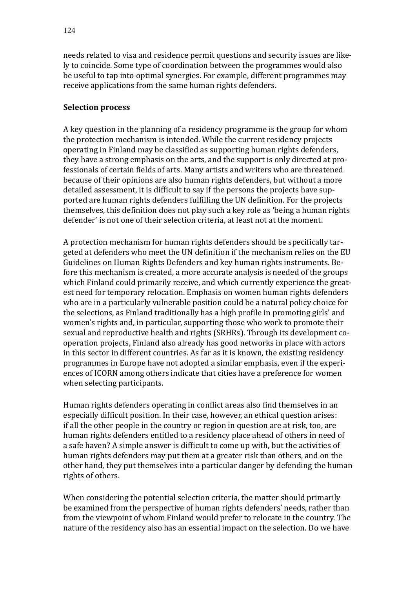needs related to visa and residence permit questions and security issues are likely to coincide. Some type of coordination between the programmes would also be useful to tap into optimal synergies. For example, different programmes may receive applications from the same human rights defenders.

#### **Selection process**

A key question in the planning of a residency programme is the group for whom the protection mechanism is intended. While the current residency projects operating in Finland may be classified as supporting human rights defenders, they have a strong emphasis on the arts, and the support is only directed at professionals of certain fields of arts. Many artists and writers who are threatened because of their opinions are also human rights defenders, but without a more detailed assessment, it is difficult to say if the persons the projects have supported are human rights defenders fulfilling the UN definition. For the projects themselves, this definition does not play such a key role as 'being a human rights defender' is not one of their selection criteria, at least not at the moment.

A protection mechanism for human rights defenders should be specifically targeted at defenders who meet the UN definition if the mechanism relies on the EU Guidelines on Human Rights Defenders and key human rights instruments. Before this mechanism is created, a more accurate analysis is needed of the groups which Finland could primarily receive, and which currently experience the greatest need for temporary relocation. Emphasis on women human rights defenders who are in a particularly vulnerable position could be a natural policy choice for the selections, as Finland traditionally has a high profile in promoting girls' and women's rights and, in particular, supporting those who work to promote their sexual and reproductive health and rights (SRHRs). Through its development cooperation projects, Finland also already has good networks in place with actors in this sector in different countries. As far as it is known, the existing residency programmes in Europe have not adopted a similar emphasis, even if the experiences of ICORN among others indicate that cities have a preference for women when selecting participants.

Human rights defenders operating in conflict areas also find themselves in an especially difficult position. In their case, however, an ethical question arises: if all the other people in the country or region in question are at risk, too, are human rights defenders entitled to a residency place ahead of others in need of a safe haven? A simple answer is difficult to come up with, but the activities of human rights defenders may put them at a greater risk than others, and on the other hand, they put themselves into a particular danger by defending the human rights of others.

When considering the potential selection criteria, the matter should primarily be examined from the perspective of human rights defenders' needs, rather than from the viewpoint of whom Finland would prefer to relocate in the country. The nature of the residency also has an essential impact on the selection. Do we have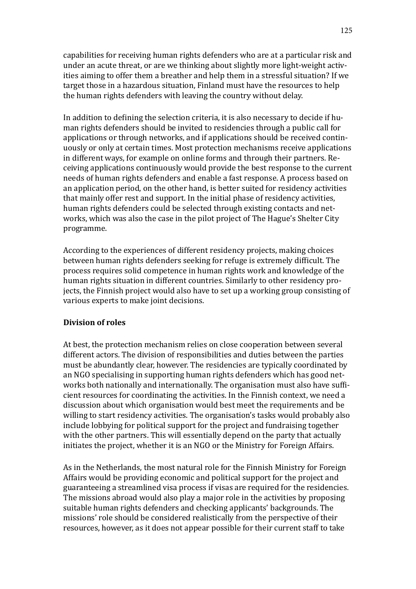capabilities for receiving human rights defenders who are at a particular risk and under an acute threat, or are we thinking about slightly more light-weight activities aiming to offer them a breather and help them in a stressful situation? If we target those in a hazardous situation, Finland must have the resources to help the human rights defenders with leaving the country without delay.

In addition to defining the selection criteria, it is also necessary to decide if human rights defenders should be invited to residencies through a public call for applications or through networks, and if applications should be received continuously or only at certain times. Most protection mechanisms receive applications in different ways, for example on online forms and through their partners. Receiving applications continuously would provide the best response to the current needs of human rights defenders and enable a fast response. A process based on an application period, on the other hand, is better suited for residency activities that mainly offer rest and support. In the initial phase of residency activities, human rights defenders could be selected through existing contacts and networks, which was also the case in the pilot project of The Hague's Shelter City programme.

According to the experiences of different residency projects, making choices between human rights defenders seeking for refuge is extremely difficult. The process requires solid competence in human rights work and knowledge of the human rights situation in different countries. Similarly to other residency projects, the Finnish project would also have to set up a working group consisting of various experts to make joint decisions.

### **Division of roles**

At best, the protection mechanism relies on close cooperation between several different actors. The division of responsibilities and duties between the parties must be abundantly clear, however. The residencies are typically coordinated by an NGO specialising in supporting human rights defenders which has good networks both nationally and internationally. The organisation must also have sufficient resources for coordinating the activities. In the Finnish context, we need a discussion about which organisation would best meet the requirements and be willing to start residency activities. The organisation's tasks would probably also include lobbying for political support for the project and fundraising together with the other partners. This will essentially depend on the party that actually initiates the project, whether it is an NGO or the Ministry for Foreign Affairs.

As in the Netherlands, the most natural role for the Finnish Ministry for Foreign Affairs would be providing economic and political support for the project and guaranteeing a streamlined visa process if visas are required for the residencies. The missions abroad would also play a major role in the activities by proposing suitable human rights defenders and checking applicants' backgrounds. The missions' role should be considered realistically from the perspective of their resources, however, as it does not appear possible for their current staff to take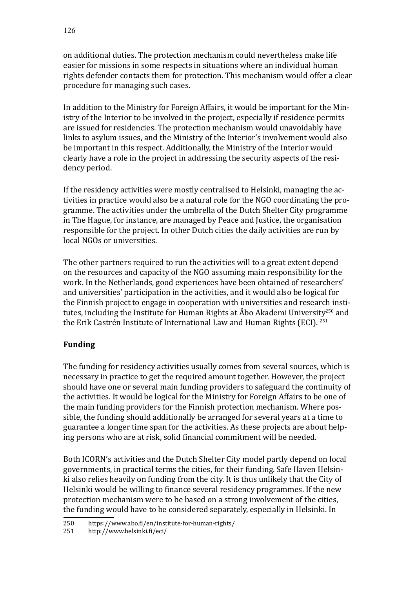on additional duties. The protection mechanism could nevertheless make life easier for missions in some respects in situations where an individual human rights defender contacts them for protection. This mechanism would offer a clear procedure for managing such cases.

In addition to the Ministry for Foreign Affairs, it would be important for the Ministry of the Interior to be involved in the project, especially if residence permits are issued for residencies. The protection mechanism would unavoidably have links to asylum issues, and the Ministry of the Interior's involvement would also be important in this respect. Additionally, the Ministry of the Interior would clearly have a role in the project in addressing the security aspects of the residency period.

If the residency activities were mostly centralised to Helsinki, managing the activities in practice would also be a natural role for the NGO coordinating the programme. The activities under the umbrella of the Dutch Shelter City programme in The Hague, for instance, are managed by Peace and Justice, the organisation responsible for the project. In other Dutch cities the daily activities are run by local NGOs or universities.

The other partners required to run the activities will to a great extent depend on the resources and capacity of the NGO assuming main responsibility for the work. In the Netherlands, good experiences have been obtained of researchers' and universities' participation in the activities, and it would also be logical for the Finnish project to engage in cooperation with universities and research institutes, including the Institute for Human Rights at Åbo Akademi University<sup>250</sup> and the Erik Castrén Institute of International Law and Human Rights (ECI). <sup>251</sup>

# **Funding**

The funding for residency activities usually comes from several sources, which is necessary in practice to get the required amount together. However, the project should have one or several main funding providers to safeguard the continuity of the activities. It would be logical for the Ministry for Foreign Affairs to be one of the main funding providers for the Finnish protection mechanism. Where possible, the funding should additionally be arranged for several years at a time to guarantee a longer time span for the activities. As these projects are about helping persons who are at risk, solid financial commitment will be needed.

Both ICORN's activities and the Dutch Shelter City model partly depend on local governments, in practical terms the cities, for their funding. Safe Haven Helsinki also relies heavily on funding from the city. It is thus unlikely that the City of Helsinki would be willing to finance several residency programmes. If the new protection mechanism were to be based on a strong involvement of the cities, the funding would have to be considered separately, especially in Helsinki. In

<sup>250</sup> <https://www.abo.fi/en/institute-for-human-rights/><br>251 http://www.helsinki.fi/eci/

<http://www.helsinki.fi/eci/>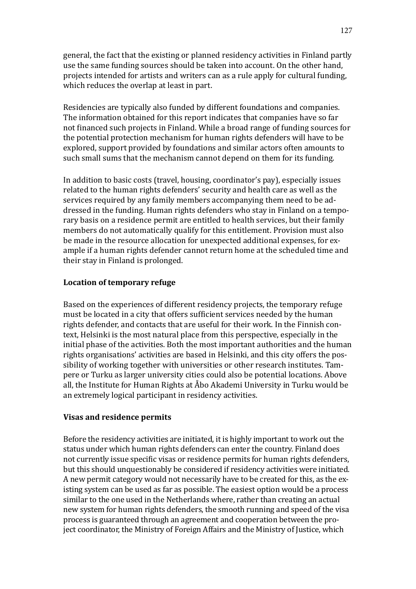general, the fact that the existing or planned residency activities in Finland partly use the same funding sources should be taken into account. On the other hand, projects intended for artists and writers can as a rule apply for cultural funding, which reduces the overlap at least in part.

Residencies are typically also funded by different foundations and companies. The information obtained for this report indicates that companies have so far not financed such projects in Finland. While a broad range of funding sources for the potential protection mechanism for human rights defenders will have to be explored, support provided by foundations and similar actors often amounts to such small sums that the mechanism cannot depend on them for its funding.

In addition to basic costs (travel, housing, coordinator's pay), especially issues related to the human rights defenders' security and health care as well as the services required by any family members accompanying them need to be addressed in the funding. Human rights defenders who stay in Finland on a temporary basis on a residence permit are entitled to health services, but their family members do not automatically qualify for this entitlement. Provision must also be made in the resource allocation for unexpected additional expenses, for example if a human rights defender cannot return home at the scheduled time and their stay in Finland is prolonged.

### **Location of temporary refuge**

Based on the experiences of different residency projects, the temporary refuge must be located in a city that offers sufficient services needed by the human rights defender, and contacts that are useful for their work. In the Finnish context, Helsinki is the most natural place from this perspective, especially in the initial phase of the activities. Both the most important authorities and the human rights organisations' activities are based in Helsinki, and this city offers the possibility of working together with universities or other research institutes. Tampere or Turku as larger university cities could also be potential locations. Above all, the Institute for Human Rights at Åbo Akademi University in Turku would be an extremely logical participant in residency activities.

### **Visas and residence permits**

Before the residency activities are initiated, it is highly important to work out the status under which human rights defenders can enter the country. Finland does not currently issue specific visas or residence permits for human rights defenders, but this should unquestionably be considered if residency activities were initiated. A new permit category would not necessarily have to be created for this, as the existing system can be used as far as possible. The easiest option would be a process similar to the one used in the Netherlands where, rather than creating an actual new system for human rights defenders, the smooth running and speed of the visa process is guaranteed through an agreement and cooperation between the project coordinator, the Ministry of Foreign Affairs and the Ministry of Justice, which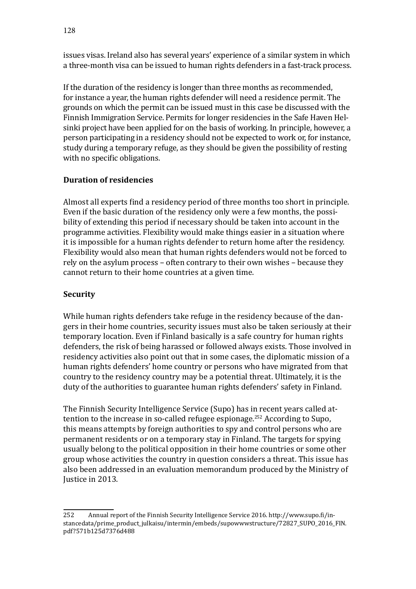issues visas. Ireland also has several years' experience of a similar system in which a three-month visa can be issued to human rights defenders in a fast-track process.

If the duration of the residency is longer than three months as recommended, for instance a year, the human rights defender will need a residence permit. The grounds on which the permit can be issued must in this case be discussed with the Finnish Immigration Service. Permits for longer residencies in the Safe Haven Helsinki project have been applied for on the basis of working. In principle, however, a person participating in a residency should not be expected to work or, for instance, study during a temporary refuge, as they should be given the possibility of resting with no specific obligations.

# **Duration of residencies**

Almost all experts find a residency period of three months too short in principle. Even if the basic duration of the residency only were a few months, the possibility of extending this period if necessary should be taken into account in the programme activities. Flexibility would make things easier in a situation where it is impossible for a human rights defender to return home after the residency. Flexibility would also mean that human rights defenders would not be forced to rely on the asylum process – often contrary to their own wishes – because they cannot return to their home countries at a given time.

# **Security**

While human rights defenders take refuge in the residency because of the dangers in their home countries, security issues must also be taken seriously at their temporary location. Even if Finland basically is a safe country for human rights defenders, the risk of being harassed or followed always exists. Those involved in residency activities also point out that in some cases, the diplomatic mission of a human rights defenders' home country or persons who have migrated from that country to the residency country may be a potential threat. Ultimately, it is the duty of the authorities to guarantee human rights defenders' safety in Finland.

The Finnish Security Intelligence Service (Supo) has in recent years called attention to the increase in so-called refugee espionage.252 According to Supo, this means attempts by foreign authorities to spy and control persons who are permanent residents or on a temporary stay in Finland. The targets for spying usually belong to the political opposition in their home countries or some other group whose activities the country in question considers a threat. This issue has also been addressed in an evaluation memorandum produced by the Ministry of Justice in 2013.

<sup>252</sup> Annual report of the Finnish Security Intelligence Service 2016. [http://www.supo.fi/in](http://www.supo.fi/instancedata/prime%5Fproduct%5Fjulkaisu/intermin/embeds/supowwwstructure/72827%5FSUPO%5F2016%5FFIN.pdf?571b125d7376d488)[stancedata/prime\\_product\\_julkaisu/intermin/embeds/supowwwstructure/72827\\_SUPO\\_2016\\_FIN.](http://www.supo.fi/instancedata/prime%5Fproduct%5Fjulkaisu/intermin/embeds/supowwwstructure/72827%5FSUPO%5F2016%5FFIN.pdf?571b125d7376d488) [pdf?571b125d7376d488](http://www.supo.fi/instancedata/prime%5Fproduct%5Fjulkaisu/intermin/embeds/supowwwstructure/72827%5FSUPO%5F2016%5FFIN.pdf?571b125d7376d488)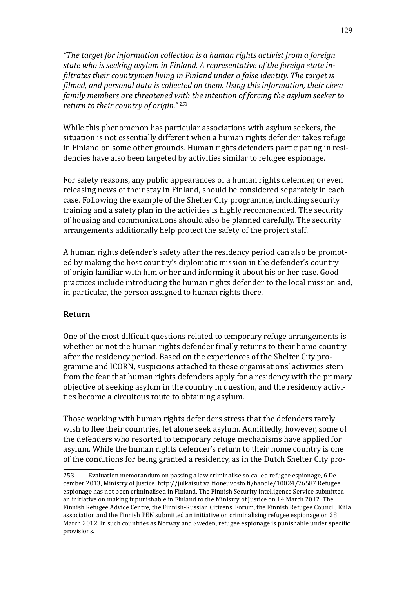*"The target for information collection is a human rights activist from a foreign state who is seeking asylum in Finland. A representative of the foreign state infiltrates their countrymen living in Finland under a false identity. The target is filmed, and personal data is collected on them. Using this information, their close family members are threatened with the intention of forcing the asylum seeker to return to their country of origin." 253*

While this phenomenon has particular associations with asylum seekers, the situation is not essentially different when a human rights defender takes refuge in Finland on some other grounds. Human rights defenders participating in residencies have also been targeted by activities similar to refugee espionage.

For safety reasons, any public appearances of a human rights defender, or even releasing news of their stay in Finland, should be considered separately in each case. Following the example of the Shelter City programme, including security training and a safety plan in the activities is highly recommended. The security of housing and communications should also be planned carefully. The security arrangements additionally help protect the safety of the project staff.

A human rights defender's safety after the residency period can also be promoted by making the host country's diplomatic mission in the defender's country of origin familiar with him or her and informing it about his or her case. Good practices include introducing the human rights defender to the local mission and, in particular, the person assigned to human rights there.

### **Return**

One of the most difficult questions related to temporary refuge arrangements is whether or not the human rights defender finally returns to their home country after the residency period. Based on the experiences of the Shelter City programme and ICORN, suspicions attached to these organisations' activities stem from the fear that human rights defenders apply for a residency with the primary objective of seeking asylum in the country in question, and the residency activities become a circuitous route to obtaining asylum.

Those working with human rights defenders stress that the defenders rarely wish to flee their countries, let alone seek asylum. Admittedly, however, some of the defenders who resorted to temporary refuge mechanisms have applied for asylum. While the human rights defender's return to their home country is one of the conditions for being granted a residency, as in the Dutch Shelter City pro-

<sup>253</sup> Evaluation memorandum on passing a law criminalise so-called refugee espionage, 6 December 2013, Ministry of Justice. <http://julkaisut.valtioneuvosto.fi/handle/10024/76587> Refugee espionage has not been criminalised in Finland. The Finnish Security Intelligence Service submitted an initiative on making it punishable in Finland to the Ministry of Justice on 14 March 2012. The Finnish Refugee Advice Centre, the Finnish-Russian Citizens' Forum, the Finnish Refugee Council, Kiila association and the Finnish PEN submitted an initiative on criminalising refugee espionage on 28 March 2012. In such countries as Norway and Sweden, refugee espionage is punishable under specific provisions.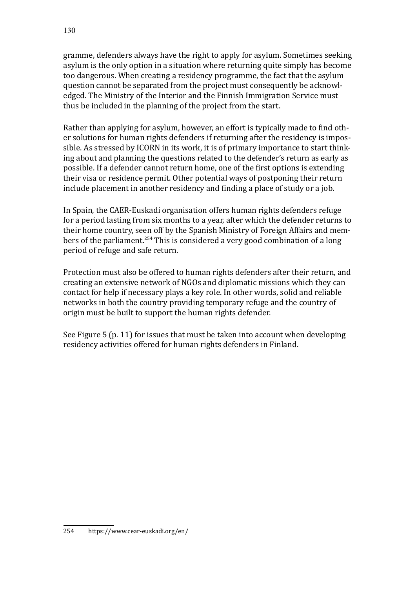gramme, defenders always have the right to apply for asylum. Sometimes seeking asylum is the only option in a situation where returning quite simply has become too dangerous. When creating a residency programme, the fact that the asylum question cannot be separated from the project must consequently be acknowledged. The Ministry of the Interior and the Finnish Immigration Service must thus be included in the planning of the project from the start.

Rather than applying for asylum, however, an effort is typically made to find other solutions for human rights defenders if returning after the residency is impossible. As stressed by ICORN in its work, it is of primary importance to start thinking about and planning the questions related to the defender's return as early as possible. If a defender cannot return home, one of the first options is extending their visa or residence permit. Other potential ways of postponing their return include placement in another residency and finding a place of study or a job.

In Spain, the CAER-Euskadi organisation offers human rights defenders refuge for a period lasting from six months to a year, after which the defender returns to their home country, seen off by the Spanish Ministry of Foreign Affairs and members of the parliament.<sup>254</sup> This is considered a very good combination of a long period of refuge and safe return.

Protection must also be offered to human rights defenders after their return, and creating an extensive network of NGOs and diplomatic missions which they can contact for help if necessary plays a key role. In other words, solid and reliable networks in both the country providing temporary refuge and the country of origin must be built to support the human rights defender.

See Figure 5 (p. 11) for issues that must be taken into account when developing residency activities offered for human rights defenders in Finland.

<sup>254</sup> <https://www.cear-euskadi.org/en/>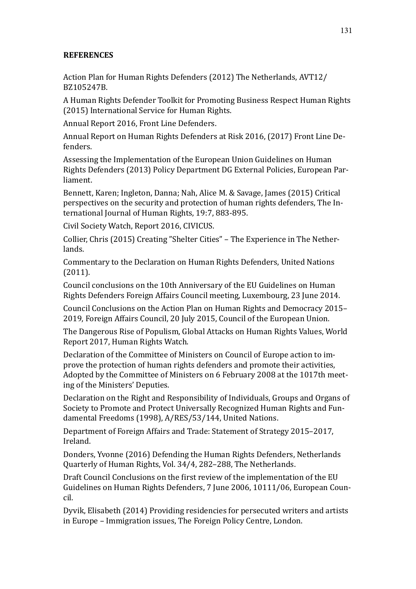# **REFERENCES**

Action Plan for Human Rights Defenders (2012) The Netherlands, AVT12/ BZ105247B.

A Human Rights Defender Toolkit for Promoting Business Respect Human Rights (2015) International Service for Human Rights.

Annual Report 2016, Front Line Defenders.

Annual Report on Human Rights Defenders at Risk 2016, (2017) Front Line Defenders.

Assessing the Implementation of the European Union Guidelines on Human Rights Defenders (2013) Policy Department DG External Policies, European Parliament.

Bennett, Karen; Ingleton, Danna; Nah, Alice M. & Savage, James (2015) Critical perspectives on the security and protection of human rights defenders, The International Journal of Human Rights, 19:7, 883-895.

Civil Society Watch, Report 2016, CIVICUS.

Collier, Chris (2015) Creating "Shelter Cities" – The Experience in The Netherlands.

Commentary to the Declaration on Human Rights Defenders, United Nations (2011).

Council conclusions on the 10th Anniversary of the EU Guidelines on Human Rights Defenders Foreign Affairs Council meeting, Luxembourg, 23 June 2014.

Council Conclusions on the Action Plan on Human Rights and Democracy 2015– 2019, Foreign Affairs Council, 20 July 2015, Council of the European Union.

The Dangerous Rise of Populism, Global Attacks on Human Rights Values, World Report 2017, Human Rights Watch.

Declaration of the Committee of Ministers on Council of Europe action to improve the protection of human rights defenders and promote their activities, Adopted by the Committee of Ministers on 6 February 2008 at the 1017th meeting of the Ministers' Deputies.

Declaration on the Right and Responsibility of Individuals, Groups and Organs of Society to Promote and Protect Universally Recognized Human Rights and Fundamental Freedoms (1998), A/RES/53/144, United Nations.

Department of Foreign Affairs and Trade: Statement of Strategy 2015–2017, Ireland.

Donders, Yvonne (2016) Defending the Human Rights Defenders, Netherlands Quarterly of Human Rights, Vol. 34/4, 282–288, The Netherlands.

Draft Council Conclusions on the first review of the implementation of the EU Guidelines on Human Rights Defenders, 7 June 2006, 10111/06, European Council.

Dyvik, Elisabeth (2014) Providing residencies for persecuted writers and artists in Europe – Immigration issues, The Foreign Policy Centre, London.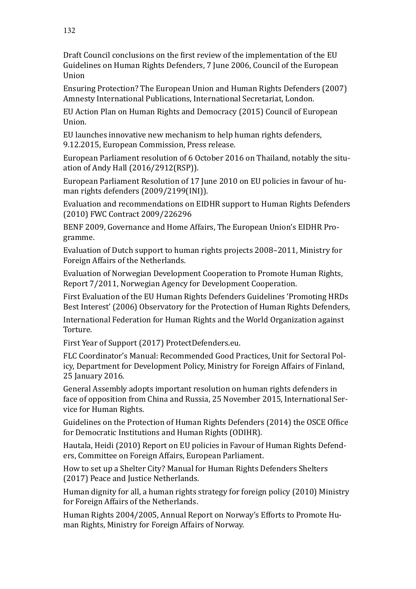Draft Council conclusions on the first review of the implementation of the EU Guidelines on Human Rights Defenders, 7 June 2006, Council of the European Union

Ensuring Protection? The European Union and Human Rights Defenders (2007) Amnesty International Publications, International Secretariat, London.

EU Action Plan on Human Rights and Democracy (2015) Council of European Union.

EU launches innovative new mechanism to help human rights defenders, 9.12.2015, European Commission, Press release.

European Parliament resolution of 6 October 2016 on Thailand, notably the situation of Andy Hall (2016/2912(RSP)).

European Parliament Resolution of 17 June 2010 on EU policies in favour of human rights defenders (2009/2199(INI)).

Evaluation and recommendations on EIDHR support to Human Rights Defenders (2010) FWC Contract 2009/226296

BENF 2009, Governance and Home Affairs, The European Union's EIDHR Programme.

Evaluation of Dutch support to human rights projects 2008–2011, Ministry for Foreign Affairs of the Netherlands.

Evaluation of Norwegian Development Cooperation to Promote Human Rights, Report 7/2011, Norwegian Agency for Development Cooperation.

First Evaluation of the EU Human Rights Defenders Guidelines 'Promoting HRDs Best Interest' (2006) Observatory for the Protection of Human Rights Defenders,

International Federation for Human Rights and the World Organization against Torture.

First Year of Support (2017) ProtectDefenders.eu.

FLC Coordinator's Manual: Recommended Good Practices, Unit for Sectoral Policy, Department for Development Policy, Ministry for Foreign Affairs of Finland, 25 January 2016.

General Assembly adopts important resolution on human rights defenders in face of opposition from China and Russia, 25 November 2015, International Service for Human Rights.

Guidelines on the Protection of Human Rights Defenders (2014) the OSCE Office for Democratic Institutions and Human Rights (ODIHR).

Hautala, Heidi (2010) Report on EU policies in Favour of Human Rights Defenders, Committee on Foreign Affairs, European Parliament.

How to set up a Shelter City? Manual for Human Rights Defenders Shelters (2017) Peace and Justice Netherlands.

Human dignity for all, a human rights strategy for foreign policy (2010) Ministry for Foreign Affairs of the Netherlands.

Human Rights 2004/2005, Annual Report on Norway's Efforts to Promote Human Rights, Ministry for Foreign Affairs of Norway.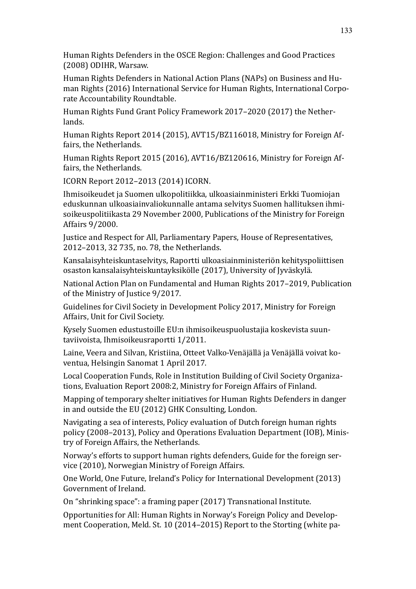Human Rights Defenders in the OSCE Region: Challenges and Good Practices (2008) ODIHR, Warsaw.

Human Rights Defenders in National Action Plans (NAPs) on Business and Human Rights (2016) International Service for Human Rights, International Corporate Accountability Roundtable.

Human Rights Fund Grant Policy Framework 2017–2020 (2017) the Netherlands.

Human Rights Report 2014 (2015), AVT15/BZ116018, Ministry for Foreign Affairs, the Netherlands.

Human Rights Report 2015 (2016), AVT16/BZ120616, Ministry for Foreign Affairs, the Netherlands.

ICORN Report 2012–2013 (2014) ICORN.

Ihmisoikeudet ja Suomen ulkopolitiikka, ulkoasiainministeri Erkki Tuomiojan eduskunnan ulkoasiainvaliokunnalle antama selvitys Suomen hallituksen ihmisoikeuspolitiikasta 29 November 2000, Publications of the Ministry for Foreign Affairs 9/2000.

Justice and Respect for All, Parliamentary Papers, House of Representatives, 2012–2013, 32 735, no. 78, the Netherlands.

Kansalaisyhteiskuntaselvitys, Raportti ulkoasiainministeriön kehityspoliittisen osaston kansalaisyhteiskuntayksikölle (2017), University of Jyväskylä.

National Action Plan on Fundamental and Human Rights 2017–2019, Publication of the Ministry of Justice 9/2017.

Guidelines for Civil Society in Development Policy 2017, Ministry for Foreign Affairs, Unit for Civil Society.

Kysely Suomen edustustoille EU:n ihmisoikeuspuolustajia koskevista suuntaviivoista, Ihmisoikeusraportti 1/2011.

Laine, Veera and Silvan, Kristiina, Otteet Valko-Venäjällä ja Venäjällä voivat koventua, Helsingin Sanomat 1 April 2017.

Local Cooperation Funds, Role in Institution Building of Civil Society Organizations, Evaluation Report 2008:2, Ministry for Foreign Affairs of Finland.

Mapping of temporary shelter initiatives for Human Rights Defenders in danger in and outside the EU (2012) GHK Consulting, London.

Navigating a sea of interests, Policy evaluation of Dutch foreign human rights policy (2008–2013), Policy and Operations Evaluation Department (IOB), Ministry of Foreign Affairs, the Netherlands.

Norway's efforts to support human rights defenders, Guide for the foreign service (2010), Norwegian Ministry of Foreign Affairs.

One World, One Future, Ireland's Policy for International Development (2013) Government of Ireland.

On "shrinking space": a framing paper (2017) Transnational Institute.

Opportunities for All: Human Rights in Norway's Foreign Policy and Development Cooperation, Meld. St. 10 (2014–2015) Report to the Storting (white pa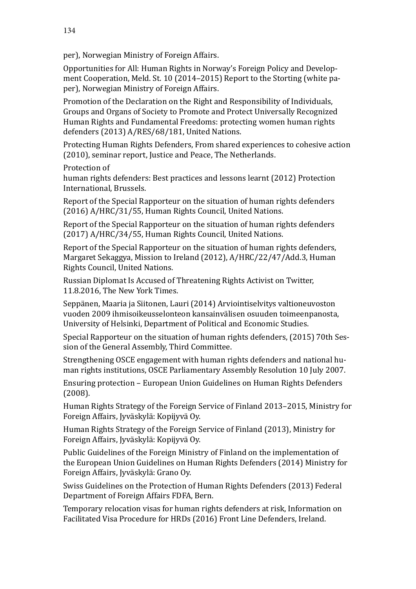per), Norwegian Ministry of Foreign Affairs.

Opportunities for All: Human Rights in Norway's Foreign Policy and Development Cooperation, Meld. St. 10 (2014–2015) Report to the Storting (white paper), Norwegian Ministry of Foreign Affairs.

Promotion of the Declaration on the Right and Responsibility of Individuals, Groups and Organs of Society to Promote and Protect Universally Recognized Human Rights and Fundamental Freedoms: protecting women human rights defenders (2013) A/RES/68/181, United Nations.

Protecting Human Rights Defenders, From shared experiences to cohesive action (2010), seminar report, Justice and Peace, The Netherlands.

Protection of

human rights defenders: Best practices and lessons learnt (2012) Protection International, Brussels.

Report of the Special Rapporteur on the situation of human rights defenders (2016) A/HRC/31/55, Human Rights Council, United Nations.

Report of the Special Rapporteur on the situation of human rights defenders (2017) A/HRC/34/55, Human Rights Council, United Nations.

Report of the Special Rapporteur on the situation of human rights defenders, Margaret Sekaggya, Mission to Ireland (2012), A/HRC/22/47/Add.3, Human Rights Council, United Nations.

Russian Diplomat Is Accused of Threatening Rights Activist on Twitter, 11.8.2016, The New York Times.

Seppänen, Maaria ja Siitonen, Lauri (2014) Arviointiselvitys valtioneuvoston vuoden 2009 ihmisoikeusselonteon kansainvälisen osuuden toimeenpanosta, University of Helsinki, Department of Political and Economic Studies.

Special Rapporteur on the situation of human rights defenders, (2015) 70th Session of the General Assembly, Third Committee.

Strengthening OSCE engagement with human rights defenders and national human rights institutions, OSCE Parliamentary Assembly Resolution 10 July 2007.

Ensuring protection – European Union Guidelines on Human Rights Defenders (2008).

Human Rights Strategy of the Foreign Service of Finland 2013–2015, Ministry for Foreign Affairs, Jyväskylä: Kopijyvä Oy.

Human Rights Strategy of the Foreign Service of Finland (2013), Ministry for Foreign Affairs, Jyväskylä: Kopijyvä Oy.

Public Guidelines of the Foreign Ministry of Finland on the implementation of the European Union Guidelines on Human Rights Defenders (2014) Ministry for Foreign Affairs, Jyväskylä: Grano Oy.

Swiss Guidelines on the Protection of Human Rights Defenders (2013) Federal Department of Foreign Affairs FDFA, Bern.

Temporary relocation visas for human rights defenders at risk, Information on Facilitated Visa Procedure for HRDs (2016) Front Line Defenders, Ireland.